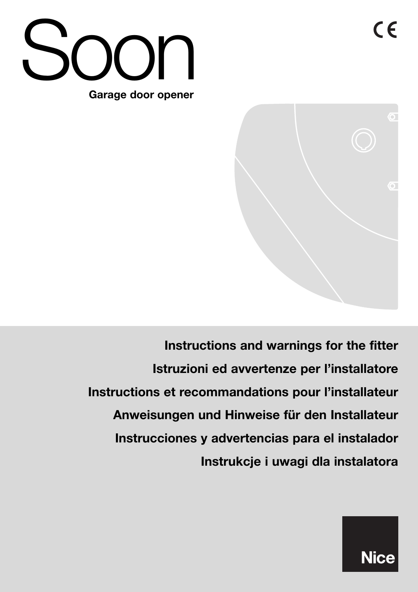



**Instructions and warnings for the fitter Istruzioni ed avvertenze per l'installatore Instructions et recommandations pour l'installateur Anweisungen und Hinweise für den Installateur Instrucciones y advertencias para el instalador Instrukcje i uwagi dla instalatora**

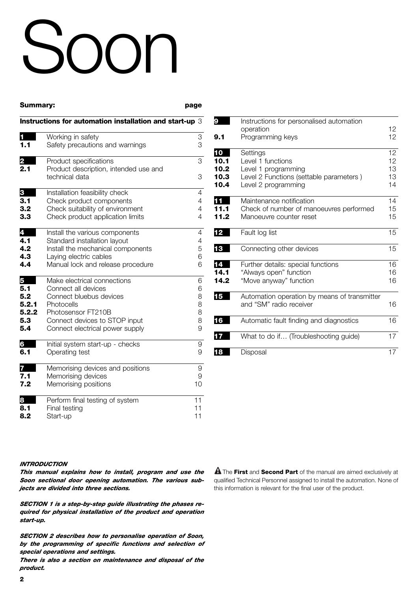# Soon

| Summary: |                                                                                   | page           |
|----------|-----------------------------------------------------------------------------------|----------------|
|          | Instructions for automation installation and start-up 3                           |                |
| П        | Working in safety                                                                 | 3              |
| 1.1      | Safety precautions and warnings                                                   | 3              |
| 2<br>2.1 | Product specifications<br>Product description, intended use and<br>technical data | 3<br>3         |
| 3        | Installation feasibility check                                                    | 4              |
| 3.1      | Check product components                                                          | 4              |
| 3.2      | Check suitability of environment                                                  | $\overline{4}$ |
| 3.3      | Check product application limits                                                  | 4              |
| 4        | Install the various components                                                    | $\overline{4}$ |
| 4.1      | Standard installation layout                                                      | $\overline{4}$ |
| 4.2      | Install the mechanical components                                                 | 5              |
| 4.3      | Laying electric cables                                                            | 6              |
| 4.4      | Manual lock and release procedure                                                 | 6              |
| 5        | Make electrical connections                                                       | 6              |
| 5.1      | Connect all devices                                                               | 6              |
| 5.2      | Connect bluebus devices                                                           | 8              |
| 5.2.1    | Photocells                                                                        | 8              |
| 5.2.2    | Photosensor FT210B                                                                | 8              |
| 5.3      | Connect devices to STOP input                                                     | 8              |
| 5.4      | Connect electrical power supply                                                   | 9              |
| 6        | Initial system start-up - checks                                                  | 9              |
| 6.1      | Operating test                                                                    | 9              |
| 7        | Memorising devices and positions                                                  | 9              |
| 7.1      | Memorising devices                                                                | 9              |
| 7.2      | Memorising positions                                                              | 10             |
| 8        | Perform final testing of system                                                   | 11             |
| 8.1      | Final testing                                                                     | 11             |
| 8.2      | Start-up                                                                          | 11             |

| 9    | Instructions for personalised automation<br>operation | 12 |
|------|-------------------------------------------------------|----|
| 9.1  | Programming keys                                      | 12 |
| 10   | Settings                                              | 12 |
| 10.1 | Level 1 functions                                     | 12 |
| 10.2 | Level 1 programming                                   | 13 |
| 10.3 | Level 2 Functions (settable parameters)               | 13 |
| 10.4 | Level 2 programming                                   | 14 |
| 11   | Maintenance notification                              | 14 |
| 11.1 | Check of number of manoeuvres performed               | 15 |
| 11.2 | Manoeuvre counter reset                               | 15 |
| 12   | Fault log list                                        | 15 |
| 13   | Connecting other devices                              | 15 |
| 14   | Further details: special functions                    | 16 |
| 14.1 | "Always open" function                                | 16 |
| 14.2 | "Move anyway" function                                | 16 |
| 15   | Automation operation by means of transmitter          |    |
|      | and "SM" radio receiver                               | 16 |
| 16   | Automatic fault finding and diagnostics               | 16 |
| 17   | What to do if (Troubleshooting guide)                 | 17 |
|      |                                                       |    |
| 18   | Disposal                                              | 17 |

#### *INTRODUCTION*

*This manual explains how to install, program and use the Soon sectional door opening automation. The various subjects are divided into three sections.*

*SECTION 1 is a step-by-step guide illustrating the phases required for physical installation of the product and operation start-up.*

*SECTION 2 describes how to personalise operation of Soon, by the programming of specific functions and selection of special operations and settings.*

*There is also a section on maintenance and disposal of the product.*

The **First** and **Second Part** of the manual are aimed exclusively at **!** qualified Technical Personnel assigned to install the automation. None of this information is relevant for the final user of the product.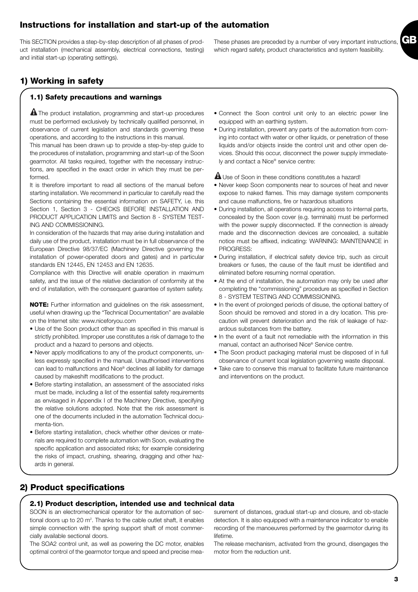# **Instructions for installation and start-up of the automation**

This SECTION provides a step-by-step description of all phases of product installation (mechanical assembly, electrical connections, testing) and initial start-up (operating settings).

# **1) Working in safety**

#### **1.1) Safety precautions and warnings**

The product installation, programming and start-up procedures **!** must be performed exclusively by technically qualified personnel, in observance of current legislation and standards governing these operations, and according to the instructions in this manual.

This manual has been drawn up to provide a step-by-step guide to the procedures of installation, programming and start-up of the Soon gearmotor. All tasks required, together with the necessary instructions, are specified in the exact order in which they must be performed.

It is therefore important to read all sections of the manual before starting installation. We recommend in particular to carefully read the Sections containing the essential information on SAFETY, i.e. this Section 1, Section 3 - CHECKS BEFORE INSTALLATION AND PRODUCT APPLICATION LIMITS and Section 8 - SYSTEM TEST-ING AND COMMISSIONING.

In consideration of the hazards that may arise during installation and daily use of the product, installation must be in full observance of the European Directive 98/37/EC (Machinery Directive governing the installation of power-operated doors and gates) and in particular standards EN 12445, EN 12453 and EN 12635.

Compliance with this Directive will enable operation in maximum safety, and the issue of the relative declaration of conformity at the end of installation, with the consequent guarantee of system safety.

**NOTE:** Further information and guidelines on the risk assessment, useful when drawing up the "Technical Documentation" are available on the Internet site: www.niceforyou.com

- Use of the Soon product other than as specified in this manual is strictly prohibited. Improper use constitutes a risk of damage to the product and a hazard to persons and objects.
- Never apply modifications to any of the product components, unless expressly specified in the manual. Unauthorised interventions can lead to malfunctions and Nice® declines all liability for damage caused by makeshift modifications to the product.
- Before starting installation, an assessment of the associated risks must be made, including a list of the essential safety requirements as envisaged in Appendix I of the Machinery Directive, specifying the relative solutions adopted. Note that the risk assessment is one of the documents included in the automation Technical documenta-tion.
- Before starting installation, check whether other devices or materials are required to complete automation with Soon, evaluating the specific application and associated risks; for example considering the risks of impact, crushing, shearing, dragging and other hazards in general.

#### • Connect the Soon control unit only to an electric power line equipped with an earthing system.

• During installation, prevent any parts of the automation from coming into contact with water or other liquids, or penetration of these liquids and/or objects inside the control unit and other open devices. Should this occur, disconnect the power supply immediately and contact a Nice® service centre:

 $\blacksquare$  Use of Soon in these conditions constitutes a hazard!

- Never keep Soon components near to sources of heat and never expose to naked flames. This may damage system components and cause malfunctions, fire or hazardous situations
- During installation, all operations requiring access to internal parts, concealed by the Soon cover (e.g. terminals) must be performed with the power supply disconnected. If the connection is already made and the disconnection devices are concealed, a suitable notice must be affixed, indicating: WARNING: MAINTENANCE in PROGRESS:
- During installation, if electrical safety device trip, such as circuit breakers or fuses, the cause of the fault must be identified and eliminated before resuming normal operation.
- At the end of installation, the automation may only be used after completing the "commissioning" procedure as specified in Section 8 - SYSTEM TESTING AND COMMISSIONING.
- In the event of prolonged periods of disuse, the optional battery of Soon should be removed and stored in a dry location. This precaution will prevent deterioration and the risk of leakage of hazardous substances from the battery.
- In the event of a fault not remediable with the information in this manual, contact an authorised Nice® Service centre.
- The Soon product packaging material must be disposed of in full observance of current local legislation governing waste disposal.
- Take care to conserve this manual to facilitate future maintenance and interventions on the product.

# **2) Product specifications**

#### **2.1) Product description, intended use and technical data**

SOON is an electromechanical operator for the automation of sectional doors up to 20 m<sup>2</sup>. Thanks to the cable outlet shaft, it enables simple connection with the spring support shaft of most commercially available sectional doors.

The SOA2 control unit, as well as powering the DC motor, enables optimal control of the gearmotor torque and speed and precise measurement of distances, gradual start-up and closure, and ob-stacle detection. It is also equipped with a maintenance indicator to enable recording of the manoeuvres performed by the gearmotor during its lifetime.

The release mechanism, activated from the ground, disengages the motor from the reduction unit.

**GB** These phases are preceded by a number of very important instructions, which regard safety, product characteristics and system feasibility.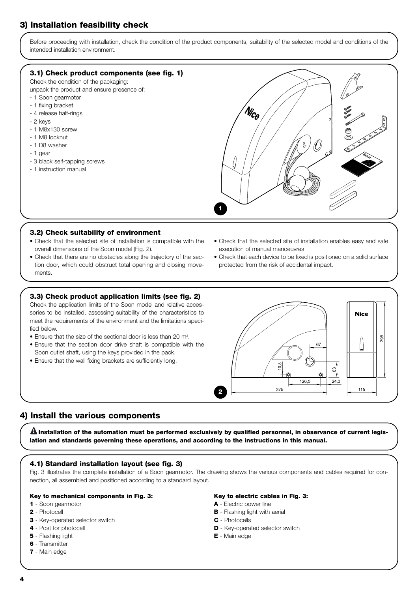# **3) Installation feasibility check**

Before proceeding with installation, check the condition of the product components, suitability of the selected model and conditions of the intended installation environment.

#### **3.1) Check product components (see fig. 1)**

Check the condition of the packaging:

- unpack the product and ensure presence of:
- 1 Soon gearmotor
- 1 fixing bracket
- 4 release half-rings
- 2 keys
- 1 M8x130 screw
- 1 M8 locknut
- 1 D8 washer
- 1 gear
- 3 black self-tapping screws
- 1 instruction manual



#### **3.2) Check suitability of environment**

- Check that the selected site of installation is compatible with the overall dimensions of the Soon model (Fig. 2).
- Check that there are no obstacles along the trajectory of the section door, which could obstruct total opening and closing movements.

#### **3.3) Check product application limits (see fig. 2)**

Check the application limits of the Soon model and relative accessories to be installed, assessing suitability of the characteristics to meet the requirements of the environment and the limitations specified below.

- Ensure that the size of the sectional door is less than 20 m<sup>2</sup>.
- Ensure that the section door drive shaft is compatible with the Soon outlet shaft, using the keys provided in the pack.
- Ensure that the wall fixing brackets are sufficiently long.



• Check that each device to be fixed is positioned on a solid surface protected from the risk of accidental impact.



#### **4) Install the various components**

**Installation of the automation must be performed exclusively by qualified personnel, in observance of current legis-! lation and standards governing these operations, and according to the instructions in this manual.**

#### **4.1) Standard installation layout (see fig. 3)**

Fig. 3 illustrates the complete installation of a Soon gearmotor. The drawing shows the various components and cables required for connection, all assembled and positioned according to a standard layout.

#### **Key to mechanical components in Fig. 3:**

#### **1** - Soon gearmotor

- **2** Photocell
- **3** Key-operated selector switch
- **4** Post for photocell
- **5** Flashing light
- **6** Transmitter
- **7** Main edge

#### **Key to electric cables in Fig. 3:**

- **A** Electric power line
- **B** Flashing light with aerial
- **C** Photocells
- **D** Key-operated selector switch
- **E** Main edge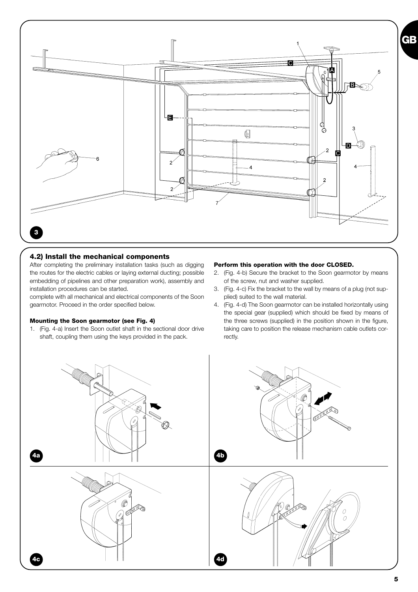

#### **4.2) Install the mechanical components**

After completing the preliminary installation tasks (such as digging the routes for the electric cables or laying external ducting; possible embedding of pipelines and other preparation work), assembly and installation procedures can be started.

complete with all mechanical and electrical components of the Soon gearmotor. Proceed in the order specified below.

#### **Mounting the Soon gearmotor (see Fig. 4)**

1. (Fig. 4-a) Insert the Soon outlet shaft in the sectional door drive shaft, coupling them using the keys provided in the pack.

#### **Perform this operation with the door CLOSED.**

- 2. (Fig. 4-b) Secure the bracket to the Soon gearmotor by means of the screw, nut and washer supplied.
- 3. (Fig. 4-c) Fix the bracket to the wall by means of a plug (not supplied) suited to the wall material.
- 4. (Fig. 4-d) The Soon gearmotor can be installed horizontally using the special gear (supplied) which should be fixed by means of the three screws (supplied) in the position shown in the figure, taking care to position the release mechanism cable outlets correctly.

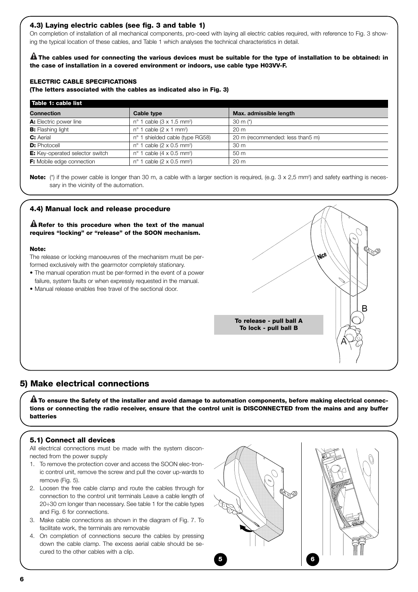#### **4.3) Laying electric cables (see fig. 3 and table 1)**

On completion of installation of all mechanical components, pro-ceed with laying all electric cables required, with reference to Fig. 3 showing the typical location of these cables, and Table 1 which analyses the technical characteristics in detail.

**The cables used for connecting the various devices must be suitable for the type of installation to be obtained: in ! the case of installation in a covered environment or indoors, use cable type H03VV-F.**

#### **ELECTRIC CABLE SPECIFICATIONS**

**(The letters associated with the cables as indicated also in Fig. 3)**

| Table 1: cable list                    |                                                |                                  |
|----------------------------------------|------------------------------------------------|----------------------------------|
| <b>Connection</b>                      | Cable type                                     | Max. admissible length           |
| <b>A:</b> Electric power line          | $n^{\circ}$ 1 cable (3 x 1.5 mm <sup>2</sup> ) | 30 m $(*)$                       |
| <b>B:</b> Flashing light               | $n^{\circ}$ 1 cable (2 x 1 mm <sup>2</sup> )   | 20 <sub>m</sub>                  |
| <b>C:</b> Aerial                       | nº 1 shielded cable (type RG58)                | 20 m (recommended: less than5 m) |
| <b>D:</b> Photocell                    | $n^{\circ}$ 1 cable (2 x 0.5 mm <sup>2</sup> ) | 30 <sub>m</sub>                  |
| <b>E:</b> Key-operated selector switch | $n^{\circ}$ 1 cable (4 x 0.5 mm <sup>2</sup> ) | 50 <sub>m</sub>                  |
| <b>F:</b> Mobile edge connection       | $n^{\circ}$ 1 cable (2 x 0.5 mm <sup>2</sup> ) | 20 <sub>m</sub>                  |

Note: (\*) if the power cable is longer than 30 m, a cable with a larger section is required, (e.g. 3 x 2,5 mm<sup>2</sup>) and safety earthing is necessary in the vicinity of the automation.

#### **4.4) Manual lock and release procedure**

**Refer to this procedure when the text of the manual ! requires "locking" or "release" of the SOON mechanism.**

#### **Note:**

The release or locking manoeuvres of the mechanism must be performed exclusively with the gearmotor completely stationary.

- The manual operation must be per-formed in the event of a power failure, system faults or when expressly requested in the manual.
- Manual release enables free travel of the sectional door.



#### **5) Make electrical connections**

**To ensure the Safety of the installer and avoid damage to automation components, before making electrical connec-! tions or connecting the radio receiver, ensure that the control unit is DISCONNECTED from the mains and any buffer batteries**

### **5.1) Connect all devices**

All electrical connections must be made with the system disconnected from the power supply

- 1. To remove the protection cover and access the SOON elec-tronic control unit, remove the screw and pull the cover up-wards to remove (Fig. 5).
- 2. Loosen the free cable clamp and route the cables through for connection to the control unit terminals Leave a cable length of 20÷30 cm longer than necessary. See table 1 for the cable types and Fig. 6 for connections.
- 3. Make cable connections as shown in the diagram of Fig. 7. To facilitate work, the terminals are removable
- 4. On completion of connections secure the cables by pressing down the cable clamp. The excess aerial cable should be secured to the other cables with a clip.

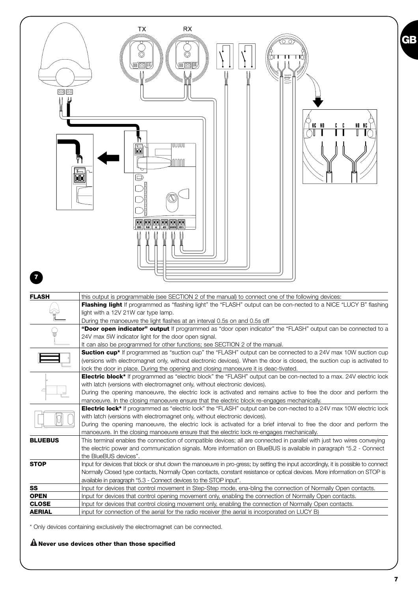

\* Only devices containing exclusively the electromagnet can be connected.

#### **! Never use devices other than those specified**

**GB**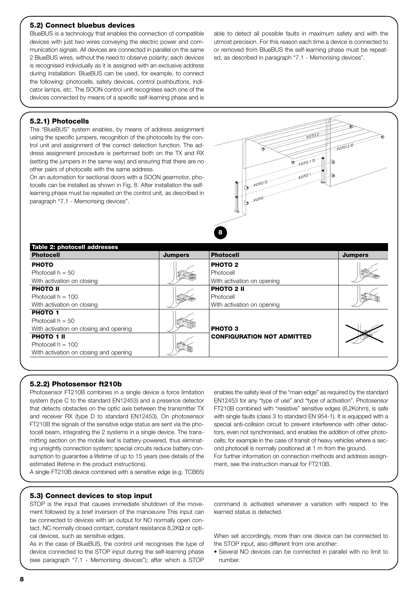#### **5.2) Connect bluebus devices**

BlueBUS is a technology that enables the connection of compatible devices with just two wires conveying the electric power and communication signals. All devices are connected in parallel on the same 2 BlueBUS wires, without the need to observe polarity; each devices is recognised individually as it is assigned with an exclusive address during installation. BlueBUS can be used, for example, to connect the following: photocells, safety devices, control pushbuttons, indicator lamps, etc. The SOON control unit recognises each one of the devices connected by means of a specific self-learning phase and is

able to detect all possible faults in maximum safety and with the utmost precision. For this reason each time a device is connected to or removed from BlueBUS the self-learning phase must be repeated, as described in paragraph "7.1 - Memorising devices".

#### **5.2.1) Photocells**

The "BlueBUS" system enables, by means of address assignment using the specific jumpers, recognition of the photocells by the control unit and assignment of the correct detection function. The address assignment procedure is performed both on the TX and RX (setting the jumpers in the same way) and ensuring that there are no other pairs of photocells with the same address.

On an automation for sectional doors with a SOON gearmotor, photocells can be installed as shown in Fig. 8. After installation the selflearning phase must be repeated on the control unit, as described in paragraph "7.1 - Memorising devices".



| Table 2: photocell addresses           |                |                                   |                |
|----------------------------------------|----------------|-----------------------------------|----------------|
| <b>Photocell</b>                       | <b>Jumpers</b> | <b>Photocell</b>                  | <b>Jumpers</b> |
| <b>PHOTO</b>                           |                | PHOTO <sub>2</sub>                |                |
| Photocell $h = 50$                     |                | Photocell                         |                |
| With activation on closing             |                | With activation on opening        |                |
| <b>PHOTO II</b>                        |                | <b>PHOTO 2 II</b>                 |                |
| Photocell $h = 100$                    |                | Photocell                         |                |
| With activation on closing             |                | With activation on opening        |                |
| <b>PHOTO 1</b>                         |                |                                   |                |
| Photocell $h = 50$                     |                |                                   |                |
| With activation on closing and opening |                | <b>PHOTO3</b>                     |                |
| PHOTO 1 II                             |                | <b>CONFIGURATION NOT ADMITTED</b> |                |
| Photocell $h = 100$                    |                |                                   |                |
| With activation on closing and opening |                |                                   |                |

#### **5.2.2) Photosensor ft210b**

Photosensor FT210B combines in a single device a force limitation system (type C to the standard EN12453) and a presence detector that detects obstacles on the optic axis between the transmitter TX and receiver RX (type D to standard EN12453). On photosensor FT210B the signals of the sensitive edge status are sent via the photocell beam, integrating the 2 systems in a single device. The transmitting section on the mobile leaf is battery-powered, thus eliminating unsightly connection system; special circuits reduce battery consumption to guarantee a lifetime of up to 15 years (see details of the estimated lifetime in the product instructions).

A single FT210B device combined with a sensitive edge (e.g. TCB65)

FT210B combined with "resistive" sensitive edges (8,2Kohm), is safe with single faults (class 3 to standard EN 954-1). It is equipped with a special anti-collision circuit to prevent interference with other detectors, even not synchronised, and enables the addition of other photocells; for example in the case of transit of heavy vehicles where a second photocell is normally positioned at 1 m from the ground. For further information on connection methods and address assignment, see the instruction manual for FT210B.

enables the safety level of the "main edge" as required by the standard EN12453 for any "type of use" and "type of activation". Photosensor

#### **5.3) Connect devices to stop input**

STOP is the input that causes immediate shutdown of the movement followed by a brief inversion of the manoeuvre This input can be connected to devices with an output for NO normally open contact, NC normally closed contact, constant resistance 8,2KΩ or optical devices, such as sensitive edges.

As in the case of BlueBUS, the control unit recognises the type of device connected to the STOP input during the self-learning phase (see paragraph "7.1 - Memorising devices"); after which a STOP command is activated whenever a variation with respect to the learned status is detected.

When set accordingly, more than one device can be connected to the STOP input, also different from one another:

• Several NO devices can be connected in parallel with no limit to number.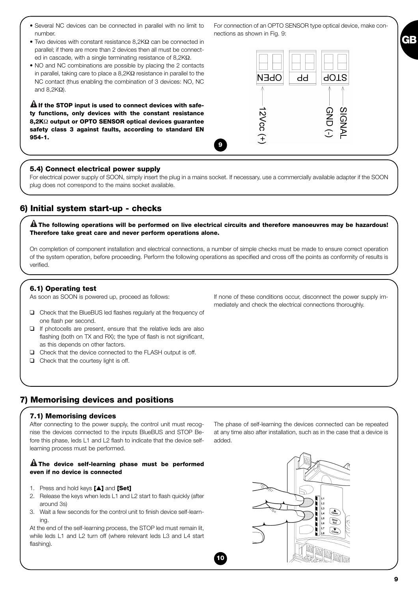| • Several NC devices can be connected in parallel with no limit to |  |  |  |  |  |
|--------------------------------------------------------------------|--|--|--|--|--|
| number.                                                            |  |  |  |  |  |

- Two devices with constant resistance 8,2KΩ can be connected in parallel; if there are more than 2 devices then all must be connected in cascade, with a single terminating resistance of  $8.2$ K $\Omega$ .
- NO and NC combinations are possible by placing the 2 contacts in parallel, taking care to place a 8,2KΩ resistance in parallel to the NC contact (thus enabling the combination of 3 devices: NO, NC and  $8,2KΩ$ ).

 $\mathbf{\Omega}$  If the STOP input is used to connect devices with safe**ty functions, only devices with the constant resistance 8,2K**Ω **output or OPTO SENSOR optical devices guarantee safety class 3 against faults, according to standard EN 954-1.**

#### **5.4) Connect electrical power supply**

For electrical power supply of SOON, simply insert the plug in a mains socket. If necessary, use a commercially available adapter if the SOON plug does not correspond to the mains socket available.

**9**

## **6) Initial system start-up - checks**

**The following operations will be performed on live electrical circuits and therefore manoeuvres may be hazardous! ! Therefore take great care and never perform operations alone.**

On completion of component installation and electrical connections, a number of simple checks must be made to ensure correct operation of the system operation, before proceeding. Perform the following operations as specified and cross off the points as conformity of results is verified.

**10**

#### **6.1) Operating test**

As soon as SOON is powered up, proceed as follows:

- ❑ Check that the BlueBUS led flashes regularly at the frequency of one flash per second.
- ❑ If photocells are present, ensure that the relative leds are also flashing (both on TX and RX); the type of flash is not significant, as this depends on other factors.
- ❑ Check that the device connected to the FLASH output is off.
- ❑ Check that the courtesy light is off.

### **7) Memorising devices and positions**

#### **7.1) Memorising devices**

After connecting to the power supply, the control unit must recognise the devices connected to the inputs BlueBUS and STOP Before this phase, leds L1 and L2 flash to indicate that the device selflearning process must be performed.

#### **The device self-learning phase must be performed ! even if no device is connected**

- 1. Press and hold keys **[**▲**]** and **[Set]**
- 2. Release the keys when leds L1 and L2 start to flash quickly (after around 3s)
- 3. Wait a few seconds for the control unit to finish device self-learning.

At the end of the self-learning process, the STOP led must remain lit, while leds L1 and L2 turn off (where relevant leds L3 and L4 start flashing).

The phase of self-learning the devices connected can be repeated at any time also after installation, such as in the case that a device is added.

If none of these conditions occur, disconnect the power supply im-

mediately and check the electrical connections thoroughly.







# **GB**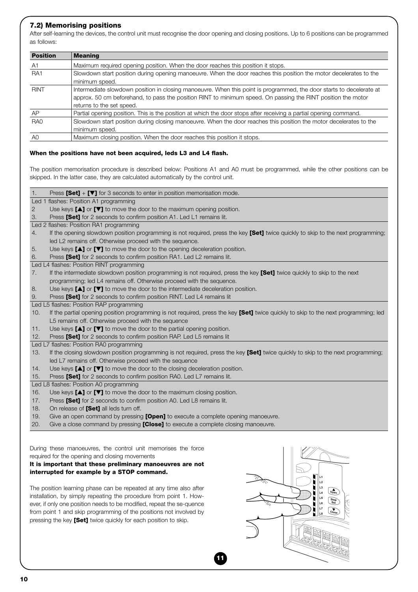#### **7.2) Memorising positions**

Led 1 flashes: Position A1 programming

After self-learning the devices, the control unit must recognise the door opening and closing positions. Up to 6 positions can be programmed as follows:

| <b>Position</b> | <b>Meaning</b>                                                                                                       |
|-----------------|----------------------------------------------------------------------------------------------------------------------|
| A <sub>1</sub>  | Maximum required opening position. When the door reaches this position it stops.                                     |
| RA <sub>1</sub> | Slowdown start position during opening manoeuvre. When the door reaches this position the motor decelerates to the   |
|                 | minimum speed.                                                                                                       |
| <b>RINT</b>     | Intermediate slowdown position in closing manoeuvre. When this point is programmed, the door starts to decelerate at |
|                 | approx. 50 cm beforehand, to pass the position RINT to minimum speed. On passing the RINT position the motor         |
|                 | returns to the set speed.                                                                                            |
| AP              | Partial opening position. This is the position at which the door stops after receiving a partial opening command.    |
| RA <sub>0</sub> | Slowdown start position during closing manoeuvre. When the door reaches this position the motor decelerates to the   |
|                 | minimum speed.                                                                                                       |
| A0              | Maximum closing position. When the door reaches this position it stops.                                              |

#### **When the positions have not been acquired, leds L3 and L4 flash.**

1. Press **[Set]** + **[**▼**]** for 3 seconds to enter in position memorisation mode.

The position memorisation procedure is described below: Positions A1 and A0 must be programmed, while the other positions can be skipped. In the latter case, they are calculated automatically by the control unit.

| $\overline{2}$ | Use keys $[\triangle]$ or $[\triangledown]$ to move the door to the maximum opening position.                                       |
|----------------|-------------------------------------------------------------------------------------------------------------------------------------|
| 3.             | Press [Set] for 2 seconds to confirm position A1. Led L1 remains lit.                                                               |
|                | Led 2 flashes: Position RA1 programming                                                                                             |
| 4.             | If the opening slowdown position programming is not required, press the key [Set] twice quickly to skip to the next programming;    |
|                | led L2 remains off. Otherwise proceed with the sequence.                                                                            |
| 5.             | Use keys $[\triangle]$ or $[\triangledown]$ to move the door to the opening deceleration position.                                  |
| 6.             | Press [Set] for 2 seconds to confirm position RA1. Led L2 remains lit.                                                              |
|                | Led L4 flashes: Position RINT programming                                                                                           |
| 7.             | If the intermediate slowdown position programming is not required, press the key [Set] twice quickly to skip to the next            |
|                | programming; led L4 remains off. Otherwise proceed with the sequence.                                                               |
| 8.             | Use keys $[\triangle]$ or $[\triangledown]$ to move the door to the intermediate deceleration position.                             |
| 9.             | Press [Set] for 2 seconds to confirm position RINT. Led L4 remains lit                                                              |
|                | Led L5 flashes: Position RAP programming                                                                                            |
| 10.            | If the partial opening position programming is not required, press the key [Set] twice quickly to skip to the next programming; led |
|                | L5 remains off. Otherwise proceed with the sequence                                                                                 |
| 11.            | Use keys $[\triangle]$ or $[\triangledown]$ to move the door to the partial opening position.                                       |
| 12.            | Press [Set] for 2 seconds to confirm position RAP. Led L5 remains lit                                                               |
|                | Led L7 flashes: Position RA0 programming                                                                                            |
| 13.            | If the closing slowdown position programming is not required, press the key [Set] twice quickly to skip to the next programming;    |
|                | led L7 remains off. Otherwise proceed with the sequence                                                                             |
| 14.            | Use keys $[\triangle]$ or $[\triangledown]$ to move the door to the closing deceleration position.                                  |
| 15.            | Press [Set] for 2 seconds to confirm position RA0. Led L7 remains lit.                                                              |
|                | Led L8 flashes: Position A0 programming                                                                                             |
| 16.            | Use keys $[\triangle]$ or $[\triangledown]$ to move the door to the maximum closing position.                                       |
| 17.            | Press [Set] for 2 seconds to confirm position A0. Led L8 remains lit.                                                               |
| 18.            | On release of [Set] all leds turn off.                                                                                              |
| 19.            | Give an open command by pressing <b>[Open]</b> to execute a complete opening manoeuvre.                                             |
| $\cap$         | $\bigcap$ is a class consequent becomes that <b>FAI</b> and the consequent of constants of color $\alpha$                           |

**11**

20. Give a close command by pressing **[Close]** to execute a complete closing manoeuvre.

During these manoeuvres, the control unit memorises the force required for the opening and closing movements

#### **It is important that these preliminary manoeuvres are not interrupted for example by a STOP command.**

The position learning phase can be repeated at any time also after installation, by simply repeating the procedure from point 1. However, if only one position needs to be modified, repeat the se-quence from point 1 and skip programming of the positions not involved by pressing the key **[Set]** twice quickly for each position to skip.

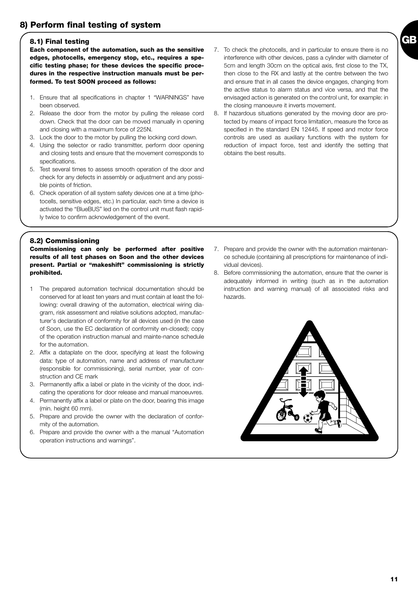#### **8.1) Final testing**

**Each component of the automation, such as the sensitive edges, photocells, emergency stop, etc., requires a specific testing phase; for these devices the specific procedures in the respective instruction manuals must be performed. To test SOON proceed as follows:** 

- 1. Ensure that all specifications in chapter 1 "WARNINGS" have been observed.
- 2. Release the door from the motor by pulling the release cord down. Check that the door can be moved manually in opening and closing with a maximum force of 225N.
- 3. Lock the door to the motor by pulling the locking cord down.
- 4. Using the selector or radio transmitter, perform door opening and closing tests and ensure that the movement corresponds to specifications.
- 5. Test several times to assess smooth operation of the door and check for any defects in assembly or adjustment and any possible points of friction.
- 6. Check operation of all system safety devices one at a time (photocells, sensitive edges, etc.) In particular, each time a device is activated the "BlueBUS" led on the control unit must flash rapidly twice to confirm acknowledgement of the event.

7. To check the photocells, and in particular to ensure there is no interference with other devices, pass a cylinder with diameter of 5cm and length 30cm on the optical axis, first close to the TX, then close to the RX and lastly at the centre between the two and ensure that in all cases the device engages, changing from the active status to alarm status and vice versa, and that the envisaged action is generated on the control unit, for example: in the closing manoeuvre it inverts movement.

**GB**

8. If hazardous situations generated by the moving door are protected by means of impact force limitation, measure the force as specified in the standard EN 12445. If speed and motor force controls are used as auxiliary functions with the system for reduction of impact force, test and identify the setting that obtains the best results.

#### **8.2) Commissioning**

**Commissioning can only be performed after positive results of all test phases on Soon and the other devices present. Partial or "makeshift" commissioning is strictly prohibited.**

- 1 The prepared automation technical documentation should be conserved for at least ten years and must contain at least the following: overall drawing of the automation, electrical wiring diagram, risk assessment and relative solutions adopted, manufacturer's declaration of conformity for all devices used (in the case of Soon, use the EC declaration of conformity en-closed); copy of the operation instruction manual and mainte-nance schedule for the automation.
- 2. Affix a dataplate on the door, specifying at least the following data: type of automation, name and address of manufacturer (responsible for commissioning), serial number, year of construction and CE mark
- 3. Permanently affix a label or plate in the vicinity of the door, indicating the operations for door release and manual manoeuvres.
- 4. Permanently affix a label or plate on the door, bearing this image (min. height 60 mm).
- 5. Prepare and provide the owner with the declaration of conformity of the automation.
- 6. Prepare and provide the owner with a the manual "Automation operation instructions and warnings".
- 7. Prepare and provide the owner with the automation maintenance schedule (containing all prescriptions for maintenance of individual devices).
- 8. Before commissioning the automation, ensure that the owner is adequately informed in writing (such as in the automation instruction and warning manual) of all associated risks and hazards.

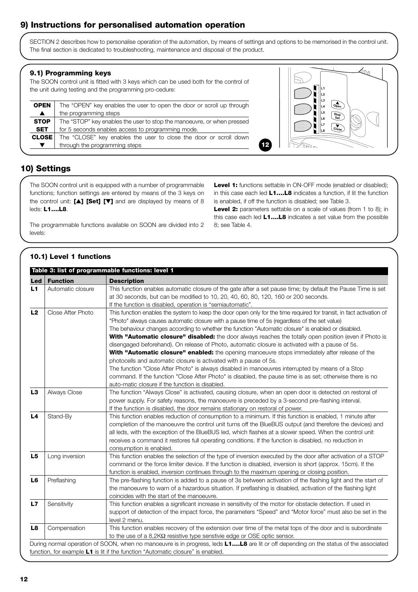# **9) Instructions for personalised automation operation**

SECTION 2 describes how to personalise operation of the automation, by means of settings and options to be memorised in the control unit. The final section is dedicated to troubleshooting, maintenance and disposal of the product.

#### **9.1) Programming keys**

The SOON control unit is fitted with 3 keys which can be used both for the control of the unit during testing and the programming pro-cedure:

| <b>OPEN</b>      | The "OPEN" key enables the user to open the door or scroll up through  |
|------------------|------------------------------------------------------------------------|
| $\blacktriangle$ | the programming steps                                                  |
| <b>STOP</b>      | The "STOP" key enables the user to stop the manoeuvre, or when pressed |
| <b>SET</b>       | for 5 seconds enables access to programming mode.                      |
| <b>CLOSE</b>     | The "CLOSE" key enables the user to close the door or scroll down      |
| ▼                | through the programming steps                                          |



# **10) Settings**

The SOON control unit is equipped with a number of programmable functions; function settings are entered by means of the 3 keys on the control unit: **[**▲**] [Set] [**▼**]** and are displayed by means of 8 leds: **L1….L8**.

The programmable functions available on SOON are divided into 2 levels:

Level 1: functions settable in ON-OFF mode (enabled or disabled); in this case each led **L1….L8** indicates a function, if lit the function is enabled, if off the function is disabled; see Table 3.

**12**

**Level 2:** parameters settable on a scale of values (from 1 to 8); in this case each led **L1….L8** indicates a set value from the possible 8; see Table 4.

#### **10.1) Level 1 functions**

|                |                   | Table 3: list of programmable functions: level 1                                                                                      |
|----------------|-------------------|---------------------------------------------------------------------------------------------------------------------------------------|
| Led            | <b>Function</b>   | <b>Description</b>                                                                                                                    |
| L1             | Automatic closure | This function enables automatic closure of the gate after a set pause time; by default the Pause Time is set                          |
|                |                   | at 30 seconds, but can be modified to 10, 20, 40, 60, 80, 120, 160 or 200 seconds.                                                    |
|                |                   | If the function is disabled, operation is "semiautomatic".                                                                            |
| L <sub>2</sub> | Close After Photo | This function enables the system to keep the door open only for the time required for transit, in fact activation of                  |
|                |                   | "Photo" always causes automatic closure with a pause time of 5s (regardless of the set value)                                         |
|                |                   | The behaviour changes according to whether the function "Automatic closure" is enabled or disabled.                                   |
|                |                   | With "Automatic closure" disabled: the door always reaches the totally open position (even if Photo is                                |
|                |                   | disengaged beforehand). On release of Photo, automatic closure is activated with a pause of 5s.                                       |
|                |                   | With "Automatic closure" enabled: the opening manoeuvre stops immediately after release of the                                        |
|                |                   | photocells and automatic closure is activated with a pause of 5s.                                                                     |
|                |                   | The function "Close After Photo" is always disabled in manoeuvres interrupted by means of a Stop                                      |
|                |                   | command. If the function "Close After Photo" is disabled, the pause time is as set; otherwise there is no                             |
|                |                   | auto-matic closure if the function is disabled.                                                                                       |
| L3             | Always Close      | The function "Always Close" is activated, causing closure, when an open door is detected on restoral of                               |
|                |                   | power supply. For safety reasons, the manoeuvre is preceded by a 3-second pre-flashing interval.                                      |
|                |                   | If the function is disabled, the door remains stationary on restoral of power.                                                        |
| L <sub>4</sub> | Stand-By          | This function enables reduction of consumption to a minimum. If this function is enabled, 1 minute after                              |
|                |                   | completion of the manoeuvre the control unit turns off the BlueBUS output (and therefore the devices) and                             |
|                |                   | all leds, with the exception of the BlueBUS led, which flashes at a slower speed. When the control unit                               |
|                |                   | receives a command it restores full operating conditions. If the function is disabled, no reduction in                                |
|                |                   | consumption is enabled.                                                                                                               |
| L5             | Long inversion    | This function enables the selection of the type of inversion executed by the door after activation of a STOP                          |
|                |                   | command or the force limiter device. If the function is disabled, inversion is short (approx. 15cm). If the                           |
|                |                   | function is enabled, inversion continues through to the maximum opening or closing position.                                          |
| L <sub>6</sub> | Preflashing       | The pre-flashing function is added to a pause of 3s between activation of the flashing light and the start of                         |
|                |                   | the manoeuvre to warn of a hazardous situation. If preflashing is disabled, activation of the flashing light                          |
|                |                   | coincides with the start of the manoeuvre.                                                                                            |
| L7             | Sensitivity       | This function enables a significant increase in sensitivity of the motor for obstacle detection. If used in                           |
|                |                   | support of detection of the impact force, the parameters "Speed" and "Motor force" must also be set in the                            |
|                |                   | level 2 menu.                                                                                                                         |
| L <sub>8</sub> | Compensation      | This function enables recovery of the extension over time of the metal tops of the door and is subordinate                            |
|                |                   | to the use of a $8,2K\Omega$ resistive type senstivie edge or OSE optic sensor.                                                       |
|                |                   | During normal operation of SOON, when no manoeuvre is in progress, leds L1L8 are lit or off depending on the status of the associated |
|                |                   | function, for example L1 is lit if the function "Automatic closure" is enabled.                                                       |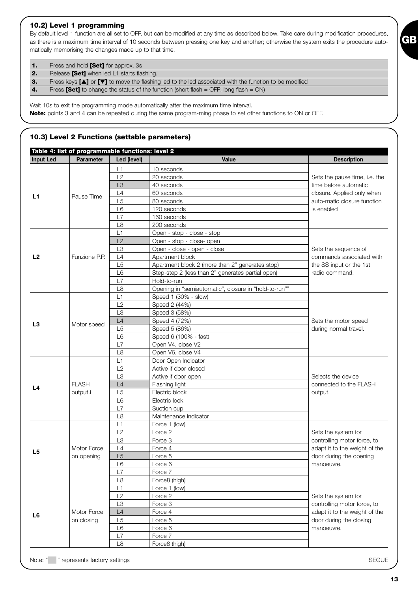### **10.2) Level 1 programming**

By default level 1 function are all set to OFF, but can be modified at any time as described below. Take care during modification procedures, as there is a maximum time interval of 10 seconds between pressing one key and another; otherwise the system exits the procedure automatically memorising the changes made up to that time.

| $\mathbf{1}$   | Press and hold <b>[Set]</b> for approx. 3s                                                                                    |
|----------------|-------------------------------------------------------------------------------------------------------------------------------|
| 2.             | Release [Set] when led L1 starts flashing.                                                                                    |
| 3.             | Press keys $[\triangle]$ or $[\triangledown]$ to move the flashing led to the led associated with the function to be modified |
| $\overline{4}$ | Press <b>[Set]</b> to change the status of the function (short flash = OFF; long flash = ON)                                  |

Wait 10s to exit the programming mode automatically after the maximum time interval. **Note:** points 3 and 4 can be repeated during the same program-ming phase to set other functions to ON or OFF.

#### **10.3) Level 2 Functions (settable parameters)**

|                  | Table 4: list of programmable functions: level 2 |                |                                                       |                               |
|------------------|--------------------------------------------------|----------------|-------------------------------------------------------|-------------------------------|
| <b>Input Led</b> | <b>Parameter</b>                                 | Led (level)    | Value                                                 | <b>Description</b>            |
|                  |                                                  | L1             | 10 seconds                                            |                               |
|                  |                                                  | L2             | 20 seconds                                            | Sets the pause time, i.e. the |
|                  |                                                  | L <sub>3</sub> | 40 seconds                                            | time before automatic         |
| L1               | Pause Time                                       | L4             | 60 seconds                                            | closure. Applied only when    |
|                  |                                                  | L <sub>5</sub> | 80 seconds                                            | auto-matic closure function   |
|                  |                                                  | L <sub>6</sub> | 120 seconds                                           | is enabled                    |
|                  |                                                  | L7             | 160 seconds                                           |                               |
|                  |                                                  | L8             | 200 seconds                                           |                               |
|                  |                                                  | L1             | Open - stop - close - stop                            |                               |
|                  |                                                  | L2             | Open - stop - close- open                             |                               |
|                  |                                                  | L <sub>3</sub> | Open - close - open - close                           | Sets the sequence of          |
| L2               | Funzione P.P.                                    | L4             | Apartment block                                       | commands associated with      |
|                  |                                                  | L <sub>5</sub> | Apartment block 2 (more than 2" generates stop)       | the SS input or the 1st       |
|                  |                                                  | L6             | Step-step 2 (less than 2" generates partial open)     | radio command.                |
|                  |                                                  | L7             | Hold-to-run                                           |                               |
|                  |                                                  | L8             | Opening in "semiautomatic", closure in "hold-to-run"" |                               |
|                  |                                                  | L1             | Speed 1 (30% - slow)                                  |                               |
|                  |                                                  | L2             | Speed 2 (44%)                                         |                               |
|                  |                                                  | L3             | Speed 3 (58%)                                         |                               |
| L <sub>3</sub>   |                                                  | L4             | Speed 4 (72%)                                         | Sets the motor speed          |
|                  | Motor speed                                      | L <sub>5</sub> | Speed 5 (86%)                                         | during normal travel.         |
|                  |                                                  | L <sub>6</sub> | Speed 6 (100% - fast)                                 |                               |
|                  |                                                  | L7             | Open V4, close V2                                     |                               |
|                  |                                                  | L8             | Open V6, close V4                                     |                               |
|                  |                                                  | L1             | Door Open Indicator                                   |                               |
|                  |                                                  | L2             | Active if door closed                                 |                               |
|                  |                                                  | L <sub>3</sub> | Active if door open                                   | Selects the device            |
|                  | <b>FLASH</b>                                     | L4             | Flashing light                                        | connected to the FLASH        |
| L4               | output.ì                                         | L <sub>5</sub> | Electric block                                        | output.                       |
|                  |                                                  | L6             | Electric lock                                         |                               |
|                  |                                                  | L7             | Suction cup                                           |                               |
|                  |                                                  | L8             | Maintenance indicator                                 |                               |
|                  |                                                  | L1             | Force 1 (low)                                         |                               |
|                  |                                                  | L2             | Force 2                                               | Sets the system for           |
|                  |                                                  | L <sub>3</sub> | Force 3                                               | controlling motor force, to   |
|                  | Motor Force                                      | L4             | Force 4                                               | adapt it to the weight of the |
| L5               | on opening                                       | L5             | Force 5                                               | door during the opening       |
|                  |                                                  | L <sub>6</sub> | Force 6                                               | manoeuvre.                    |
|                  |                                                  | L7             | Force 7                                               |                               |
|                  |                                                  | L8             | Force8 (high)                                         |                               |
|                  |                                                  | L1             | Force 1 (low)                                         |                               |
|                  |                                                  | L2             | Force 2                                               | Sets the system for           |
|                  |                                                  | L3             | Force 3                                               | controlling motor force, to   |
|                  | Motor Force                                      | L4             | Force 4                                               | adapt it to the weight of the |
| L6               | on closing                                       | L <sub>5</sub> | Force 5                                               | door during the closing       |
|                  |                                                  | L6             | Force 6                                               | manoeuvre.                    |
|                  |                                                  | L7             | Force 7                                               |                               |
|                  |                                                  | L8             | Force8 (high)                                         |                               |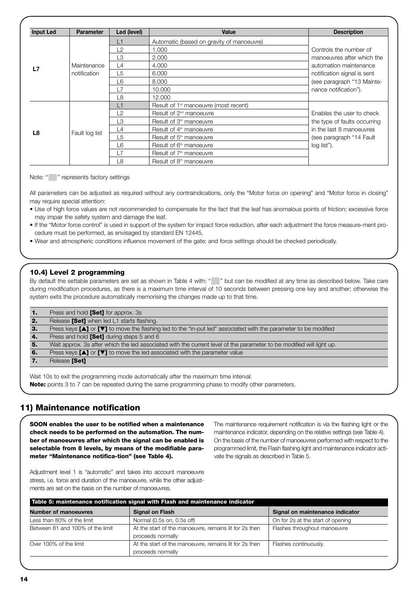| <b>Input Led</b> | <b>Parameter</b> | Led (level) | Value                                             | <b>Description</b>           |
|------------------|------------------|-------------|---------------------------------------------------|------------------------------|
|                  |                  | L1          | Automatic (based on gravity of manoeuvre)         |                              |
|                  |                  | L2          | 1.000                                             | Controls the number of       |
|                  |                  | L3          | 2.000                                             | manoeuvres after which the   |
| L7               | Maintenance      | L4          | 4.000                                             | automation maintenance       |
|                  | notification     | L5          | 6.000                                             | notification signal is sent  |
|                  |                  | L6          | 8.000                                             | (see paragraph "13 Mainte-   |
|                  |                  | L7          | 10,000                                            | nance notification").        |
|                  |                  | L8          | 12,000                                            |                              |
|                  |                  | L1          | Result of 1 <sup>st</sup> manoeuvre (most recent) |                              |
|                  |                  | L2          | Result of 2 <sup>nd</sup> manoeuvre               | Enables the user to check    |
|                  |                  | L3          | Result of 3 <sup>rd</sup> manoeuvre               | the type of faults occurring |
| L8               | Fault log list   | L4          | Result of 4 <sup>th</sup> manoeuvre               | in the last 8 manoeuvres     |
|                  |                  | L5          | Result of 5 <sup>th</sup> manoeuvre               | (see paragraph "14 Fault"    |
|                  |                  | L6          | Result of 6 <sup>th</sup> manoeuvre               | log list").                  |
|                  |                  | L7          | Result of 7 <sup>th</sup> manoeuvre               |                              |
|                  |                  | L8          | Result of 8 <sup>th</sup> manoeuvre               |                              |

#### Note: " " represents factory settings

All parameters can be adjusted as required without any contraindications, only the "Motor force on opening" and "Motor force in closing" may require special attention:

- Use of high force values are not recommended to compensate for the fact that the leaf has anomalous points of friction; excessive force may impair the safety system and damage the leaf.
- If the "Motor force control" is used in support of the system for impact force reduction, after each adjustment the force measure-ment procedure must be performed, as envisaged by standard EN 12445.
- Wear and atmospheric conditions influence movement of the gate; and force settings should be checked periodically.

#### **10.4) Level 2 programming**

By default the settable parameters are set as shown in Table 4 with: " " but can be modified at any time as described below. Take care during modification procedures, as there is a maximum time interval of 10 seconds between pressing one key and another; otherwise the system exits the procedure automatically memorising the changes made up to that time.

| 1.           | Press and hold <b>[Set]</b> for approx. 3s                                                                            |
|--------------|-----------------------------------------------------------------------------------------------------------------------|
| $\mathbf{2}$ | Release [Set] when led L1 starts flashing.                                                                            |
| з.           | Press keys $\Box$ or $\Box$ to move the flashing led to the "in-put led" associated with the parameter to be modified |
| -4.          | Press and hold [Set] during steps 5 and 6                                                                             |
| -5.          | Wait approx. 3s after which the led associated with the current level of the parameter to be modified will light up.  |
| 6.           | Press keys $[\triangle]$ or $[\triangledown]$ to move the led associated with the parameter value                     |
|              | Release [Set]                                                                                                         |
|              |                                                                                                                       |

Wait 10s to exit the programming mode automatically after the maximum time interval. **Note:** points 3 to 7 can be repeated during the same programming phase to modify other parameters.

# **11) Maintenance notification**

**SOON enables the user to be notified when a maintenance check needs to be performed on the automation. The number of manoeuvres after which the signal can be enabled is selectable from 8 levels, by means of the modifiable parameter "Maintenance notifica-tion" (see Table 4).**

The maintenance requirement notification is via the flashing light or the maintenance indicator, depending on the relative settings (see Table 4). On the basis of the number of manoeuvres performed with respect to the programmed limit, the Flash flashing light and maintenance indicator activate the signals as described in Table 5.

Adjustment level 1 is "automatic" and takes into account manoeuvre stress, i.e. force and duration of the manoeuvre, while the other adjustments are set on the basis on the number of manoeuvres.

| Table 5: maintenance notification signal with Flash and maintenance indicator |                                                        |                                   |  |
|-------------------------------------------------------------------------------|--------------------------------------------------------|-----------------------------------|--|
| <b>Number of manoeuvres</b>                                                   | <b>Signal on Flash</b>                                 | Signal on maintenance indicator   |  |
| Less than 80% of the limit                                                    | Normal (0.5s on, 0.5s off)                             | On for 2s at the start of opening |  |
| Between 81 and 100% of the limit                                              | At the start of the manoeuvre, remains lit for 2s then | Flashes throughout manoeuvre      |  |
|                                                                               | proceeds normally                                      |                                   |  |
| Over 100% of the limit                                                        | At the start of the manoeuvre, remains lit for 2s then | Flashes continuously.             |  |
|                                                                               | proceeds normally                                      |                                   |  |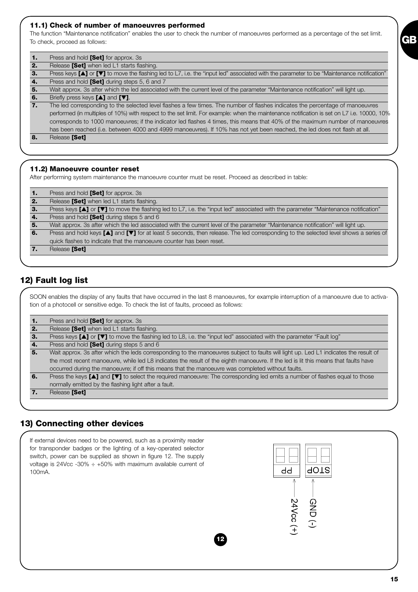#### **11.1) Check of number of manoeuvres performed**

The function "Maintenance notification" enables the user to check the number of manoeuvres performed as a percentage of the set limit. To check, proceed as follows:

| Press and hold [Set] for approx. 3s                                                                                                                |
|----------------------------------------------------------------------------------------------------------------------------------------------------|
| Release [Set] when led L1 starts flashing.                                                                                                         |
| Press keys $[A]$ or $[\nabla]$ to move the flashing led to L7, i.e. the "input led" associated with the parameter to be "Maintenance notification" |
| Press and hold [Set] during steps 5, 6 and 7                                                                                                       |
| Wait approx. 3s after which the led associated with the current level of the parameter "Maintenance notification" will light up.                   |
| Briefly press keys $[\triangle]$ and $[\triangledown]$ .                                                                                           |
| The led corresponding to the selected level flashes a few times. The number of flashes indicates the percentage of manoeuvres                      |
| performed (in multiples of 10%) with respect to the set limit. For example: when the maintenance notification is set on L7 i.e. 10000, 10%         |
| corresponds to 1000 manoeuvres; if the indicator led flashes 4 times, this means that 40% of the maximum number of manoeuvres                      |
| has been reached (i.e. between 4000 and 4999 manoeuvres). If 10% has not yet been reached, the led does not flash at all.                          |
| Release [Set]                                                                                                                                      |
|                                                                                                                                                    |
|                                                                                                                                                    |

#### **11.2) Manoeuvre counter reset**

After performing system maintenance the manoeuvre counter must be reset. Proceed as described in table:

| 1.  | Press and hold <b>[Set]</b> for approx. 3s                                                                                          |
|-----|-------------------------------------------------------------------------------------------------------------------------------------|
| -2. | Release [Set] when led L1 starts flashing.                                                                                          |
| з.  | Press keys [▲] or [▼] to move the flashing led to L7, i.e. the "input led" associated with the parameter "Maintenance notification" |
| -4. | Press and hold [Set] during steps 5 and 6                                                                                           |
| -5. | Wait approx. 3s after which the led associated with the current level of the parameter "Maintenance notification" will light up.    |
| 6.  | Press and hold keys [1] and [V] for at least 5 seconds, then release. The led corresponding to the selected level shows a series of |
|     | quick flashes to indicate that the manoeuvre counter has been reset.                                                                |
|     | Release [Set]                                                                                                                       |

# **12) Fault log list**

SOON enables the display of any faults that have occurred in the last 8 manoeuvres, for example interruption of a manoeuvre due to activation of a photocell or sensitive edge. To check the list of faults, proceed as follows:

| 1. | Press and hold [Set] for approx. 3s                                                                                                  |  |  |  |
|----|--------------------------------------------------------------------------------------------------------------------------------------|--|--|--|
| 2. | Release [Set] when led L1 starts flashing.                                                                                           |  |  |  |
| з. | Press keys $[A]$ or $[\nabla]$ to move the flashing led to L8, i.e. the "input led" associated with the parameter "Fault log"        |  |  |  |
|    | Press and hold [Set] during steps 5 and 6                                                                                            |  |  |  |
| 5. | Wait approx. 3s after which the leds corresponding to the manoeuvres subject to faults will light up. Led L1 indicates the result of |  |  |  |
|    | the most recent manoeuvre, while led L8 indicates the result of the eighth manoeuvre. If the led is lit this means that faults have  |  |  |  |
|    | occurred during the manoeuvre; if off this means that the manoeuvre was completed without faults.                                    |  |  |  |
| 6. | Press the keys [A] and [V] to select the required manoeuvre: The corresponding led emits a number of flashes equal to those          |  |  |  |
|    | normally emitted by the flashing light after a fault.                                                                                |  |  |  |
|    | Release [Set]                                                                                                                        |  |  |  |

# **13) Connecting other devices**



**GB**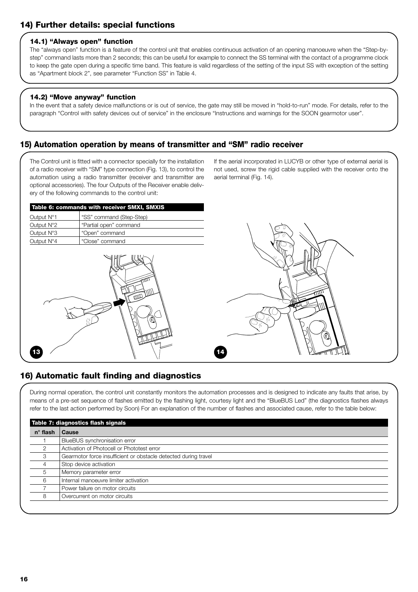#### **14.1) "Always open" function**

The "always open" function is a feature of the control unit that enables continuous activation of an opening manoeuvre when the "Step-bystep" command lasts more than 2 seconds; this can be useful for example to connect the SS terminal with the contact of a programme clock to keep the gate open during a specific time band. This feature is valid regardless of the setting of the input SS with exception of the setting as "Apartment block 2", see parameter "Function SS" in Table 4.

#### **14.2) "Move anyway" function**

In the event that a safety device malfunctions or is out of service, the gate may still be moved in "hold-to-run" mode. For details, refer to the paragraph "Control with safety devices out of service" in the enclosure "Instructions and warnings for the SOON gearmotor user".

### **15) Automation operation by means of transmitter and "SM" radio receiver**

The Control unit is fitted with a connector specially for the installation of a radio receiver with "SM" type connection (Fig. 13), to control the automation using a radio transmitter (receiver and transmitter are optional accessories). The four Outputs of the Receiver enable delivery of the following commands to the control unit:

If the aerial incorporated in LUCYB or other type of external aerial is not used, screw the rigid cable supplied with the receiver onto the aerial terminal (Fig. 14).

| Table 6: commands with receiver SMXI, SMXIS |                          |  |  |
|---------------------------------------------|--------------------------|--|--|
| Output N°1                                  | "SS" command (Step-Step) |  |  |
| Output $N^{\circ}2$                         | "Partial open" command   |  |  |
| Output N°3                                  | "Open" command           |  |  |
| Output N°4                                  | "Close" command          |  |  |





# **16) Automatic fault finding and diagnostics**

During normal operation, the control unit constantly monitors the automation processes and is designed to indicate any faults that arise, by means of a pre-set sequence of flashes emitted by the flashing light, courtesy light and the "BlueBUS Led" (the diagnostics flashes always refer to the last action performed by Soon) For an explanation of the number of flashes and associated cause, refer to the table below:

| $n^{\circ}$ flash | <b>Cause</b>                                                    |
|-------------------|-----------------------------------------------------------------|
|                   | BlueBUS synchronisation error                                   |
| 2                 | Activation of Photocell or Phototest error                      |
| 3                 | Gearmotor force insufficient or obstacle detected during travel |
| 4                 | Stop device activation                                          |
| 5                 | Memory parameter error                                          |
| 6                 | Internal manoeuvre limiter activation                           |
|                   | Power failure on motor circuits                                 |
| 8                 | Overcurrent on motor circuits                                   |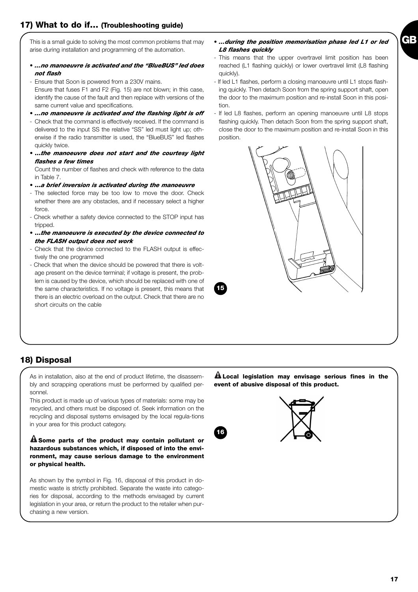arise during installation and programming of the automation.

This is a small guide to solving the most common problems that may • *…during the position memorisation phase led L1 or led L8 flashes quickly*

- *…no manoeuvre is activated and the "BlueBUS" led does not flash*
- Ensure that Soon is powered from a 230V mains. Ensure that fuses F1 and F2 (Fig. 15) are not blown; in this case, identify the cause of the fault and then replace with versions of the same current value and specifications.
- *…no manoeuvre is activated and the flashing light is off*
- Check that the command is effectively received. If the command is delivered to the input SS the relative "SS" led must light up; otherwise if the radio transmitter is used, the "BlueBUS" led flashes quickly twice.
- **…***the manoeuvre does not start and the courtesy light flashes a few times*

Count the number of flashes and check with reference to the data in Table 7.

• **…***a brief inversion is activated during the manoeuvre*

- The selected force may be too low to move the door. Check whether there are any obstacles, and if necessary select a higher force.

- Check whether a safety device connected to the STOP input has tripped.
- **…***the manoeuvre is executed by the device connected to the FLASH output does not work*
- Check that the device connected to the FLASH output is effectively the one programmed
- Check that when the device should be powered that there is voltage present on the device terminal; if voltage is present, the problem is caused by the device, which should be replaced with one of the same characteristics. If no voltage is present, this means that there is an electric overload on the output. Check that there are no short circuits on the cable
- This means that the upper overtravel limit position has been reached (L1 flashing quickly) or lower overtravel limit (L8 flashing quickly). - If led L1 flashes, perform a closing manoeuvre until L1 stops flash-
- ing quickly. Then detach Soon from the spring support shaft, open the door to the maximum position and re-install Soon in this position.
- If led L8 flashes, perform an opening manoeuvre until L8 stops flashing quickly. Then detach Soon from the spring support shaft, close the door to the maximum position and re-install Soon in this position.



**15**

# **18) Disposal**

As in installation, also at the end of product lifetime, the disassembly and scrapping operations must be performed by qualified personnel.

This product is made up of various types of materials: some may be recycled, and others must be disposed of. Seek information on the recycling and disposal systems envisaged by the local regula-tions in your area for this product category.

**Some parts of the product may contain pollutant or ! hazardous substances which, if disposed of into the environment, may cause serious damage to the environment or physical health.**

As shown by the symbol in Fig. 16, disposal of this product in domestic waste is strictly prohibited. Separate the waste into categories for disposal, according to the methods envisaged by current legislation in your area, or return the product to the retailer when purchasing a new version.

**Local legislation may envisage serious fines in the ! event of abusive disposal of this product.**

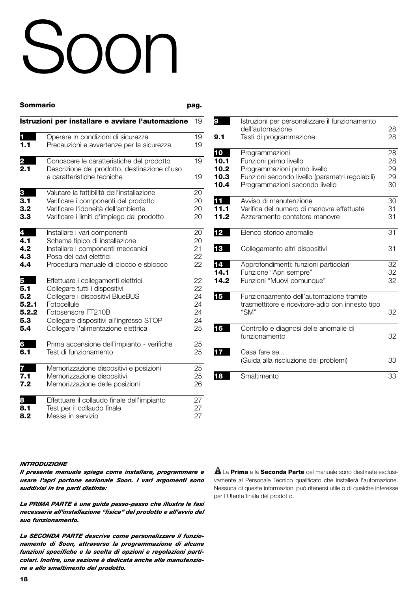# Soon

| Sommario |                                                                                           | pag. |
|----------|-------------------------------------------------------------------------------------------|------|
|          | Istruzioni per installare e avviare l'automazione                                         | 19   |
| 1        | Operare in condizioni di sicurezza                                                        | 19   |
| 1.1      | Precauzioni e avvertenze per la sicurezza                                                 | 19   |
| 2<br>2.1 | Conoscere le caratteristiche del prodotto<br>Descrizione del prodotto, destinazione d'uso | 19   |
|          | e caratteristiche tecniche                                                                | 19   |
| 3        | Valutare la fattibilità dell'installazione                                                | 20   |
| 3.1      | Verificare i componenti del prodotto                                                      | 20   |
| 3.2      | Verificare l'idoneità dell'ambiente                                                       | 20   |
| 3.3      | Verificare i limiti d'impiego del prodotto                                                | 20   |
| 4        | Installare i vari componenti                                                              | 20   |
| 4.1      | Schema tipico di installazione                                                            | 20   |
| 4.2      | Installare i componenti meccanici                                                         | 21   |
| 4.3      | Posa dei cavi elettrici                                                                   | 22   |
| 4.4      | Procedura manuale di blocco e sblocco                                                     | 22   |
| 5        | Effettuare i collegamenti elettrici                                                       | 22   |
| 5.1      | Collegare tutti i dispositivi                                                             | 22   |
| 5.2      | Collegare i dispositivi BlueBUS                                                           | 24   |
| 5.2.1    | Fotocellule                                                                               | 24   |
| 5.2.2    | Fotosensore FT210B                                                                        | 24   |
| 5.3      | Collegare dispositivi all'ingresso STOP                                                   | 24   |
| 5.4      | Collegare l'alimentazione elettrica                                                       | 25   |
| 6        | Prima accensione dell'impianto - verifiche                                                | 25   |
| 6.1      | Test di funzionamento                                                                     | 25   |
|          | Memorizzazione dispositivi e posizioni                                                    | 25   |
| 7.1      | Memorizzazione dispositivi                                                                | 25   |
| 7.2      | Memorizzazione delle posizioni                                                            | 26   |
| 8        | Effettuare il collaudo finale dell'impianto                                               | 27   |
| 8.1      | Test per il collaudo finale                                                               | 27   |
| 8.2      | Messa in servizio                                                                         | 27   |
|          |                                                                                           |      |

| 9    | Istruzioni per personalizzare il funzionamento<br>dell'automazione | 28 |
|------|--------------------------------------------------------------------|----|
| 9.1  | Tasti di programmazione                                            | 28 |
| 10   | Programmazioni                                                     | 28 |
| 10.1 | Funzioni primo livello                                             | 28 |
| 10.2 | Programmazioni primo livello                                       | 29 |
| 10.3 | Funzioni secondo livello (parametri regolabili)                    | 29 |
| 10.4 | Programmazioni secondo livello                                     | 30 |
|      | Avviso di manutenzione                                             | 30 |
| 11.1 | Verifica del numero di manovre effettuate                          | 31 |
| 11.2 | Azzeramento contatore manovre                                      | 31 |
| 12   | Elenco storico anomalie                                            | 31 |
| 13   | Collegamento altri dispositivi                                     | 31 |
| 14   | Approfondimenti: funzioni particolari                              | 32 |
| 14.1 | Funzione "Apri sempre"                                             | 32 |
| 14.2 | Funzioni "Muovi comunque"                                          | 32 |
| 15   | Funzionaamento dell'automazione tramite                            |    |
|      | trasmettitore e ricevitore-adio con innesto tipo                   |    |
|      | "SM"                                                               | 32 |
| 16   | Controllo e diagnosi delle anomalie di                             |    |
|      | funzionamento                                                      | 32 |
| 17   | Casa fare se                                                       |    |
|      | (Guida alla risoluzione dei problemi)                              | 33 |
| 18   | Smaltimento                                                        | 33 |
|      |                                                                    |    |

#### *INTRODUZIONE*

*Il presente manuale spiega come installare, programmare e usare l'apri portone sezionale Soon. I vari argomenti sono suddivisi in tre parti distinte:*

*La PRIMA PARTE è una guida passo-passo che illustra le fasi necessarie all'installazione "fisica" del prodotto e all'avvio del suo funzionamento.*

*La SECONDA PARTE descrive come personalizzare il funzionamento di Soon, attraverso la programmazione di alcune funzioni specifiche e la scelta di opzioni e regolazioni particolari. Inoltre, una sezione è dedicata anche alla manutenzione e allo smaltimento del prodotto.*

La **Prima** e la **Seconda Parte** del manuale sono destinate esclusi-**!** vamente al Personale Tecnico qualificato che installerà l'automazione. Nessuna di queste informazioni può ritenersi utile o di qualche interesse per l'Utente finale del prodotto.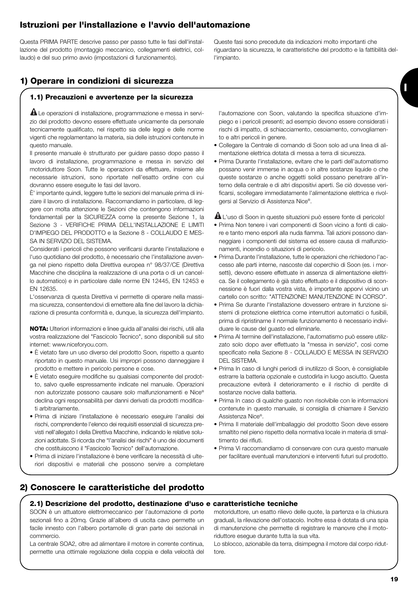# **Istruzioni per l'installazione e l'avvio dell'automazione**

Questa PRIMA PARTE descrive passo per passo tutte le fasi dell'installazione del prodotto (montaggio meccanico, collegamenti elettrici, collaudo) e del suo primo avvio (impostazioni di funzionamento).

Queste fasi sono precedute da indicazioni molto importanti che riguardano la sicurezza, le caratteristiche del prodotto e la fattibilità dell'impianto.

**I**

# **1) Operare in condizioni di sicurezza**

#### **1.1) Precauzioni e avvertenze per la sicurezza**

 $\blacksquare$  Le operazioni di installazione, programmazione e messa in servizio del prodotto devono essere effettuate unicamente da personale tecnicamente qualificato, nel rispetto sia delle leggi e delle norme vigenti che regolamentano la materia, sia delle istruzioni contenute in questo manuale.

Il presente manuale è strutturato per guidare passo dopo passo il lavoro di installazione, programmazione e messa in servizio del motoriduttore Soon. Tutte le operazioni da effettuare, insieme alle necessarie istruzioni, sono riportate nell'esatto ordine con cui dovranno essere eseguite le fasi del lavoro.

È' importante quindi, leggere tutte le sezioni del manuale prima di iniziare il lavoro di installazione. Raccomandiamo in particolare, di leggere con molta attenzione le Sezioni che contengono informazioni fondamentali per la SICUREZZA come la presente Sezione 1, la Sezione 3 - VERIFICHE PRIMA DELL'INSTALLAZIONE E LIMITI D'IMPIEGO DEL PRODOTTO e la Sezione 8 - COLLAUDO E MES-SA IN SERVIZIO DEL SISTEMA.

Considerati i pericoli che possono verificarsi durante l'installazione e l'uso quotidiano del prodotto, è necessario che l'installazione avvenga nel pieno rispetto della Direttiva europea n° 98/37/CE (Direttiva Macchine che disciplina la realizzazione di una porta o di un cancello automatico) e in particolare dalle norme EN 12445, EN 12453 e EN 12635.

L'osservanza di questa Direttiva vi permette di operare nella massima sicurezza, consentendovi di emettere alla fine del lavoro la dichiarazione di presunta conformità e, dunque, la sicurezza dell'impianto.

**NOTA:** Ulteriori informazioni e linee guida all'analisi dei rischi, utili alla vostra realizzazione del "Fascicolo Tecnico", sono disponibili sul sito internet: www.niceforyou.com.

- È vietato fare un uso diverso del prodotto Soon, rispetto a quanto riportato in questo manuale. Usi impropri possono danneggiare il prodotto e mettere in pericolo persone e cose.
- È vietato eseguire modifiche su qualsiasi componente del prodotto, salvo quelle espressamente indicate nel manuale. Operazioni non autorizzate possono causare solo malfunzionamenti e Nice® declina ogni responsabilità per danni derivati da prodotti modificati arbitrariamente.
- Prima di iniziare l'installazione è necessario eseguire l'analisi dei rischi, comprendente l'elenco dei requisiti essenziali di sicurezza previsti nell'allegato I della Direttiva Macchine, indicando le relative soluzioni adottate. Si ricorda che "l'analisi dei rischi" è uno dei documenti che costituiscono il "Fascicolo Tecnico" dell'automazione.
- Prima di iniziare l'installazione è bene verificare la necessità di ulteriori dispositivi e materiali che possono servire a completare

l'automazione con Soon, valutando la specifica situazione d'impiego e i pericoli presenti; ad esempio devono essere considerati i rischi di impatto, di schiacciamento, cesoiamento, convogliamento e altri pericoli in genere.

- Collegare la Centrale di comando di Soon solo ad una linea di alimentazione elettrica dotata di messa a terra di sicurezza.
- Prima Durante l'installazione, evitare che le parti dell'automatismo possano venir immerse in acqua o in altre sostanze liquide o che queste sostanze o anche oggetti solidi possano penetrare all'interno della centrale e di altri dispositivi aperti. Se ciò dovesse verificarsi, scollegare immediatamente l'alimentazione elettrica e rivolgersi al Servizio di Assistenza Nice®.

L'uso di Soon in queste situazioni può essere fonte di pericolo! **!**

- Prima Non tenere i vari componenti di Soon vicino a fonti di calore e tanto meno esporli alla nuda fiamma. Tali azioni possono danneggiare i componenti del sistema ed essere causa di malfunzionamenti, incendio o situazioni di pericolo.
- Prima Durante l'installazione, tutte le operazioni che richiedono l'accesso alle parti interne, nascoste dal coperchio di Soon (es. i morsetti), devono essere effettuate in assenza di alimentazione elettrica. Se il collegamento è già stato effettuato e il dispositivo di sconnessione è fuori dalla vostra vista, è importante apporvi vicino un cartello con scritto: "ATTENZIONE! MANUTENZIONE IN CORSO".
- Prima Se durante l'installazione dovessero entrare in funzione sistemi di protezione elettrica come interruttori automatici o fusibili, prima di ripristinarne il normale funzionamento è necessario individuare le cause del guasto ed eliminarle.
- Prima Al termine dell'installazione, l'automatismo può essere utilizzato solo dopo aver effettuato la "messa in servizio", così come specificato nella Sezione 8 - COLLAUDO E MESSA IN SERVIZIO DEL SISTEMA.
- Prima In caso di lunghi periodi di inutilizzo di Soon, è consigliabile estrarre la batteria opzionale e custodirla in luogo asciutto. Questa precauzione eviterà il deterioramento e il rischio di perdite di sostanze nocive dalla batteria.
- Prima In caso di qualche guasto non risolvibile con le informazioni contenute in questo manuale, si consiglia di chiamare il Servizio Assistenza Nice®.
- Prima Il materiale dell'imballaggio del prodotto Soon deve essere smaltito nel pieno rispetto della normativa locale in materia di smaltimento dei rifiuti.
- Prima Vi raccomandiamo di conservare con cura questo manuale per facilitare eventuali manutenzioni e interventi futuri sul prodotto.

# **2) Conoscere le caratteristiche del prodotto**

#### **2.1) Descrizione del prodotto, destinazione d'uso e caratteristiche tecniche**

SOON è un attuatore elettromeccanico per l'automazione di porte sezionali fino a 20mq. Grazie all'albero di uscita cavo permette un facile innesto con l'albero portamolle di gran parte dei sezionali in commercio.

La centrale SOA2, oltre ad alimentare il motore in corrente continua, permette una ottimale regolazione della coppia e della velocità del motoriduttore, un esatto rilievo delle quote, la partenza e la chiusura graduali, la rilevazione dell'ostacolo. Inoltre essa è dotata di una spia di manutenzione che permette di registrare le manovre che il motoriduttore esegue durante tutta la sua vita.

Lo sblocco, azionabile da terra, disimpegna il motore dal corpo riduttore.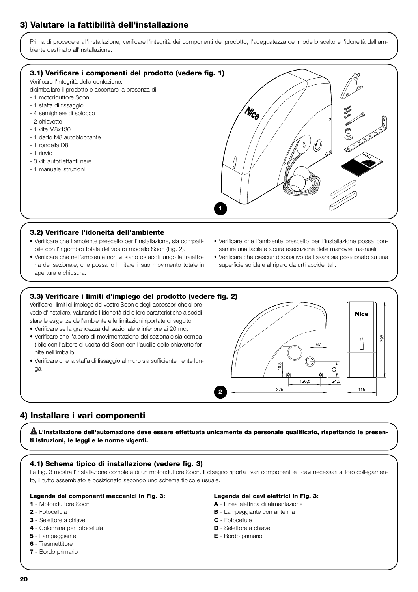# **3) Valutare la fattibilità dell'installazione**

Prima di procedere all'installazione, verificare l'integrità dei componenti del prodotto, l'adeguatezza del modello scelto e l'idoneità dell'ambiente destinato all'installazione.



#### **3.2) Verificare l'idoneità dell'ambiente**

- Verificare che l'ambiente prescelto per l'installazione, sia compatibile con l'ingombro totale del vostro modello Soon (Fig. 2).
- Verificare che nell'ambiente non vi siano ostacoli lungo la traiettoria del sezionale, che possano limitare il suo movimento totale in apertura e chiusura.
- Verificare che l'ambiente prescelto per l'installazione possa consentire una facile e sicura esecuzione delle manovre ma-nuali.
- Verificare che ciascun dispositivo da fissare sia posizionato su una superficie solida e al riparo da urti accidentali.

### **3.3) Verificare i limiti d'impiego del prodotto (vedere fig. 2)**

Verificare i limiti di impiego del vostro Soon e degli accessori che si prevede d'installare, valutando l'idoneità delle loro caratteristiche a soddisfare le esigenze dell'ambiente e le limitazioni riportate di seguito:

- Verificare se la grandezza del sezionale è inferiore ai 20 mq.
- Verificare che l'albero di movimentazione del sezionale sia compatibile con l'albero di uscita del Soon con l'ausilio delle chiavette fornite nell'imballo.
- Verificare che la staffa di fissaggio al muro sia sufficientemente lunga.



# **4) Installare i vari componenti**

**L'installazione dell'automazione deve essere effettuata unicamente da personale qualificato, rispettando le presen-! ti istruzioni, le leggi e le norme vigenti.**

#### **4.1) Schema tipico di installazione (vedere fig. 3)**

La Fig. 3 mostra l'installazione completa di un motoriduttore Soon. Il disegno riporta i vari componenti e i cavi necessari al loro collegamento, il tutto assemblato e posizionato secondo uno schema tipico e usuale.

#### **Legenda dei componenti meccanici in Fig. 3:**

#### **1** - Motoriduttore Soon

- **2** Fotocellula
- **3** Selettore a chiave
- **4** Colonnina per fotocellula
- **5** Lampeggiante
- **6** Trasmettitore
- **7** Bordo primario

#### **Legenda dei cavi elettrici in Fig. 3:**

- **A** Linea elettrica di alimentazione
- **B** Lampeggiante con antenna
- **C** Fotocellule
- **D** Selettore a chiave
- **E** Bordo primario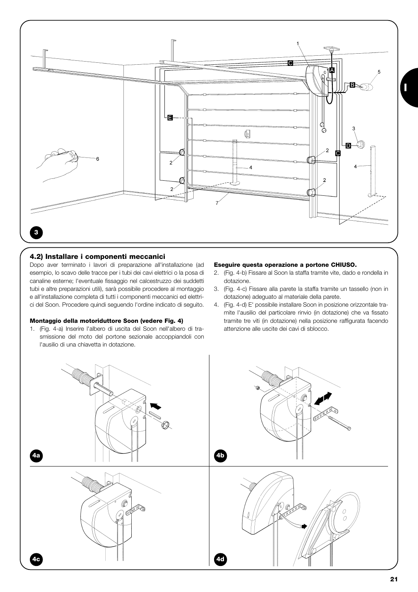

#### **4.2) Installare i componenti meccanici**

Dopo aver terminato i lavori di preparazione all'installazione (ad esempio, lo scavo delle tracce per i tubi dei cavi elettrici o la posa di canaline esterne; l'eventuale fissaggio nel calcestruzzo dei suddetti tubi e altre preparazioni utili), sarà possibile procedere al montaggio e all'installazione completa di tutti i componenti meccanici ed elettrici del Soon. Procedere quindi seguendo l'ordine indicato di seguito.

#### **Montaggio della motoriduttore Soon (vedere Fig. 4)**

1. (Fig. 4-a) Inserire l'albero di uscita del Soon nell'albero di trasmissione del moto del portone sezionale accoppiandoli con l'ausilio di una chiavetta in dotazione.

#### **Eseguire questa operazione a portone CHIUSO.**

- 2. (Fig. 4-b) Fissare al Soon la staffa tramite vite, dado e rondella in dotazione.
- 3. (Fig. 4-c) Fissare alla parete la staffa tramite un tassello (non in dotazione) adeguato al materiale della parete.
- 4. (Fig. 4-d) E' possibile installare Soon in posizione orizzontale tramite l'ausilio del particolare rinvio (in dotazione) che va fissato tramite tre viti (in dotazione) nella posizione raffigurata facendo attenzione alle uscite dei cavi di sblocco.

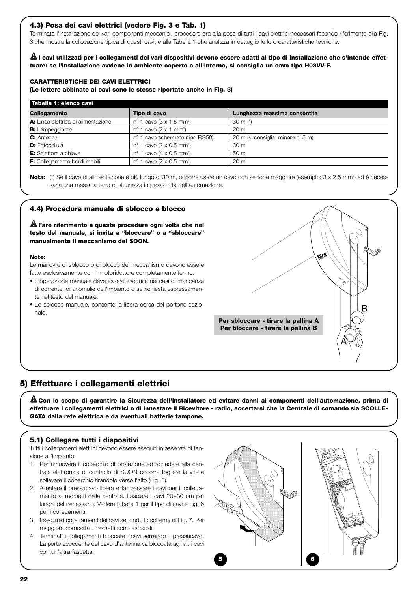#### **4.3) Posa dei cavi elettrici (vedere Fig. 3 e Tab. 1)**

Terminata l'installazione dei vari componenti meccanici, procedere ora alla posa di tutti i cavi elettrici necessari facendo riferimento alla Fig. 3 che mostra la collocazione tipica di questi cavi, e alla Tabella 1 che analizza in dettaglio le loro caratteristiche tecniche.

**I cavi utilizzati per i collegamenti dei vari dispositivi devono essere adatti al tipo di installazione che s'intende effet-! tuare: se l'installazione avviene in ambiente coperto o all'interno, si consiglia un cavo tipo H03VV-F.**

#### **CARATTERISTICHE DEI CAVI ELETTRICI**

**(Le lettere abbinate ai cavi sono le stesse riportate anche in Fig. 3)**

| Tabella 1: elenco cavi              |                                               |                                    |  |
|-------------------------------------|-----------------------------------------------|------------------------------------|--|
| Collegamento                        | Tipo di cavo                                  | Lunghezza massima consentita       |  |
| A: Linea elettrica di alimentazione | $n^{\circ}$ 1 cavo (3 x 1,5 mm <sup>2</sup> ) | 30 m $(*)$                         |  |
| <b>B:</b> Lampeggiante              | $n^{\circ}$ 1 cavo (2 x 1 mm <sup>2</sup> )   | 20 <sub>m</sub>                    |  |
| C: Antenna                          | nº 1 cavo schermato (tipo RG58)               | 20 m (si consiglia: minore di 5 m) |  |
| <b>D:</b> Fotocellula               | $n^{\circ}$ 1 cavo (2 x 0.5 mm <sup>2</sup> ) | 30 <sub>m</sub>                    |  |
| <b>E:</b> Selettore a chiave        | $n^{\circ}$ 1 cavo (4 x 0,5 mm <sup>2</sup> ) | 50 <sub>m</sub>                    |  |
| F: Collegamento bordi mobili        | $n^{\circ}$ 1 cavo (2 x 0,5 mm <sup>2</sup> ) | 20 <sub>m</sub>                    |  |

Nota: (\*) Se il cavo di alimentazione è più lungo di 30 m, occorre usare un cavo con sezione maggiore (esempio: 3 x 2,5 mm<sup>2</sup>) ed è necessaria una messa a terra di sicurezza in prossimità dell'automazione.

#### **4.4) Procedura manuale di sblocco e blocco**

**Fare riferimento a questa procedura ogni volta che nel ! testo del manuale, si invita a "bloccare" o a "sbloccare" manualmente il meccanismo del SOON.**

#### **Note:**

Le manovre di sblocco o di blocco del meccanismo devono essere fatte esclusivamente con il motoriduttore completamente fermo.

- L'operazione manuale deve essere eseguita nei casi di mancanza di corrente, di anomalie dell'impianto o se richiesta espressamente nel testo del manuale.
- Lo sblocco manuale, consente la libera corsa del portone sezionale.



### **5) Effettuare i collegamenti elettrici**

**Con lo scopo di garantire la Sicurezza dell'installatore ed evitare danni ai componenti dell'automazione, prima di ! effettuare i collegamenti elettrici o di innestare il Ricevitore - radio, accertarsi che la Centrale di comando sia SCOLLE-GATA dalla rete elettrica e da eventuali batterie tampone.**

#### **5.1) Collegare tutti i dispositivi**

Tutti i collegamenti elettrici devono essere eseguiti in assenza di tensione all'impianto.

- 1. Per rimuovere il coperchio di protezione ed accedere alla centrale elettronica di controllo di SOON occorre togliere la vite e sollevare il coperchio tirandolo verso l'alto (Fig. 5).
- 2. Allentare il pressacavo libero e far passare i cavi per il collegamento ai morsetti della centrale. Lasciare i cavi 20÷30 cm più lunghi del necessario. Vedere tabella 1 per il tipo di cavi e Fig. 6 per i collegamenti.
- 3. Eseguire i collegamenti dei cavi secondo lo schema di Fig. 7. Per maggiore comodità i morsetti sono estraibili.
- 4. Terminati i collegamenti bloccare i cavi serrando il pressacavo. La parte eccedente del cavo d'antenna va bloccata agli altri cavi con un'altra fascetta.

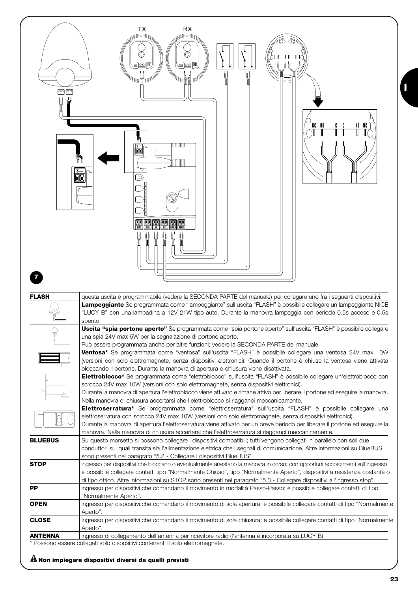| <u>oo po</u>   | TX<br><b>RX</b><br>有國門<br>医网间<br>⇁<br>NG NO<br>NO NG                                                                                                                                                                                                      |
|----------------|-----------------------------------------------------------------------------------------------------------------------------------------------------------------------------------------------------------------------------------------------------------|
| $\overline{7}$ | UUUUU<br>ħ<br>nnnn<br>ě<br>Þ<br><b>BE HE RE HE RE HE</b>                                                                                                                                                                                                  |
| <b>FLASH</b>   | questa uscita è programmabile (vedere la SECONDA PARTE del manuale) per collegare uno fra i seguenti dispositivi:<br>Lampeggiante Se programmata come "lampeggiante" sull'uscita "FLASH" è possibile collegare un lampeggiante NICE                       |
|                | "LUCY B" con una lampadina a 12V 21W tipo auto. Durante la manovra lampeggia con periodo 0.5s acceso e 0.5s<br>spento.                                                                                                                                    |
| U              | Uscita "spia portone aperto" Se programmata come "spia portone aperto" sull'uscita "FLASH" è possibile collegare<br>una spia 24V max 5W per la segnalazione di portone aperto.                                                                            |
|                | Può essere programmata anche per altre funzioni; vedere la SECONDA PARTE del manuale<br>Ventosa* Se programmata come "ventosa" sull'uscita "FLASH" è possibile collegare una ventosa 24V max 10W                                                          |
|                | (versioni con solo elettromagnete, senza dispositivi elettronici). Quando il portone è chiuso la ventosa viene attivata                                                                                                                                   |
|                | bloccando il portone. Durante la manovra di apertura o chiusura viene disattivata.<br>Elettroblocco* Se programmata come "elettroblocco" sull'uscita "FLASH" è possibile collegare un'elettroblocco con                                                   |
|                | scrocco 24V max 10W (versioni con solo elettromagnete, senza dispositivi elettronici).<br>Durante la manovra di apertura l'elettroblocco viene attivato e rimane attivo per liberare il portone ed eseguire la manovra.                                   |
|                | Nella manovra di chiusura accertarsi che l'elettroblocco si riagganci meccanicamente.<br>Elettroserratura* Se programmata come "elettroserratura" sull'uscita "FLASH" è possibile collegare una                                                           |
|                | elettroserratura con scrocco 24V max 10W (versioni con solo elettromagnete, senza dispositivi elettronici).                                                                                                                                               |
|                | Durante la manovra di apertura l'elettroserratura viene attivato per un breve periodo per liberare il portone ed eseguire la<br>manovra. Nella manovra di chiusura accertarsi che l'elettroserratura si riagganci meccanicamente.                         |
| <b>BLUEBUS</b> | Su questo morsetto si possono collegare i dispositivi compatibili; tutti vengono collegati in parallelo con soli due<br>conduttori sui quali transita sia l'alimentazione elettrica che i segnali di comunicazione. Altre informazioni su BlueBUS         |
|                | sono presenti nel paragrafo "5.2 - Collegare i dispositivi BlueBUS".                                                                                                                                                                                      |
| <b>STOP</b>    | ingresso per dispositivi che bloccano o eventualmente arrestano la manovra in corso; con opportuni accorgimenti sull'ingresso<br>è possibile collegare contatti tipo "Normalmente Chiuso", tipo "Normalmente Aperto", dispositivi a resistenza costante o |
| РP             | di tipo ottico. Altre informazioni su STOP sono presenti nel paragrafo "5.3 - Collegare dispositivi all'ingresso stop".<br>ingresso per dispositivi che comandano il movimento in modalità Passo-Passo; è possibile collegare contatti di tipo            |
|                | "Normalmente Aperto".                                                                                                                                                                                                                                     |
| <b>OPEN</b>    | ingresso per dispositivi che comandano il movimento di sola apertura; è possibile collegare contatti di tipo "Normalmente<br>Aperto".                                                                                                                     |
| <b>CLOSE</b>   | ingresso per dispositivi che comandano il movimento di sola chiusura; è possibile collegare contatti di tipo "Normalmente<br>Aperto".                                                                                                                     |
| <b>ANTENNA</b> | ingresso di collegamento dell'antenna per ricevitore radio (l'antenna è incorporata su LUCY B).<br>* Possono essere collegati solo dispositivi contenenti il solo elettromagnete.                                                                         |

# **Non impiegare dispositivi diversi da quelli previsti !**

**I**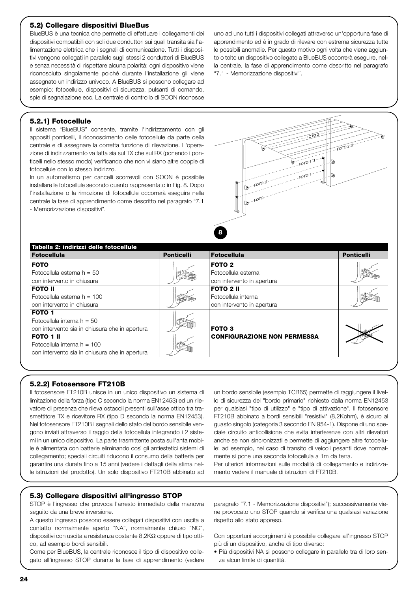#### **5.2) Collegare dispositivi BlueBus**

BlueBUS è una tecnica che permette di effettuare i collegamenti dei dispositivi compatibili con soli due conduttori sui quali transita sia l'alimentazione elettrica che i segnali di comunicazione. Tutti i dispositivi vengono collegati in parallelo sugli stessi 2 conduttori di BlueBUS e senza necessità di rispettare alcuna polarità; ogni dispositivo viene riconosciuto singolamente poiché durante l'installazione gli viene assegnato un indirizzo univoco. A BlueBUS si possono collegare ad esempio: fotocellule, dispositivi di sicurezza, pulsanti di comando, spie di segnalazione ecc. La centrale di controllo di SOON riconosce

uno ad uno tutti i dispositivi collegati attraverso un'opportuna fase di apprendimento ed è in grado di rilevare con estrema sicurezza tutte le possibili anomalie. Per questo motivo ogni volta che viene aggiunto o tolto un dispositivo collegato a BlueBUS occorrerà eseguire, nella centrale, la fase di apprendimento come descritto nel paragrafo "7.1 - Memorizzazione dispositivi".

#### **5.2.1) Fotocellule**

Il sistema "BlueBUS" consente, tramite l'indirizzamento con gli appositi ponticelli, il riconoscimento delle fotocellule da parte della centrale e di assegnare la corretta funzione di rilevazione. L'operazione di indirizzamento va fatta sia sul TX che sul RX (ponendo i ponticelli nello stesso modo) verificando che non vi siano altre coppie di fotocellule con lo stesso indirizzo.

In un automatismo per cancelli scorrevoli con SOON è possibile installare le fotocellule secondo quanto rappresentato in Fig. 8. Dopo l'installazione o la rimozione di fotocellule occorrerà eseguire nella centrale la fase di apprendimento come descritto nel paragrafo "7.1 - Memorizzazione dispositivi".



| Tabella 2: indirizzi delle fotocellule                                                              |                   |                                                                        |                   |  |
|-----------------------------------------------------------------------------------------------------|-------------------|------------------------------------------------------------------------|-------------------|--|
| <b>Fotocellula</b>                                                                                  | <b>Ponticelli</b> | <b>Fotocellula</b>                                                     | <b>Ponticelli</b> |  |
| <b>FOTO</b><br>Fotocellula esterna $h = 50$<br>con intervento in chiusura                           |                   | FOTO <sub>2</sub><br>Fotocellula esterna<br>con intervento in apertura |                   |  |
| <b>FOTO II</b><br>Fotocellula esterna $h = 100$<br>con intervento in chiusura                       |                   | <b>FOTO 2 II</b><br>Fotocellula interna<br>con intervento in apertura  |                   |  |
| FOTO 1<br>Fotocellula interna $h = 50$<br>con intervento sia in chiusura che in apertura            |                   | FOTO <sub>3</sub>                                                      |                   |  |
| <b>FOTO 1 II</b><br>Fotocellula interna $h = 100$<br>con intervento sia in chiusura che in apertura |                   | <b>CONFIGURAZIONE NON PERMESSA</b>                                     |                   |  |

#### **5.2.2) Fotosensore FT210B**

Il fotosensore FT210B unisce in un unico dispositivo un sistema di limitazione della forza (tipo C secondo la norma EN12453) ed un rilevatore di presenza che rileva ostacoli presenti sull'asse ottico tra trasmettitore TX e ricevitore RX (tipo D secondo la norma EN12453). Nel fotosensore FT210B i segnali dello stato del bordo sensibile vengono inviati attraverso il raggio della fotocellula integrando i 2 sistemi in un unico dispositivo. La parte trasmittente posta sull'anta mobile è alimentata con batterie eliminando così gli antiestetici sistemi di collegamento; speciali circuiti riducono il consumo della batteria per garantire una durata fino a 15 anni (vedere i dettagli della stima nelle istruzioni del prodotto). Un solo dispositivo FT210B abbinato ad

un bordo sensibile (esempio TCB65) permette di raggiungere il livello di sicurezza del "bordo primario" richiesto dalla norma EN12453 per qualsiasi "tipo di utilizzo" e "tipo di attivazione". Il fotosensore FT210B abbinato a bordi sensibili "resistivi" (8,2Kohm), è sicuro al guasto singolo (categoria 3 secondo EN 954-1). Dispone di uno speciale circuito anticollisione che evita interferenze con altri rilevatori anche se non sincronizzati e permette di aggiungere altre fotocellule; ad esempio, nel caso di transito di veicoli pesanti dove normalmente si pone una seconda fotocellula a 1m da terra.

Per ulteriori informazioni sulle modalità di collegamento e indirizzamento vedere il manuale di istruzioni di FT210B.

#### **5.3) Collegare dispositivi all'ingresso STOP**

STOP è l'ingresso che provoca l'arresto immediato della manovra seguito da una breve inversione.

A questo ingresso possono essere collegati dispositivi con uscita a contatto normalmente aperto "NA", normalmente chiuso "NC", dispositivi con uscita a resistenza costante 8,2KΩ oppure di tipo ottico, ad esempio bordi sensibili.

Come per BlueBUS, la centrale riconosce il tipo di dispositivo collegato all'ingresso STOP durante la fase di apprendimento (vedere paragrafo "7.1 - Memorizzazione dispositivi"); successivamente viene provocato uno STOP quando si verifica una qualsiasi variazione rispetto allo stato appreso.

Con opportuni accorgimenti è possibile collegare all'ingresso STOP più di un dispositivo, anche di tipo diverso:

• Più dispositivi NA si possono collegare in parallelo tra di loro senza alcun limite di quantità.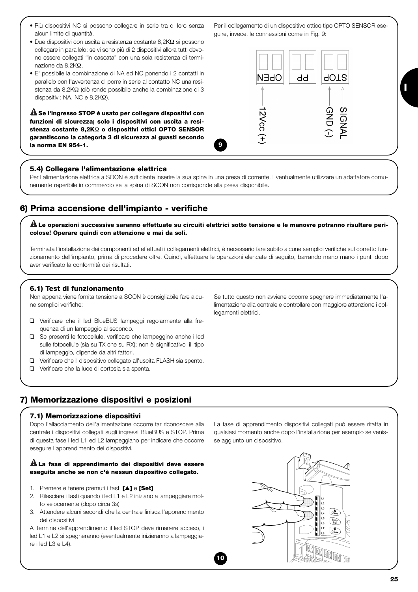- Più dispositivi NC si possono collegare in serie tra di loro senza alcun limite di quantità.
- Due dispositivi con uscita a resistenza costante 8,2KΩ si possono collegare in parallelo; se vi sono più di 2 dispositivi allora tutti devono essere collegati "in cascata" con una sola resistenza di terminazione da 8,2KΩ.
- E' possibile la combinazione di NA ed NC ponendo i 2 contatti in parallelo con l'avvertenza di porre in serie al contatto NC una resistenza da 8,2KΩ (ciò rende possibile anche la combinazione di 3 dispositivi: NA, NC e 8,2KΩ).

**Se l'ingresso STOP è usato per collegare dispositivi con ! funzioni di sicurezza; solo i dispositivi con uscita a resistenza costante 8,2K**Ω **o dispositivi ottici OPTO SENSOR garantiscono la categoria 3 di sicurezza ai guasti secondo la norma EN 954-1.**

# N∃dC **AOTS** dd

Per il collegamento di un dispositivo ottico tipo OPTO SENSOR ese-

guire, invece, le connessioni come in Fig. 9:

GND **SIGNAI 2Vcc** 

# **5.4) Collegare l'alimentazione elettrica**

Per l'alimentazione elettrica a SOON è sufficiente inserire la sua spina in una presa di corrente. Eventualmente utilizzare un adattatore comunemente reperibile in commercio se la spina di SOON non corrisponde alla presa disponibile.

**9**

# **6) Prima accensione dell'impianto - verifiche**

**Le operazioni successive saranno effettuate su circuiti elettrici sotto tensione e le manovre potranno risultare peri-! colose! Operare quindi con attenzione e mai da soli.**

Terminata l'installazione dei componenti ed effettuati i collegamenti elettrici, è necessario fare subito alcune semplici verifiche sul corretto funzionamento dell'impianto, prima di procedere oltre. Quindi, effettuare le operazioni elencate di seguito, barrando mano mano i punti dopo aver verificato la conformità dei risultati.

**10**

#### **6.1) Test di funzionamento**

Non appena viene fornita tensione a SOON è consigliabile fare alcune semplici verifiche:

- ❑ Verificare che il led BlueBUS lampeggi regolarmente alla frequenza di un lampeggio al secondo.
- ❑ Se presenti le fotocellule, verificare che lampeggino anche i led sulle fotocellule (sia su TX che su RX); non è significativo il tipo di lampeggio, dipende da altri fattori.
- ❑ Verificare che il dispositivo collegato all'uscita FLASH sia spento.
- ❑ Verificare che la luce di cortesia sia spenta.

Se tutto questo non avviene occorre spegnere immediatamente l'alimentazione alla centrale e controllare con maggiore attenzione i collegamenti elettrici.

# **7) Memorizzazione dispositivi e posizioni**

#### **7.1) Memorizzazione dispositivi**

Dopo l'allacciamento dell'alimentazione occorre far riconoscere alla centrale i dispositivi collegati sugli ingressi BlueBUS e STOP. Prima di questa fase i led L1 ed L2 lampeggiano per indicare che occorre eseguire l'apprendimento dei dispositivi.

#### **La fase di apprendimento dei dispositivi deve essere ! eseguita anche se non c'è nessun dispositivo collegato.**

- 1. Premere e tenere premuti i tasti **[**▲**]** e **[Set]**
- 2. Rilasciare i tasti quando i led L1 e L2 iniziano a lampeggiare molto velocemente (dopo circa 3s)
- 3. Attendere alcuni secondi che la centrale finisca l'apprendimento dei dispositivi

Al termine dell'apprendimento il led STOP deve rimanere acceso, i led L1 e L2 si spegneranno (eventualmente inizieranno a lampeggiare i led L3 e L4).

La fase di apprendimento dispositivi collegati può essere rifatta in qualsiasi momento anche dopo l'installazione per esempio se venisse aggiunto un dispositivo.

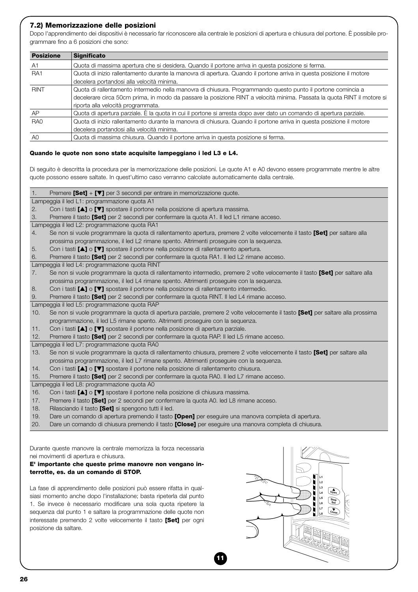#### **7.2) Memorizzazione delle posizioni**

Dopo l'apprendimento dei dispositivi è necessario far riconoscere alla centrale le posizioni di apertura e chiusura del portone. È possibile programmare fino a 6 posizioni che sono:

| <b>Posizione</b> | <b>Significato</b>                                                                                                      |  |  |
|------------------|-------------------------------------------------------------------------------------------------------------------------|--|--|
| A <sub>1</sub>   | Quota di massima apertura che si desidera. Quando il portone arriva in questa posizione si ferma.                       |  |  |
| RA <sub>1</sub>  | Quota di inizio rallentamento durante la manovra di apertura. Quando il portone arriva in questa posizione il motore    |  |  |
|                  | decelera portandosi alla velocità minima.                                                                               |  |  |
| <b>RINT</b>      | Quota di rallentamento intermedio nella manovra di chiusura. Programmando questo punto il portone comincia a            |  |  |
|                  | decelerare circa 50cm prima, in modo da passare la posizione RINT a velocità minima. Passata la quota RINT il motore si |  |  |
|                  | riporta alla velocità programmata.                                                                                      |  |  |
| AP               | Quota di apertura parziale. È la quota in cui il portone si arresta dopo aver dato un comando di apertura parziale.     |  |  |
| RA <sub>0</sub>  | Quota di inizio rallentamento durante la manovra di chiusura. Quando il portone arriva in questa posizione il motore    |  |  |
|                  | decelera portandosi alla velocità minima.                                                                               |  |  |
| A0               | Quota di massima chiusura. Quando il portone arriva in questa posizione si ferma.                                       |  |  |

#### **Quando le quote non sono state acquisite lampeggiano i led L3 e L4.**

Di seguito è descritta la procedura per la memorizzazione delle posizioni. Le quote A1 e A0 devono essere programmate mentre le altre quote possono essere saltate. In quest'ultimo caso verranno calcolate automaticamente dalla centrale.

1. Premere **[Set]** + **[**▼**]** per 3 secondi per entrare in memorizzazione quote.

Lampeggia il led L1: programmazione quota A1

2. Con i tasti **[**▲**]** o **[**▼**]** spostare il portone nella posizione di apertura massima.

3. Premere il tasto **[Set]** per 2 secondi per confermare la quota A1. Il led L1 rimane acceso.

Lampeggia il led L2: programmazione quota RA1

4. Se non si vuole programmare la quota di rallentamento apertura, premere 2 volte velocemente il tasto **[Set]** per saltare alla prossima programmazione, il led L2 rimane spento. Altrimenti proseguire con la sequenza.

5. Con i tasti **[**▲**]** o **[**▼**]** spostare il portone nella posizione di rallentamento apertura.

6. Premere il tasto **[Set]** per 2 secondi per confermare la quota RA1. Il led L2 rimane acceso.

Lampeggia il led L4: programmazione quota RINT

7. Se non si vuole programmare la quota di rallentamento intermedio, premere 2 volte velocemente il tasto **[Set]** per saltare alla prossima programmazione, il led L4 rimane spento. Altrimenti proseguire con la sequenza.

8. Con i tasti **[**▲**]** o **[**▼**]** spostare il portone nella posizione di rallentamento intermedio.

9. Premere il tasto **[Set]** per 2 secondi per confermare la quota RINT. Il led L4 rimane acceso.

Lampeggia il led L5: programmazione quota RAP

10. Se non si vuole programmare la quota di apertura parziale, premere 2 volte velocemente il tasto **[Set]** per saltare alla prossima programmazione, il led L5 rimane spento. Altrimenti proseguire con la sequenza.

11. Con i tasti **[**▲**]** o **[**▼**]** spostare il portone nella posizione di apertura parziale.

12. Premere il tasto **[Set]** per 2 secondi per confermare la quota RAP. Il led L5 rimane acceso.

Lampeggia il led L7: programmazione quota RA0

13. Se non si vuole programmare la quota di rallentamento chiusura, premere 2 volte velocemente il tasto **[Set]** per saltare alla prossima programmazione, il led L7 rimane spento. Altrimenti proseguire con la sequenza.

**11**

14. Con i tasti **[**▲**]** o **[**▼**]** spostare il portone nella posizione di rallentamento chiusura.

15. Premere il tasto **[Set]** per 2 secondi per confermare la quota RA0. Il led L7 rimane acceso.

Lampeggia il led L8: programmazione quota A0

- 16. Con i tasti **[**▲**]** o **[**▼**]** spostare il portone nella posizione di chiusura massima.
- 17. Premere il tasto **[Set]** per 2 secondi per confermare la quota A0. led L8 rimane acceso.
- 18. Rilasciando il tasto **[Set]** si spengono tutti il led.
- 19. Dare un comando di apertura premendo il tasto **[Open]** per eseguire una manovra completa di apertura.
- 20. Dare un comando di chiusura premendo il tasto **[Close]** per eseguire una manovra completa di chiusura.

Durante queste manovre la centrale memorizza la forza necessaria nei movimenti di apertura e chiusura.

#### **E' importante che queste prime manovre non vengano interrotte, es. da un comando di STOP.**

La fase di apprendimento delle posizioni può essere rifatta in qualsiasi momento anche dopo l'installazione; basta ripeterla dal punto 1. Se invece è necessario modificare una sola quota ripetere la sequenza dal punto 1 e saltare la programmazione delle quote non interessate premendo 2 volte velocemente il tasto **[Set]** per ogni posizione da saltare.

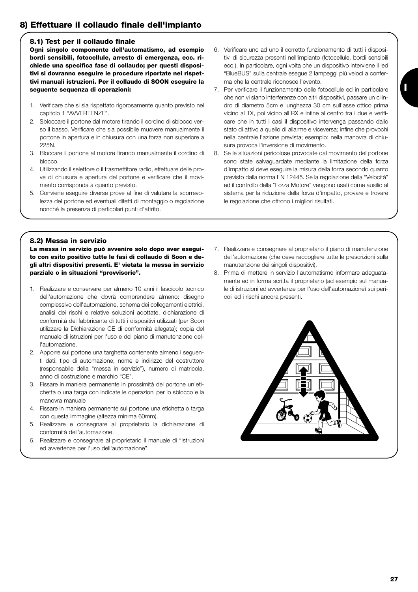# **8) Effettuare il collaudo finale dell'impianto**

#### **8.1) Test per il collaudo finale**

**Ogni singolo componente dell'automatismo, ad esempio bordi sensibili, fotocellule, arresto di emergenza, ecc. richiede una specifica fase di collaudo; per questi dispositivi si dovranno eseguire le procedure riportate nei rispettivi manuali istruzioni. Per il collaudo di SOON eseguire la seguente sequenza di operazioni:** 

- 1. Verificare che si sia rispettato rigorosamente quanto previsto nel capitolo 1 "AVVERTENZE".
- 2. Sbloccare il portone dal motore tirando il cordino di sblocco verso il basso. Verificare che sia possibile muovere manualmente il portone in apertura e in chiusura con una forza non superiore a 225N.
- 3. Bloccare il portone al motore tirando manualmente il cordino di blocco.
- 4. Utilizzando il selettore o il trasmettitore radio, effettuare delle prove di chiusura e apertura del portone e verificare che il movimento corrisponda a quanto previsto.
- 5. Conviene eseguire diverse prove al fine di valutare la scorrevolezza del portone ed eventuali difetti di montaggio o regolazione nonché la presenza di particolari punti d'attrito.
- 6. Verificare uno ad uno il corretto funzionamento di tutti i dispositivi di sicurezza presenti nell'impianto (fotocellule, bordi sensibili ecc.). In particolare, ogni volta che un dispositivo interviene il led "BlueBUS" sulla centrale esegue 2 lampeggi più veloci a conferma che la centrale riconosce l'evento.
- 7. Per verificare il funzionamento delle fotocellule ed in particolare che non vi siano interferenze con altri dispositivi, passare un cilindro di diametro 5cm e lunghezza 30 cm sull'asse ottico prima vicino al TX, poi vicino all'RX e infine al centro tra i due e verificare che in tutti i casi il dispositivo intervenga passando dallo stato di attivo a quello di allarme e viceversa; infine che provochi nella centrale l'azione prevista; esempio: nella manovra di chiusura provoca l'inversione di movimento.
- 8. Se le situazioni pericolose provocate dal movimento del portone sono state salvaguardate mediante la limitazione della forza d'impatto si deve eseguire la misura della forza secondo quanto previsto dalla norma EN 12445. Se la regolazione della "Velocità" ed il controllo della "Forza Motore" vengono usati come ausilio al sistema per la riduzione della forza d'impatto, provare e trovare le regolazione che offrono i migliori risultati.

#### **8.2) Messa in servizio**

**La messa in servizio può avvenire solo dopo aver eseguito con esito positivo tutte le fasi di collaudo di Soon e degli altri dispositivi presenti. E' vietata la messa in servizio parziale o in situazioni "provvisorie".** 

- 1. Realizzare e conservare per almeno 10 anni il fascicolo tecnico dell'automazione che dovrà comprendere almeno: disegno complessivo dell'automazione, schema dei collegamenti elettrici, analisi dei rischi e relative soluzioni adottate, dichiarazione di conformità del fabbricante di tutti i dispositivi utilizzati (per Soon utilizzare la Dichiarazione CE di conformità allegata); copia del manuale di istruzioni per l'uso e del piano di manutenzione dell'automazione.
- 2. Apporre sul portone una targhetta contenente almeno i seguenti dati: tipo di automazione, nome e indirizzo del costruttore (responsabile della "messa in servizio"), numero di matricola, anno di costruzione e marchio "CE".
- 3. Fissare in maniera permanente in prossimità del portone un'etichetta o una targa con indicate le operazioni per lo sblocco e la manovra manuale
- 4. Fissare in maniera permanente sul portone una etichetta o targa con questa immagine (altezza minima 60mm).
- 5. Realizzare e consegnare al proprietario la dichiarazione di conformità dell'automazione.
- 6. Realizzare e consegnare al proprietario il manuale di "Istruzioni ed avvertenze per l'uso dell'automazione".
- 7. Realizzare e consegnare al proprietario il piano di manutenzione dell'automazione (che deve raccogliere tutte le prescrizioni sulla manutenzione dei singoli dispositivi).
- 8. Prima di mettere in servizio l'automatismo informare adeguatamente ed in forma scritta il proprietario (ad esempio sul manuale di istruzioni ed avvertenze per l'uso dell'automazione) sui pericoli ed i rischi ancora presenti.

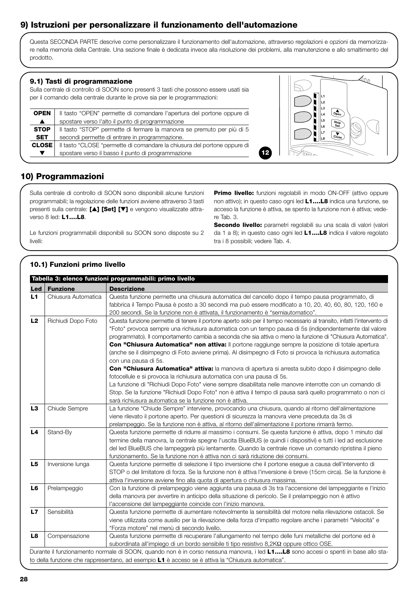# **9) Istruzioni per personalizzare il funzionamento dell'automazione**

Questa SECONDA PARTE descrive come personalizzare il funzionamento dell'automazione, attraverso regolazioni e opzioni da memorizzare nella memoria della Centrale. Una sezione finale è dedicata invece alla risoluzione dei problemi, alla manutenzione e allo smaltimento del prodotto.

#### **9.1) Tasti di programmazione**

Sulla centrale di controllo di SOON sono presenti 3 tasti che possono essere usati sia per il comando della centrale durante le prove sia per le programmazioni:

| <b>OPEN</b>      | Il tasto "OPEN" permette di comandare l'apertura del portone oppure di   |  |  |  |  |
|------------------|--------------------------------------------------------------------------|--|--|--|--|
| $\blacktriangle$ | spostare verso l'alto il punto di programmazione                         |  |  |  |  |
| <b>STOP</b>      | Il tasto "STOP" permette di fermare la manovra se premuto per più di 5   |  |  |  |  |
| <b>SET</b>       | secondi permette di entrare in programmazione.                           |  |  |  |  |
| <b>CLOSE</b>     | Il tasto "CLOSE "permette di comandare la chiusura del portone oppure di |  |  |  |  |
|                  | spostare verso il basso il punto di programmazione                       |  |  |  |  |



# **10) Programmazioni**

Sulla centrale di controllo di SOON sono disponibili alcune funzioni programmabili; la regolazione delle funzioni avviene attraverso 3 tasti presenti sulla centrale: **[**▲**] [Set] [**▼**]** e vengono visualizzate attraverso 8 led: **L1….L8**.

Le funzioni programmabili disponibili su SOON sono disposte su 2 livelli:

**Primo livello:** funzioni regolabili in modo ON-OFF (attivo oppure non attivo); in questo caso ogni led **L1….L8** indica una funzione, se acceso la funzione è attiva, se spento la funzione non è attiva; vedere Tab. 3.

**12**

**Secondo livello:** parametri regolabili su una scala di valori (valori da 1 a 8); in questo caso ogni led **L1….L8** indica il valore regolato tra i 8 possibili; vedere Tab. 4.

#### **Led Funzione Descrizione** L1 Chiusura Automatica Questa funzione permette una chiusura automatica del cancello dopo il tempo pausa programmato, di fabbrica il Tempo Pausa è posto a 30 secondi ma può essere modificato a 10, 20, 40, 60, 80, 120, 160 e 200 secondi. Se la funzione non è attivata, il funzionamento è "semiautomatico". L2 Richiudi Dopo Foto Questa funzione permette di tenere il portone aperto solo per il tempo necessario al transito, infatti l'intervento di "Foto" provoca sempre una richiusura automatica con un tempo pausa di 5s (indipendentemente dal valore programmato). Il comportamento cambia a seconda che sia attiva o meno la funzione di "Chiusura Automatica". **Con "Chiusura Automatica" non attiva:** Il portone raggiunge sempre la posizione di totale apertura (anche se il disimpegno di Foto avviene prima). Al disimpegno di Foto si provoca la richiusura automatica con una pausa di 5s. **Con "Chiusura Automatica" attiva:** la manovra di apertura si arresta subito dopo il disimpegno delle fotocellule e si provoca la richiusura automatica con una pausa di 5s. La funzione di "Richiudi Dopo Foto" viene sempre disabilitata nelle manovre interrotte con un comando di Stop. Se la funzione "Richiudi Dopo Foto" non è attiva il tempo di pausa sarà quello programmato o non ci sarà richiusura automatica se la funzione non è attiva. **L3** Chiude Sempre La funzione "Chiude Sempre" interviene, provocando una chiusura, quando al ritorno dell'alimentazione viene rilevato il portone aperto. Per questioni di sicurezza la manovra viene preceduta da 3s di prelampeggio. Se la funzione non è attiva, al ritorno dell'alimentazione il portone rimarrà fermo. **L4** Stand-By Questa funzione permette di ridurre al massimo i consumi. Se questa funzione è attiva, dopo 1 minuto dal termine della manovra, la centrale spegne l'uscita BlueBUS (e quindi i dispositivi) e tutti i led ad esclusione del led BlueBUS che lampeggerà più lentamente. Quando la centrale riceve un comando ripristina il pieno funzionamento. Se la funzione non è attiva non ci sarà riduzione dei consumi. L5 | Inversione lunga | Questa funzione permette di selezione il tipo inversione che il portone esegue a causa dell'intervento di STOP o del limitatore di forza. Se la funzione non è attiva l'inversione è breve (15cm circa). Se la funzione è attiva l'inversione avviene fino alla quota di apertura o chiusura massima. **L6** Prelampeggio Con la funzione di prelampeggio viene aggiunta una pausa di 3s tra l'accensione del lampeggiante e l'inizio della manovra per avvertire in anticipo della situazione di pericolo. Se il prelampeggio non è attivo l'accensione del lampeggiante coincide con l'inizio manovra. **L7** Sensibilità Questa funzione permette di aumentare notevolmente la sensibilità del motore nella rilevazione ostacoli. Se viene utilizzata come ausilio per la rilevazione della forza d'impatto regolare anche i parametri "Velocità" e "Forza motore" nel menù di secondo livello. **L8** Compensazione Questa funzione permette di recuperare l'allungamento nel tempo delle funi metalliche del portone ed è subordinata all'impiego di un bordo sensibile ti tipo resistivo 8,2KΩ oppure ottico OSE. Durante il funzionamento normale di SOON, quando non è in corso nessuna manovra, i led **L1….L8** sono accesi o spenti in base allo stato della funzione che rappresentano, ad esempio **L1** è acceso se è attiva la "Chiusura automatica". **Tabella 3: elenco funzioni programmabili: primo livello**

## **10.1) Funzioni primo livello**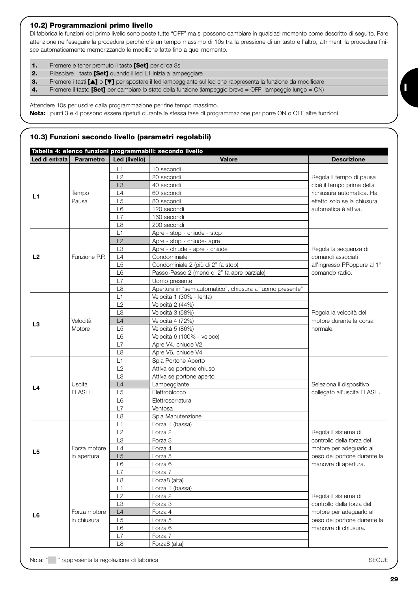#### **10.2) Programmazioni primo livello**

Di fabbrica le funzioni del primo livello sono poste tutte "OFF" ma si possono cambiare in qualsiasi momento come descritto di seguito. Fare attenzione nell'eseguire la procedura perché c'è un tempo massimo di 10s tra la pressione di un tasto e l'altro, altrimenti la procedura finisce automaticamente memorizzando le modifiche fatte fino a quel momento.

| 1. | Premere e tener premuto il tasto <b>[Set]</b> per circa 3s                                                                           |
|----|--------------------------------------------------------------------------------------------------------------------------------------|
| 2. | Rilasciare il tasto <b>[Set]</b> quando il led L1 inizia a lampeggiare                                                               |
| 3. | Premere i tasti $[\triangle]$ o $[\triangledown]$ per spostare il led lampeggiante sul led che rappresenta la funzione da modificare |
| 4. | Premere il tasto <b>[Set]</b> per cambiare lo stato della funzione (lampeggio breve = OFF; lampeggio lungo = ON)                     |

Attendere 10s per uscire dalla programmazione per fine tempo massimo.

**Nota:** i punti 3 e 4 possono essere ripetuti durante le stessa fase di programmazione per porre ON o OFF altre funzioni

# **10.3) Funzioni secondo livello (parametri regolabili)**

|                | Tabella 4: elenco funzioni programmabili: secondo livello |                |                                                          |                                                     |
|----------------|-----------------------------------------------------------|----------------|----------------------------------------------------------|-----------------------------------------------------|
| Led di entrata | <b>Parametro</b>                                          | Led (livello)  | <b>Valore</b>                                            | <b>Descrizione</b>                                  |
|                |                                                           | L1             | 10 secondi                                               |                                                     |
|                |                                                           | L2             | 20 secondi                                               | Regola il tempo di pausa                            |
|                |                                                           | L <sub>3</sub> | 40 secondi                                               | cioè il tempo prima della                           |
| L1             | Tempo                                                     | L4             | 60 secondi                                               | richiusura automatica. Ha                           |
|                | Pausa                                                     | L5             | 80 secondi                                               | effetto solo se la chiusura                         |
|                |                                                           | L <sub>6</sub> | 120 secondi                                              | automatica è attiva.                                |
|                |                                                           | L7             | 160 secondi                                              |                                                     |
|                |                                                           | L <sub>8</sub> | 200 secondi                                              |                                                     |
|                |                                                           | L1             | Apre - stop - chiude - stop                              |                                                     |
|                |                                                           | L2             | Apre - stop - chiude- apre                               |                                                     |
|                |                                                           | L <sub>3</sub> | Apre - chiude - apre - chiude                            | Regola la sequenza di                               |
| L <sub>2</sub> | Funzione P.P.                                             | L4             | Condominiale                                             | comandi associati                                   |
|                |                                                           | L <sub>5</sub> | Condominiale 2 (più di 2" fa stop)                       | all'ingresso PPoppure al 1°                         |
|                |                                                           | L <sub>6</sub> | Passo-Passo 2 (meno di 2" fa apre parziale)              | comando radio.                                      |
|                |                                                           | L7             | Uomo presente                                            |                                                     |
|                |                                                           | L <sub>8</sub> | Apertura in "semiautomatico", chiusura a "uomo presente" |                                                     |
|                |                                                           | L1             | Velocità 1 (30% - lenta)                                 |                                                     |
|                |                                                           | L2             | Velocità 2 (44%)                                         |                                                     |
|                |                                                           | L <sub>3</sub> | Velocità 3 (58%)                                         | Regola la velocità del                              |
| L <sub>3</sub> | Velocità                                                  | L4             | Velocità 4 (72%)                                         | motore durante la corsa                             |
|                | Motore                                                    | L <sub>5</sub> | Velocità 5 (86%)                                         | normale.                                            |
|                |                                                           | L <sub>6</sub> | Velocità 6 (100% - veloce)                               |                                                     |
|                |                                                           | L7             | Apre V4, chiude V2                                       |                                                     |
|                |                                                           | L8             | Apre V6, chiude V4                                       |                                                     |
|                |                                                           | L1             | Spia Portone Aperto                                      |                                                     |
|                |                                                           | L2             | Attiva se portone chiuso                                 |                                                     |
|                |                                                           | L <sub>3</sub> | Attiva se portone aperto                                 |                                                     |
| L4             | Uscita                                                    | L4             | Lampeggiante                                             | Seleziona il dispositivo                            |
|                | <b>FLASH</b>                                              | L <sub>5</sub> | Elettroblocco                                            | collegato all'uscita FLASH.                         |
|                |                                                           | L <sub>6</sub> | Elettroserratura                                         |                                                     |
|                |                                                           | L7             | Ventosa                                                  |                                                     |
|                |                                                           | L <sub>8</sub> | Spia Manutenzione                                        |                                                     |
|                |                                                           | L1             | Forza 1 (bassa)                                          |                                                     |
|                |                                                           | L2             | Forza 2                                                  | Regola il sistema di                                |
|                |                                                           | L <sub>3</sub> | Forza 3                                                  | controllo della forza del                           |
| L <sub>5</sub> | Forza motore                                              | L4             | Forza 4                                                  | motore per adeguarlo al                             |
|                | in apertura                                               | L5             | Forza 5                                                  | peso del portone durante la<br>manovra di apertura. |
|                |                                                           | L6             | Forza 6                                                  |                                                     |
|                |                                                           | L7             | Forza 7                                                  |                                                     |
|                |                                                           | L8             | Forza8 (alta)                                            |                                                     |
|                |                                                           | L1             | Forza 1 (bassa)                                          |                                                     |
|                |                                                           | L2             | Forza 2                                                  | Regola il sistema di                                |
|                |                                                           | L3             | Forza 3                                                  | controllo della forza del                           |
| L <sub>6</sub> | Forza motore                                              | L4             | Forza 4                                                  | motore per adeguarlo al                             |
|                | in chiusura                                               | L <sub>5</sub> | Forza 5                                                  | peso del portone durante la                         |
|                |                                                           | L6             | Forza 6                                                  | manovra di chiusura.                                |
|                |                                                           | L7             | Forza 7                                                  |                                                     |
|                |                                                           | L8             | Forza8 (alta)                                            |                                                     |

**I**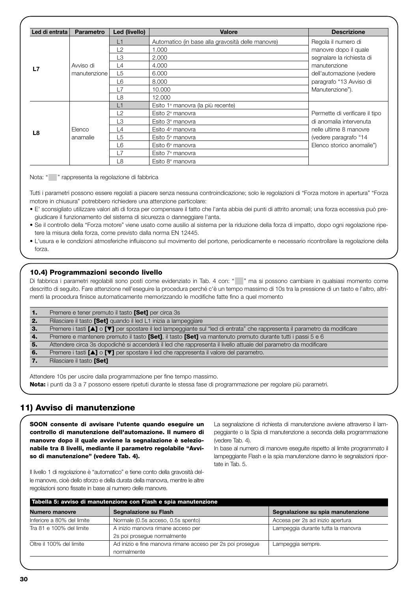| Led di entrata | <b>Parametro</b> | Led (livello)       | <b>Valore</b>                                     | <b>Descrizione</b>             |
|----------------|------------------|---------------------|---------------------------------------------------|--------------------------------|
|                |                  | L1                  | Automatico (in base alla gravosità delle manovre) | Regola il numero di            |
|                |                  | L2                  | 1.000                                             | manovre dopo il quale          |
|                |                  | L3                  | 2.000                                             | segnalare la richiesta di      |
|                | Avviso di        | $\lfloor 4 \rfloor$ | 4.000                                             | manutenzione                   |
| L7             | manutenzione     | L5                  | 6.000                                             | dell'automazione (vedere       |
|                |                  | L6                  | 8.000                                             | paragrafo "13 Avviso di        |
|                |                  | L7                  | 10,000                                            | Manutenzione").                |
|                |                  | L8                  | 12,000                                            |                                |
|                |                  | L1                  | Esito 1ª manovra (la più recente)                 |                                |
|                |                  | L2                  | Esito $2^a$ manovra                               | Permette di verificare il tipo |
|                |                  | L3                  | Esito 3ª manovra                                  | di anomalia intervenuta        |
| L8             | Elenco           | L4                  | Esito 4 <sup>ª</sup> manovra                      | nelle ultime 8 manovre         |
|                | anamalie         | L5                  | Esito 5 <sup>ª</sup> manovra                      | (vedere paragrafo "14          |
|                |                  | L6                  | Esito 6 <sup>ª</sup> manovra                      | Elenco storico anomalie")      |
|                |                  | L7                  | Esito 7 <sup>ª</sup> manovra                      |                                |
|                |                  | L8                  | Esito 8 <sup>ª</sup> manovra                      |                                |

Nota: " " rappresenta la regolazione di fabbrica

Tutti i parametri possono essere regolati a piacere senza nessuna controindicazione; solo le regolazioni di "Forza motore in apertura" "Forza motore in chiusura" potrebbero richiedere una attenzione particolare:

- E' sconsigliato utilizzare valori alti di forza per compensare il fatto che l'anta abbia dei punti di attrito anomali; una forza eccessiva può pregiudicare il funzionamento del sistema di sicurezza o danneggiare l'anta.
- Se il controllo della "Forza motore" viene usato come ausilio al sistema per la riduzione della forza di impatto, dopo ogni regolazione ripetere la misura della forza, come previsto dalla norma EN 12445.
- L'usura e le condizioni atmosferiche influiscono sul movimento del portone, periodicamente e necessario ricontrollare la regolazione della forza.

#### **10.4) Programmazioni secondo livello**

Di fabbrica i parametri regolabili sono posti come evidenziato in Tab. 4 con: " " ma si possono cambiare in qualsiasi momento come descritto di seguito. Fare attenzione nell'eseguire la procedura perché c'è un tempo massimo di 10s tra la pressione di un tasto e l'altro, altrimenti la procedura finisce automaticamente memorizzando le modifiche fatte fino a quel momento

| п.  | Premere e tener premuto il tasto <b>[Set]</b> per circa 3s                                                                 |
|-----|----------------------------------------------------------------------------------------------------------------------------|
| 2.  | Rilasciare il tasto [Set] quando il led L1 inizia a lampeggiare                                                            |
| -3. | Premere i tasti [▲] o [▼] per spostare il led lampeggiante sul "led di entrata" che rappresenta il parametro da modificare |
| 4.  | Premere e mantenere premuto il tasto [Set], il tasto [Set] va mantenuto premuto durante tutti i passi 5 e 6                |
| -5. | Attendere circa 3s dopodiché si accenderà il led che rappresenta il livello attuale del parametro da modificare            |
| 6.  | Premere i tasti [▲] o [▼] per spostare il led che rappresenta il valore del parametro.                                     |
|     | Rilasciare il tasto [Set]                                                                                                  |
|     |                                                                                                                            |

Attendere 10s per uscire dalla programmazione per fine tempo massimo.

**Nota:** i punti da 3 a 7 possono essere ripetuti durante le stessa fase di programmazione per regolare più parametri.

### **11) Avviso di manutenzione**

**SOON consente di avvisare l'utente quando eseguire un controllo di manutenzione dell'automazione. Il numero di manovre dopo il quale avviene la segnalazione è selezionabile tra 8 livelli, mediante il parametro regolabile "Avviso di manutenzione" (vedere Tab. 4).**

La segnalazione di richiesta di manutenzione avviene attraverso il lampeggiante o la Spia di manutenzione a seconda della programmazione (vedere Tab. 4).

In base al numero di manovre eseguite rispetto al limite programmato il lampeggiante Flash e la spia manutenzione danno le segnalazioni riportate in Tab. 5.

Il livello 1 di regolazione è "automatico" e tiene conto della gravosità delle manovre, cioè dello sforzo e della durata della manovra, mentre le altre regolazioni sono fissate in base al numero delle manovre.

| Tabella 5: avviso di manutenzione con Flash e spia manutenzione |                                                            |                                    |  |
|-----------------------------------------------------------------|------------------------------------------------------------|------------------------------------|--|
| <b>Numero manovre</b>                                           | Segnalazione su Flash                                      | Segnalazione su spia manutenzione  |  |
| Inferiore a 80% del limite                                      | Normale (0.5s acceso, 0.5s spento)                         | Accesa per 2s ad inizio apertura   |  |
| Tra 81 e 100% del limite                                        | A inizio manovra rimane acceso per                         | Lampeggia durante tutta la manovra |  |
|                                                                 | 2s poi prosegue normalmente                                |                                    |  |
| Oltre il 100% del limite                                        | Ad inizio e fine manovra rimane acceso per 2s poi prosegue | Lampeggia sempre.                  |  |
|                                                                 | normalmente                                                |                                    |  |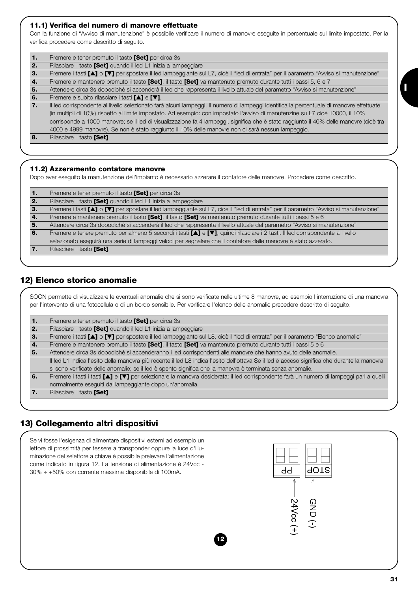#### **11.1) Verifica del numero di manovre effettuate**

Con la funzione di "Avviso di manutenzione" è possibile verificare il numero di manovre eseguite in percentuale sul limite impostato. Per la verifica procedere come descritto di seguito.

| $\mathbf{1}$ | Premere e tener premuto il tasto <b>[Set]</b> per circa 3s                                                                               |
|--------------|------------------------------------------------------------------------------------------------------------------------------------------|
| 2.           | Rilasciare il tasto [Set] quando il led L1 inizia a lampeggiare                                                                          |
| 3.           | Premere i tasti [A] o [V] per spostare il led lampeggiante sul L7, cioè il "led di entrata" per il parametro "Avviso si manutenzione"    |
| 4.           | Premere e mantenere premuto il tasto <b>[Set]</b> , il tasto <b>[Set]</b> va mantenuto premuto durante tutti i passi 5, 6 e 7            |
| 5.           | Attendere circa 3s dopodiché si accenderà il led che rappresenta il livello attuale del parametro "Avviso si manutenzione"               |
| 6.           | Premere e subito rilasciare i tasti [▲] e [▼].                                                                                           |
| 7.           | Il led corrispondente al livello selezionato farà alcuni lampeggi. Il numero di lampeggi identifica la percentuale di manovre effettuate |
|              | (in multipli di 10%) rispetto al limite impostato. Ad esempio: con impostato l'avviso di manutenzine su L7 cioè 10000, il 10%            |
|              | corrisponde a 1000 manovre; se il led di visualizzazione fa 4 lampeggi, significa che è stato raggiunto il 40% delle manovre (cioè tra   |
|              | 4000 e 4999 manovre). Se non è stato raggiunto il 10% delle manovre non ci sarà nessun lampeggio.                                        |
| -8.          | Rilasciare il tasto [Set].                                                                                                               |
|              |                                                                                                                                          |

#### **11.2) Azzeramento contatore manovre**

Dopo aver eseguito la manutenzione dell'impianto è necessario azzerare il contatore delle manovre. Procedere come descritto.

| 1. | Premere e tener premuto il tasto [Set] per circa 3s                                                                                   |
|----|---------------------------------------------------------------------------------------------------------------------------------------|
| 2. | Rilasciare il tasto [Set] quando il led L1 inizia a lampeggiare                                                                       |
| з. | Premere i tasti [A] o [V] per spostare il led lampeggiante sul L7, cioè il "led di entrata" per il parametro "Avviso si manutenzione" |
| 4. | Premere e mantenere premuto il tasto [Set], il tasto [Set] va mantenuto premuto durante tutti i passi 5 e 6                           |
| 5. | Attendere circa 3s dopodiché si accenderà il led che rappresenta il livello attuale del parametro "Avviso si manutenzione"            |
| 6. | Premere e tenere premuto per almeno 5 secondi i tasti [▲] e [V], quindi rilasciare i 2 tasti. Il led corrispondente al livello        |
|    | selezionato eseguirà una serie di lampeggi veloci per segnalare che il contatore delle manovre è stato azzerato.                      |
| 7. | Rilasciare il tasto [Set].                                                                                                            |

## **12) Elenco storico anomalie**

SOON permette di visualizzare le eventuali anomalie che si sono verificate nelle ultime 8 manovre, ad esempio l'interruzione di una manovra per l'intervento di una fotocellula o di un bordo sensibile. Per verificare l'elenco delle anomalie precedere descritto di seguito.

| ъ. | Premere e tener premuto il tasto [Set] per circa 3s                                                                                          |
|----|----------------------------------------------------------------------------------------------------------------------------------------------|
| 2. | Rilasciare il tasto [Set] quando il led L1 inizia a lampeggiare                                                                              |
| З. | Premere i tasti [▲] o [▼] per spostare il led lampeggiante sul L8, cioè il "led di entrata" per il parametro "Elenco anomalie"               |
| 4. | Premere e mantenere premuto il tasto [Set], il tasto [Set] va mantenuto premuto durante tutti i passi 5 e 6                                  |
| 5. | Attendere circa 3s dopodiché si accenderanno i led corrispondenti alle manovre che hanno avuto delle anomalie.                               |
|    | Il led L1 indica l'esito della manovra più recente, il led L8 indica l'esito dell'ottava Se il led è acceso significa che durante la manovra |
|    | si sono verificate delle anomalie; se il led è spento significa che la manovra è terminata senza anomalie.                                   |
| 6. | Premere i tasti i tasti [A] e [V] per selezionare la manovra desiderata: il led corrispondente farà un numero di lampeggi pari a quelli      |
|    | normalmente eseguiti dal lampeggiante dopo un'anomalia.                                                                                      |
|    | Rilasciare il tasto [Set].                                                                                                                   |
|    |                                                                                                                                              |

# **13) Collegamento altri dispositivi**



**I**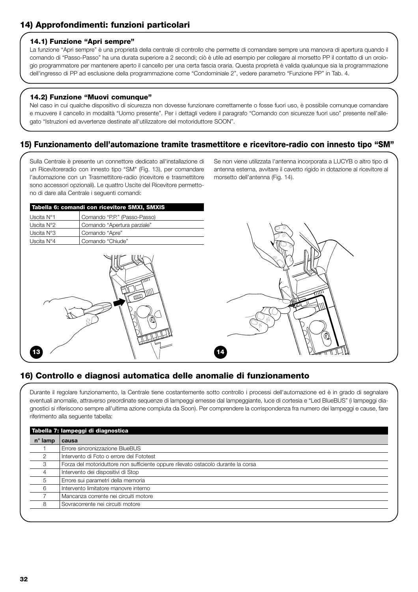# **14) Approfondimenti: funzioni particolari**

#### **14.1) Funzione "Apri sempre"**

La funzione "Apri sempre" è una proprietà della centrale di controllo che permette di comandare sempre una manovra di apertura quando il comando di "Passo-Passo" ha una durata superiore a 2 secondi; ciò è utile ad esempio per collegare al morsetto PP il contatto di un orologio programmatore per mantenere aperto il cancello per una certa fascia oraria. Questa proprietà è valida qualunque sia la programmazione dell'ingresso di PP ad esclusione della programmazione come "Condominiale 2", vedere parametro "Funzione PP" in Tab. 4.

#### **14.2) Funzione "Muovi comunque"**

Nel caso in cui qualche dispositivo di sicurezza non dovesse funzionare correttamente o fosse fuori uso, è possibile comunque comandare e muovere il cancello in modalità "Uomo presente". Per i dettagli vedere il paragrafo "Comando con sicurezze fuori uso" presente nell'allegato "Istruzioni ed avvertenze destinate all'utilizzatore del motoriduttore SOON".

### **15) Funzionamento dell'automazione tramite trasmettitore e ricevitore-radio con innesto tipo "SM"**

Sulla Centrale è presente un connettore dedicato all'installazione di un Ricevitoreradio con innesto tipo "SM" (Fig. 13), per comandare l'automazione con un Trasmettitore-radio (ricevitore e trasmettitore sono accessori opzionali). Le quattro Uscite del Ricevitore permettono di dare alla Centrale i seguenti comandi:

Se non viene utilizzata l'antenna incorporata a LUCYB o altro tipo di antenna esterna, avvitare il cavetto rigido in dotazione al ricevitore al morsetto dell'antenna (Fig. 14).

| Tabella 6: comandi con ricevitore SMXI, SMXIS |  |  |  |
|-----------------------------------------------|--|--|--|
| Comando "P.P." (Passo-Passo)                  |  |  |  |
| Comando "Apertura parziale"                   |  |  |  |
| Comando "Apre"                                |  |  |  |
| Comando "Chiude"                              |  |  |  |
|                                               |  |  |  |





# **16) Controllo e diagnosi automatica delle anomalie di funzionamento**

Durante il regolare funzionamento, la Centrale tiene costantemente sotto controllo i processi dell'automazione ed è in grado di segnalare eventuali anomalie, attraverso preordinate sequenze di lampeggi emesse dal lampeggiante, luce di cortesia e "Led BlueBUS" (i lampeggi diagnostici si riferiscono sempre all'ultima azione compiuta da Soon). Per comprendere la corrispondenza fra numero dei lampeggi e cause, fare riferimento alla seguente tabella:

| Tabella 7: lampeggi di diagnostica |                                                                                   |  |  |
|------------------------------------|-----------------------------------------------------------------------------------|--|--|
| $n^{\circ}$ lamp                   | causa                                                                             |  |  |
|                                    | Errore sincronizzazione BlueBUS                                                   |  |  |
| $\overline{2}$                     | Intervento di Foto o errore del Fototest                                          |  |  |
| 3                                  | Forza del motoriduttore non sufficiente oppure rilevato ostacolo durante la corsa |  |  |
| 4                                  | Intervento dei dispositivi di Stop                                                |  |  |
| 5                                  | Errore sui parametri della memoria                                                |  |  |
| 6                                  | Intervento limitatore manovre interno                                             |  |  |
|                                    | Mancanza corrente nei circuiti motore                                             |  |  |
| 8                                  | Sovracorrente nei circuiti motore                                                 |  |  |
|                                    |                                                                                   |  |  |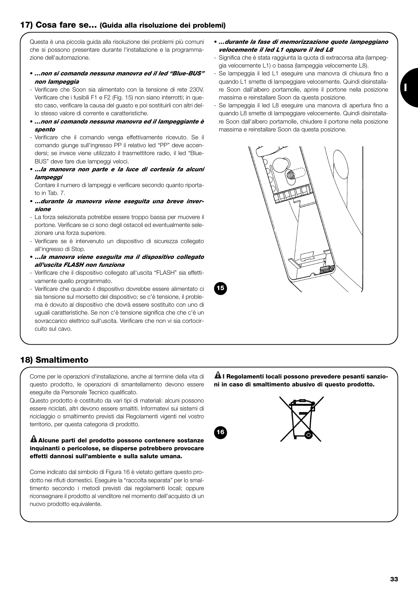# **17) Cosa fare se… (Guida alla risoluzione dei problemi)**

Questa è una piccola guida alla risoluzione dei problemi più comuni che si possono presentare durante l'installazione e la programmazione dell'automazione.

- *…non si comanda nessuna manovra ed il led "Blue-BUS" non lampeggia*
- Verificare che Soon sia alimentato con la tensione di rete 230V. Verificare che i fusibili F1 e F2 (Fig. 15) non siano interrotti; in questo caso, verificare la causa del guasto e poi sostituirli con altri dello stesso valore di corrente e caratteristiche.
- *…non si comanda nessuna manovra ed il lampeggiante è spento*
- Verificare che il comando venga effettivamente ricevuto. Se il comando giunge sull'ingresso PP il relativo led "PP" deve accendersi; se invece viene utilizzato il trasmettitore radio, il led "Blue-BUS" deve fare due lampeggi veloci.
- **…***la manovra non parte e la luce di cortesia fa alcuni lampeggi*

Contare il numero di lampeggi e verificare secondo quanto riportato in Tab. 7.

- **…***durante la manovra viene eseguita una breve inversione*
- La forza selezionata potrebbe essere troppo bassa per muovere il portone. Verificare se ci sono degli ostacoli ed eventualmente selezionare una forza superiore.
- Verificare se è intervenuto un dispositivo di sicurezza collegato all'ingresso di Stop.
- **…***la manovra viene eseguita ma il dispositivo collegato all'uscita FLASH non funziona*
- Verificare che il dispositivo collegato all'uscita "FLASH" sia effettivamente quello programmato.
- Verificare che quando il dispositivo dovrebbe essere alimentato ci sia tensione sul morsetto del dispositivo; se c'è tensione, il problema è dovuto al dispositivo che dovrà essere sostituito con uno di uguali caratteristiche. Se non c'è tensione significa che che c'è un sovraccarico elettrico sull'uscita. Verificare che non vi sia cortocircuito sul cavo.
- **18) Smaltimento**

Come per le operazioni d'installazione, anche al termine della vita di questo prodotto, le operazioni di smantellamento devono essere eseguite da Personale Tecnico qualificato.

Questo prodotto è costituito da vari tipi di materiali: alcuni possono essere riciclati, altri devono essere smaltiti. Informatevi sui sistemi di riciclaggio o smaltimento previsti dai Regolamenti vigenti nel vostro territorio, per questa categoria di prodotto.

#### **Alcune parti del prodotto possono contenere sostanze ! inquinanti o pericolose, se disperse potrebbero provocare effetti dannosi sull'ambiente e sulla salute umana.**

Come indicato dal simbolo di Figura 16 è vietato gettare questo prodotto nei rifiuti domestici. Eseguire la "raccolta separata" per lo smaltimento secondo i metodi previsti dai regolamenti locali; oppure riconsegnare il prodotto al venditore nel momento dell'acquisto di un nuovo prodotto equivalente.

**I Regolamenti locali possono prevedere pesanti sanzio-! ni in caso di smaltimento abusivo di questo prodotto.**



- Significa che è stata raggiunta la quota di extracorsa alta (lampeggia velocemente L1) o bassa (lampeggia velocemente L8).
- Se lampeggia il led L1 eseguire una manovra di chiusura fino a quando L1 smette di lampeggiare velocemente. Quindi disinstallare Soon dall'albero portamolle, aprire il portone nella posizione massima e reinstallare Soon da questa posizione.
- Se lampeggia il led L8 eseguire una manovra di apertura fino a quando L8 smette di lampeggiare velocemente. Quindi disinstallare Soon dall'albero portamolle, chiudere il portone nella posizione massima e reinstallare Soon da questa posizione.



**15**



**33**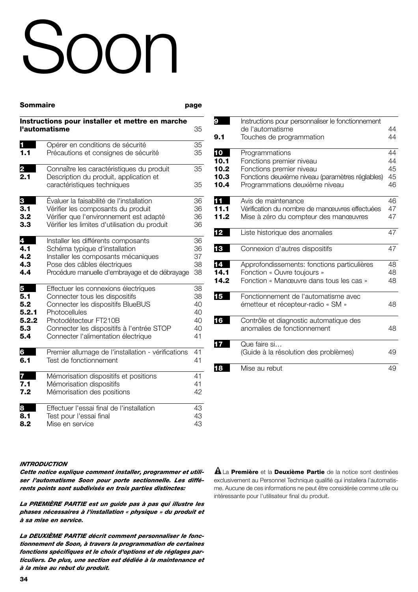# Soon

| Sommaire | page |
|----------|------|
|          |      |

| Instructions pour installer et mettre en marche |                                                                       |    |  |
|-------------------------------------------------|-----------------------------------------------------------------------|----|--|
|                                                 | l'automatisme                                                         | 35 |  |
|                                                 | Opérer en conditions de sécurité                                      | 35 |  |
| 1.1                                             | Précautions et consignes de sécurité                                  | 35 |  |
| 2                                               | Connaître les caractéristiques du produit                             | 35 |  |
| 2.1                                             | Description du produit, application et<br>caractéristiques techniques | 35 |  |
| 3                                               | Évaluer la faisabilité de l'installation                              | 36 |  |
| 3.1                                             | Vérifier les composants du produit                                    | 36 |  |
| 3.2                                             | Vérifier que l'environnement est adapté                               | 36 |  |
| 3.3                                             | Vérifier les limites d'utilisation du produit                         | 36 |  |
| 4                                               | Installer les différents composants                                   | 36 |  |
| 4.1                                             | Schéma typique d'installation                                         | 36 |  |
| 4.2                                             | Installer les composants mécaniques                                   | 37 |  |
| 4.3                                             | Pose des câbles électriques                                           | 38 |  |
| 4.4                                             | Procédure manuelle d'embrayage et de débrayage                        | 38 |  |
| 5                                               | Effectuer les connexions électriques                                  | 38 |  |
| 5.1                                             | Connecter tous les dispositifs                                        | 38 |  |
| 5.2                                             | Connecter les dispositifs BlueBUS                                     | 40 |  |
| 5.2.1                                           | Photocellules                                                         | 40 |  |
| 5.2.2                                           | Photodétecteur FT210B                                                 | 40 |  |
| 5.3                                             | Connecter les dispositifs à l'entrée STOP                             | 40 |  |
| 5.4                                             | Connecter l'alimentation électrique                                   | 41 |  |
| 6                                               | Premier allumage de l'installation - vérifications                    | 41 |  |
| 6.1                                             | Test de fonctionnement                                                | 41 |  |
| 7                                               | Mémorisation dispositifs et positions                                 | 41 |  |
| 7.1                                             | Mémorisation dispositifs                                              | 41 |  |
| 7.2                                             | Mémorisation des positions                                            | 42 |  |
| 8                                               | Effectuer l'essai final de l'installation                             | 43 |  |
| 8.1                                             | Test pour l'essai final                                               | 43 |  |
| 8.2                                             | Mise en service                                                       | 43 |  |

| 9    | Instructions pour personnaliser le fonctionnement |    |
|------|---------------------------------------------------|----|
|      | de l'automatisme                                  | 44 |
| 9.1  | Touches de programmation                          | 44 |
|      |                                                   |    |
| 10   | Programmations                                    | 44 |
| 10.1 | Fonctions premier niveau                          | 44 |
| 10.2 | Fonctions premier niveau                          | 45 |
| 10.3 | Fonctions deuxième niveau (paramètres réglables)  | 45 |
| 10.4 | Programmations deuxième niveau                    | 46 |
| Ш    | Avis de maintenance                               | 46 |
| 11.1 | Vérification du nombre de manœuvres effectuées    | 47 |
| 11.2 | Mise à zéro du compteur des manœuvres             | 47 |
| 12   | Liste historique des anomalies                    | 47 |
| 13   | Connexion d'autres dispositifs                    | 47 |
| 14   | Approfondissements: fonctions particulières       | 48 |
| 14.1 | Fonction « Ouvre toujours »                       | 48 |
| 14.2 | Fonction « Manœuvre dans tous les cas »           | 48 |
| 15   | Fonctionnement de l'automatisme avec              |    |
|      | émetteur et récepteur-radio « SM »                | 48 |
| 16   | Contrôle et diagnostic automatique des            |    |
|      | anomalies de fonctionnement                       | 48 |
|      | Que faire si                                      |    |
|      | (Guide à la résolution des problèmes)             | 49 |
| 8    | Mise au rebut                                     | 49 |
|      |                                                   |    |

#### *INTRODUCTION*

*Cette notice explique comment installer, programmer et utiliser l'automatisme Soon pour porte sectionnelle. Les différents points sont subdivisés en trois parties distinctes:*

*La PREMIÈRE PARTIE est un guide pas à pas qui illustre les phases nécessaires à l'installation « physique » du produit et à sa mise en service.*

*La DEUXIÈME PARTIE décrit comment personnaliser le fonctionnement de Soon, à travers la programmation de certaines fonctions spécifiques et le choix d'options et de réglages particuliers. De plus, une section est dédiée à la maintenance et à la mise au rebut du produit.*

La **Première** et la **Deuxième Partie** de la notice sont destinées **!** exclusivement au Personnel Technique qualifié qui installera l'automatisme. Aucune de ces informations ne peut être considérée comme utile ou intéressante pour l'utilisateur final du produit.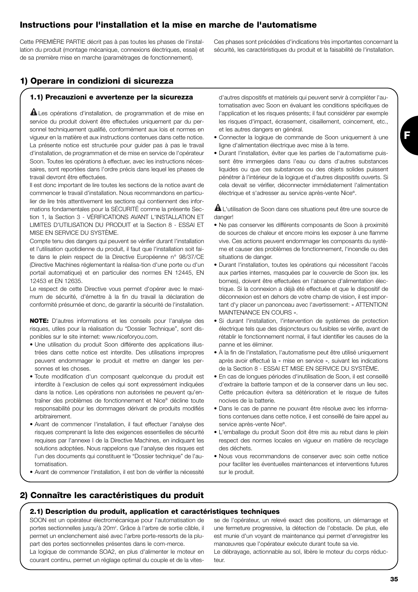# **Instructions pour l'installation et la mise en marche de l'automatisme**

Cette PREMIÈRE PARTIE décrit pas à pas toutes les phases de l'installation du produit (montage mécanique, connexions électriques, essai) et de sa première mise en marche (paramétrages de fonctionnement).

Ces phases sont précédées d'indications très importantes concernant la sécurité, les caractéristiques du produit et la faisabilité de l'installation.

# **1) Operare in condizioni di sicurezza**

#### **1.1) Precauzioni e avvertenze per la sicurezza**

Les opérations d'installation, de programmation et de mise en **!** service du produit doivent être effectuées uniquement par du personnel techniquement qualifié, conformément aux lois et normes en vigueur en la matière et aux instructions contenues dans cette notice. La présente notice est structurée pour guider pas à pas le travail d'installation, de programmation et de mise en service de l'opérateur Soon. Toutes les opérations à effectuer, avec les instructions nécessaires, sont reportées dans l'ordre précis dans lequel les phases de travail devront être effectuées.

Il est donc important de lire toutes les sections de la notice avant de commencer le travail d'installation. Nous recommandons en particulier de lire très attentivement les sections qui contiennent des informations fondamentales pour la SÉCURITÉ comme la présente Section 1, la Section 3 - VÉRIFICATIONS AVANT L'INSTALLATION ET LIMITES D'UTILISATION DU PRODUIT et la Section 8 - ESSAI ET MISE EN SERVICE DU SYSTÈME.

Compte tenu des dangers qui peuvent se vérifier durant l'installation et l'utilisation quotidienne du produit, il faut que l'installation soit faite dans le plein respect de la Directive Européenne n° 98/37/CE (Directive Machines réglementant la réalisa-tion d'une porte ou d'un portail automatique) et en particulier des normes EN 12445, EN 12453 et EN 12635.

Le respect de cette Directive vous permet d'opérer avec le maximum de sécurité, d'émettre à la fin du travail la déclaration de conformité présumée et donc, de garantir la sécurité de l'installation.

**NOTE:** D'autres informations et les conseils pour l'analyse des risques, utiles pour la réalisation du "Dossier Technique", sont disponibles sur le site internet: www.niceforyou.com.

- Une utilisation du produit Soon différente des applications illustrées dans cette notice est interdite. Des utilisations impropres peuvent endommager le produit et mettre en danger les personnes et les choses.
- Toute modification d'un composant quelconque du produit est interdite à l'exclusion de celles qui sont expressément indiquées dans la notice. Les opérations non autorisées ne peuvent qu'entraîner des problèmes de fonctionnement et Nice® décline toute responsabilité pour les dommages dérivant de produits modifiés arbitrairement.
- Avant de commencer l'installation, il faut effectuer l'analyse des risques comprenant la liste des exigences essentielles de sécurité requises par l'annexe I de la Directive Machines, en indiquant les solutions adoptées. Nous rappelons que l'analyse des risques est l'un des documents qui constituent le "Dossier technique" de l'automatisation.
- Avant de commencer l'installation, il est bon de vérifier la nécessité

**2) Connaître les caractéristiques du produit**

d'autres dispositifs et matériels qui peuvent servir à compléter l'automatisation avec Soon en évaluant les conditions spécifiques de l'application et les risques présents; il faut considérer par exemple les risques d'impact, écrasement, cisaillement, coincement, etc., et les autres dangers en général.

- Connecter la logique de commande de Soon uniquement à une ligne d'alimentation électrique avec mise à la terre.
- Durant l'installation, éviter que les parties de l'automatisme puissent être immergées dans l'eau ou dans d'autres substances liquides ou que ces substances ou des objets solides puissent pénétrer à l'intérieur de la logique et d'autres dispositifs ouverts. Si cela devait se vérifier, déconnecter immédiatement l'alimentation électrique et s'adresser au service après-vente Nice®.

L'utilisation de Soon dans ces situations peut être une source de **!** danger!

- Ne pas conserver les différents composants de Soon à proximité de sources de chaleur et encore moins les exposer à une flamme vive. Ces actions peuvent endommager les composants du système et causer des problèmes de fonctionnement, l'incendie ou des situations de danger.
- Durant l'installation, toutes les opérations qui nécessitent l'accès aux parties internes, masquées par le couvercle de Soon (ex. les bornes), doivent être effectuées en l'absence d'alimentation électrique. Si la connexion a déjà été effectuée et que le dispositif de déconnexion est en dehors de votre champ de vision, il est important d'y placer un panonceau avec l'avertissement: « ATTENTION! MAINTENANCE EN COURS ».
- Si durant l'installation, l'intervention de systèmes de protection électrique tels que des disjoncteurs ou fusibles se vérifie, avant de rétablir le fonctionnement normal, il faut identifier les causes de la panne et les éliminer.
- À la fin de l'installation, l'automatisme peut être utilisé uniquement après avoir effectué la « mise en service », suivant les indications de la Section 8 - ESSAI ET MISE EN SERVICE DU SYSTÈME.
- En cas de longues périodes d'inutilisation de Soon, il est conseillé d'extraire la batterie tampon et de la conserver dans un lieu sec. Cette précaution évitera sa détérioration et le risque de fuites nocives de la batterie.
- Dans le cas de panne ne pouvant être résolue avec les informations contenues dans cette notice, il est conseillé de faire appel au service après-vente Nice®.
- L'emballage du produit Soon doit être mis au rebut dans le plein respect des normes locales en vigueur en matière de recyclage des déchets.
- Nous vous recommandons de conserver avec soin cette notice pour faciliter les éventuelles maintenances et interventions futures sur le produit.

# **2.1) Description du produit, application et caractéristiques techniques**

SOON est un opérateur électromécanique pour l'automatisation de portes sectionnelles jusqu'à 20m<sup>2</sup>. Grâce à l'arbre de sortie câble, il permet un enclenchement aisé avec l'arbre porte-ressorts de la plupart des portes sectionnelles présentes dans le com-merce. La logique de commande SOA2, en plus d'alimenter le moteur en

courant continu, permet un réglage optimal du couple et de la vites-

se de l'opérateur, un relevé exact des positions, un démarrage et une fermeture progressive, la détection de l'obstacle. De plus, elle est munie d'un voyant de maintenance qui permet d'enregistrer les manœuvres que l'opérateur exécute durant toute sa vie. Le débrayage, actionnable au sol, libère le moteur du corps réducteur.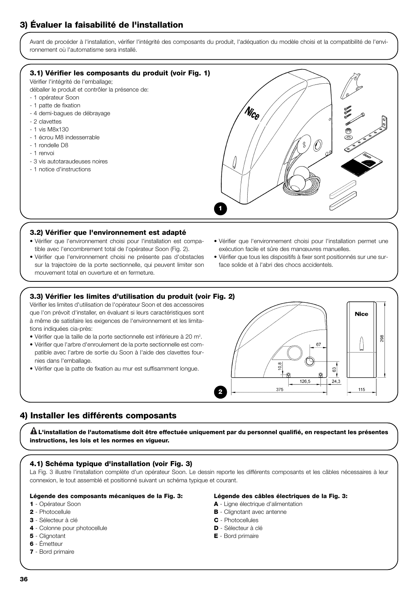# **3) Évaluer la faisabilité de l'installation**

Avant de procéder à l'installation, vérifier l'intégrité des composants du produit, l'adéquation du modèle choisi et la compatibilité de l'environnement où l'automatisme sera installé.



**1**

#### **3.2) Vérifier que l'environnement est adapté**

- Vérifier que l'environnement choisi pour l'installation est compatible avec l'encombrement total de l'opérateur Soon (Fig. 2).
- Vérifier que l'environnement choisi ne présente pas d'obstacles sur la trajectoire de la porte sectionnelle, qui peuvent limiter son mouvement total en ouverture et en fermeture.
- Vérifier que l'environnement choisi pour l'installation permet une exécution facile et sûre des manœuvres manuelles.
- Vérifier que tous les dispositifs à fixer sont positionnés sur une surface solide et à l'abri des chocs accidentels.

#### **3.3) Vérifier les limites d'utilisation du produit (voir Fig. 2)**

Vérifier les limites d'utilisation de l'opérateur Soon et des accessoires que l'on prévoit d'installer, en évaluant si leurs caractéristiques sont à même de satisfaire les exigences de l'environnement et les limitations indiquées cia-près:

- Vérifier que la taille de la porte sectionnelle est inférieure à 20 m<sup>2</sup>.
- Vérifier que l'arbre d'enroulement de la porte sectionnelle est compatible avec l'arbre de sortie du Soon à l'aide des clavettes fournies dans l'emballage.
- Vérifier que la patte de fixation au mur est suffisamment longue.



# **4) Installer les différents composants**

**L'installation de l'automatisme doit être effectuée uniquement par du personnel qualifié, en respectant les présentes ! instructions, les lois et les normes en vigueur.**

#### **4.1) Schéma typique d'installation (voir Fig. 3)**

La Fig. 3 illustre l'installation complète d'un opérateur Soon. Le dessin reporte les différents composants et les câbles nécessaires à leur connexion, le tout assemblé et positionné suivant un schéma typique et courant.

#### **Légende des composants mécaniques de la Fig. 3:**

#### **1** - Opérateur Soon

- **2** Photocellule
- **3** Sélecteur à clé
- **4** Colonne pour photocellule
- **5** Clignotant
- **6** Émetteur
- **7** Bord primaire

#### **Légende des câbles électriques de la Fig. 3:**

- **A** Ligne électrique d'alimentation
- **B** Clignotant avec antenne
- **C** Photocellules
- **D** Sélecteur à clé
- **E** Bord primaire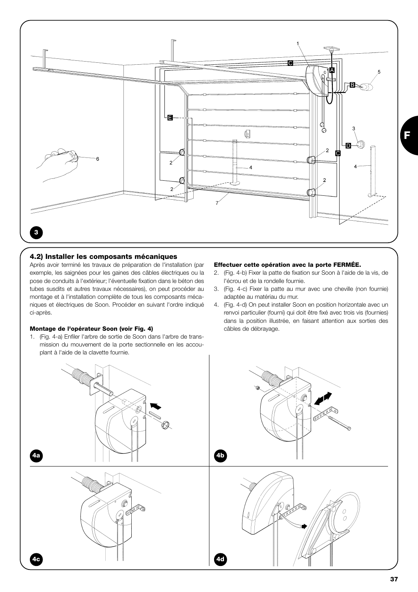

#### **4.2) Installer les composants mécaniques**

Après avoir terminé les travaux de préparation de l'installation (par exemple, les saignées pour les gaines des câbles électriques ou la pose de conduits à l'extérieur; l'éventuelle fixation dans le béton des tubes susdits et autres travaux nécessaires), on peut procéder au montage et à l'installation complète de tous les composants mécaniques et électriques de Soon. Procéder en suivant l'ordre indiqué ci-après.

#### **Montage de l'opérateur Soon (voir Fig. 4)**

1. (Fig. 4-a) Enfiler l'arbre de sortie de Soon dans l'arbre de transmission du mouvement de la porte sectionnelle en les accouplant à l'aide de la clavette fournie.

#### **Effectuer cette opération avec la porte FERMÉE.**

- 2. (Fig. 4-b) Fixer la patte de fixation sur Soon à l'aide de la vis, de l'écrou et de la rondelle fournie.
- 3. (Fig. 4-c) Fixer la patte au mur avec une cheville (non fournie) adaptée au matériau du mur.
- 4. (Fig. 4-d) On peut installer Soon en position horizontale avec un renvoi particulier (fourni) qui doit être fixé avec trois vis (fournies) dans la position illustrée, en faisant attention aux sorties des câbles de débrayage.

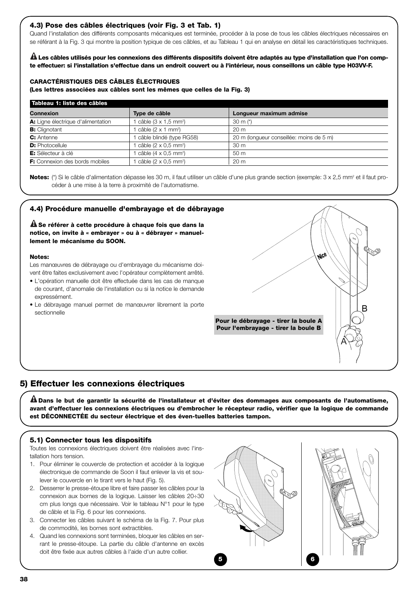#### **4.3) Pose des câbles électriques (voir Fig. 3 et Tab. 1)**

Quand l'installation des différents composants mécaniques est terminée, procéder à la pose de tous les câbles électriques nécessaires en se référant à la Fig. 3 qui montre la position typique de ces câbles, et au Tableau 1 qui en analyse en détail les caractéristiques techniques.

**Les câbles utilisés pour les connexions des différents dispositifs doivent être adaptés au type d'installation que l'on comp-! te effectuer: si l'installation s'effectue dans un endroit couvert ou à l'intérieur, nous conseillons un câble type H03VV-F.**

#### **CARACTÉRISTIQUES DES CÂBLES ÉLECTRIQUES**

**(Les lettres associées aux câbles sont les mêmes que celles de la Fig. 3)**

| Tableau 1: liste des câbles           |                                         |                                          |  |  |  |
|---------------------------------------|-----------------------------------------|------------------------------------------|--|--|--|
| Connexion                             | Type de câble                           | Longueur maximum admise                  |  |  |  |
| A: Ligne électrique d'alimentation    | câble $(3 \times 1.5 \text{ mm}^2)$     | 30 m $(*)$                               |  |  |  |
| <b>B:</b> Clignotant                  | câble $(2 \times 1 \text{ mm}^2)$       | 20 <sub>m</sub>                          |  |  |  |
| C: Antenne                            | câble blindé (type RG58)                | 20 m (longueur conseillée: moins de 5 m) |  |  |  |
| <b>D:</b> Photocellule                | câble (2 $\times$ 0.5 mm <sup>2</sup> ) | 30 <sub>m</sub>                          |  |  |  |
| E: Sélecteur à clé                    | câble $(4 \times 0.5$ mm <sup>2</sup> ) | 50 <sub>m</sub>                          |  |  |  |
| <b>F:</b> Connexion des bords mobiles | câble $(2 \times 0.5$ mm <sup>2</sup> ) | 20 <sub>m</sub>                          |  |  |  |

Notes: (\*) Si le câble d'alimentation dépasse les 30 m, il faut utiliser un câble d'une plus grande section (exemple: 3 x 2,5 mm<sup>2</sup> et il faut procéder à une mise à la terre à proximité de l'automatisme.

#### **4.4) Procédure manuelle d'embrayage et de débrayage**

**Se référer à cette procédure à chaque fois que dans la ! notice, on invite à « embrayer » ou à « débrayer » manuellement le mécanisme du SOON.**

#### **Notes:**

Les manœuvres de débrayage ou d'embrayage du mécanisme doivent être faites exclusivement avec l'opérateur complètement arrêté.

- L'opération manuelle doit être effectuée dans les cas de manque de courant, d'anomalie de l'installation ou si la notice le demande expressément.
- Le débrayage manuel permet de manœuvrer librement la porte sectionnelle



#### **5) Effectuer les connexions électriques**

**Dans le but de garantir la sécurité de l'installateur et d'éviter des dommages aux composants de l'automatisme, ! avant d'effectuer les connexions électriques ou d'embrocher le récepteur radio, vérifier que la logique de commande est DÉCONNECTÉE du secteur électrique et des éven-tuelles batteries tampon.**

#### **5.1) Connecter tous les dispositifs**

Toutes les connexions électriques doivent être réalisées avec l'installation hors tension.

- 1. Pour éliminer le couvercle de protection et accéder à la logique électronique de commande de Soon il faut enlever la vis et soulever le couvercle en le tirant vers le haut (Fig. 5).
- 2. Desserrer le presse-étoupe libre et faire passer les câbles pour la connexion aux bornes de la logique. Laisser les câbles 20÷30 cm plus longs que nécessaire. Voir le tableau N°1 pour le type de câble et la Fig. 6 pour les connexions.
- 3. Connecter les câbles suivant le schéma de la Fig. 7. Pour plus de commodité, les bornes sont extractibles.
- 4. Quand les connexions sont terminées, bloquer les câbles en serrant le presse-étoupe. La partie du câble d'antenne en excès doit être fixée aux autres câbles à l'aide d'un autre collier.

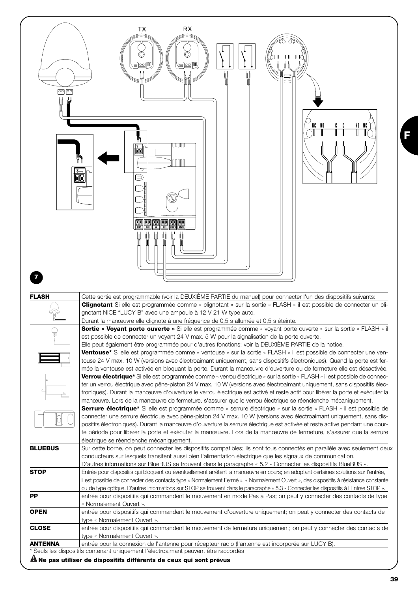| <u>oo po</u>   | TX<br><b>RX</b><br>பட<br>信函冊<br>信回间<br>Ē                                                                                                                                                                                                                                                                                                                                                                                                                                                         |
|----------------|--------------------------------------------------------------------------------------------------------------------------------------------------------------------------------------------------------------------------------------------------------------------------------------------------------------------------------------------------------------------------------------------------------------------------------------------------------------------------------------------------|
|                | NG NO<br>NO NG<br>UUUU<br>ħ<br>nnnn<br>O<br><b>BE HE BE BE BE</b>                                                                                                                                                                                                                                                                                                                                                                                                                                |
|                |                                                                                                                                                                                                                                                                                                                                                                                                                                                                                                  |
| <b>FLASH</b>   | Cette sortie est programmable (voir la DEUXIÈME PARTIE du manuel) pour connecter l'un des dispositifs suivants:<br><b>Clignotant</b> Si elle est programmée comme « clignotant » sur la sortie « FLASH » il est possible de connecter un cli-                                                                                                                                                                                                                                                    |
|                | gnotant NICE "LUCY B" avec une ampoule à 12 V 21 W type auto.<br>Durant la manœuvre elle clignote à une fréquence de 0,5 s allumée et 0,5 s éteinte.                                                                                                                                                                                                                                                                                                                                             |
|                | Sortie « Voyant porte ouverte » Si elle est programmée comme « voyant porte ouverte » sur la sortie « FLASH » il                                                                                                                                                                                                                                                                                                                                                                                 |
|                | est possible de connecter un voyant 24 V max. 5 W pour la signalisation de la porte ouverte.<br>Elle peut également être programmée pour d'autres fonctions; voir la DEUXIEME PARTIE de la notice.                                                                                                                                                                                                                                                                                               |
|                | <b>Ventouse*</b> Si elle est programmée comme « ventouse » sur la sortie « FLASH » il est possible de connecter une ven-<br>touse 24 V max. 10 W (versions avec électroaimant uniquement, sans dispositifs électroniques). Quand la porte est fer-<br>mée la ventouse est activée en bloquant la porte. Durant la manœuvre d'ouverture ou de fermeture elle est désactivée.                                                                                                                      |
|                | Verrou électrique* Si elle est programmée comme « verrou électrique » sur la sortie « FLASH » il est possible de connec-                                                                                                                                                                                                                                                                                                                                                                         |
|                | ter un verrou électrique avec pêne-piston 24 V max. 10 W (versions avec électroaimant uniquement, sans dispositifs élec-<br>troniques). Durant la manœuvre d'ouverture le verrou électrique est activé et reste actif pour libérer la porte et exécuter la                                                                                                                                                                                                                                       |
|                | manœuvre. Lors de la manœuvre de fermeture, s'assurer que le verrou électrique se réenclenche mécaniquement.                                                                                                                                                                                                                                                                                                                                                                                     |
|                | Serrure électrique* Si elle est programmée comme « serrure électrique » sur la sortie « FLASH » il est possible de<br>connecter une serrure électrique avec pêne-piston 24 V max. 10 W (versions avec électroaimant uniquement, sans dis-<br>positifs électroniques). Durant la manœuvre d'ouverture la serrure électrique est activée et reste active pendant une cour-<br>te période pour libérer la porte et exécuter la manœuvre. Lors de la manœuvre de fermeture, s'assurer que la serrure |
| <b>BLUEBUS</b> | électrique se réenclenche mécaniquement.                                                                                                                                                                                                                                                                                                                                                                                                                                                         |
|                | Sur cette borne, on peut connecter les dispositifs compatibles; ils sont tous connectés en parallèle avec seulement deux<br>conducteurs sur lesquels transitent aussi bien l'alimentation électrique que les signaux de communication.                                                                                                                                                                                                                                                           |
|                | D'autres informations sur BlueBUS se trouvent dans le paragraphe « 5.2 - Connecter les dispositifs BlueBUS ».                                                                                                                                                                                                                                                                                                                                                                                    |
| <b>STOP</b>    | Entrée pour dispositifs qui bloquent ou éventuellement arrêtent la manœuvre en cours; en adoptant certaines solutions sur l'entrée,<br>il est possible de connecter des contacts type « Normalement Fermé », « Normalement Ouvert », des dispositifs à résistance constante                                                                                                                                                                                                                      |
|                | ou de type optique. D'autres informations sur STOP se trouvent dans le paragraphe « 5.3 - Connecter les dispositifs à l'Entrée STOP ».                                                                                                                                                                                                                                                                                                                                                           |
| <b>PP</b>      | entrée pour dispositifs qui commandent le mouvement en mode Pas à Pas; on peut y connecter des contacts de type                                                                                                                                                                                                                                                                                                                                                                                  |
| <b>OPEN</b>    | « Normalement Ouvert ».<br>entrée pour dispositifs qui commandent le mouvement d'ouverture uniquement; on peut y connecter des contacts de                                                                                                                                                                                                                                                                                                                                                       |
|                | type « Normalement Ouvert ».                                                                                                                                                                                                                                                                                                                                                                                                                                                                     |
| <b>CLOSE</b>   | entrée pour dispositifs qui commandent le mouvement de fermeture uniquement; on peut y connecter des contacts de<br>type « Normalement Ouvert ».                                                                                                                                                                                                                                                                                                                                                 |
| <b>ANTENNA</b> | entrée pour la connexion de l'antenne pour récepteur radio (l'antenne est incorporée sur LUCY B).                                                                                                                                                                                                                                                                                                                                                                                                |
|                | * Seuls les dispositifs contenant uniquement l'électroaimant peuvent être raccordés<br>A Ne pas utiliser de dispositifs différents de ceux qui sont prévus                                                                                                                                                                                                                                                                                                                                       |

**F**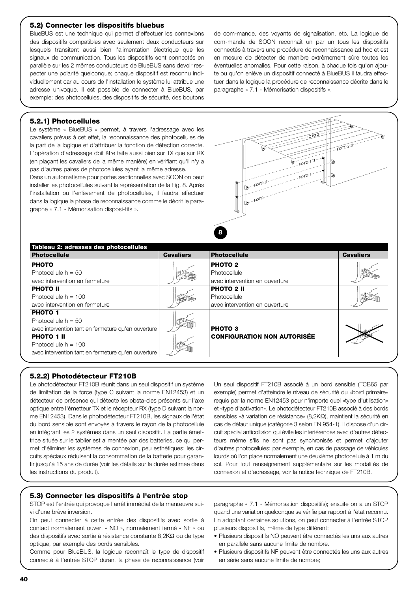#### **5.2) Connecter les dispositifs bluebus**

BlueBUS est une technique qui permet d'effectuer les connexions des dispositifs compatibles avec seulement deux conducteurs sur lesquels transitent aussi bien l'alimentation électrique que les signaux de communication. Tous les dispositifs sont connectés en parallèle sur les 2 mêmes conducteurs de BlueBUS sans devoir respecter une polarité quelconque; chaque dispositif est reconnu individuellement car au cours de l'installation le système lui attribue une adresse univoque. Il est possible de connecter à BlueBUS, par exemple: des photocellules, des dispositifs de sécurité, des boutons

de com-mande, des voyants de signalisation, etc. La logique de com-mande de SOON reconnaît un par un tous les dispositifs connectés à travers une procédure de reconnaissance ad hoc et est en mesure de détecter de manière extrêmement sûre toutes les éventuelles anomalies. Pour cette raison, à chaque fois qu'on ajoute ou qu'on enlève un dispositif connecté à BlueBUS il faudra effectuer dans la logique la procédure de reconnaissance décrite dans le paragraphe « 7.1 - Mémorisation dispositifs ».

#### **5.2.1) Photocellules**

Le système « BlueBUS » permet, à travers l'adressage avec les cavaliers prévus à cet effet, la reconnaissance des photocellules de la part de la logique et d'attribuer la fonction de détection correcte. L'opération d'adressage doit être faite aussi bien sur TX que sur RX (en plaçant les cavaliers de la même manière) en vérifiant qu'il n'y a pas d'autres paires de photocellules ayant la même adresse.

Dans un automatisme pour portes sectionnelles avec SOON on peut installer les photocellules suivant la représentation de la Fig. 8. Après l'installation ou l'enlèvement de photocellules, il faudra effectuer dans la logique la phase de reconnaissance comme le décrit le paragraphe « 7.1 - Mémorisation disposi-tifs ».



| Tableau 2: adresses des photocellules               |                  |                                    |                  |
|-----------------------------------------------------|------------------|------------------------------------|------------------|
| <b>Photocellule</b>                                 | <b>Cavaliers</b> | <b>Photocellule</b>                | <b>Cavaliers</b> |
| <b>PHOTO</b>                                        |                  | <b>PHOTO 2</b>                     |                  |
| Photocellule $h = 50$                               |                  | Photocellule                       |                  |
| avec intervention en fermeture                      |                  | avec intervention en ouverture     |                  |
| <b>PHOTO II</b>                                     |                  | <b>PHOTO 2 II</b>                  |                  |
| Photocellule $h = 100$                              |                  | Photocellule                       |                  |
| avec intervention en fermeture                      |                  | avec intervention en ouverture     |                  |
| <b>PHOTO 1</b>                                      |                  |                                    |                  |
| Photocellule $h = 50$                               |                  |                                    |                  |
| avec intervention tant en fermeture qu'en ouverture |                  | <b>PHOTO3</b>                      |                  |
| <b>PHOTO 1 II</b>                                   |                  | <b>CONFIGURATION NON AUTORISÉE</b> |                  |
| Photocellule $h = 100$                              |                  |                                    |                  |
| avec intervention tant en fermeture qu'en ouverture |                  |                                    |                  |

#### **5.2.2) Photodétecteur FT210B**

Le photodétecteur FT210B réunit dans un seul dispositif un système de limitation de la force (type C suivant la norme EN12453) et un détecteur de présence qui détecte les obsta-cles présents sur l'axe optique entre l'émetteur TX et le récepteur RX (type D suivant la norme EN12453). Dans le photodétecteur FT210B, les signaux de l'état du bord sensible sont envoyés à travers le rayon de la photocellule en intégrant les 2 systèmes dans un seul dispositif. La partie émettrice située sur le tablier est alimentée par des batteries, ce qui permet d'éliminer les systèmes de connexion, peu esthétiques; les circuits spéciaux réduisent la consommation de la batterie pour garantir jusqu'à 15 ans de durée (voir les détails sur la durée estimée dans les instructions du produit).

Un seul dispositif FT210B associé à un bord sensible (TCB65 par exemple) permet d'atteindre le niveau de sécurité du «bord primaire» requis par la norme EN12453 pour n'importe quel «type d'utilisation» et «type d'activation». Le photodétecteur FT210B associé à des bords sensibles «à variation de résistance» (8,2KΩ), maintient la sécurité en cas de défaut unique (catégorie 3 selon EN 954-1). Il dispose d'un circuit spécial anticollision qui évite les interférences avec d'autres détecteurs même s'ils ne sont pas synchronisés et permet d'ajouter d'autres photocellules; par exemple, en cas de passage de véhicules lourds où l'on place normalement une deuxième photocellule à 1 m du sol. Pour tout renseignement supplémentaire sur les modalités de connexion et d'adressage, voir la notice technique de FT210B.

#### **5.3) Connecter les dispositifs à l'entrée stop**

STOP est l'entrée qui provoque l'arrêt immédiat de la manœuvre suivi d'une brève inversion.

On peut connecter à cette entrée des dispositifs avec sortie à contact normalement ouvert « NO », normalement fermé « NF » ou des dispositifs avec sortie à résistance constante 8,2KΩ ou de type optique, par exemple des bords sensibles.

Comme pour BlueBUS, la logique reconnaît le type de dispositif connecté à l'entrée STOP durant la phase de reconnaissance (voir paragraphe « 7.1 - Mémorisation dispositifs); ensuite on a un STOP quand une variation quelconque se vérifie par rapport à l'état reconnu. En adoptant certaines solutions, on peut connecter à l'entrée STOP plusieurs dispositifs, même de type différent:

- Plusieurs dispositifs NO peuvent être connectés les uns aux autres en parallèle sans aucune limite de nombre.
- Plusieurs dispositifs NF peuvent être connectés les uns aux autres en série sans aucune limite de nombre;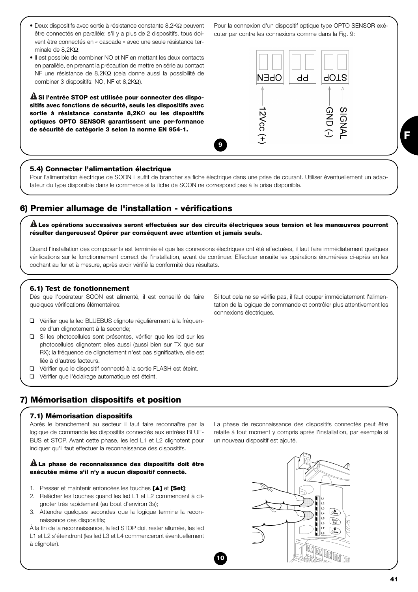- Deux dispositifs avec sortie à résistance constante 8,2K $\Omega$  peuvent être connectés en parallèle; s'il y a plus de 2 dispositifs, tous doivent être connectés en « cascade » avec une seule résistance terminale de 8,2KΩ;
- Il est possible de combiner NO et NF en mettant les deux contacts en parallèle, en prenant la précaution de mettre en série au contact NF une résistance de 8,2KΩ (cela donne aussi la possibilité de combiner 3 dispositifs: NO, NF et 8,2KΩ).

**Si l'entrée STOP est utilisée pour connecter des dispo-! sitifs avec fonctions de sécurité, seuls les dispositifs avec sortie à résistance constante 8,2K**Ω **ou les dispositifs optiques OPTO SENSOR garantissent une per-formance de sécurité de catégorie 3 selon la norme EN 954-1.**

# **9**



Pour la connexion d'un dispositif optique type OPTO SENSOR exé-

cuter par contre les connexions comme dans la Fig. 9:

#### **5.4) Connecter l'alimentation électrique**

Pour l'alimentation électrique de SOON il suffit de brancher sa fiche électrique dans une prise de courant. Utiliser éventuellement un adaptateur du type disponible dans le commerce si la fiche de SOON ne correspond pas à la prise disponible.

# **6) Premier allumage de l'installation - vérifications**

**Les opérations successives seront effectuées sur des circuits électriques sous tension et les manœuvres pourront ! résulter dangereuses! Opérer par conséquent avec attention et jamais seuls.**

Quand l'installation des composants est terminée et que les connexions électriques ont été effectuées, il faut faire immédiatement quelques vérifications sur le fonctionnement correct de l'installation, avant de continuer. Effectuer ensuite les opérations énumérées ci-après en les cochant au fur et à mesure, après avoir vérifié la conformité des résultats.

**10**

#### **6.1) Test de fonctionnement**

Dès que l'opérateur SOON est alimenté, il est conseillé de faire quelques vérifications élémentaires:

- ❑ Vérifier que la led BLUEBUS clignote régulièrement à la fréquence d'un clignotement à la seconde;
- ❑ Si les photocellules sont présentes, vérifier que les led sur les photocellules clignotent elles aussi (aussi bien sur TX que sur RX); la fréquence de clignotement n'est pas significative, elle est liée à d'autres facteurs.
- ❑ Vérifier que le dispositif connecté à la sortie FLASH est éteint.
- ❑ Vérifier que l'éclairage automatique est éteint.

# **7) Mémorisation dispositifs et position**

#### **7.1) Mémorisation dispositifs**

Après le branchement au secteur il faut faire reconnaître par la logique de commande les dispositifs connectés aux entrées BLUE-BUS et STOP. Avant cette phase, les led L1 et L2 clignotent pour indiquer qu'il faut effectuer la reconnaissance des dispositifs.

#### **La phase de reconnaissance des dispositifs doit être ! exécutée même s'il n'y a aucun dispositif connecté.**

- 1. Presser et maintenir enfoncées les touches **[**▲**]** et **[Set]**;
- 2. Relâcher les touches quand les led L1 et L2 commencent à clignoter très rapidement (au bout d'environ 3s);
- 3. Attendre quelques secondes que la logique termine la reconnaissance des dispositifs;

À la fin de la reconnaissance, la led STOP doit rester allumée, les led L1 et L2 s'éteindront (les led L3 et L4 commenceront éventuellement à clignoter).

tation de la logique de commande et contrôler plus attentivement les connexions électriques.

Si tout cela ne se vérifie pas, il faut couper immédiatement l'alimen-

La phase de reconnaissance des dispositifs connectés peut être refaite à tout moment y compris après l'installation, par exemple si un nouveau dispositif est ajouté.

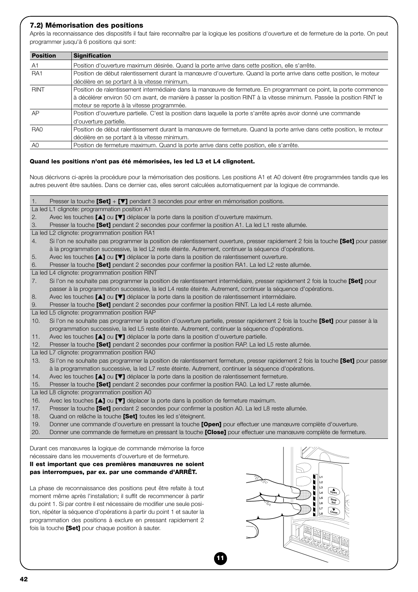#### **7.2) Mémorisation des positions**

Après la reconnaissance des dispositifs il faut faire reconnaître par la logique les positions d'ouverture et de fermeture de la porte. On peut programmer jusqu'à 6 positions qui sont:

| <b>Position</b> | <b>Signification</b>                                                                                                   |
|-----------------|------------------------------------------------------------------------------------------------------------------------|
| A <sub>1</sub>  | Position d'ouverture maximum désirée. Quand la porte arrive dans cette position, elle s'arrête.                        |
| RA <sub>1</sub> | Position de début ralentissement durant la manœuvre d'ouverture. Quand la porte arrive dans cette position, le moteur  |
|                 | décélère en se portant à la vitesse minimum.                                                                           |
| <b>RINT</b>     | Position de ralentissement intermédiaire dans la manœuvre de fermeture. En programmant ce point, la porte commence     |
|                 | à décélérer environ 50 cm avant, de manière à passer la position RINT à la vitesse minimum. Passée la position RINT le |
|                 | moteur se reporte à la vitesse programmée.                                                                             |
| AP              | Position d'ouverture partielle. C'est la position dans laquelle la porte s'arrête après avoir donné une commande       |
|                 | d'ouverture partielle.                                                                                                 |
| RA <sub>0</sub> | Position de début ralentissement durant la manœuvre de fermeture. Quand la porte arrive dans cette position, le moteur |
|                 | décélère en se portant à la vitesse minimum.                                                                           |
| A <sub>0</sub>  | Position de fermeture maximum. Quand la porte arrive dans cette position, elle s'arrête.                               |

#### **Quand les positions n'ont pas été mémorisées, les led L3 et L4 clignotent.**

Nous décrivons ci-après la procédure pour la mémorisation des positions. Les positions A1 et A0 doivent être programmées tandis que les autres peuvent être sautées. Dans ce dernier cas, elles seront calculées automatiquement par la logique de commande.

| 1.  | Presser la touche $[Set] + [V]$ pendant 3 secondes pour entrer en mémorisation positions.                                               |
|-----|-----------------------------------------------------------------------------------------------------------------------------------------|
|     | La led L1 clignote: programmation position A1                                                                                           |
| 2.  | Avec les touches [▲] ou [▼] déplacer la porte dans la position d'ouverture maximum.                                                     |
| 3.  | Presser la touche <b>[Set]</b> pendant 2 secondes pour confirmer la position A1. La led L1 reste allumée.                               |
|     | La led L2 clignote: programmation position RA1                                                                                          |
| 4.  | Si I'on ne souhaite pas programmer la position de ralentissement ouverture, presser rapidement 2 fois la touche [Set] pour passer       |
|     | à la programmation successive, la led L2 reste éteinte. Autrement, continuer la séquence d'opérations.                                  |
|     | Avec les touches [4] ou [ $\nabla$ ] déplacer la porte dans la position de ralentissement ouverture.                                    |
| 5.  |                                                                                                                                         |
| 6.  | Presser la touche [Set] pendant 2 secondes pour confirmer la position RA1. La led L2 reste allumée.                                     |
|     | La led L4 clignote: programmation position RINT                                                                                         |
| 7.  | Si l'on ne souhaite pas programmer la position de ralentissement intermédiaire, presser rapidement 2 fois la touche [Set] pour          |
|     | passer à la programmation successive, la led L4 reste éteinte. Autrement, continuer la séquence d'opérations.                           |
| 8.  | Avec les touches [1] ou [7] déplacer la porte dans la position de ralentissement intermédiaire.                                         |
| 9.  | Presser la touche [Set] pendant 2 secondes pour confirmer la position RINT. La led L4 reste allumée.                                    |
|     | La led L5 clignote: programmation position RAP                                                                                          |
| 10. | Si I'on ne souhaite pas programmer la position d'ouverture partielle, presser rapidement 2 fois la touche <b>[Set]</b> pour passer à la |
|     | programmation successive, la led L5 reste éteinte. Autrement, continuer la séquence d'opérations.                                       |
| 11. | Avec les touches $[\triangle]$ ou $[\triangledown]$ déplacer la porte dans la position d'ouverture partielle.                           |
| 12. | Presser la touche [Set] pendant 2 secondes pour confirmer la position RAP. La led L5 reste allumée.                                     |
|     | La led L7 clignote: programmation position RA0                                                                                          |
| 13. | Si I'on ne souhaite pas programmer la position de ralentissement fermeture, presser rapidement 2 fois la touche [Set] pour passer       |
|     | à la programmation successive, la led L7 reste éteinte. Autrement, continuer la séquence d'opérations.                                  |
| 14. | Avec les touches [ $\blacktriangle$ ] ou [ $\nabla$ ] déplacer la porte dans la position de ralentissement fermeture.                   |
| 15. | Presser la touche [Set] pendant 2 secondes pour confirmer la position RA0. La led L7 reste allumée.                                     |
|     | La led L8 clignote: programmation position A0                                                                                           |
| 16. | Avec les touches $[\triangle]$ ou $[\triangledown]$ déplacer la porte dans la position de fermeture maximum.                            |
| 17. | Presser la touche [Set] pendant 2 secondes pour confirmer la position A0. La led L8 reste allumée.                                      |
| 18. | Quand on relâche la touche [Set] toutes les led s'éteignent.                                                                            |
| 19. | Donner une commande d'ouverture en pressant la touche <b>[Open]</b> pour effectuer une manœuvre complète d'ouverture.                   |
| 20. | Donner une commande de fermeture en pressant la touche [Close] pour effectuer une manœuvre complète de fermeture.                       |

**11**

Durant ces manœuvres la logique de commande mémorise la force nécessaire dans les mouvements d'ouverture et de fermeture.

#### **Il est important que ces premières manœuvres ne soient pas interrompues, par ex. par une commande d'ARRÊT.**

La phase de reconnaissance des positions peut être refaite à tout moment même après l'installation; il suffit de recommencer à partir du point 1. Si par contre il est nécessaire de modifier une seule position, répéter la séquence d'opérations à partir du point 1 et sauter la programmation des positions à exclure en pressant rapidement 2 fois la touche **[Set]** pour chaque position à sauter.

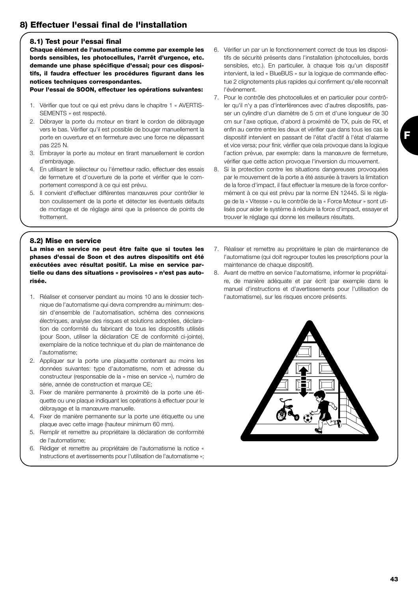# **8) Effectuer l'essai final de l'installation**

#### **8.1) Test pour l'essai final**

**Chaque élément de l'automatisme comme par exemple les bords sensibles, les photocellules, l'arrêt d'urgence, etc. demande une phase spécifique d'essai; pour ces dispositifs, il faudra effectuer les procédures figurant dans les notices techniques correspondantes.**

**Pour l'essai de SOON, effectuer les opérations suivantes:** 

- 1. Vérifier que tout ce qui est prévu dans le chapitre 1 « AVERTIS-SEMENTS » est respecté.
- 2. Débrayer la porte du moteur en tirant le cordon de débrayage vers le bas. Vérifier qu'il est possible de bouger manuellement la porte en ouverture et en fermeture avec une force ne dépassant pas 225 N.
- 3. Embrayer la porte au moteur en tirant manuellement le cordon d'embrayage.
- 4. En utilisant le sélecteur ou l'émetteur radio, effectuer des essais de fermeture et d'ouverture de la porte et vérifier que le comportement correspond à ce qui est prévu.
- 5. Il convient d'effectuer différentes manœuvres pour contrôler le bon coulissement de la porte et détecter les éventuels défauts de montage et de réglage ainsi que la présence de points de frottement.
- 6. Vérifier un par un le fonctionnement correct de tous les dispositifs de sécurité présents dans l'installation (photocellules, bords sensibles, etc.). En particulier, à chaque fois qu'un dispositif intervient, la led « BlueBUS » sur la logique de commande effectue 2 clignotements plus rapides qui confirment qu'elle reconnaît l'événement.
- 7. Pour le contrôle des photocellules et en particulier pour contrôler qu'il n'y a pas d'interférences avec d'autres dispositifs, passer un cylindre d'un diamètre de 5 cm et d'une longueur de 30 cm sur l'axe optique, d'abord à proximité de TX, puis de RX, et enfin au centre entre les deux et vérifier que dans tous les cas le dispositif intervient en passant de l'état d'actif à l'état d'alarme et vice versa; pour finir, vérifier que cela provoque dans la logique l'action prévue, par exemple: dans la manœuvre de fermeture, vérifier que cette action provoque l'inversion du mouvement.
- 8. Si la protection contre les situations dangereuses provoquées par le mouvement de la porte a été assurée à travers la limitation de la force d'impact, il faut effectuer la mesure de la force conformément à ce qui est prévu par la norme EN 12445. Si le réglage de la « Vitesse » ou le contrôle de la « Force Moteur » sont utilisés pour aider le système à réduire la force d'impact, essayer et trouver le réglage qui donne les meilleurs résultats.

#### **8.2) Mise en service**

**La mise en service ne peut être faite que si toutes les phases d'essai de Soon et des autres dispositifs ont été exécutées avec résultat positif. La mise en service partielle ou dans des situations « provisoires » n'est pas autorisée.**

- 1. Réaliser et conserver pendant au moins 10 ans le dossier technique de l'automatisme qui devra comprendre au minimum: dessin d'ensemble de l'automatisation, schéma des connexions électriques, analyse des risques et solutions adoptées, déclaration de conformité du fabricant de tous les dispositifs utilisés (pour Soon, utiliser la déclaration CE de conformité ci-jointe), exemplaire de la notice technique et du plan de maintenance de l'automatisme;
- 2. Appliquer sur la porte une plaquette contenant au moins les données suivantes: type d'automatisme, nom et adresse du constructeur (responsable de la « mise en service »), numéro de série, année de construction et marque CE;
- 3. Fixer de manière permanente à proximité de la porte une étiquette ou une plaque indiquant les opérations à effectuer pour le débrayage et la manœuvre manuelle.
- 4. Fixer de manière permanente sur la porte une étiquette ou une plaque avec cette image (hauteur minimum 60 mm).
- 5. Remplir et remettre au propriétaire la déclaration de conformité de l'automatisme;
- 6. Rédiger et remettre au propriétaire de l'automatisme la notice « Instructions et avertissements pour l'utilisation de l'automatisme »;
- 7. Réaliser et remettre au propriétaire le plan de maintenance de l'automatisme (qui doit regrouper toutes les prescriptions pour la maintenance de chaque dispositif).
- 8. Avant de mettre en service l'automatisme, informer le propriétaire, de manière adéquate et par écrit (par exemple dans le manuel d'instructions et d'avertissements pour l'utilisation de l'automatisme), sur les risques encore présents.

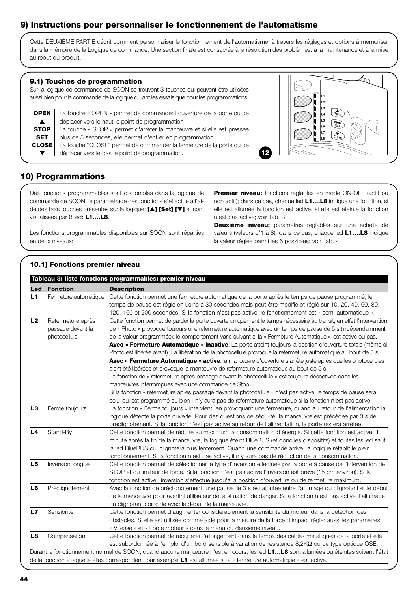# **9) Instructions pour personnaliser le fonctionnement de l'automatisme**

Cette DEUXIÈME PARTIE décrit comment personnaliser le fonctionnement de l'automatisme, à travers les réglages et options à mémoriser dans la mémoire de la Logique de commande. Une section finale est consacrée à la résolution des problèmes, à la maintenance et à la mise au rebut du produit.

#### **9.1) Touches de programmation**

Sur la logique de commande de SOON se trouvent 3 touches qui peuvent être utilisées aussi bien pour la commande de la logique durant les essais que pour les programmations:

| <b>OPEN</b>      | La touche « OPEN » permet de commander l'ouverture de la porte ou de   |  |
|------------------|------------------------------------------------------------------------|--|
| $\blacktriangle$ | déplacer vers le haut le point de programmation                        |  |
| <b>STOP</b>      | La touche « STOP » permet d'arrêter la manœuvre et si elle est pressée |  |
| <b>SET</b>       | plus de 5 secondes, elle permet d'entrer en programmation.             |  |
| <b>CLOSE</b>     | La touche "CLOSE" permet de commander la fermeture de la porte ou de   |  |
|                  | déplacer vers le bas le point de programmation.                        |  |



# **10) Programmations**

Des fonctions programmables sont disponibles dans la logique de commande de SOON; le paramétrage des fonctions s'effectue à l'aide des trois touches présentes sur la logique: **[**▲**] [Set] [**▼**]** et sont visualisées par 8 led: **L1….L8**.

Les fonctions programmables disponibles sur SOON sont réparties en deux niveaux:

**Premier niveau:** fonctions réglables en mode ON-OFF (actif ou non actif); dans ce cas, chaque led **L1....L8** indique une fonction, si elle est allumée la fonction est active, si elle est éteinte la fonction n'est pas active; voir Tab. 3.

**Deuxième niveau:** paramètres réglables sur une échelle de valeurs (valeurs d'1 à 8); dans ce cas, chaque led **L1….L8** indique la valeur réglée parmi les 6 possibles; voir Tab. 4.

#### **10.1) Fonctions premier niveau**

| Led            | <b>Fonction</b>       | <b>Description</b>                                                                                                  |
|----------------|-----------------------|---------------------------------------------------------------------------------------------------------------------|
| L1             | Fermeture automatique | Cette fonction permet une fermeture automatique de la porte après le temps de pause programmé; le                   |
|                |                       | temps de pause est réglé en usine à 30 secondes mais peut être modifié et réglé sur 10, 20, 40, 60, 80,             |
|                |                       | 120, 160 et 200 secondes. Si la fonction n'est pas active, le fonctionnement est « semi-automatique ».              |
| L2             | Refermeture après     | Cette fonction permet de garder la porte ouverte uniquement le temps nécessaire au transit, en effet l'intervention |
|                | passage devant la     | de « Photo » provoque toujours une refermeture automatique avec un temps de pause de 5 s (indépendamment            |
|                | photocellule          | de la valeur programmée); le comportement varie suivant si la « Fermeture Automatique » est active ou pas.          |
|                |                       | Avec « Fermeture Automatique » inactive: La porte atteint toujours la position d'ouverture totale (même si          |
|                |                       | Photo est libérée avant). La libération de la photocellule provoque la refermeture automatique au bout de 5 s.      |
|                |                       | Avec « Fermeture Automatique » active: la manœuvre d'ouverture s'arrête juste après que les photocellules           |
|                |                       | aient été libérées et provoque la manœuvre de refermeture automatique au bout de 5 s.                               |
|                |                       | La fonction de « refermeture après passage devant la photocellule » est toujours désactivée dans les                |
|                |                       | manœuvres interrompues avec une commande de Stop.                                                                   |
|                |                       | Si la fonction « refermeture après passage devant la photocellule » n'est pas active, le temps de pause sera        |
|                |                       | celui qui est programmé ou bien il n'y aura pas de refermeture automatique si la fonction n'est pas active.         |
| L3             |                       |                                                                                                                     |
|                | Ferme toujours        | La fonction « Ferme toujours » intervient, en provoguant une fermeture, quand au retour de l'alimentation la        |
|                |                       | logique détecte la porte ouverte. Pour des questions de sécurité, la manœuvre est précédée par 3 s de               |
| L <sub>4</sub> |                       | préclignotement. Si la fonction n'est pas active au retour de l'alimentation, la porte restera arrêtée.             |
|                | Stand-By              | Cette fonction permet de réduire au maximum la consommation d'énergie. Si cette fonction est active, 1              |
|                |                       | minute après la fin de la manœuvre, la logique éteint BlueBUS (et donc les dispositifs) et toutes les led sauf      |
|                |                       | la led BlueBUS qui clignotera plus lentement. Quand une commande arrive, la logique rétablit le plein               |
| L5             |                       | fonctionnement. Si la fonction n'est pas active, il n'y aura pas de réduction de la consommation.                   |
|                | Inversion longue      | Cette fonction permet de sélectionner le type d'inversion effectuée par la porte à cause de l'intervention de       |
|                |                       | STOP et du limiteur de force. Si la fonction n'est pas active l'inversion est brève (15 cm environ). Si la          |
|                |                       | fonction est active l'inversion s'effectue jusqu'à la position d'ouverture ou de fermeture maximum.                 |
| L6             | Préclignotement       | Avec la fonction de préclignotement, une pause de 3 s est ajoutée entre l'allumage du clignotant et le début        |
|                |                       | de la manœuvre pour avertir l'utilisateur de la situation de danger. Si la fonction n'est pas active, l'allumage    |
|                |                       | du clignotant coïncide avec le début de la manœuvre.                                                                |
| L7             | Sensibilité           | Cette fonction permet d'augmenter considérablement la sensibilité du moteur dans la détection des                   |
|                |                       | obstacles. Si elle est utilisée comme aide pour la mesure de la force d'impact régler aussi les paramètres          |
|                |                       | « Vitesse » et « Force moteur » dans le menu du deuxième niveau.                                                    |
| L8             | Compensation          | Cette fonction permet de récupérer l'allongement dans le temps des câbles métalliques de la porte et elle           |
|                |                       | est subordonnée à l'emploi d'un bord sensible à variation de résistance $8,2K\Omega$ ou de type optique OSE.        |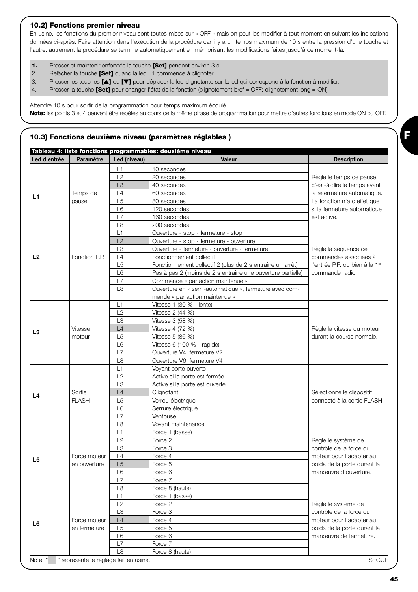#### **10.2) Fonctions premier niveau**

En usine, les fonctions du premier niveau sont toutes mises sur « OFF » mais on peut les modifier à tout moment en suivant les indications données ci-après. Faire attention dans l'exécution de la procédure car il y a un temps maximum de 10 s entre la pression d'une touche et l'autre, autrement la procédure se termine automatiquement en mémorisant les modifications faites jusqu'à ce moment-là.

| $\mathbf{1}$ | Presser et maintenir enfoncée la touche <b>[Set]</b> pendant environ 3 s.                                                                   |
|--------------|---------------------------------------------------------------------------------------------------------------------------------------------|
|              | Relâcher la touche [Set] quand la led L1 commence à clignoter.                                                                              |
| 3.           | Presser les touches $[\triangle]$ ou $[\triangledown]$ pour déplacer la led clignotante sur la led qui correspond à la fonction à modifier. |
| 4.           | Presser la touche <b>[Set]</b> pour changer l'état de la fonction (clignotement bref = OFF; clignotement long = ON)                         |

Attendre 10 s pour sortir de la programmation pour temps maximum écoulé. **Note:** les points 3 et 4 peuvent être répétés au cours de la même phase de programmation pour mettre d'autres fonctions en mode ON ou OFF.

#### **10.3) Fonctions deuxième niveau (paramètres réglables )**

|                |               |                                        | Tableau 4: liste fonctions programmables: deuxième niveau   |                                            |
|----------------|---------------|----------------------------------------|-------------------------------------------------------------|--------------------------------------------|
| Led d'entrée   | Paramètre     | Led (niveau)                           | Valeur                                                      | <b>Description</b>                         |
|                |               | L1                                     | 10 secondes                                                 |                                            |
|                |               | L2                                     | 20 secondes                                                 | Règle le temps de pause,                   |
|                |               | L <sub>3</sub>                         | 40 secondes                                                 | c'est-à-dire le temps avant                |
|                | Temps de      | L4                                     | 60 secondes                                                 | la refermeture automatique.                |
| L1             | pause         | L5                                     | 80 secondes                                                 | La fonction n'a d'effet que                |
|                |               | L <sub>6</sub>                         | 120 secondes                                                | si la fermeture automatique                |
|                |               | L7                                     | 160 secondes                                                | est active.                                |
|                |               | L <sub>8</sub>                         | 200 secondes                                                |                                            |
|                |               | L1                                     | Ouverture - stop - fermeture - stop                         |                                            |
|                |               | L2                                     | Ouverture - stop - fermeture - ouverture                    |                                            |
|                |               | L <sub>3</sub>                         | Ouverture - fermeture - ouverture - fermeture               | Règle la séquence de                       |
| L <sub>2</sub> | Fonction P.P. | L4                                     | Fonctionnement collectif                                    | commandes associées à                      |
|                |               | L <sub>5</sub>                         | Fonctionnement collectif 2 (plus de 2 s entraîne un arrêt)  | l'entrée P.P. ou bien à la 1 <sup>re</sup> |
|                |               | L <sub>6</sub>                         | Pas à pas 2 (moins de 2 s entraîne une ouverture partielle) | commande radio.                            |
|                |               | L7                                     | Commande « par action maintenue »                           |                                            |
|                |               | L <sub>8</sub>                         | Ouverture en « semi-automatique », fermeture avec com-      |                                            |
|                |               |                                        | mande « par action maintenue »                              |                                            |
|                |               | L1                                     | Vitesse 1 (30 % - lente)                                    |                                            |
|                |               | L2                                     | Vitesse 2 (44 %)                                            |                                            |
|                |               | L <sub>3</sub>                         | Vitesse 3 (58 %)                                            |                                            |
|                | Vitesse       | L4                                     | Vitesse 4 (72 %)                                            | Règle la vitesse du moteur                 |
| L3             | moteur        | L <sub>5</sub>                         | Vitesse 5 (86 %)                                            | durant la course normale.                  |
|                |               | L <sub>6</sub>                         | Vitesse 6 (100 % - rapide)                                  |                                            |
|                |               | L7                                     | Ouverture V4, fermeture V2                                  |                                            |
|                |               | L <sub>8</sub>                         | Ouverture V6, fermeture V4                                  |                                            |
|                |               | L1                                     |                                                             |                                            |
|                |               |                                        | Voyant porte ouverte                                        |                                            |
|                |               | L2                                     | Active si la porte est fermée                               |                                            |
|                |               | L <sub>3</sub>                         | Active si la porte est ouverte                              |                                            |
| L4             | Sortie        | L4                                     | Clignotant                                                  | Sélectionne le dispositif                  |
|                | <b>FLASH</b>  | L <sub>5</sub>                         | Verrou électrique                                           | connecté à la sortie FLASH.                |
|                |               | L <sub>6</sub>                         | Serrure électrique                                          |                                            |
|                |               | L7                                     | Ventouse                                                    |                                            |
|                |               | L8                                     | Voyant maintenance                                          |                                            |
|                |               | L1                                     | Force 1 (basse)                                             |                                            |
|                |               | L2                                     | Force 2                                                     | Règle le système de                        |
|                |               | L <sub>3</sub>                         | Force 3                                                     | contrôle de la force du                    |
| L5             | Force moteur  | L4                                     | Force 4                                                     | moteur pour l'adapter au                   |
|                | en ouverture  | L5                                     | Force 5                                                     | poids de la porte durant la                |
|                |               | L6                                     | Force 6                                                     | manœuvre d'ouverture.                      |
|                |               | L7                                     | Force 7                                                     |                                            |
|                |               | L <sub>8</sub>                         | Force 8 (haute)                                             |                                            |
|                |               | L1                                     | Force 1 (basse)                                             |                                            |
|                |               | L2                                     | Force 2                                                     | Règle le système de                        |
|                |               | L <sub>3</sub>                         | Force 3                                                     | contrôle de la force du                    |
| L6             | Force moteur  | L4                                     | Force 4                                                     | moteur pour l'adapter au                   |
|                | en fermeture  | L <sub>5</sub>                         | Force 5                                                     | poids de la porte durant la                |
|                |               | L <sub>6</sub>                         | Force 6                                                     | manœuvre de fermeture.                     |
|                |               | L7                                     | Force 7                                                     |                                            |
|                |               | L <sub>8</sub>                         | Force 8 (haute)                                             |                                            |
| Note: "        |               | " représente le réglage fait en usine. |                                                             | <b>SEGUE</b>                               |

**45**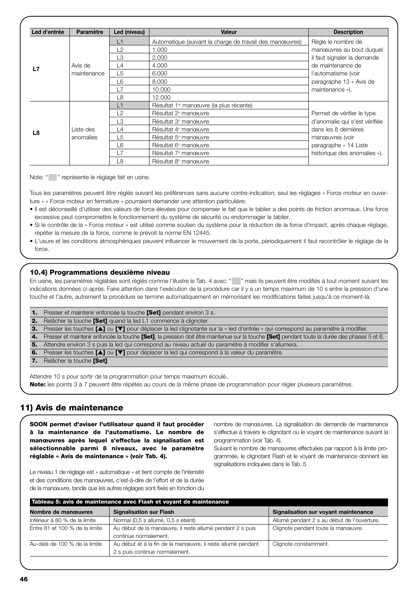| Led d'entrée | <b>Paramètre</b> | Led (niveau)   | Valeur                                                   | <b>Description</b>            |
|--------------|------------------|----------------|----------------------------------------------------------|-------------------------------|
|              |                  | L1             | Automatique (suivant la charge de travail des manœuvres) | Règle le nombre de            |
|              |                  | L2             | 1.000                                                    | manœuvres au bout duquel      |
|              |                  | LЗ             | 2.000                                                    | il faut signaler la demande   |
| L7           | Avis de          | L4             | 4.000                                                    | de maintenance de             |
|              | maintenance      | L5             | 6.000                                                    | l'automatisme (voir           |
|              |                  | L6             | 8.000                                                    | paragraphe 13 « Avis de       |
|              |                  | L7             | 10,000                                                   | maintenance »).               |
|              |                  | L8             | 12.000                                                   |                               |
|              |                  | L1             | Résultat 1 <sup>®</sup> manœuvre (la plus récente)       |                               |
|              |                  | L2             | Résultat 2 <sup>e</sup> manœuvre                         | Permet de vérifier le type    |
|              |                  | L <sub>3</sub> | Résultat 3 <sup>e</sup> manœuvre                         | d'anomalie qui s'est vérifiée |
| L8           | Liste des        | $\mathsf{L}4$  | Résultat 4 <sup>e</sup> manœuvre                         | dans les 8 dernières          |
|              | anomalies        | L5             | Résultat 5 <sup>e</sup> manœuvre                         | manœuvres (voir               |
|              |                  | L6             | Résultat 6 <sup>e</sup> manœuvre                         | paragraphe « 14 Liste         |
|              |                  | L7             | Résultat 7 <sup>e</sup> manœuvre                         | historique des anomalies »).  |
|              |                  | L8             | Résultat 8 <sup>e</sup> manœuvre                         |                               |

Note: " " représente le réglage fait en usine.

Tous les paramètres peuvent être réglés suivant les préférences sans aucune contre-indication; seul les réglages « Force moteur en ouverture » « Force moteur en fermeture » pourraient demander une attention particulière:

- Il est déconseillé d'utiliser des valeurs de force élevées pour compenser le fait que le tablier a des points de friction anormaux. Une force excessive peut compromettre le fonctionnement du système de sécurité ou endommager le tablier.
- Si le contrôle de la « Force moteur » est utilisé comme soutien du système pour la réduction de la force d'impact, après chaque réglage, répéter la mesure de la force, comme le prévoit la norme EN 12445.
- L'usure et les conditions atmosphériques peuvent influencer le mouvement de la porte, périodiquement il faut recontrôler le réglage de la force.

#### **10.4) Programmations deuxième niveau**

En usine, les paramètres réglables sont réglés comme l'illustre le Tab. 4 avec: " " mais ils peuvent être modifiés à tout moment suivant les indications données ci-après. Faire attention dans l'exécution de la procédure car il y a un temps maximum de 10 s entre la pression d'une touche et l'autre, autrement la procédure se termine automatiquement en mémorisant les modifications faites jusqu'à ce moment-là.

|    | <b>1.</b> Presser et maintenir enfoncée la touche <b>[Set]</b> pendant environ 3 s.                                                             |
|----|-------------------------------------------------------------------------------------------------------------------------------------------------|
| 2. | Relâcher la touche [Set] quand la led L1 commence à clignoter.                                                                                  |
|    | 3. Presser les touches [4] ou [V] pour déplacer la led clignotante sur la « led d'entrée » qui correspond au paramètre à modifier.              |
|    | 4. Presser et maintenir enfoncée la touche [Set], la pression doit être maintenue sur la touche [Set] pendant toute la durée des phases 5 et 6. |
| 5. | Attendre environ 3 s puis la led qui correspond au niveau actuel du paramètre à modifier s'allumera.                                            |
| 6. | Presser les touches [A] ou [V] pour déplacer la led qui correspond à la valeur du paramètre.                                                    |
|    | 7. Relâcher la touche [Set]                                                                                                                     |
|    |                                                                                                                                                 |

Attendre 10 s pour sortir de la programmation pour temps maximum écoulé. **Note:** les points 3 à 7 peuvent être répétés au cours de la même phase de programmation pour régler plusieurs paramètres.

# **11) Avis de maintenance**

**SOON permet d'aviser l'utilisateur quand il faut procéder à la maintenance de l'automatisme. Le nombre de manœuvres après lequel s'effectue la signalisation est sélectionnable parmi 8 niveaux, avec le paramètre réglable « Avis de maintenance » (voir Tab. 4).**

nombre de manœuvres. La signalisation de demande de maintenance s'effectue à travers le clignotant ou le voyant de maintenance suivant la programmation (voir Tab. 4).

Suivant le nombre de manœuvres effectuées par rapport à la limite programmée, le clignotant Flash et le voyant de maintenance donnent les signalisations indiquées dans le Tab. 5

Le niveau 1 de réglage est « automatique » et tient compte de l'intensité et des conditions des manœuvres, c'est-à-dire de l'effort et de la durée de la manœuvre, tandis que les autres réglages sont fixés en fonction du

| Tableau 5: avis de maintenance avec Flash et voyant de maintenance                          |                                                              |                                             |  |  |  |
|---------------------------------------------------------------------------------------------|--------------------------------------------------------------|---------------------------------------------|--|--|--|
| Nombre de manœuvres                                                                         | Signalisation sur voyant maintenance                         |                                             |  |  |  |
| Inférieur à 80 % de la limite                                                               | Normal (0,5 s allumé, 0,5 s éteint)                          | Allumé pendant 2 s au début de l'ouverture. |  |  |  |
| Entre 81 et 100 % de la limite<br>Au début de la manœuvre, il reste allumé pendant 2 s puis |                                                              | Clignote pendant toute la manœuvre.         |  |  |  |
|                                                                                             | continue normalement.                                        |                                             |  |  |  |
| Au-delà de 100 % de la limite                                                               | Au début et à la fin de la manœuvre, il reste allumé pendant | Clignote constamment.                       |  |  |  |
|                                                                                             | 2 s puis continue normalement.                               |                                             |  |  |  |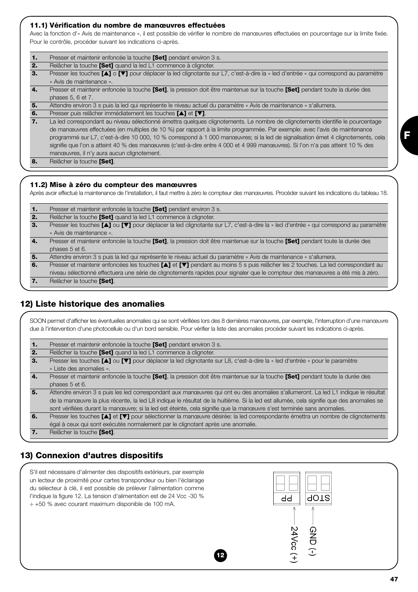#### **11.1) Vérification du nombre de manœuvres effectuées**

Avec la fonction d'« Avis de maintenance », il est possible de vérifier le nombre de manœuvres effectuées en pourcentage sur la limite fixée. Pour le contrôle, procéder suivant les indications ci-après.

| $\mathbf{1}$     | Presser et maintenir enfoncée la touche [Set] pendant environ 3 s.                                                                           |
|------------------|----------------------------------------------------------------------------------------------------------------------------------------------|
| 2.               | Relâcher la touche [Set] quand la led L1 commence à clignoter.                                                                               |
| 3.               | Presser les touches [A] o [V] pour déplacer la led clignotante sur L7, c'est-à-dire la « led d'entrée » qui correspond au paramètre          |
|                  | « Avis de maintenance ».                                                                                                                     |
| $\overline{4}$ . | Presser et maintenir enfoncée la touche <b>[Set]</b> , la pression doit être maintenue sur la touche <b>[Set]</b> pendant toute la durée des |
|                  | phases 5, 6 et 7.                                                                                                                            |
| 5.               | Attendre environ 3 s puis la led qui représente le niveau actuel du paramètre « Avis de maintenance » s'allumera.                            |
| 6.               | Presser puis relâcher immédiatement les touches [▲] et [▼].                                                                                  |
| 7.               | La led correspondant au niveau sélectionné émettra quelques clignotements. Le nombre de clignotements identifie le pourcentage               |
|                  | de manœuvres effectuées (en multiples de 10 %) par rapport à la limite programmée. Par exemple: avec l'avis de maintenance                   |
|                  | programmé sur L7, c'est-à-dire 10 000, 10 % correspond à 1 000 manœuvres; si la led de signalisation émet 4 clignotements, cela              |
|                  | signifie que l'on a atteint 40 % des manœuvres (c'est-à-dire entre 4 000 et 4 999 manœuvres). Si l'on n'a pas atteint 10 % des               |
|                  | manœuvres, il n'y aura aucun clignotement.                                                                                                   |
| 8.               | Relâcher la touche [Set].                                                                                                                    |

#### **11.2) Mise à zéro du compteur des manœuvres**

Après avoir effectué la maintenance de l'installation, il faut mettre à zéro le compteur des manœuvres. Procéder suivant les indications du tableau 18.

**1.** Presser et maintenir enfoncée la touche **[Set]** pendant environ 3 s. **2.** Relâcher la touche **[Set]** quand la led L1 commence à clignoter. **3.** Presser les touches **[**▲**]** ou **[**▼**]** pour déplacer la led clignotante sur L7, c'est-à-dire la « led d'entrée » qui correspond au paramètre « Avis de maintenance ». **4.** Presser et maintenir enfoncée la touche **[Set]**, la pression doit être maintenue sur la touche **[Set]** pendant toute la durée des phases 5 et 6. **5.** Attendre environ 3 s puis la led qui représente le niveau actuel du paramètre « Avis de maintenance » s'allumera. **6.** Presser et maintenir enfoncées les touches **[**▲**]** et **[**▼**]** pendant au moins 5 s puis relâcher les 2 touches. La led correspondant au niveau sélectionné effectuera une série de clignotements rapides pour signaler que le compteur des manœuvres a été mis à zéro. **7.** Relâcher la touche **[Set]**.

# **12) Liste historique des anomalies**

SOON permet d'afficher les éventuelles anomalies qui se sont vérifiées lors des 8 dernières manœuvres, par exemple, l'interruption d'une manœuvre due à l'intervention d'une photocellule ou d'un bord sensible. Pour vérifier la liste des anomalies procéder suivant les indications ci-après.

| 1. | Presser et maintenir enfoncée la touche [Set] pendant environ 3 s.                                                                      |
|----|-----------------------------------------------------------------------------------------------------------------------------------------|
| 2. | Relâcher la touche [Set] quand la led L1 commence à clignoter.                                                                          |
| З. | Presser les touches [A] ou [V] pour déplacer la led clignotante sur L8, c'est-à-dire la « led d'entrée » pour le paramètre              |
|    | « Liste des anomalies ».                                                                                                                |
| 4. | Presser et maintenir enfoncée la touche [Set], la pression doit être maintenue sur la touche [Set] pendant toute la durée des           |
|    | phases 5 et 6.                                                                                                                          |
| 5. | Attendre environ 3 s puis les led correspondant aux manœuvres qui ont eu des anomalies s'allumeront. La led L1 indique le résultat      |
|    | de la manœuvre la plus récente, la led L8 indique le résultat de la huitième. Si la led est allumée, cela signifie que des anomalies se |
|    | sont vérifiées durant la manœuvre; si la led est éteinte, cela signifie que la manœuvre s'est terminée sans anomalies.                  |
| 6. | Presser les touches [A] et [V] pour sélectionner la manœuvre désirée: la led correspondante émettra un nombre de clignotements          |
|    | égal à ceux qui sont exécutés normalement par le clignotant après une anomalie.                                                         |
|    | Relâcher la touche [Set].                                                                                                               |
|    |                                                                                                                                         |

# **13) Connexion d'autres dispositifs**

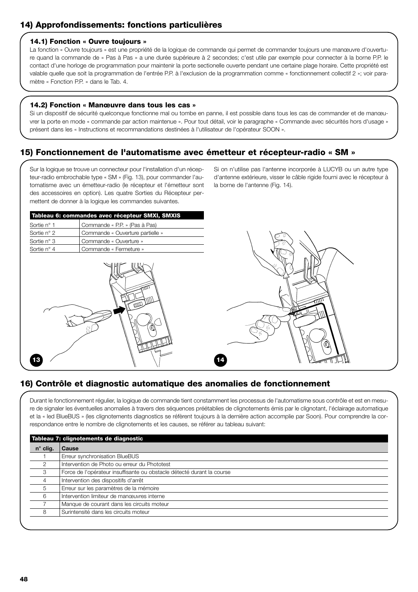# **14) Approfondissements: fonctions particulières**

#### **14.1) Fonction « Ouvre toujours »**

La fonction « Ouvre toujours » est une propriété de la logique de commande qui permet de commander toujours une manœuvre d'ouverture quand la commande de « Pas à Pas » a une durée supérieure à 2 secondes; c'est utile par exemple pour connecter à la borne P.P. le contact d'une horloge de programmation pour maintenir la porte sectionelle ouverte pendant une certaine plage horaire. Cette propriété est valable quelle que soit la programmation de l'entrée P.P. à l'exclusion de la programmation comme « fonctionnement collectif 2 »; voir paramètre « Fonction P.P. » dans le Tab. 4.

#### **14.2) Fonction « Manœuvre dans tous les cas »**

Si un dispositif de sécurité quelconque fonctionne mal ou tombe en panne, il est possible dans tous les cas de commander et de manœuvrer la porte en mode « commande par action maintenue ». Pour tout détail, voir le paragraphe « Commande avec sécurités hors d'usage » présent dans les « Instructions et recommandations destinées à l'utilisateur de l'opérateur SOON ».

# **15) Fonctionnement de l'automatisme avec émetteur et récepteur-radio « SM »**

Sur la logique se trouve un connecteur pour l'installation d'un récepteur-radio embrochable type « SM » (Fig. 13), pour commander l'automatisme avec un émetteur-radio (le récepteur et l'émetteur sont des accessoires en option). Les quatre Sorties du Récepteur permettent de donner à la logique les commandes suivantes.

Si on n'utilise pas l'antenne incorporée à LUCYB ou un autre type d'antenne extérieure, visser le câble rigide fourni avec le récepteur à la borne de l'antenne (Fig. 14).

| Tableau 6: commandes avec récepteur SMXI, SMXIS |                                  |  |  |  |  |
|-------------------------------------------------|----------------------------------|--|--|--|--|
| Sortie n° 1                                     | Commande « P.P. » (Pas à Pas)    |  |  |  |  |
| Sortie n° 2                                     | Commande « Ouverture partielle » |  |  |  |  |
| Sortie n° 3                                     | Commande « Ouverture »           |  |  |  |  |
| Sortie n° 4                                     | Commande « Fermeture »           |  |  |  |  |
|                                                 |                                  |  |  |  |  |





# **16) Contrôle et diagnostic automatique des anomalies de fonctionnement**

Durant le fonctionnement régulier, la logique de commande tient constamment les processus de l'automatisme sous contrôle et est en mesure de signaler les éventuelles anomalies à travers des séquences préétablies de clignotements émis par le clignotant, l'éclairage automatique et la « led BlueBUS » (les clignotements diagnostics se réfèrent toujours à la dernière action accomplie par Soon). Pour comprendre la correspondance entre le nombre de clignotements et les causes, se référer au tableau suivant:

| $n^{\circ}$ clig. | Cause                                                                  |
|-------------------|------------------------------------------------------------------------|
|                   | Erreur synchronisation BlueBUS                                         |
|                   | Intervention de Photo ou erreur du Phototest                           |
| З                 | Force de l'opérateur insuffisante ou obstacle détecté durant la course |
| 4                 | Intervention des dispositifs d'arrêt                                   |
| 5                 | Erreur sur les paramètres de la mémoire                                |
| 6                 | Intervention limiteur de manœuvres interne                             |
|                   | Manque de courant dans les circuits moteur                             |
|                   | Surintensité dans les circuits moteur                                  |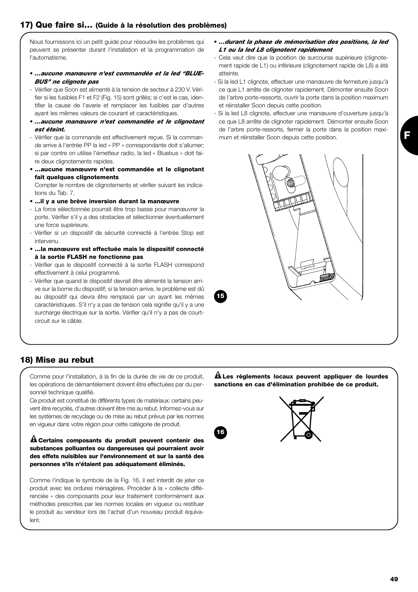Nous fournissons ici un petit guide pour résoudre les problèmes qui peuvent se présenter durant l'installation et la programmation de l'automatisme.

- *…aucune manœuvre n'est commandée et la led "BLUE-BUS" ne clignote pas*
- Vérifier que Soon est alimenté à la tension de secteur à 230 V. Vérifier si les fusibles F1 et F2 (Fig. 15) sont grillés; si c'est le cas, identifier la cause de l'avarie et remplacer les fusibles par d'autres ayant les mêmes valeurs de courant et caractéristiques.
- *…aucune manœuvre n'est commandée et le clignotant est éteint.*
- Vérifier que la commande est effectivement reçue. Si la commande arrive à l'entrée PP la led « PP » correspondante doit s'allumer; si par contre on utilise l'émetteur radio, la led « Bluebus » doit faire deux clignotements rapides.
- **…aucune manœuvre n'est commandée et le clignotant fait quelques clignotements**

Compter le nombre de clignotements et vérifier suivant les indications du Tab. 7.

- **...il y a une brève inversion durant la manœuvre**
- La force sélectionnée pourrait être trop basse pour manœuvrer la porte. Vérifier s'il y a des obstacles et sélectionner éventuellement une force supérieure.
- Vérifier si un dispositif de sécurité connecté à l'entrée Stop est intervenu.
- **…la manœuvre est effectuée mais le dispositif connecté à la sortie FLASH ne fonctionne pas**
- Vérifier que le dispositif connecté à la sortie FLASH correspond effectivement à celui programmé.
- Vérifier que quand le dispositif devrait être alimenté la tension arrive sur la borne du dispositif; si la tension arrive, le problème est dû au dispositif qui devra être remplacé par un ayant les mêmes caractéristiques. S'il n'y a pas de tension cela signifie qu'il y a une surcharge électrique sur la sortie. Vérifier qu'il n'y a pas de courtcircuit sur le câble.
- *…durant la phase de mémorisation des positions, la led L1 ou la led L8 clignotent rapidement*
- Cela veut dire que la position de surcourse supérieure (clignotement rapide de L1) ou inférieure (clignotement rapide de L8) a été atteinte.
- Si la led L1 clignote, effectuer une manœuvre de fermeture jusqu'à ce que L1 arrête de clignoter rapidement. Démonter ensuite Soon de l'arbre porte-ressorts, ouvrir la porte dans la position maximum et réinstaller Soon depuis cette position.
- Si la led L8 clignote, effectuer une manœuvre d'ouverture jusqu'à ce que L8 arrête de clignoter rapidement. Démonter ensuite Soon de l'arbre porte-ressorts, fermer la porte dans la position maximum et réinstaller Soon depuis cette position.



# **18) Mise au rebut**

Comme pour l'installation, à la fin de la durée de vie de ce produit, les opérations de démantèlement doivent être effectuées par du personnel technique qualifié.

Ce produit est constitué de différents types de matériaux: certains peuvent être recyclés, d'autres doivent être mis au rebut. Informez-vous sur les systèmes de recyclage ou de mise au rebut prévus par les normes en vigueur dans votre région pour cette catégorie de produit.

#### **Certains composants du produit peuvent contenir des ! substances polluantes ou dangereuses qui pourraient avoir des effets nuisibles sur l'environnement et sur la santé des personnes s'ils n'étaient pas adéquatement éliminés.**

Comme l'indique le symbole de la Fig. 16, il est interdit de jeter ce produit avec les ordures ménagères. Procéder à la « collecte différenciée » des composants pour leur traitement conformément aux méthodes prescrites par les normes locales en vigueur ou restituer le produit au vendeur lors de l'achat d'un nouveau produit équivalent.

**Les règlements locaux peuvent appliquer de lourdes ! sanctions en cas d'élimination prohibée de ce produit.**

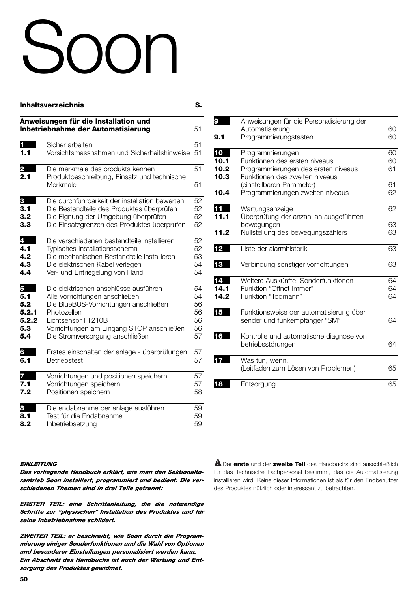# $\cap$

#### **Inhaltsverzeichnis** S.

**Anweisungen für die Installation und Inbetriebnahme der Automatisierung** 51 **1** Sicher arbeiten 51 **1.1** Vorsichtsmassnahmen und Sicherheitshinweise 51 **2** Die merkmale des produkts kennen 51<br>**2.1** Produktbeschreibung Einsatz und technische **2.1** Produktbeschreibung, Einsatz und technische Merkmale 51 **3** Die durchführbarkeit der installation bewerten 52 **3.1** Die Bestandteile des Produktes überprüfen 52 **3.2** Die Eignung der Umgebung überprüfen 52 **3.3** Die Einsatzgrenzen des Produktes überprüfen 52 **4** Die verschiedenen bestandteile installieren 52 **4.1** Typisches Installationsschema 52 **4.2** Die mechanischen Bestandteile installieren 53<br>**4.3** Die elektrischen Kabel verlegen 54 **4.3** Die elektrischen Kabel verlegen 54 **4.4** Ver- und Entriegelung von Hand 54 **5** Die elektrischen anschlüsse ausführen 54<br>**5.1** Alle Vorrichtungen anschließen 54 **5.1** Alle Vorrichtungen anschließen 54<br>**5.2** Die BlueBUS-Vorrichtungen anschließen 56 **5.2** Die BlueBUS-Vorrichtungen anschließen 56<br>**5.2.1** Photozellen 50 **5.2.1** Photozellen 56<br> **5.2.2** Lichtsensor FT210B 56 56 **5.2.2** Lichtsensor FT210B<br>**5.3** Vorrichtungen am Eir **5.3** Vorrichtungen am Eingang STOP anschließen 56<br>**5.4** Die Stromversorgung anschließen 57 Die Stromversorgung anschließen 57 **6** Erstes einschalten der anlage - überprüfungen 57 **6.1** Betriebstest 57 **7** Vorrichtungen und positionen speichern 57 **7.1** Vorrichtungen speichern 57 **7.2** Positionen speichern 58 **8** Die endabnahme der anlage ausführen 59 **8.1** Test für die Endabnahme 59 **8.2** Inbetriebsetzung 59

| 9    | Anweisungen für die Personalisierung der                                 |    |
|------|--------------------------------------------------------------------------|----|
|      | Automatisierung                                                          | 60 |
| 9.1  | Programmierungstasten                                                    | 60 |
| 10   | Programmierungen                                                         | 60 |
| 10.1 | Funktionen des ersten niveaus                                            | 60 |
| 10.2 | Programmierungen des ersten niveaus                                      | 61 |
| 10.3 | Funktionen des zweiten niveaus                                           |    |
|      | (einstellbaren Parameter)                                                | 61 |
| 10.4 | Programmierungen zweiten niveaus                                         | 62 |
| 11   | Wartungsanzeige                                                          | 62 |
| 11.1 | Überprüfung der anzahl an ausgeführten                                   |    |
|      | bewegungen                                                               | 63 |
| 11.2 | Nullstellung des bewegungszählers                                        | 63 |
| 12   | Liste der alarmhistorik                                                  | 63 |
| 13   | Verbindung sonstiger vorrichtungen                                       | 63 |
| 14   | Weitere Auskünfte: Sonderfunktionen                                      | 64 |
| 14.1 | Funktion "Öffnet Immer"                                                  | 64 |
| 14.2 | Funktion "Todmann"                                                       | 64 |
| 15   | Funktionsweise der automatisierung über<br>sender und funkempfänger "SM" | 64 |
| 16   | Kontrolle und automatische diagnose von<br>betriebsstörungen             | 64 |
| 17   | Was tun, wenn<br>(Leitfaden zum Lösen von Problemen)                     | 65 |
| 18   | Entsorgung                                                               | 65 |

#### *EINLEITUNG*

*Das vorliegende Handbuch erklärt, wie man den Sektionaltorantrieb Soon installiert, programmiert und bedient. Die verschiedenen Themen sind in drei Teile getrennt:*

*ERSTER TEIL: eine Schrittanleitung, die die notwendige Schritte zur "physischen" Installation des Produktes und für seine Inbetriebnahme schildert.*

*ZWEITER TEIL: er beschreibt, wie Soon durch die Programmierung einiger Sonderfunktionen und die Wahl von Optionen und besonderer Einstellungen personalisiert werden kann. Ein Abschnitt des Handbuchs ist auch der Wartung und Entsorgung des Produktes gewidmet.*

Der **erste** und der **zweite Teil** des Handbuchs sind ausschließlich **!** für das Technische Fachpersonal bestimmt, das die Automatisierung installieren wird. Keine dieser Informationen ist als für den Endbenutzer des Produktes nützlich oder interessant zu betrachten.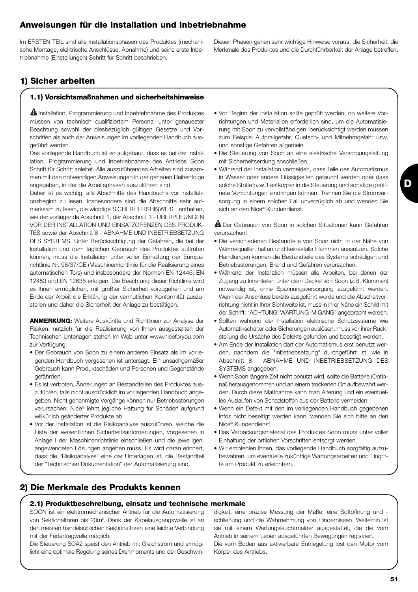# **Anweisungen für die Installation und Inbetriebnahme**

Im ERSTEN TEIL sind alle Installationsphasen des Produktes (mechanische Montage, elektrische Anschlüsse, Abnahme) und seine erste Inbetriebnahme (Einstellungen) Schritt für Schritt beschrieben.

# **1) Sicher arbeiten**

#### **1.1) Vorsichtsmaßnahmen und sicherheitshinweise**

 $\blacksquare$  Installation, Programmierung und Inbetriebnahme des Produktes müssen von technisch qualifiziertem Personal unter genauester Beachtung sowohl der diesbezüglich gültigen Gesetze und Vorschriften als auch der Anweisungen im vorliegenden Handbuch ausgeführt werden.

Das vorliegende Handbuch ist so aufgebaut, dass es bei der Installation, Programmierung und Inbetriebnahme des Antriebs Soon Schritt für Schritt anleitet. Alle auszuführenden Arbeiten sind zusammen mit den notwendigen Anweisungen in der genauen Reihenfolge angegeben, in der die Arbeitsphasen auszuführen sind.

Daher ist es wichtig, alle Abschnitte des Handbuchs vor Installationsbeginn zu lesen. Insbesondere sind die Abschnitte sehr aufmerksam zu lesen, die wichtige SICHERHEITSHINWEISE enthalten, wie der vorliegende Abschnitt 1, der Abschnitt 3 - ÜBERPÜFUNGEN VOR DER INSTALLATION UND EINSATZGRENZEN DES PRODUK-TES sowie der Abschnitt 8 - ABNAHME UND INBETRIEBSETZUNG DES SYSTEMS. Unter Berücksichtigung der Gefahren, die bei der Installation und dem täglichen Gebrauch des Produktes auftreten können, muss die Installation unter voller Einhaltung der Europarichtlinie Nr. 98/37/CE (Maschinenrichtlinie für die Realisierung eines automatischen Tors) und insbesondere der Normen EN 12445, EN 12453 und EN 12635 erfolgen. Die Beachtung dieser Richtlinie wird es Ihnen ermöglichen, mit größter Sicherheit vorzugehen und am Ende der Arbeit die Erklärung der vermutlichen Konformität auszustellen und daher die Sicherheit der Anlage zu bestätigen.

**ANMERKUNG:** Weitere Auskünfte und Richtlinien zur Analyse der Risiken, nützlich für die Realisierung von Ihnen ausgestellten der Technischen Unterlagen stehen im Web unter www.niceforyou.com zur Verfügung.

- Der Gebrauch von Soon zu einem anderen Einsatz als im vorliegenden Handbuch vorgesehen ist untersagt. Ein unsachgemäßer Gebrauch kann Produktschäden und Personen und Gegenstände gefährden.
- Es ist verboten, Änderungen an Bestandteilen des Produktes auszuführen, falls nicht ausdrücklich im vorliegenden Handbuch angegeben. Nicht genehmigte Vorgänge können nur Betriebsstörungen verursachen; Nice® lehnt jegliche Haftung für Schäden aufgrund willkürlich geänderter Produkte ab.
- Vor der Installation ist die Risikoanalyse auszuführen, welche die Liste der wesentlichen Sicherheitsanforderungen, vorgesehen in Anlage I der Maschinenrichtlinie einschließen und die jeweiligen, angewendeten Lösungen angeben muss. Es wird daran erinnert, dass die "Risikoanalyse" eine der Unterlagen ist, die Bestandteil der "Technischen Dokumentation" der Automatisierung sind.
- Vor Beginn der Installation sollte geprüft werden, ob weitere Vorrichtungen und Materialien erforderlich sind, um die Automatisierung mit Soon zu vervollständigen; berücksichtigt werden müssen zum Beispiel Aufprallgefahr, Quetsch- und Mitnehmgefahr usw. und sonstige Gefahren allgemein.
- Die Steuerung von Soon an eine elektrische Versorgungsleitung mit Sicherheitserdung anschließen.
- Während der Installation vermeiden, dass Teile des Automatismus in Wasser oder andere Flüssigkeiten getaucht werden oder dass solche Stoffe bzw. Festkörper in die Steuerung und sonstige geöffnete Vorrichtungen eindringen können. Trennen Sie die Stromversorgung in einem solchen Fall unverzüglich ab und wenden Sie sich an den Nice® Kundendienst.

Der Gebrauch von Soon in solchen Situationen kann Gefahren **!** verursachen!

- Die verschiedenen Bestandteile von Soon nicht in der Nähe von Wärmequellen halten und keinesfalls Flammen aussetzen. Solche Handlungen können die Bestandteile des Systems schädigen und Betriebsstörungen, Brand und Gefahren verursachen.
- Während der Installation müssen alle Arbeiten, bei denen der Zugang zu Innenteilen unter dem Deckel von Soon (z.B. Klemmen) notwendig ist, ohne Spannungsversorgung ausgeführt werden. Wenn der Anschluss bereits ausgeführt wurde und die Abschaltvorrichtung nicht in Ihrer Sichtweite ist, muss in ihrer Nähe ein Schild mit der Schrift: "ACHTUNG! WARTUNG IM GANG" angebracht werden.
- Sollten während der Installation elektrische Schutzsysteme wie Automatikschalter oder Sicherungen auslösen, muss vor ihrer Rückstellung die Ursache des Defekts gefunden und beseitigt werden.
- Am Ende der Installation darf der Automatismus erst benutzt werden, nachdem die "Inbetriebsetzung" durchgeführt ist, wie in Abschnitt 8 - ABNAHME UND INBETRIEBSETZUNG DES SYSTEMS angegeben.
- Wenn Soon längere Zeit nicht benutzt wird, sollte die Batterie (Optional) herausgenommen und an einem trockenen Ort aufbewahrt werden. Durch diese Maßnahme kann man Alterung und ein eventuelles Auslaufen von Schadstoffen aus der Batterie vermeiden.
- Wenn ein Defekt mit den im vorliegenden Handbuch gegebenen Infos nicht beseitigt werden kann, wenden Sie sich bitte an den Nice® Kundendienst.
- Das Verpackungsmaterial des Produktes Soon muss unter voller Einhaltung der örtlichen Vorschriften entsorgt werden.
- Wir empfehlen Ihnen, das vorliegende Handbuch sorgfältig aufzubewahren, um eventuelle zukünftige Wartungsarbeiten und Eingriffe am Produkt zu erleichtern.

# **2) Die Merkmale des Produkts kennen**

#### **2.1) Produktbeschreibung, einsatz und technische merkmale**

SOON ist ein elektromechanischer Antrieb für die Automatisierung von Sektionaltoren bis 20m<sup>2</sup>. Dank der Kabelausgangswelle ist an den meisten handelsüblichen Sektionaltoren eine leichte Verbindung mit der Federtragwelle möglich.

Die Steuerung SOA2 speist den Antrieb mit Gleichstrom und ermöglicht eine optimale Regelung seines Drehmoments und der Geschwindigkeit, eine präzise Messung der Maße, eine Softöffnung und schließung und die Wahrnehmung von Hindernissen. Weiterhin ist sie mit einem Wartungsleuchtmelder ausgestattet, die die vom Antrieb in seinem Leben ausgeführten Bewegungen registriert. Die vom Boden aus aktivierbare Entriegelung löst den Motor vom Körper des Antriebs.

**D**

Diesen Phasen gehen sehr wichtige Hinweise voraus, die Sicherheit, die Merkmale des Produktes und die Durchführbarkeit der Anlage betreffen.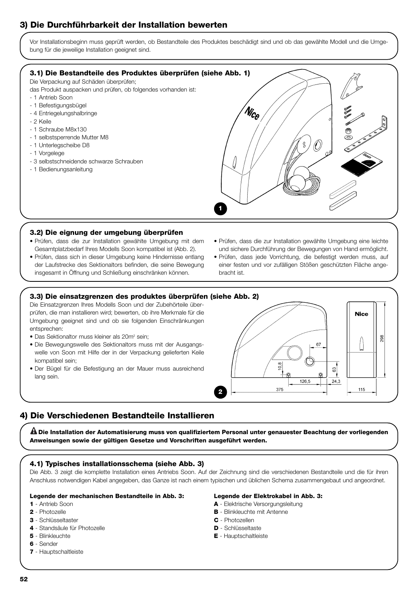# **3) Die Durchführbarkeit der Installation bewerten**

Vor Installationsbeginn muss geprüft werden, ob Bestandteile des Produktes beschädigt sind und ob das gewählte Modell und die Umgebung für die jeweilige Installation geeignet sind.



#### **3.2) Die eignung der umgebung überprüfen**

- Prüfen, dass die zur Installation gewählte Umgebung mit dem Gesamtplatzbedarf Ihres Modells Soon kompatibel ist (Abb. 2).
- Prüfen, dass sich in dieser Umgebung keine Hindernisse entlang der Laufstrecke des Sektionaltors befinden, die seine Bewegung insgesamt in Öffnung und Schließung einschränken können.
- Prüfen, dass die zur Installation gewählte Umgebung eine leichte und sichere Durchführung der Bewegungen von Hand ermöglicht.
- Prüfen, dass jede Vorrichtung, die befestigt werden muss, auf einer festen und vor zufälligen Stößen geschützten Fläche angebracht ist.

#### **3.3) Die einsatzgrenzen des produktes überprüfen (siehe Abb. 2)**

Die Einsatzgrenzen Ihres Modells Soon und der Zubehörteile überprüfen, die man installieren wird; bewerten, ob ihre Merkmale für die Umgebung geeignet sind und ob sie folgenden Einschränkungen entsprechen:

- Das Sektionaltor muss kleiner als 20m<sup>2</sup> sein;
- Die Bewegungswelle des Sektionaltors muss mit der Ausgangswelle von Soon mit Hilfe der in der Verpackung gelieferten Keile kompatibel sein;
- Der Bügel für die Befestigung an der Mauer muss ausreichend lang sein.



# **4) Die Verschiedenen Bestandteile Installieren**

**Die Installation der Automatisierung muss von qualifiziertem Personal unter genauester Beachtung der vorliegenden ! Anweisungen sowie der gültigen Gesetze und Vorschriften ausgeführt werden.**

#### **4.1) Typisches installationsschema (siehe Abb. 3)**

Die Abb. 3 zeigt die komplette Installation eines Antriebs Soon. Auf der Zeichnung sind die verschiedenen Bestandteile und die für ihren Anschluss notwendigen Kabel angegeben, das Ganze ist nach einem typischen und üblichen Schema zusammengebaut und angeordnet.

#### **Legende der mechanischen Bestandteile in Abb. 3:**

#### **1** - Antrieb Soon

- **2** Photozelle
- **3** Schlüsseltaster
- **4** Standsäule für Photozelle
- **5** Blinkleuchte
- **6** Sender

#### **7** - Hauptschaltleiste

#### **Legende der Elektrokabel in Abb. 3:**

- **A** Elektrische Versorgungsleitung
- **B** Blinkleuchte mit Antenne
- **C** Photozellen
- **D** Schlüsseltaste
- **E** Hauptschaltleiste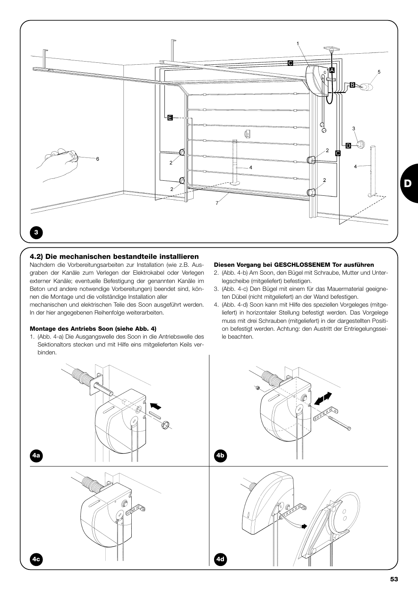

#### **4.2) Die mechanischen bestandteile installieren**

Nachdem die Vorbereitungsarbeiten zur Installation (wie z.B. Ausgraben der Kanäle zum Verlegen der Elektrokabel oder Verlegen externer Kanäle; eventuelle Befestigung der genannten Kanäle im Beton und andere notwendige Vorbereitungen) beendet sind, können die Montage und die vollständige Installation aller

mechanischen und elektrischen Teile des Soon ausgeführt werden. In der hier angegebenen Reihenfolge weiterarbeiten.

#### **Montage des Antriebs Soon (siehe Abb. 4)**

1. (Abb. 4-a) Die Ausgangswelle des Soon in die Antriebswelle des Sektionaltors stecken und mit Hilfe eins mitgelieferten Keils verbinden.

#### **Diesen Vorgang bei GESCHLOSSENEM Tor ausführen**

- 2. (Abb. 4-b) Am Soon, den Bügel mit Schraube, Mutter und Unterlegscheibe (mitgeliefert) befestigen.
- 3. (Abb. 4-c) Den Bügel mit einem für das Mauermaterial geeigneten Dübel (nicht mitgeliefert) an der Wand befestigen.
- 4. (Abb. 4-d) Soon kann mit Hilfe des speziellen Vorgeleges (mitgeliefert) in horizontaler Stellung befestigt werden. Das Vorgelege muss mit drei Schrauben (mitgeliefert) in der dargestellten Position befestigt werden. Achtung: den Austritt der Entriegelungsseile beachten.

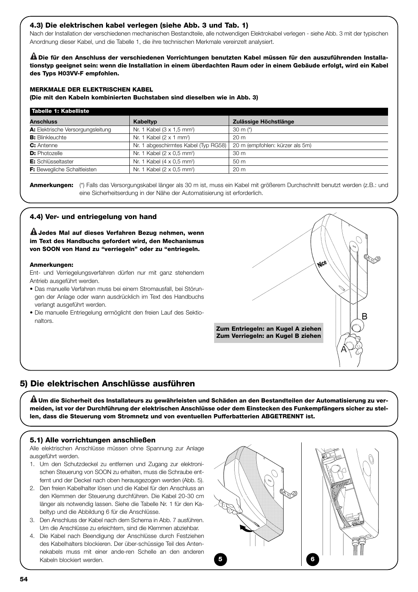#### **4.3) Die elektrischen kabel verlegen (siehe Abb. 3 und Tab. 1)**

Nach der Installation der verschiedenen mechanischen Bestandteile, alle notwendigen Elektrokabel verlegen - siehe Abb. 3 mit der typischen Anordnung dieser Kabel, und die Tabelle 1, die ihre technischen Merkmale vereinzelt analysiert.

**Die für den Anschluss der verschiedenen Vorrichtungen benutzten Kabel müssen für den auszuführenden Installa-! tionstyp geeignet sein: wenn die Installation in einem überdachten Raum oder in einem Gebäude erfolgt, wird ein Kabel des Typs H03VV-F empfohlen.**

#### **MERKMALE DER ELEKTRISCHEN KABEL**

**(Die mit den Kabeln kombinierten Buchstaben sind dieselben wie in Abb. 3)**

| Tabelle 1: Kabelliste              |                                             |                                 |
|------------------------------------|---------------------------------------------|---------------------------------|
| <b>Anschluss</b>                   | Kabeltyp                                    | Zulässige Höchstlänge           |
| A: Elektrische Versorgungsleitung  | Nr. 1 Kabel (3 x 1,5 mm <sup>2</sup> )      | 30 m $(*)$                      |
| <b>B:</b> Blinkleuchte             | Nr. 1 Kabel $(2 \times 1$ mm <sup>2</sup> ) | 20 <sub>m</sub>                 |
| C: Antenne                         | Nr. 1 abgeschirmtes Kabel (Typ RG58)        | 20 m (empfohlen: kürzer als 5m) |
| <b>D:</b> Photozelle               | Nr. 1 Kabel (2 x 0,5 mm <sup>2</sup> )      | 30 <sub>m</sub>                 |
| E: Schlüsseltaster                 | Nr. 1 Kabel $(4 \times 0.5 \text{ mm}^2)$   | 50 <sub>m</sub>                 |
| <b>F:</b> Bewegliche Schaltleisten | Nr. 1 Kabel (2 x 0,5 mm <sup>2</sup> )      | 20 <sub>m</sub>                 |

**Anmerkungen:** (\*) Falls das Versorgungskabel länger als 30 m ist, muss ein Kabel mit größerem Durchschnitt benutzt werden (z.B.: und eine Sicherheitserdung in der Nähe der Automatisierung ist erforderlich.

#### **4.4) Ver- und entriegelung von hand**

**Jedes Mal auf dieses Verfahren Bezug nehmen, wenn ! im Text des Handbuchs gefordert wird, den Mechanismus von SOON von Hand zu "verriegeln" oder zu "entriegeln.**

#### **Anmerkungen:**

Ent- und Verriegelungsverfahren dürfen nur mit ganz stehendem Antrieb ausgeführt werden.

- Das manuelle Verfahren muss bei einem Stromausfall, bei Störungen der Anlage oder wann ausdrücklich im Text des Handbuchs verlangt ausgeführt werden.
- Die manuelle Entriegelung ermöglicht den freien Lauf des Sektionaltors.



# **5) Die elektrischen Anschlüsse ausführen**

**Um die Sicherheit des Installateurs zu gewährleisten und Schäden an den Bestandteilen der Automatisierung zu ver-! meiden, ist vor der Durchführung der elektrischen Anschlüsse oder dem Einstecken des Funkempfängers sicher zu stellen, dass die Steuerung vom Stromnetz und von eventuellen Pufferbatterien ABGETRENNT ist.**

#### **5.1) Alle vorrichtungen anschließen**

Alle elektrischen Anschlüsse müssen ohne Spannung zur Anlage ausgeführt werden.

- 1. Um den Schutzdeckel zu entfernen und Zugang zur elektronischen Steuerung von SOON zu erhalten, muss die Schraube entfernt und der Deckel nach oben herausgezogen werden (Abb. 5).
- 2. Den freien Kabelhalter lösen und die Kabel für den Anschluss an den Klemmen der Steuerung durchführen. Die Kabel 20-30 cm länger als notwendig lassen. Siehe die Tabelle Nr. 1 für den Kabeltyp und die Abbildung 6 für die Anschlüsse.
- 3. Den Anschluss der Kabel nach dem Schema in Abb. 7 ausführen. Um die Anschlüsse zu erleichtern, sind die Klemmen abziehbar.
- 4. Die Kabel nach Beendigung der Anschlüsse durch Festziehen des Kabelhalters blockieren. Der über-schüssige Teil des Antennekabels muss mit einer ande-ren Schelle an den anderen Kabeln blockiert werden. **5 6**

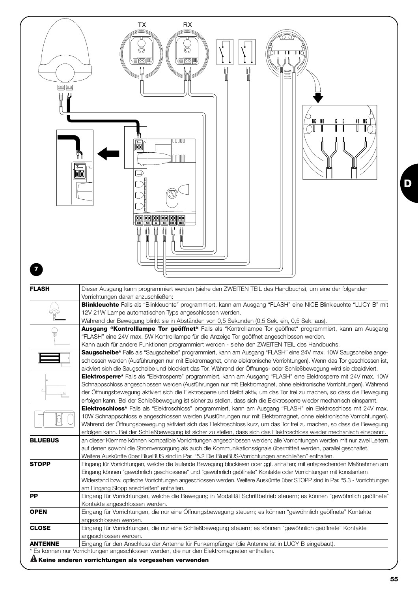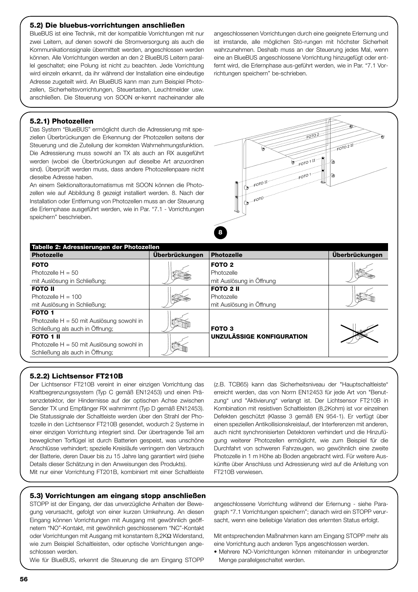#### **5.2) Die bluebus-vorrichtungen anschließen**

BlueBUS ist eine Technik, mit der kompatible Vorrichtungen mit nur zwei Leitern, auf denen sowohl die Stromversorgung als auch die Kommunikationssignale übermittelt werden, angeschlossen werden können. Alle Vorrichtungen werden an den 2 BlueBUS Leitern parallel geschaltet; eine Polung ist nicht zu beachten. Jede Vorrichtung wird einzeln erkannt, da ihr während der Installation eine eindeutige Adresse zugeteilt wird. An BlueBUS kann man zum Beispiel Photozellen, Sicherheitsvorrichtungen, Steuertasten, Leuchtmelder usw. anschließen. Die Steuerung von SOON er-kennt nacheinander alle

angeschlossenen Vorrichtungen durch eine geeignete Erlernung und ist imstande, alle möglichen Stö-rungen mit höchster Sicherheit wahrzunehmen. Deshalb muss an der Steuerung jedes Mal, wenn eine an BlueBUS angeschlossene Vorrichtung hinzugefügt oder entfernt wird, die Erlernphase aus-geführt werden, wie in Par. "7.1 Vorrichtungen speichern" be-schrieben.

#### **5.2.1) Photozellen**

Das System "BlueBUS" ermöglicht durch die Adressierung mit speziellen Überbrückungen die Erkennung der Photozellen seitens der Steuerung und die Zuteilung der korrekten Wahrnehmungsfunktion. Die Adressierung muss sowohl an TX als auch an RX ausgeführt werden (wobei die Überbrückungen auf dieselbe Art anzuordnen sind). Überprüft werden muss, dass andere Photozellenpaare nicht dieselbe Adresse haben.

An einem Sektionaltorautomatismus mit SOON können die Photozellen wie auf Abbildung 8 gezeigt installiert werden. 8. Nach der Installation oder Entfernung von Photozellen muss an der Steuerung die Erlernphase ausgeführt werden, wie in Par. "7.1 - Vorrichtungen speichern" beschrieben.



| Tabelle 2: Adressierungen der Photozellen   |                |                                  |                       |  |
|---------------------------------------------|----------------|----------------------------------|-----------------------|--|
| <b>Photozelle</b>                           | Überbrückungen | <b>Photozelle</b>                | <b>Überbrückungen</b> |  |
| <b>FOTO</b>                                 |                | FOTO <sub>2</sub>                |                       |  |
| Photozelle $H = 50$                         |                | Photozelle                       |                       |  |
| mit Auslösung in Schließung;                |                | mit Auslösung in Öffnung         |                       |  |
| <b>FOTO II</b>                              |                | <b>FOTO 2 II</b>                 |                       |  |
| Photozelle $H = 100$                        |                | Photozelle                       |                       |  |
| mit Auslösung in Schließung;                |                | mit Auslösung in Öffnung         |                       |  |
| <b>FOTO 1</b>                               |                |                                  |                       |  |
| Photozelle $H = 50$ mit Auslösung sowohl in |                |                                  |                       |  |
| Schließung als auch in Öffnung;             |                | <b>FOTO 3</b>                    |                       |  |
| <b>FOTO 1 II</b>                            |                | <b>UNZULÄSSIGE KONFIGURATION</b> |                       |  |
| Photozelle $H = 50$ mit Auslösung sowohl in |                |                                  |                       |  |
| Schließung als auch in Öffnung;             |                |                                  |                       |  |

#### **5.2.2) Lichtsensor FT210B**

Der Lichtsensor FT210B vereint in einer einzigen Vorrichtung das Kraftbegrenzungssystem (Typ C gemäß EN12453) und einen Präsenzdetektor, der Hindernisse auf der optischen Achse zwischen Sender TX und Empfänger RX wahrnimmt (Typ D gemäß EN12453). Die Statussignale der Schaltleiste werden über den Strahl der Photozelle in den Lichtsensor FT210B gesendet, wodurch 2 Systeme in einer einzigen Vorrichtung integriert sind. Der übertragende Teil am beweglichen Torflügel ist durch Batterien gespeist, was unschöne Anschlüsse verhindert; spezielle Kreisläufe verringern den Verbrauch der Batterie, deren Dauer bis zu 15 Jahre lang garantiert wird (siehe Details dieser Schätzung in den Anweisungen des Produkts).

Mit nur einer Vorrichtung FT201B, kombiniert mit einer Schaltleiste

(z.B. TCB65) kann das Sicherheitsniveau der "Hauptschaltleiste" erreicht werden, das von Norm EN12453 für jede Art von "Benutzung" und "Aktivierung" verlangt ist. Der Lichtsensor FT210B in Kombination mit resistiven Schaltleisten (8,2Kohm) ist vor einzelnen Defekten geschützt (Klasse 3 gemäß EN 954-1). Er verfügt über einen speziellen Antikollisionskreislauf, der Interferenzen mit anderen, auch nicht synchronisierten Detektoren verhindert und die Hinzufügung weiterer Photozellen ermöglicht, wie zum Beispiel für die Durchfahrt von schweren Fahrzeugen, wo gewöhnlich eine zweite Photozelle in 1 m Höhe ab Boden angebracht wird. Für weitere Auskünfte über Anschluss und Adressierung wird auf die Anleitung von FT210B verwiesen.

#### **5.3) Vorrichtungen am eingang stopp anschließen**

STOPP ist der Eingang, der das unverzügliche Anhalten der Bewegung verursacht, gefolgt von einer kurzen Umkehrung. An diesen Eingang können Vorrichtungen mit Ausgang mit gewöhnlich geöffnetem "NO"-Kontakt, mit gewöhnlich geschlossenem "NC"-Kontakt oder Vorrichtungen mit Ausgang mit konstantem 8,2KΩ Widerstand, wie zum Beispiel Schaltleisten, oder optische Vorrichtungen angeschlossen werden.

Wie für BlueBUS, erkennt die Steuerung die am Eingang STOPP

angeschlossene Vorrichtung während der Erlernung - siehe Paragraph "7.1 Vorrichtungen speichern"; danach wird ein STOPP verursacht, wenn eine beliebige Variation des erlernten Status erfolgt.

Mit entsprechenden Maßnahmen kann am Eingang STOPP mehr als eine Vorrichtung auch anderen Typs angeschlossen werden.

• Mehrere NO-Vorrichtungen können miteinander in unbegrenzter Menge parallelgeschaltet werden.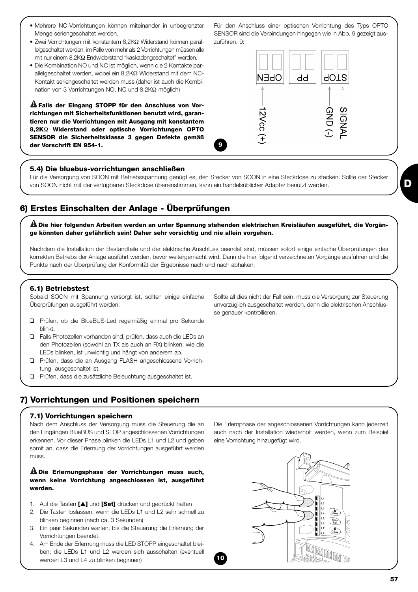- Mehrere NC-Vorrichtungen können miteinander in unbegrenzter Menge seriengeschaltet werden.
- Zwei Vorrichtungen mit konstantem 8,2KΩ Widerstand können parallelgeschaltet werden, im Falle von mehr als 2 Vorrichtungen müssen alle mit nur einem 8,2KΩ Endwiderstand "kaskadengeschaltet" werden.
- Die Kombination NO und NC ist möglich, wenn die 2 Kontakte parallelgeschaltet werden, wobei ein 8,2KΩ Widerstand mit dem NC-Kontakt seriengeschaltet werden muss (daher ist auch die Kombination von 3 Vorrichtungen NO, NC und 8,2KΩ möglich)

**Falls der Eingang STOPP für den Anschluss von Vor-! richtungen mit Sicherheitsfunktionen benutzt wird, garantieren nur die Vorrichtungen mit Ausgang mit konstantem 8,2K**Ω **Widerstand oder optische Vorrichtungen OPTO SENSOR die Sicherheitsklasse 3 gegen Defekte gemäß der Vorschrift EN 954-1.**

#### **5.4) Die bluebus-vorrichtungen anschließen**

Für die Versorgung von SOON mit Betriebsspannung genügt es, den Stecker von SOON in eine Steckdose zu stecken. Sollte der Stecker von SOON nicht mit der verfügbaren Steckdose übereinstimmen, kann ein handelsüblicher Adapter benutzt werden.

**9**

# **6) Erstes Einschalten der Anlage - Überprüfungen**

**Die hier folgenden Arbeiten werden an unter Spannung stehenden elektrischen Kreisläufen ausgeführt, die Vorgän-! ge könnten daher gefährlich sein! Daher sehr vorsichtig und nie allein vorgehen.**

Nachdem die Installation der Bestandteile und der elektrische Anschluss beendet sind, müssen sofort einige einfache Überprüfungen des korrekten Betriebs der Anlage ausführt werden, bevor weitergemacht wird. Dann die hier folgend verzeichneten Vorgänge ausführen und die Punkte nach der Überprüfung der Konformität der Ergebnisse nach und nach abhaken.

#### **6.1) Betriebstest**

Sobald SOON mit Spannung versorgt ist, sollten einige einfache Überprüfungen ausgeführt werden:

- ❑ Prüfen, ob die BlueBUS-Led regelmäßig einmal pro Sekunde blinkt.
- ❑ Falls Photozellen vorhanden sind, prüfen, dass auch die LEDs an den Photozellen (sowohl an TX als auch an RX) blinken; wie die LEDs blinken, ist unwichtig und hängt von anderem ab.
- ❑ Prüfen, dass die an Ausgang FLASH angeschlossene Vorrichtung ausgeschaltet ist.
- ❑ Prüfen, dass die zusätzliche Beleuchtung ausgeschaltet ist.

# **7) Vorrichtungen und Positionen speichern**

#### **7.1) Vorrichtungen speichern**

Nach dem Anschluss der Versorgung muss die Steuerung die an den Eingängen BlueBUS und STOP angeschlossenen Vorrichtungen erkennen. Vor dieser Phase blinken die LEDs L1 und L2 und geben somit an, dass die Erlernung der Vorrichtungen ausgeführt werden muss.

#### **Die Erlernungsphase der Vorrichtungen muss auch, ! wenn keine Vorrichtung angeschlossen ist, ausgeführt werden.**

- 1. Auf die Tasten **[**▲**]** und **[Set]** drücken und gedrückt halten
- 2. Die Tasten loslassen, wenn die LEDs L1 und L2 sehr schnell zu blinken beginnen (nach ca. 3 Sekunden)
- 3. Ein paar Sekunden warten, bis die Steuerung die Erlernung der Vorrichtungen beendet.
- 4. Am Ende der Erlernung muss die LED STOPP eingeschaltet bleiben; die LEDs L1 und L2 werden sich ausschalten (eventuell werden L3 und L4 zu blinken beginnen)

Sollte all dies nicht der Fall sein, muss die Versorgung zur Steuerung unverzüglich ausgeschaltet werden, dann die elektrischen Anschlüsse genauer kontrollieren.

Für den Anschluss einer optischen Vorrichtung des Typs OPTO SENSOR sind die Verbindungen hingegen wie in Abb. 9 gezeigt auszuführen. 9:





Die Erlernphase der angeschlossenen Vorrichtungen kann jederzeit auch nach der Installation wiederholt werden, wenn zum Beispiel

eine Vorrichtung hinzugefügt wird.

**10**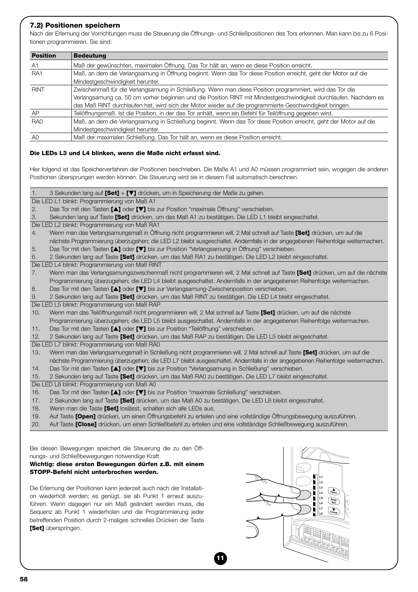#### **7.2) Positionen speichern**

Nach der Erlernung der Vorrichtungen muss die Steuerung die Öffnungs- und Schließpositionen des Tors erkennen. Man kann bis zu 6 Positionen programmieren. Sie sind:

| <b>Position</b>                                                                                                                   | <b>Bedeutung</b>                                                                                                  |  |  |
|-----------------------------------------------------------------------------------------------------------------------------------|-------------------------------------------------------------------------------------------------------------------|--|--|
| A1                                                                                                                                | Maß der gewünschten, maximalen Öffnung. Das Tor hält an, wenn es diese Position erreicht.                         |  |  |
| Maß, an dem die Verlangsamung in Öffnung beginnt. Wenn das Tor diese Position erreicht, geht der Motor auf die<br>RA <sub>1</sub> |                                                                                                                   |  |  |
|                                                                                                                                   | Mindestgeschwindigkeit herunter.                                                                                  |  |  |
| <b>RINT</b>                                                                                                                       | Zwischenmaß für die Verlangsamung in Schließung. Wenn man diese Position programmiert, wird das Tor die           |  |  |
|                                                                                                                                   | Verlangsamung ca. 50 cm vorher beginnen und die Position RINT mit Mindestgeschwindigkeit durchlaufen. Nachdem es  |  |  |
|                                                                                                                                   | das Maß RINT durchlaufen hat, wird sich der Motor wieder auf die programmierte Geschwindigkeit bringen.           |  |  |
| AP                                                                                                                                | Teilöffnungsmaß. Ist die Position, in der das Tor anhält, wenn ein Befehl für Teilöffnung gegeben wird.           |  |  |
| RA <sub>0</sub>                                                                                                                   | Maß, an dem die Verlangsamung in Schließung beginnt. Wenn das Tor diese Position erreicht, geht der Motor auf die |  |  |
|                                                                                                                                   | Mindestgeschwindigkeit herunter.                                                                                  |  |  |
| A <sub>0</sub>                                                                                                                    | Maß der maximalen Schließung. Das Tor hält an, wenn es diese Position erreicht.                                   |  |  |

#### **Die LEDs L3 und L4 blinken, wenn die Maße nicht erfasst sind.**

Hier folgend ist das Speicherverfahren der Positionen beschrieben. Die Maße A1 und A0 müssen programmiert sein, wogegen die anderen Positionen übersprungen werden können. Die Steuerung wird sie in diesem Fall automatisch berechnen.

1. 3 Sekunden lang auf **[Set]** + **[**▼**]** drücken, um in Speicherung der Maße zu gehen.

Die LED L1 blinkt: Programmierung von Maß A1

- 2. Das Tor mit den Tasten **[**▲**]** oder **[**▼**]** bis zur Position "maximale Öffnung" verschieben.
- 3. Sekunden lang auf Taste **[Set]** drücken, um das Maß A1 zu bestätigen. Die LED L1 bleibt eingeschaltet.
- Die LED L2 blinkt: Programmierung von Maß RA1
- 4. Wenn man das Verlangsamungsmaß in Öffnung nicht programmieren will, 2 Mal schnell auf Taste **[Set]** drücken, um auf die nächste Programmierung überzugehen; die LED L2 bleibt ausgeschaltet. Andernfalls in der angegebenen Reihenfolge weitermachen.
- 5. Das Tor mit den Tasten **[**▲**]** oder **[**▼**]** bis zur Position "Verlangsamung in Öffnung" verschieben.
- 6. 2 Sekunden lang auf Taste **[Set]** drücken, um das Maß RA1 zu bestätigen. Die LED L2 bleibt eingeschaltet.

Die LED L4 blinkt: Programmierung von Maß RINT

- 7. Wenn man das Verlangsamungszwischenmaß nicht programmieren will, 2 Mal schnell auf Taste **[Set]** drücken, um auf die nächste Programmierung überzugehen; die LED L4 bleibt ausgeschaltet. Andernfalls in der angegebenen Reihenfolge weitermachen.
- 8. Das Tor mit den Tasten **[**▲**]** oder **[**▼**]** bis zur Verlangsamung-Zwischenposition verschieben.
- 9. 2 Sekunden lang auf Taste **[Set]** drücken, um das Maß RINT zu bestätigen. Die LED L4 bleibt eingeschaltet.

Die LED L5 blinkt: Programmierung von Maß RAP

- 10. Wenn man das Teilöffnungsmaß nicht programmieren will, 2 Mal schnell auf Taste **[Set]** drücken, um auf die nächste Programmierung überzugehen; die LED L5 bleibt ausgeschaltet. Andernfalls in der angegebenen Reihenfolge weitermachen.
- 11. Das Tor mit den Tasten **[**▲**]** oder **[**▼**]** bis zur Position "Teilöffnung" verschieben.
- 12. 2 Sekunden lang auf Taste **[Set]** drücken, um das Maß RAP zu bestätigen. Die LED L5 bleibt eingeschaltet.
- Die LED L7 blinkt: Programmierung von Maß RA0
- 13. Wenn man das Verlangsamungsmaß in Schließung nicht programmieren will, 2 Mal schnell auf Taste **[Set]** drücken, um auf die nächste Programmierung überzugehen; die LED L7 bleibt ausgeschaltet. Andernfalls in der angegebenen Reihenfolge weitermachen. 14. Das Tor mit den Tasten **[**▲**]** oder **[**▼**]** bis zur Position "Verlangsamung in Schließung" verschieben.

**11**

- 15. 2 Sekunden lang auf Taste **[Set]** drücken, um das Maß RA0 zu bestätigen. Die LED L7 bleibt eingeschaltet.
- Die LED L8 blinkt: Programmierung von Maß A0
- 16. Das Tor mit den Tasten **[**▲**]** oder **[**▼**]** bis zur Position "maximale Schließung" verschieben.
- 17. 2 Sekunden lang auf Taste **[Set]** drücken, um das Maß A0 zu bestätigen. Die LED L8 bleibt eingeschaltet.
- 18. Wenn man die Taste **[Set]** loslässt, schalten sich alle LEDs aus.
- 19. Auf Taste **[Open]** drücken, um einen Öffnungsbefehl zu erteilen und eine vollständige Öffnungsbewegung auszuführen.
- 20. Auf Taste **[Close]** drücken, um einen Schließbefehl zu erteilen und eine vollständige Schließbewegung auszuführen.

Bei diesen Bewegungen speichert die Steuerung die zu den Öffnungs- und Schließbewegungen notwendige Kraft.

**Wichtig: diese ersten Bewegungen dürfen z.B. mit einem STOPP-Befehl nicht unterbrochen werden.** 

Die Erlernung der Positionen kann jederzeit auch nach der Installation wiederholt werden; es genügt, sie ab Punkt 1 erneut auszuführen. Wenn dagegen nur ein Maß geändert werden muss, die Sequenz ab Punkt 1 wiederholen und die Programmierung jeder betreffenden Position durch 2-maliges schnelles Drücken der Taste **[Set]** überspringen.

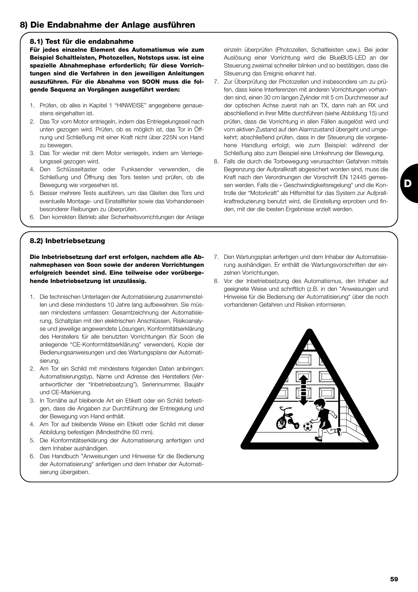# **8) Die Endabnahme der Anlage ausführen**

#### **8.1) Test für die endabnahme**

**Für jedes einzelne Element des Automatismus wie zum Beispiel Schaltleisten, Photozellen, Notstops usw. ist eine spezielle Abnahmephase erforderlich; für diese Vorrichtungen sind die Verfahren in den jeweiligen Anleitungen auszuführen. Für die Abnahme von SOON muss die folgende Sequenz an Vorgängen ausgeführt werden:** 

- 1. Prüfen, ob alles in Kapitel 1 "HINWEISE" angegebene genauestens eingehalten ist.
- 2. Das Tor vom Motor entriegeln, indem das Entriegelungsseil nach unten gezogen wird. Prüfen, ob es möglich ist, das Tor in Öffnung und Schließung mit einer Kraft nicht über 225N von Hand zu bewegen.
- 3. Das Tor wieder mit dem Motor verriegeln, indem am Verriegelungsseil gezogen wird.
- 4. Den Schlüsseltaster oder Funksender verwenden, die Schließung und Öffnung des Tors testen und prüfen, ob die Bewegung wie vorgesehen ist.
- 5. Besser mehrere Tests ausführen, um das Gleiten des Tors und eventuelle Montage- und Einstellfehler sowie das Vorhandensein besonderer Reibungen zu überprüfen.
- 6. Den korrekten Betrieb aller Sicherheitsvorrichtungen der Anlage

einzeln überprüfen (Photozellen, Schaltleisten usw.). Bei jeder Auslösung einer Vorrichtung wird die BlueBUS-LED an der Steuerung zweimal schneller blinken und so bestätigen, dass die Steuerung das Ereignis erkannt hat.

- 7. Zur Überprüfung der Photozellen und insbesondere um zu prüfen, dass keine Interferenzen mit anderen Vorrichtungen vorhanden sind, einen 30 cm langen Zylinder mit 5 cm Durchmesser auf der optischen Achse zuerst nah an TX, dann nah an RX und abschließend in ihrer Mitte durchführen (siehe Abbildung 15) und prüfen, dass die Vorrichtung in allen Fällen ausgelöst wird und vom aktiven Zustand auf den Alarmzustand übergeht und umgekehrt; abschließend prüfen, dass in der Steuerung die vorgesehene Handlung erfolgt, wie zum Beispiel: während der Schließung also zum Beispiel eine Umkehrung der Bewegung.
- 8. Falls die durch die Torbewegung verursachten Gefahren mittels Begrenzung der Aufprallkraft abgesichert worden sind, muss die Kraft nach den Verordnungen der Vorschrift EN 12445 gemessen werden. Falls die « Geschwindigkeitsregelung" und die Kontrolle der "Motorkraft" als Hilfsmittel für das System zur Aufprallkraftreduzierung benutzt wird, die Einstellung erproben und finden, mit der die besten Ergebnisse erzielt werden.

#### **8.2) Inbetriebsetzung**

**Die Inbetriebsetzung darf erst erfolgen, nachdem alle Abnahmephasen von Soon sowie der anderen Vorrichtungen erfolgreich beendet sind. Eine teilweise oder vorübergehende Inbetriebsetzung ist unzulässig.**

- 1. Die technischen Unterlagen der Automatisierung zusammenstellen und diese mindestens 10 Jahre lang aufbewahren. Sie müssen mindestens umfassen: Gesamtzeichnung der Automatisierung, Schaltplan mit den elektrischen Anschlüssen, Risikoanalyse und jeweilige angewendete Lösungen, Konformitätserklärung des Herstellers für alle benutzten Vorrichtungen (für Soon die anliegende "CE-Konformitätserklärung" verwenden), Kopie der Bedienungsanweisungen und des Wartungsplans der Automatisierung.
- 2. Am Tor ein Schild mit mindestens folgenden Daten anbringen: Automatisierungstyp, Name und Adresse des Herstellers (Verantwortlicher der "Inbetriebsetzung"), Seriennummer, Baujahr und CE-Markierung.
- 3. In Tornähe auf bleibende Art ein Etikett oder ein Schild befestigen, dass die Angaben zur Durchführung der Entriegelung und der Bewegung von Hand enthält.
- 4. Am Tor auf bleibende Weise ein Etikett oder Schild mit dieser Abbildung befestigen (Mindesthöhe 60 mm).
- 5. Die Konformitätserklärung der Automatisierung anfertigen und dem Inhaber aushändigen.
- 6. Das Handbuch "Anweisungen und Hinweise für die Bedienung der Automatisierung" anfertigen und dem Inhaber der Automatisierung übergeben.
- 7. Den Wartungsplan anfertigen und dem Inhaber der Automatisierung aushändigen. Er enthält die Wartungsvorschriften der einzelnen Vorrichtungen.
- 8. Vor der Inbetriebsetzung des Automatismus, den Inhaber auf geeignete Weise und schriftlich (z.B. in den "Anweisungen und Hinweise für die Bedienung der Automatisierung" über die noch vorhandenen Gefahren und Risiken informieren.



**D**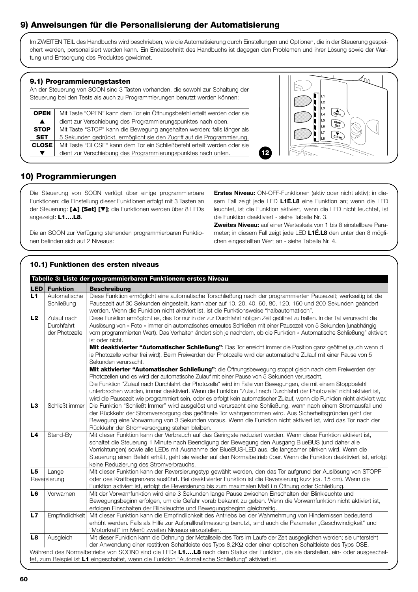# **9) Anweisungen für die Personalisierung der Automatisierung**

Im ZWEITEN TEIL des Handbuchs wird beschrieben, wie die Automatisierung durch Einstellungen und Optionen, die in der Steuerung gespeichert werden, personalisiert werden kann. Ein Endabschnitt des Handbuchs ist dagegen den Problemen und ihrer Lösung sowie der Wartung und Entsorgung des Produktes gewidmet.

#### **9.1) Programmierungstasten**

An der Steuerung von SOON sind 3 Tasten vorhanden, die sowohl zur Schaltung der Steuerung bei den Tests als auch zu Programmierungen benutzt werden können:

| <b>OPEN</b>      | Mit Taste "OPEN" kann dem Tor ein Öffnungsbefehl erteilt werden oder sie |  |  |  |  |
|------------------|--------------------------------------------------------------------------|--|--|--|--|
| $\blacktriangle$ | dient zur Verschiebung des Programmierungspunktes nach oben.             |  |  |  |  |
| <b>STOP</b>      | Mit Taste "STOP" kann die Bewegung angehalten werden; falls länger als   |  |  |  |  |
| <b>SET</b>       | 5 Sekunden gedrückt, ermöglicht sie den Zugriff auf die Programmierung.  |  |  |  |  |
| <b>CLOSE</b>     | Mit Taste "CLOSE" kann dem Tor ein Schließbefehl erteilt werden oder sie |  |  |  |  |
| ▼                | dient zur Verschiebung des Programmierungspunktes nach unten.            |  |  |  |  |
|                  |                                                                          |  |  |  |  |



# **10) Programmierungen**

Die Steuerung von SOON verfügt über einige programmierbare Funktionen; die Einstellung dieser Funktionen erfolgt mit 3 Tasten an der Steuerung: **[**▲**] [Set] [**▼**]**; die Funktionen werden über 8 LEDs angezeigt: **L1….L8**.

Die an SOON zur Verfügung stehenden programmierbaren Funktionen befinden sich auf 2 Niveaus:

**10.1) Funktionen des ersten niveaus** 

*Erstes Niveau:* ON-OFF-Funktionen (aktiv oder nicht aktiv); in diesem Fall zeigt jede LED *L1É.L8* eine Funktion an; wenn die LED leuchtet, ist die Funktion aktiviert, wenn die LED nicht leuchtet, ist die Funktion deaktiviert - siehe Tabelle Nr. 3.

*Zweites Niveau:* auf einer Werteskala von 1 bis 8 einstellbare Parameter; in diesem Fall zeigt jede LED *L1É.L8* den unter den 8 möglichen eingestellten Wert an - siehe Tabelle Nr. 4.

#### **LED** Funktion Beschreibung L1 Automatische Diese Funktion ermöglicht eine automatische Torschließung nach der programmierten Pausezeit; werkseitig ist die Schließung | Pausezeit auf 30 Sekunden eingestellt, kann aber auf 10, 20, 40, 60, 80, 120, 160 und 200 Sekunden geändert werden. Wenn die Funktion nicht aktiviert ist, ist die Funktionsweise "halbautomatisch". L2 Zulauf nach Diese Funktion ermöglicht es, das Tor nur in der zur Durchfahrt nötigen Zeit geöffnet zu halten. In der Tat verursacht die Durchfahrt Auslösung von « Foto » immer ein automatisches erneutes Schließen mit einer Pausezeit von 5 Sekunden (unabhängig der Photozelle vom programmierten Wert). Das Verhalten ändert sich je nachdem, ob die Funktion «Automatische Schließung" aktiviert ist oder nicht. **Mit deaktivierter "Automatischer Schließung"**: Das Tor erreicht immer die Position ganz geöffnet (auch wenn d ie Photozelle vorher frei wird). Beim Freiwerden der Photozelle wird der automatische Zulauf mit einer Pause von 5 Sekunden verursacht. **Mit aktivierter "Automatischer Schließung"**: die Öffnungsbewegung stoppt gleich nach dem Freiwerden der Photozellen und es wird der automatische Zulauf mit einer Pause von 5 Sekunden verursacht. Die Funktion "Zulauf nach Durchfahrt der Photozelle" wird im Falle von Bewegungen, die mit einem Stoppbefehl unterbrochen wurden, immer deaktiviert. Wenn die Funktion "Zulauf nach Durchfahrt der Photozelle" nicht aktiviert ist, wird die Pausezeit wie programmiert sein, oder es erfolgt kein automatischer Zulauf, wenn die Funktion nicht aktiviert war. **L3** Schließt immer Die Funktion "Schließt Immer" wird ausgelöst und verursacht eine Schließung, wenn nach einem Stromausfall und der Rückkehr der Stromversorgung das geöffnete Tor wahrgenommen wird. Aus Sicherheitsgründen geht der Bewegung eine Vorwarnung von 3 Sekunden voraus. Wenn die Funktion nicht aktiviert ist, wird das Tor nach der Rückkehr der Stromversorgung stehen bleiben. **L4** Stand-By Mit dieser Funktion kann der Verbrauch auf das Geringste reduziert werden. Wenn diese Funktion aktiviert ist, schaltet die Steuerung 1 Minute nach Beendigung der Bewegung den Ausgang BlueBUS (und daher alle Vorrichtungen) sowie alle LEDs mit Ausnahme der BlueBUS-LED aus, die langsamer blinken wird. Wenn die Steuerung einen Befehl erhält, geht sie wieder auf den Normalbetrieb über. Wenn die Funktion deaktiviert ist, erfolgt keine Reduzierung des Stromverbrauchs. **L5** Lange Mit dieser Funktion kann der Reversierungstyp gewählt werden, den das Tor aufgrund der Auslösung von STOPP Reversierung oder des Kraftbegrenzers ausführt. Bei deaktivierter Funktion ist die Reversierung kurz (ca. 15 cm). Wenn die Funktion aktiviert ist, erfolgt die Reversierung bis zum maximalen Maß i n Öffnung oder Schließung. L6 Vorwarnen | Mit der Vorwarnfunktion wird eine 3 Sekunden lange Pause zwischen Einschalten der Blinkleuchte und Bewegungsbeginn erfolgen, um die Gefahr vorab bekannt zu geben. Wenn die Vorwarnfunktion nicht aktiviert ist, erfolgen Einschalten der Blinkleuchte und Bewegungsbeginn gleichzeitig. L7 Empfindlichkeit Mit dieser Funktion kann die Empfindlichkeit des Antriebs bei der Wahrnehmung von Hindernissen bedeutend erhöht werden. Falls als Hilfe zur Aufprallkraftmessung benutzt, sind auch die Parameter "Geschwindigkeit" und "Motorkraft" im Menü zweiten Niveaus einzustellen. **L8** Ausgleich Mit dieser Funktion kann die Dehnung der Metallseile des Tors im Laufe der Zeit ausgeglichen werden; sie untersteht der Anwendung einer restitiven Schaltleiste des Typs 8,2KΩ oder einer optischen Schaltleiste des Typs OSE. Während des Normalbetriebs von SOON0 sind die LEDs **L1….L8** nach dem Status der Funktion, die sie darstellen, ein- oder ausgeschaltet, zum Beispiel ist **L1** eingeschaltet, wenn die Funktion "Automatische Schließung" aktiviert ist. **Tabelle 3: Liste der programmierbaren Funktionen: erstes Niveau**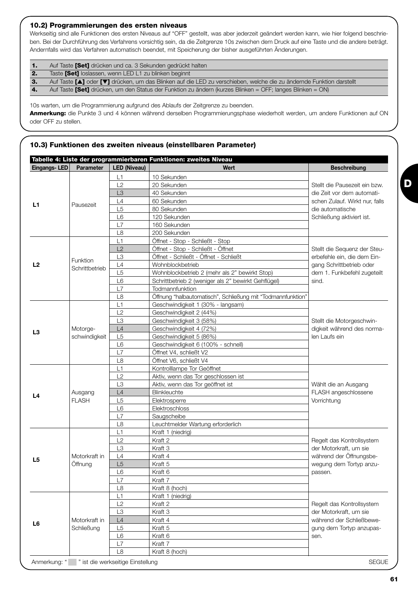#### **10.2) Programmierungen des ersten niveaus**

Werkseitig sind alle Funktionen des ersten Niveaus auf "OFF" gestellt, was aber jederzeit geändert werden kann, wie hier folgend beschrieben. Bei der Durchführung des Verfahrens vorsichtig sein, da die Zeitgrenze 10s zwischen dem Druck auf eine Taste und die andere beträgt. Andernfalls wird das Verfahren automatisch beendet, mit Speicherung der bisher ausgeführten Änderungen.

| Auf Taste <b>[Set]</b> drücken und ca. 3 Sekunden gedrückt halten |
|-------------------------------------------------------------------|
| Toeto <b>[Sot]</b> lockecon wonn LED L1 zu blinken boginnt        |

**2.** Taste **[Set]** loslassen, wenn LED L1 zu blinken beginnt<br>**3.** Auf Taste **[A]** oder **[V]** drücken, um das Blinken auf d **3.** Auf Taste **[**▲**]** oder **[**▼**]** drücken, um das Blinken auf die LED zu verschieben, welche die zu ändernde Funktion darstellt

**4.** Auf Taste **[Set]** drücken, um den Status der Funktion zu ändern (kurzes Blinken = OFF; langes Blinken = ON)

10s warten, um die Programmierung aufgrund des Ablaufs der Zeitgrenze zu beenden.

**Anmerkung:** die Punkte 3 und 4 können während derselben Programmierungsphase wiederholt werden, um andere Funktionen auf ON oder OFF zu stellen.

#### **10.3) Funktionen des zweiten niveaus (einstellbaren Parameter)**

| <b>Parameter</b><br>Pausezeit | <b>LED (Niveau)</b><br>L1<br>L2<br>L <sub>3</sub><br>L4<br>L <sub>5</sub><br>L <sub>6</sub><br>L7 | Wert<br>10 Sekunden<br>20 Sekunden<br>40 Sekunden<br>60 Sekunden<br>80 Sekunden | <b>Beschreibung</b><br>Stellt die Pausezeit ein bzw.<br>die Zeit vor dem automati-<br>schen Zulauf. Wirkt nur, falls |
|-------------------------------|---------------------------------------------------------------------------------------------------|---------------------------------------------------------------------------------|----------------------------------------------------------------------------------------------------------------------|
|                               |                                                                                                   |                                                                                 |                                                                                                                      |
|                               |                                                                                                   |                                                                                 |                                                                                                                      |
|                               |                                                                                                   |                                                                                 |                                                                                                                      |
|                               |                                                                                                   |                                                                                 |                                                                                                                      |
|                               |                                                                                                   |                                                                                 |                                                                                                                      |
|                               |                                                                                                   |                                                                                 | die automatische                                                                                                     |
|                               |                                                                                                   | 120 Sekunden                                                                    | Schließung aktiviert ist.                                                                                            |
|                               |                                                                                                   | 160 Sekunden                                                                    |                                                                                                                      |
|                               | L8                                                                                                | 200 Sekunden                                                                    |                                                                                                                      |
|                               | L1                                                                                                | Öffnet - Stop - Schließt - Stop                                                 |                                                                                                                      |
|                               | L2                                                                                                | Öffnet - Stop - Schließt - Öffnet                                               | Stellt die Sequenz der Steu-                                                                                         |
| Funktion                      | L <sub>3</sub>                                                                                    | Öffnet - Schließt - Öffnet - Schließt                                           | erbefehle ein, die dem Ein-                                                                                          |
| Schrittbetrieb                | L4                                                                                                | Wohnblockbetrieb                                                                | gang Schrittbetrieb oder                                                                                             |
|                               | L5                                                                                                | Wohnblockbetrieb 2 (mehr als 2" bewirkt Stop)                                   | dem 1. Funkbefehl zugeteilt                                                                                          |
|                               | L <sub>6</sub>                                                                                    | Schrittbetrieb 2 (weniger als 2" bewirkt Gehflügel)                             | sind.                                                                                                                |
|                               | L7                                                                                                | Todmannfunktion                                                                 |                                                                                                                      |
|                               | L8                                                                                                | Öffnung "halbautomatisch", Schließung mit "Todmannfunktion"                     |                                                                                                                      |
|                               | L1                                                                                                | Geschwindigkeit 1 (30% - langsam)                                               |                                                                                                                      |
|                               | L2                                                                                                | Geschwindigkeit 2 (44%)                                                         |                                                                                                                      |
|                               | L3                                                                                                | Geschwindigkeit 3 (58%)                                                         | Stellt die Motorgeschwin-                                                                                            |
| Motorge-                      | L4                                                                                                | Geschwindigkeit 4 (72%)                                                         | digkeit während des norma-                                                                                           |
|                               | L <sub>5</sub>                                                                                    | Geschwindigkeit 5 (86%)                                                         | len Laufs ein                                                                                                        |
| schwindigkeit                 | L <sub>6</sub>                                                                                    | Geschwindigkeit 6 (100% - schnell)                                              |                                                                                                                      |
|                               | L7                                                                                                | Öffnet V4, schließt V2                                                          |                                                                                                                      |
|                               | L8                                                                                                | Öffnet V6, schließt V4                                                          |                                                                                                                      |
|                               | L1                                                                                                | Kontrolllampe Tor Geöffnet                                                      |                                                                                                                      |
|                               | L2                                                                                                |                                                                                 |                                                                                                                      |
|                               |                                                                                                   | Aktiv, wenn das Tor geschlossen ist                                             |                                                                                                                      |
|                               | L <sub>3</sub>                                                                                    | Aktiv, wenn das Tor geöffnet ist                                                | Wählt die an Ausgang                                                                                                 |
| Ausgang<br><b>FLASH</b>       | L4                                                                                                | Blinkleuchte                                                                    | FLASH angeschlossene                                                                                                 |
|                               | L <sub>5</sub>                                                                                    | Elektrosperre                                                                   | Vorrichtung                                                                                                          |
|                               | L <sub>6</sub>                                                                                    | Elektroschloss                                                                  |                                                                                                                      |
|                               | L7                                                                                                | Saugscheibe                                                                     |                                                                                                                      |
|                               | L8                                                                                                | Leuchtmelder Wartung erforderlich                                               |                                                                                                                      |
|                               | L1                                                                                                | Kraft 1 (niedrig)                                                               |                                                                                                                      |
|                               | L2                                                                                                | Kraft 2                                                                         | Regelt das Kontrollsystem                                                                                            |
|                               | L <sub>3</sub>                                                                                    | Kraft 3                                                                         | der Motorkraft, um sie                                                                                               |
| Motorkraft in                 | L4                                                                                                | Kraft 4                                                                         | während der Öffnungsbe-                                                                                              |
| Öffnung                       | L5                                                                                                | Kraft 5                                                                         | wegung dem Tortyp anzu-                                                                                              |
|                               | L6                                                                                                | Kraft 6                                                                         | passen.                                                                                                              |
|                               | L7                                                                                                | Kraft 7                                                                         |                                                                                                                      |
|                               | L8                                                                                                | Kraft 8 (hoch)                                                                  |                                                                                                                      |
|                               | L1                                                                                                | Kraft 1 (niedrig)                                                               |                                                                                                                      |
|                               | L2                                                                                                | Kraft 2                                                                         | Regelt das Kontrollsystem                                                                                            |
|                               | L <sub>3</sub>                                                                                    |                                                                                 | der Motorkraft, um sie                                                                                               |
|                               |                                                                                                   |                                                                                 | während der Schließbewe-                                                                                             |
|                               |                                                                                                   |                                                                                 | gung dem Tortyp anzupas-                                                                                             |
| Motorkraft in                 |                                                                                                   |                                                                                 | sen.                                                                                                                 |
| Schließung                    |                                                                                                   |                                                                                 |                                                                                                                      |
|                               |                                                                                                   |                                                                                 |                                                                                                                      |
|                               |                                                                                                   | L4<br>L <sub>5</sub><br>L6<br>L7                                                | Kraft 3<br>Kraft 4<br>Kraft 5<br>Kraft 6<br>Kraft 7<br>L8<br>Kraft 8 (hoch)                                          |

**D**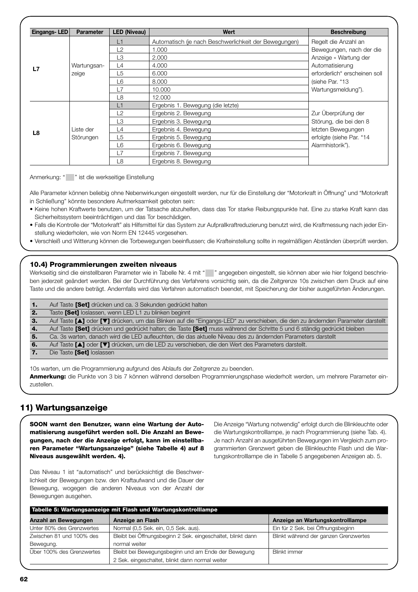| Eingangs-LED | <b>Parameter</b> | <b>LED (Niveau)</b> | Wert                                                  | <b>Beschreibung</b>           |
|--------------|------------------|---------------------|-------------------------------------------------------|-------------------------------|
|              |                  | L1                  | Automatisch (je nach Beschwerlichkeit der Bewegungen) | Regelt die Anzahl an          |
|              |                  | L2                  | 1.000                                                 | Bewegungen, nach der die      |
|              |                  | L3                  | 2.000                                                 | Anzeige « Wartung der         |
| L7           | Wartungsan-      | L4                  | 4.000                                                 | Automatisierung               |
|              | zeige            | L5                  | 6.000                                                 | erforderlich" erscheinen soll |
|              |                  | L6                  | 8.000                                                 | (siehe Par. "13               |
|              |                  | l 7                 | 10,000                                                | Wartungsmeldung").            |
|              |                  | L8                  | 12,000                                                |                               |
|              |                  | L1                  | Ergebnis 1. Bewegung (die letzte)                     |                               |
|              |                  | L2                  | Ergebnis 2. Bewegung                                  | Zur Überprüfung der           |
|              |                  | L3                  | Ergebnis 3. Bewegung                                  | Störung, die bei den 8        |
| L8           | Liste der        | L4                  | Ergebnis 4. Bewegung                                  | letzten Bewegungen            |
|              | Störungen        | L5                  | Ergebnis 5. Bewegung                                  | erfolgte (siehe Par. "14      |
|              |                  | L6                  | Ergebnis 6. Bewegung                                  | Alarmhistorik").              |
|              |                  | L7                  | Ergebnis 7. Bewegung                                  |                               |
|              |                  | L8                  | Ergebnis 8. Bewegung                                  |                               |

Anmerkung: " " ist die werkseitige Einstellung

Alle Parameter können beliebig ohne Nebenwirkungen eingestellt werden, nur für die Einstellung der "Motorkraft in Öffnung" und "Motorkraft in Schließung" könnte besondere Aufmerksamkeit geboten sein:

- Keine hohen Kraftwerte benutzen, um der Tatsache abzuhelfen, dass das Tor starke Reibungspunkte hat. Eine zu starke Kraft kann das Sicherheitssystem beeinträchtigen und das Tor beschädigen.
- Falls die Kontrolle der "Motorkraft" als Hilfsmittel für das System zur Aufprallkraftreduzierung benutzt wird, die Kraftmessung nach jeder Einstellung wiederholen, wie von Norm EN 12445 vorgesehen.
- Verschleiß und Witterung können die Torbewegungen beeinflussen; die Krafteinstellung sollte in regelmäßigen Abständen überprüft werden.

#### **10.4) Programmierungen zweiten niveaus**

Werkseitig sind die einstellbaren Parameter wie in Tabelle Nr. 4 mit "" angegeben eingestellt, sie können aber wie hier folgend beschrieben jederzeit geändert werden. Bei der Durchführung des Verfahrens vorsichtig sein, da die Zeitgrenze 10s zwischen dem Druck auf eine Taste und die andere beträgt. Andernfalls wird das Verfahren automatisch beendet, mit Speicherung der bisher ausgeführten Änderungen.

| п.  | Auf Taste [Set] drücken und ca. 3 Sekunden gedrückt halten                                                                     |
|-----|--------------------------------------------------------------------------------------------------------------------------------|
| -2. | Taste <b>[Set]</b> loslassen, wenn LED L1 zu blinken beginnt                                                                   |
| -3. | Auf Taste [1] oder [V] drücken, um das Blinken auf die "Eingangs-LED" zu verschieben, die den zu ändernden Parameter darstellt |
| 4.  | Auf Taste [Set] drücken und gedrückt halten; die Taste [Set] muss während der Schritte 5 und 6 ständig gedrückt bleiben        |
| 5.  | Ca. 3s warten, danach wird die LED aufleuchten, die das aktuelle Niveau des zu ändernden Parameters darstellt                  |
| 6.  | Auf Taste [A] oder [V] drücken, um die LED zu verschieben, die den Wert des Parameters darstellt.                              |
|     | Die Taste [Set] loslassen                                                                                                      |
|     |                                                                                                                                |

10s warten, um die Programmierung aufgrund des Ablaufs der Zeitgrenze zu beenden. **Anmerkung:** die Punkte von 3 bis 7 können während derselben Programmierungsphase wiederholt werden, um mehrere Parameter einzustellen.

# **11) Wartungsanzeige**

**SOON warnt den Benutzer, wann eine Wartung der Automatisierung ausgeführt werden soll. Die Anzahl an Bewegungen, nach der die Anzeige erfolgt, kann im einstellbaren Parameter "Wartungsanzeige" (siehe Tabelle 4) auf 8 Niveaus ausgewählt werden. 4).**

Die Anzeige "Wartung notwendig" erfolgt durch die Blinkleuchte oder die Wartungskontrolllampe, je nach Programmierung (siehe Tab. 4). Je nach Anzahl an ausgeführten Bewegungen im Vergleich zum programmierten Grenzwert geben die Blinkleuchte Flash und die Wartungskontrolllampe die in Tabelle 5 angegebenen Anzeigen ab. 5.

Das Niveau 1 ist "automatisch" und berücksichtigt die Beschwerlichkeit der Bewegungen bzw. den Kraftaufwand und die Dauer der Bewegung, wogegen die anderen Niveaus von der Anzahl der Bewegungen ausgehen.

| Tabelle 5: Wartungsanzeige mit Flash und Wartungskontrolllampe |                                                             |                                       |  |
|----------------------------------------------------------------|-------------------------------------------------------------|---------------------------------------|--|
| Anzahl an Bewegungen                                           | Anzeige an Flash                                            | Anzeige an Wartungskontrolllampe      |  |
| Unter 80% des Grenzwertes                                      | Normal (0,5 Sek. ein, 0,5 Sek. aus).                        | Ein für 2 Sek. bei Öffnungsbeginn     |  |
| Zwischen 81 und 100% des                                       | Bleibt bei Öffnungsbeginn 2 Sek. eingeschaltet, blinkt dann | Blinkt während der ganzen Grenzwertes |  |
| Bewegung.                                                      | normal weiter                                               |                                       |  |
| Über 100% des Grenzwertes                                      | Bleibt bei Bewegungsbeginn und am Ende der Bewegung         | <b>Blinkt immer</b>                   |  |
|                                                                | 2 Sek. eingeschaltet, blinkt dann normal weiter             |                                       |  |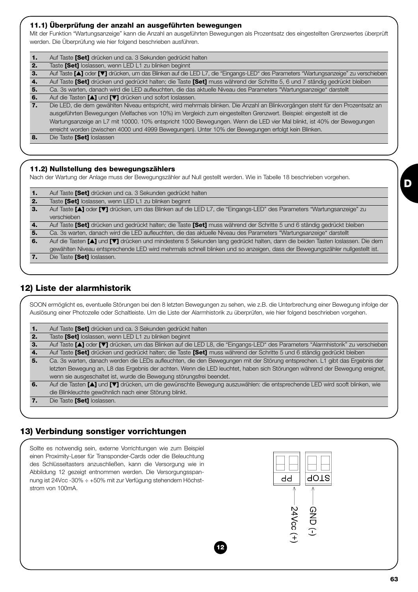#### **11.1) Überprüfung der anzahl an ausgeführten bewegungen**

Mit der Funktion "Wartungsanzeige" kann die Anzahl an ausgeführten Bewegungen als Prozentsatz des eingestellten Grenzwertes überprüft werden. Die Überprüfung wie hier folgend beschrieben ausführen.

| -1. | Auf Taste [Set] drücken und ca. 3 Sekunden gedrückt halten                                                                        |
|-----|-----------------------------------------------------------------------------------------------------------------------------------|
| 2.  | Taste [Set] loslassen, wenn LED L1 zu blinken beginnt                                                                             |
| 3.  | Auf Taste [A] oder [V] drücken, um das Blinken auf die LED L7, die "Eingangs-LED" des Parameters "Wartungsanzeige" zu verschieben |
| -4. | Auf Taste [Set] drücken und gedrückt halten; die Taste [Set] muss während der Schritte 5, 6 und 7 ständig gedrückt bleiben        |
| 5.  | Ca. 3s warten, danach wird die LED aufleuchten, die das aktuelle Niveau des Parameters "Wartungsanzeige" darstellt                |
| 6.  | Auf die Tasten [A] und [V] drücken und sofort loslassen.                                                                          |
| 7.  | Die LED, die dem gewählten Niveau entspricht, wird mehrmals blinken. Die Anzahl an Blinkvorgängen steht für den Prozentsatz an    |
|     | ausgeführten Bewegungen (Vielfaches von 10%) im Vergleich zum eingestellten Grenzwert. Beispiel: eingestellt ist die              |
|     | Wartungsanzeige an L7 mit 10000. 10% entspricht 1000 Bewegungen. Wenn die LED vier Mal blinkt, ist 40% der Bewegungen             |
|     | erreicht worden (zwischen 4000 und 4999 Bewegungen). Unter 10% der Bewegungen erfolgt kein Blinken.                               |
| 8.  | Die Taste [Set] loslassen                                                                                                         |
|     |                                                                                                                                   |
|     |                                                                                                                                   |

#### **11.2) Nullstellung des bewegungszählers**

Nach der Wartung der Anlage muss der Bewegungszähler auf Null gestellt werden. Wie in Tabelle 18 beschrieben vorgehen.

| 1. | Auf Taste [Set] drücken und ca. 3 Sekunden gedrückt halten                                                                   |
|----|------------------------------------------------------------------------------------------------------------------------------|
| 2. | Taste [Set] loslassen, wenn LED L1 zu blinken beginnt                                                                        |
| 3. | Auf Taste [1] oder [V] drücken, um das Blinken auf die LED L7, die "Eingangs-LED" des Parameters "Wartungsanzeige" zu        |
|    | verschieben                                                                                                                  |
| 4. | Auf Taste [Set] drücken und gedrückt halten; die Taste [Set] muss während der Schritte 5 und 6 ständig gedrückt bleiben      |
| 5. | Ca. 3s warten, danach wird die LED aufleuchten, die das aktuelle Niveau des Parameters "Wartungsanzeige" darstellt           |
| 6. | Auf die Tasten [A] und [V] drücken und mindestens 5 Sekunden lang gedrückt halten, dann die beiden Tasten loslassen. Die dem |
|    | gewählten Niveau entsprechende LED wird mehrmals schnell blinken und so anzeigen, dass der Bewegungszähler nullgestellt ist. |
| 7. | Die Taste [Set] loslassen.                                                                                                   |
|    |                                                                                                                              |

# **12) Liste der alarmhistorik**

SOON ermöglicht es, eventuelle Störungen bei den 8 letzten Bewegungen zu sehen, wie z.B. die Unterbrechung einer Bewegung infolge der Auslösung einer Photozelle oder Schaltleiste. Um die Liste der Alarmhistorik zu überprüfen, wie hier folgend beschrieben vorgehen.

| Auf Taste [Set] drücken und ca. 3 Sekunden gedrückt halten<br>1. |
|------------------------------------------------------------------|
|------------------------------------------------------------------|

**2.** Taste **[Set]** loslassen, wenn LED L1 zu blinken beginnt

**3.** Auf Taste **[**▲**]** oder **[**▼**]** drücken, um das Blinken auf die LED L8, die "Eingangs-LED" des Parameters "Alarmhistorik" zu verschieben

- **4.** Auf Taste **[Set]** drücken und gedrückt halten; die Taste **[Set]** muss während der Schritte 5 und 6 ständig gedrückt bleiben **5.** Ca. 3s warten, danach werden die LEDs aufleuchten, die den Bewegungen mit der Störung entsprechen. L1 gibt das Ergebnis der letzten Bewegung an, L8 das Ergebnis der achten. Wenn die LED leuchtet, haben sich Störungen während der Bewegung ereignet, wenn sie ausgeschaltet ist, wurde die Bewegung störungsfrei beendet.
- **6.** Auf die Tasten **[**▲**]** und **[**▼**]** drücken, um die gewünschte Bewegung auszuwählen: die entsprechende LED wird sooft blinken, wie die Blinkleuchte gewöhnlich nach einer Störung blinkt.
- **7.** Die Taste **[Set]** loslassen.

# **13) Verbindung sonstiger vorrichtungen**

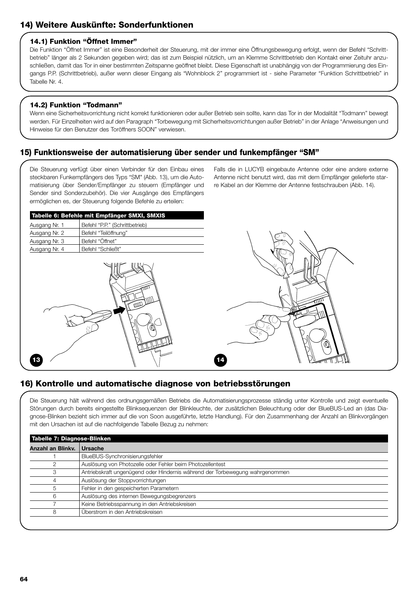# **14) Weitere Auskünfte: Sonderfunktionen**

#### **14.1) Funktion "Öffnet Immer"**

Die Funktion "Öffnet Immer" ist eine Besonderheit der Steuerung, mit der immer eine Öffnungsbewegung erfolgt, wenn der Befehl "Schrittbetrieb" länger als 2 Sekunden gegeben wird; das ist zum Beispiel nützlich, um an Klemme Schrittbetrieb den Kontakt einer Zeituhr anzuschließen, damit das Tor in einer bestimmten Zeitspanne geöffnet bleibt. Diese Eigenschaft ist unabhängig von der Programmierung des Eingangs P.P. (Schrittbetrieb), außer wenn dieser Eingang als "Wohnblock 2" programmiert ist - siehe Parameter "Funktion Schrittbetrieb" in Tabelle Nr. 4.

#### **14.2) Funktion "Todmann"**

Wenn eine Sicherheitsvorrichtung nicht korrekt funktionieren oder außer Betrieb sein sollte, kann das Tor in der Modalität "Todmann" bewegt werden. Für Einzelheiten wird auf den Paragraph "Torbewegung mit Sicherheitsvorrichtungen außer Betrieb" in der Anlage "Anweisungen und Hinweise für den Benutzer des Toröffners SOON" verwiesen.

# **15) Funktionsweise der automatisierung über sender und funkempfänger "SM"**

Die Steuerung verfügt über einen Verbinder für den Einbau eines steckbaren Funkempfängers des Typs "SM" (Abb. 13), um die Automatisierung über Sender/Empfänger zu steuern (Empfänger und Sender sind Sonderzubehör). Die vier Ausgänge des Empfängers ermöglichen es, der Steuerung folgende Befehle zu erteilen:

Falls die in LUCYB eingebaute Antenne oder eine andere externe Antenne nicht benutzt wird, das mit dem Empfänger gelieferte starre Kabel an der Klemme der Antenne festschrauben (Abb. 14).

| Tabelle 6: Befehle mit Empfänger SMXI, SMXIS |                                |  |  |
|----------------------------------------------|--------------------------------|--|--|
| Ausgang Nr. 1                                | Befehl "P.P." (Schrittbetrieb) |  |  |
| Ausgang Nr. 2                                | Befehl "Teilöffnung"           |  |  |
| Ausgang Nr. 3                                | Befehl "Öffnet"                |  |  |
| Ausgang Nr. 4                                | Befehl "Schließt"              |  |  |
|                                              |                                |  |  |





# **16) Kontrolle und automatische diagnose von betriebsstörungen**

Die Steuerung hält während des ordnungsgemäßen Betriebs die Automatisierungsprozesse ständig unter Kontrolle und zeigt eventuelle Störungen durch bereits eingestellte Blinksequenzen der Blinkleuchte, der zusätzlichen Beleuchtung oder der BlueBUS-Led an (das Diagnose-Blinken bezieht sich immer auf die von Soon ausgeführte, letzte Handlung). Für den Zusammenhang der Anzahl an Blinkvorgängen mit den Ursachen ist auf die nachfolgende Tabelle Bezug zu nehmen:

| <b>Anzahl an Blinky.</b> | Ursache                                                                      |
|--------------------------|------------------------------------------------------------------------------|
|                          | BlueBUS-Synchronisierungsfehler                                              |
|                          | Auslösung von Photozelle oder Fehler beim Photozellentest                    |
|                          | Antriebskraft ungenügend oder Hindernis während der Torbewegung wahrgenommen |
|                          | Auslösung der Stoppvorrichtungen                                             |
|                          | Fehler in den gespeicherten Parametern                                       |
| 6                        | Auslösung des internen Bewegungsbegrenzers                                   |
|                          | Keine Betriebsspannung in den Antriebskreisen                                |
| 8                        | Überstrom in den Antriebskreisen                                             |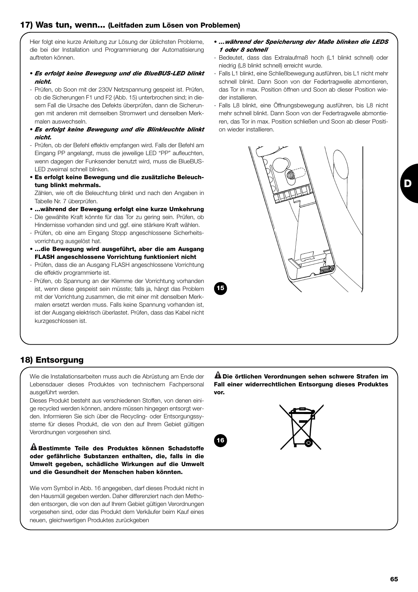# **17) Was tun, wenn... (Leitfaden zum Lösen von Problemen)**

Hier folgt eine kurze Anleitung zur Lösung der üblichsten Probleme, die bei der Installation und Programmierung der Automatisierung auftreten können.

- *Es erfolgt keine Bewegung und die BlueBUS-LED blinkt nicht.*
- Prüfen, ob Soon mit der 230V Netzspannung gespeist ist. Prüfen, ob die Sicherungen F1 und F2 (Abb. 15) unterbrochen sind; in diesem Fall die Ursache des Defekts überprüfen, dann die Sicherungen mit anderen mit demselben Stromwert und denselben Merkmalen auswechseln.
- *Es erfolgt keine Bewegung und die Blinkleuchte blinkt nicht.*
- Prüfen, ob der Befehl effektiv empfangen wird. Falls der Befehl am Eingang PP angelangt, muss die jeweilige LED "PP" aufleuchten, wenn dagegen der Funksender benutzt wird, muss die BlueBUS-LED zweimal schnell blinken.
- **Es erfolgt keine Bewegung und die zusätzliche Beleuchtung blinkt mehrmals.**

Zählen, wie oft die Beleuchtung blinkt und nach den Angaben in Tabelle Nr. 7 überprüfen.

- **...während der Bewegung erfolgt eine kurze Umkehrung**
- Die gewählte Kraft könnte für das Tor zu gering sein. Prüfen, ob Hindernisse vorhanden sind und ggf. eine stärkere Kraft wählen.
- Prüfen, ob eine am Eingang Stopp angeschlossene Sicherheitsvorrichtung ausgelöst hat.
- **…die Bewegung wird ausgeführt, aber die am Ausgang FLASH angeschlossene Vorrichtung funktioniert nicht**
- Prüfen, dass die an Ausgang FLASH angeschlossene Vorrichtung die effektiv programmierte ist.
- Prüfen, ob Spannung an der Klemme der Vorrichtung vorhanden ist, wenn diese gespeist sein müsste; falls ja, hängt das Problem mit der Vorrichtung zusammen, die mit einer mit denselben Merkmalen ersetzt werden muss. Falls keine Spannung vorhanden ist, ist der Ausgang elektrisch überlastet. Prüfen, dass das Kabel nicht kurzgeschlossen ist.
- *…während der Speicherung der Maße blinken die LEDS 1 oder 8 schnell*
- Bedeutet, dass das Extralaufmaß hoch (L1 blinkt schnell) oder niedrig (L8 blinkt schnell) erreicht wurde.
- Falls L1 blinkt, eine Schließbewegung ausführen, bis L1 nicht mehr schnell blinkt. Dann Soon von der Federtragwelle abmontieren, das Tor in max. Position öffnen und Soon ab dieser Position wieder installieren.
- Falls L8 blinkt, eine Öffnungsbewegung ausführen, bis L8 nicht mehr schnell blinkt. Dann Soon von der Federtragwelle abmontieren, das Tor in max. Position schließen und Soon ab dieser Position wieder installieren.



# **18) Entsorgung**

Wie die Installationsarbeiten muss auch die Abrüstung am Ende der Lebensdauer dieses Produktes von technischem Fachpersonal ausgeführt werden.

Dieses Produkt besteht aus verschiedenen Stoffen, von denen einige recycled werden können, andere müssen hingegen entsorgt werden. Informieren Sie sich über die Recycling- oder Entsorgungssysteme für dieses Produkt, die von den auf Ihrem Gebiet gültigen Verordnungen vorgesehen sind.

**Bestimmte Teile des Produktes können Schadstoffe ! oder gefährliche Substanzen enthalten, die, falls in die Umwelt gegeben, schädliche Wirkungen auf die Umwelt und die Gesundheit der Menschen haben könnten.**

Wie vom Symbol in Abb. 16 angegeben, darf dieses Produkt nicht in den Hausmüll gegeben werden. Daher differenziert nach den Methoden entsorgen, die von den auf Ihrem Gebiet gültigen Verordnungen vorgesehen sind, oder das Produkt dem Verkäufer beim Kauf eines neuen, gleichwertigen Produktes zurückgeben

**Die örtlichen Verordnungen sehen schwere Strafen im ! Fall einer widerrechtlichen Entsorgung dieses Produktes vor.**



**15**



**D**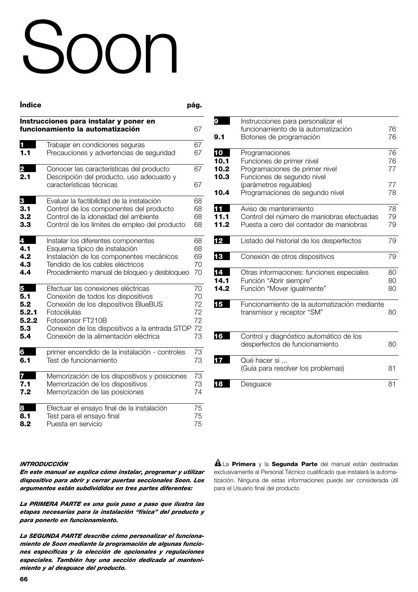# Soon

| <b>Indice</b> |                                                                                                                  | pág.     |
|---------------|------------------------------------------------------------------------------------------------------------------|----------|
|               | Instrucciones para instalar y poner en<br>funcionamiento la automatización                                       | 67       |
| 1.1           | Trabajar en condiciones seguras<br>Precauciones y advertencias de seguridad                                      | 67<br>67 |
| 2<br>2.1      | Conocer las características del producto<br>Descripción del producto, uso adecuado y<br>características técnicas | 67<br>67 |
| 3             | Evaluar la factibilidad de la instalación                                                                        | 68       |
| 3.1           | Control de los componentes del producto                                                                          | 68       |
| 3.2           | Control de la idoneidad del ambiente                                                                             | 68       |
| 3.3           | Control de los límites de empleo del producto                                                                    | 68       |
| 4             | Instalar los diferentes componentes                                                                              | 68       |
| 4.1           | Esquema típico de instalación                                                                                    | 68       |
| 4.2           | Instalación de los componentes mecánicos                                                                         | 69       |
| 4.3           | Tendido de los cables eléctricos                                                                                 | 70       |
| 4.4           | Procedimiento manual de bloqueo y desbloqueo                                                                     | 70       |
| 5             | Efectuar las conexiones eléctricas                                                                               | 70       |
| 5.1           | Conexión de todos los dispositivos                                                                               | 70       |
| 5.2           | Conexión de los dispositivos BlueBUS                                                                             | 72       |
| 5.2.1         | Fotocélulas                                                                                                      | 72       |
| 5.2.2         | Fotosensor FT210B                                                                                                | 72       |
| 5.3           | Conexión de los dispositivos a la entrada STOP                                                                   | 72       |
| 5.4           | Conexión de la alimentación eléctrica                                                                            | 73       |
| 6             | primer encendido de la instalación - controles                                                                   | 73       |
| 6.1           | Test de funcionamiento                                                                                           | 73       |
| 7             | Memorización de los dispositivos y posiciones                                                                    | 73       |
| 7.1           | Memorización de los dispositivos                                                                                 | 73       |
| 7.2           | Memorización de las posiciones                                                                                   | 74       |
| 8             | Efectuar el ensayo final de la instalación                                                                       | 75       |
| 8.1           | Test para el ensayo final                                                                                        | 75       |
| 8.2           | Puesta en servicio                                                                                               | 75       |

| 9            | Instrucciones para personalizar el<br>funcionamiento de la automatización             | 76       |
|--------------|---------------------------------------------------------------------------------------|----------|
| 9.1          | Botones de programación                                                               | 76       |
| 10<br>10.1   | Programaciones<br>Funciones de primer nivel                                           | 76<br>76 |
| 10.2         | Programaciones de primer nivel                                                        | 77       |
| 10.3         | Funciones de segundo nivel<br>(parámetros regulables)                                 | 77       |
| 10.4         | Programaciones de segundo nivel                                                       | 78       |
| 11           | Aviso de mantenimiento                                                                | 78       |
| 11.1<br>11.2 | Control del número de maniobras efectuadas<br>Puesta a cero del contador de maniobras | 79<br>79 |
| 12           | Listado del historial de los desperfectos                                             | 79       |
| 13           | Conexión de otros dispositivos                                                        | 79       |
| 14           | Otras informaciones: funciones especiales                                             | 80       |
| 14.1<br>14.2 | Función "Abrir siempre"<br>Función "Mover igualmente"                                 | 80<br>80 |
| 15           | Funcionamiento de la automatización mediante<br>transmisor y receptor "SM"            | 80       |
| 16           | Control y diagnóstico automático de los<br>desperfectos de funcionamiento             | 80       |
| 17           | Qué hacer si<br>(Guía para resolver los problemas)                                    | 81       |
| 18           | Desguace                                                                              | 81       |

#### *INTRODUCCIÓN*

*En este manual se explica cómo instalar, programar y utilizar dispositivo para abrir y cerrar puertas seccionales Soon. Los argumentos están subdivididos en tres partes diferentes:*

*La PRIMERA PARTE es una guía paso a paso que ilustra las etapas necesarias para la instalación "física" del producto y para ponerlo en funcionamiento.*

*La SEGUNDA PARTE describe cómo personalizar el funcionamiento de Soon mediante la programación de algunas funciones específicas y la elección de opcionales y regulaciones especiales. También hay una sección dedicada al mantenimiento y al desguace del producto.*

La **Primera** y la **Segunda Parte** del manual están destinadas **!** exclusivamente al Personal Técnico cualificado que instalará la automatización. Ninguna de estas informaciones puede ser considerada útil para el Usuario final del producto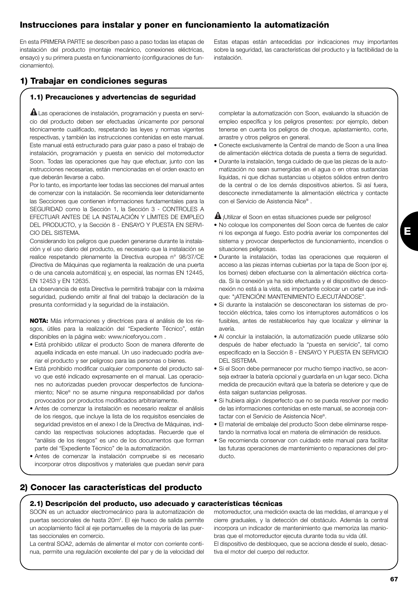# **Instrucciones para instalar y poner en funcionamiento la automatización**

En esta PRIMERA PARTE se describen paso a paso todas las etapas de instalación del producto (montaje mecánico, conexiones eléctricas, ensayo) y su primera puesta en funcionamiento (configuraciones de funcionamiento).

Estas etapas están antecedidas por indicaciones muy importantes sobre la seguridad, las características del producto y la factibilidad de la instalación.

# **1) Trabajar en condiciones seguras**

#### **1.1) Precauciones y advertencias de seguridad**

 $\blacksquare$  Las operaciones de instalación, programación y puesta en servicio del producto deben ser efectuadas únicamente por personal técnicamente cualificado, respetando las leyes y normas vigentes respectivas, y también las instrucciones contenidas en este manual. Este manual está estructurado para guiar paso a paso el trabajo de instalación, programación y puesta en servicio del motorreductor Soon. Todas las operaciones que hay que efectuar, junto con las instrucciones necesarias, están mencionadas en el orden exacto en que deberán llevarse a cabo.

Por lo tanto, es importante leer todas las secciones del manual antes de comenzar con la instalación. Se recomienda leer detenidamente las Secciones que contienen informaciones fundamentales para la SEGURIDAD como la Sección 1, la Sección 3 - CONTROLES A EFECTUAR ANTES DE LA INSTALACIÓN Y LÍMITES DE EMPLEO DEL PRODUCTO, y la Sección 8 - ENSAYO Y PUESTA EN SERVI-CIO DEL SISTEMA.

Considerando los peligros que pueden generarse durante la instalación y el uso diario del producto, es necesario que la instalación se realice respetando plenamente la Directiva europea n° 98/37/CE (Directiva de Máquinas que reglamenta la realización de una puerta o de una cancela automática) y, en especial, las normas EN 12445, EN 12453 y EN 12635.

La observancia de esta Directiva le permitirá trabajar con la máxima seguridad, pudiendo emitir al final del trabajo la declaración de la presunta conformidad y la seguridad de la instalación.

**NOTA:** Más informaciones y directrices para el análisis de los riesgos, útiles para la realización del "Expediente Técnico", están disponibles en la página web: www.niceforyou.com .

- Está prohibido utilizar el producto Soon de manera diferente de aquella indicada en este manual. Un uso inadecuado podría averiar el producto y ser peligroso para las personas o bienes.
- Está prohibido modificar cualquier componente del producto salvo que esté indicado expresamente en el manual. Las operaciones no autorizadas pueden provocar desperfectos de funcionamiento; Nice® no se asume ninguna responsabilidad por daños provocados por productos modificados arbitrariamente.
- Antes de comenzar la instalación es necesario realizar el análisis de los riesgos, que incluye la lista de los requisitos esenciales de seguridad previstos en el anexo I de la Directiva de Máquinas, indicando las respectivas soluciones adoptadas. Recuerde que el "análisis de los riesgos" es uno de los documentos que forman parte del "Expediente Técnico" de la automatización.
- Antes de comenzar la instalación compruebe si es necesario incorporar otros dispositivos y materiales que puedan servir para

#### completar la automatización con Soon, evaluando la situación de empleo específica y los peligros presentes: por ejemplo, deben tenerse en cuenta los peligros de choque, aplastamiento, corte, arrastre y otros peligros en general.

- Conecte exclusivamente la Central de mando de Soon a una línea de alimentación eléctrica dotada de puesta a tierra de seguridad.
- Durante la instalación, tenga cuidado de que las piezas de la automatización no sean sumergidas en el agua o en otras sustancias líquidas, ni que dichas sustancias u objetos sólidos entren dentro de la central o de los demás dispositivos abiertos. Si así fuera, desconecte inmediatamente la alimentación eléctrica y contacte con el Servicio de Asistencia Nice® .

 $\blacksquare$  ¡Utilizar el Soon en estas situaciones puede ser peligroso!

- No coloque los componentes del Soon cerca de fuentes de calor ni los exponga al fuego. Esto podría averiar los componentes del sistema y provocar desperfectos de funcionamiento, incendios o situaciones peligrosas.
- Durante la instalación, todas las operaciones que requieren el acceso a las piezas internas cubiertas por la tapa de Soon (por ej. los bornes) deben efectuarse con la alimentación eléctrica cortada. Si la conexión ya ha sido efectuada y el dispositivo de desconexión no está a la vista, es importante colocar un cartel que indique: "¡ATENCIÓN! MANTENIMIENTO EJECUTÁNDOSE".
- Si durante la instalación se desconectaran los sistemas de protección eléctrica, tales como los interruptores automáticos o los fusibles, antes de restablecerlos hay que localizar y eliminar la avería.
- Al concluir la instalación, la automatización puede utilizarse sólo después de haber efectuado la "puesta en servicio", tal como especificado en la Sección 8 - ENSAYO Y PUESTA EN SERVICIO DEL SISTEMA.
- Si el Soon debe permanecer por mucho tiempo inactivo, se aconseja extraer la batería opcional y guardarla en un lugar seco. Dicha medida de precaución evitará que la batería se deteriore y que de ésta salgan sustancias peligrosas.
- Si hubiera algún desperfecto que no se pueda resolver por medio de las informaciones contenidas en este manual, se aconseja contactar con el Servicio de Asistencia Nice®.
- El material de embalaje del producto Soon debe eliminarse respetando la normativa local en materia de eliminación de residuos.
- Se recomienda conservar con cuidado este manual para facilitar las futuras operaciones de mantenimiento o reparaciones del producto.

# **2) Conocer las características del producto**

#### **2.1) Descripción del producto, uso adecuado y características técnicas**

SOON es un actuador electromecánico para la automatización de puertas seccionales de hasta 20m<sup>2</sup>. El eje hueco de salida permite un acoplamiento fácil al eje portamuelles de la mayoría de las puertas seccionales en comercio.

La central SOA2, además de alimentar el motor con corriente continua, permite una regulación excelente del par y de la velocidad del motorreductor, una medición exacta de las medidas, el arranque y el cierre graduales, y la detección del obstáculo. Además la central incorpora un indicador de mantenimiento que memoriza las maniobras que el motorreductor ejecuta durante toda su vida útil. El dispositivo de desbloqueo, que se acciona desde el suelo, desactiva el motor del cuerpo del reductor.

**E**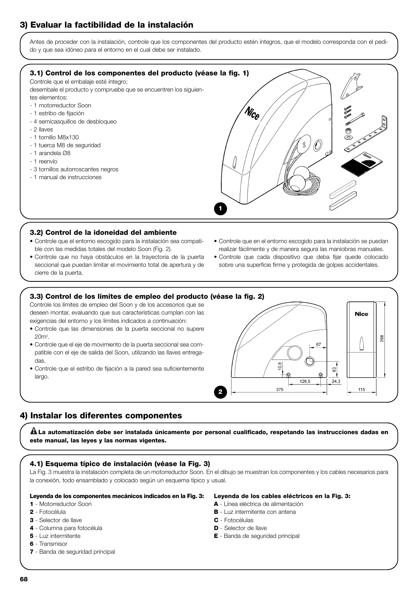# **3) Evaluar la factibilidad de la instalación**

Antes de proceder con la instalación, controle que los componentes del producto estén íntegros, que el modelo corresponda con el pedido y que sea idóneo para el entorno en el cual debe ser instalado.



**1**

#### **3.2) Control de la idoneidad del ambiente**

- Controle que el entorno escogido para la instalación sea compatible con las medidas totales del modelo Soon (Fig. 2).
- Controle que no haya obstáculos en la trayectoria de la puerta seccional que puedan limitar el movimiento total de apertura y de cierre de la puerta.
- Controle que en el entorno escogido para la instalación se puedan realizar fácilmente y de manera segura las maniobras manuales.
- Controle que cada dispositivo que deba fijar quede colocado sobre una superficie firme y protegida de golpes accidentales.

#### **3.3) Control de los límites de empleo del producto (véase la fig. 2)**

Controle los límites de empleo del Soon y de los accesorios que se deseen montar, evaluando que sus características cumplan con las exigencias del entorno y los límites indicados a continuación:

- Controle que las dimensiones de la puerta seccional no supere 20m2 .
- Controle que el eje de movimiento de la puerta seccional sea compatible con el eje de salida del Soon, utilizando las llaves entregadas.
- Controle que el estribo de fijación a la pared sea suficientemente largo.



# **4) Instalar los diferentes componentes**

**La automatización debe ser instalada únicamente por personal cualificado, respetando las instrucciones dadas en ! este manual, las leyes y las normas vigentes.**

#### **4.1) Esquema típico de instalación (véase la Fig. 3)**

La Fig. 3 muestra la instalación completa de un motorreductor Soon. En el dibujo se muestran los componentes y los cables necesarios para la conexión, todo ensamblado y colocado según un esquema típico y usual.

#### **Leyenda de los componentes mecánicos indicados en la Fig. 3:**

#### **1** - Motorreductor Soon

- **2** Fotocélula
- **3** Selector de llave
- **4** Columna para fotocélula
- **5** Luz intermitente
- **6** Transmisor
- **7** Banda de seguridad principal
- **Leyenda de los cables eléctricos en la Fig. 3:**
- **A** Línea eléctrica de alimentación
- **B** Luz intermitente con antena
- **C** Fotocélulas
- **D** Selector de llave
- **E** Banda de seguridad principal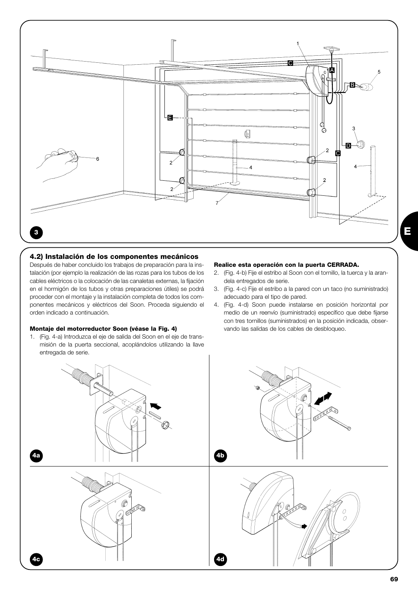

#### **4.2) Instalación de los componentes mecánicos**

Después de haber concluido los trabajos de preparación para la instalación (por ejemplo la realización de las rozas para los tubos de los cables eléctricos o la colocación de las canaletas externas, la fijación en el hormigón de los tubos y otras preparaciones útiles) se podrá proceder con el montaje y la instalación completa de todos los componentes mecánicos y eléctricos del Soon. Proceda siguiendo el orden indicado a continuación.

#### **Montaje del motorreductor Soon (véase la Fig. 4)**

1. (Fig. 4-a) Introduzca el eje de salida del Soon en el eje de transmisión de la puerta seccional, acoplándolos utilizando la llave entregada de serie.

#### **Realice esta operación con la puerta CERRADA.**

- 2. (Fig. 4-b) Fije el estribo al Soon con el tornillo, la tuerca y la arandela entregados de serie.
- 3. (Fig. 4-c) Fije el estribo a la pared con un taco (no suministrado) adecuado para el tipo de pared.
- 4. (Fig. 4-d) Soon puede instalarse en posición horizontal por medio de un reenvío (suministrado) específico que debe fijarse con tres tornillos (suministrados) en la posición indicada, observando las salidas de los cables de desbloqueo.

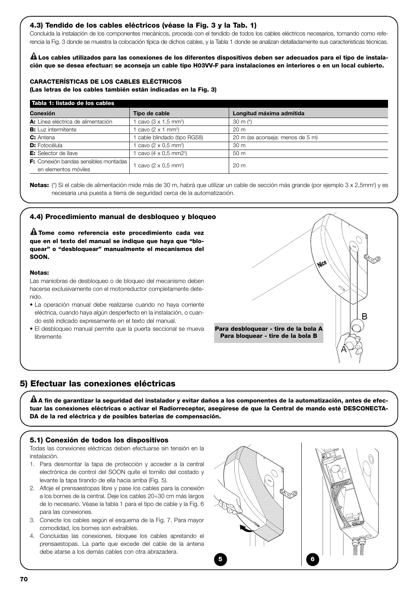#### **4.3) Tendido de los cables eléctricos (véase la Fig. 3 y la Tab. 1)**

Concluida la instalación de los componentes mecánicos, proceda con el tendido de todos los cables eléctricos necesarios, tomando como referencia la Fig. 3 donde se muestra la colocación típica de dichos cables, y la Tabla 1 donde se analizan detalladamente sus características técnicas.

**Los cables utilizados para las conexiones de los diferentes dispositivos deben ser adecuados para el tipo de instala-! ción que se desea efectuar: se aconseja un cable tipo H03VV-F para instalaciones en interiores o en un local cubierto.**

#### **CARACTERÍSTICAS DE LOS CABLES ELÉCTRICOS**

**(Las letras de los cables también están indicadas en la Fig. 3)**

| Tabla 1: listado de los cables               |                                           |                                  |  |
|----------------------------------------------|-------------------------------------------|----------------------------------|--|
| Conexión                                     | Tipo de cable                             | Longitud máxima admitida         |  |
| A: Línea eléctrica de alimentación           | 1 cavo $(3 \times 1.5 \text{ mm}^2)$      | 30 m $(*)$                       |  |
| <b>B:</b> Luz intermitente                   | 1 cavo $(2 \times 1 \text{ mm}^2)$        | 20 <sub>m</sub>                  |  |
| C: Antena                                    | cable blindado (tipo RG58)                | 20 m (se aconseja: menos de 5 m) |  |
| <b>D:</b> Fotocélula                         | 1 cavo (2 x 0.5 mm <sup>2</sup> )         | 30 <sub>m</sub>                  |  |
| <b>E:</b> Selector de llave                  | 1 cavo $(4 \times 0.5 \text{ mm2})$       | 50 m                             |  |
| <b>F:</b> Conexión bandas sensibles montadas | 1 cavo ( $2 \times 0.5$ mm <sup>2</sup> ) | 20 <sub>m</sub>                  |  |
| en elementos móviles                         |                                           |                                  |  |

**Notas:** (\*) Si el cable de alimentación mide más de 30 m, habrá que utilizar un cable de sección más grande (por ejemplo 3 x 2,5mm<sup>2</sup>) y es necesaria una puesta a tierra de seguridad cerca de la automatización.

#### **4.4) Procedimiento manual de desbloqueo y bloqueo**

**Tome como referencia este procedimiento cada vez ! que en el texto del manual se indique que haya que "bloquear" o "desbloquear" manualmente el mecanismos del SOON.**

#### **Notas:**

Las maniobras de desbloqueo o de bloqueo del mecanismo deben hacerse exclusivamente con el motorreductor completamente detenido.

- La operación manual debe realizarse cuando no haya corriente eléctrica, cuando haya algún desperfecto en la instalación, o cuando esté indicado expresamente en el texto del manual.
- El desbloqueo manual permite que la puerta seccional se mueva libremente



#### **5) Efectuar las conexiones eléctricas**

**A fin de garantizar la seguridad del instalador y evitar daños a los componentes de la automatización, antes de efec-! tuar las conexiones eléctricas o activar el Radiorreceptor, asegúrese de que la Central de mando esté DESCONECTA-DA de la red eléctrica y de posibles baterías de compensación.**

#### **5.1) Conexión de todos los dispositivos**

Todas las conexiones eléctricas deben efectuarse sin tensión en la instalación.

- 1. Para desmontar la tapa de protección y acceder a la central electrónica de control del SOON quite el tornillo del costado y levante la tapa tirando de ella hacia arriba (Fig. 5).
- 2. Afloje el prensaestopas libre y pase los cables para la conexión a los bornes de la central. Deje los cables 20÷30 cm más largos de lo necesario. Véase la tabla 1 para el tipo de cable y la Fig. 6 para las conexiones.
- 3. Conecte los cables según el esquema de la Fig. 7. Para mayor comodidad, los bornes son extraíbles.
- 4. Concluidas las conexiones, bloquee los cables apretando el prensaestopas. La parte que excede del cable de la antena debe atarse a los demás cables con otra abrazadera.

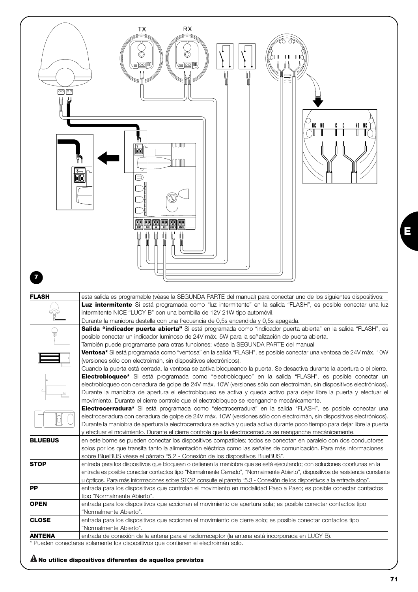| $\frac{1}{2}$  | RX<br>TX<br>π<br>有國門<br>信网脚<br>드<br>NG NO<br>NO NG                                                                                                                                                                                                                                                                                                                                                                                                                                                                                                                             |
|----------------|--------------------------------------------------------------------------------------------------------------------------------------------------------------------------------------------------------------------------------------------------------------------------------------------------------------------------------------------------------------------------------------------------------------------------------------------------------------------------------------------------------------------------------------------------------------------------------|
|                | UUUUU<br>氙<br>nnnn<br>M<br>O<br><b>BE BE BE AN DE BE</b>                                                                                                                                                                                                                                                                                                                                                                                                                                                                                                                       |
| <b>FLASH</b>   | esta salida es programable (véase la SEGUNDA PARTE del manual) para conectar uno de los siguientes dispositivos:<br>Luz intermitente Si está programada como "luz intermitente" en la salida "FLASH", es posible conectar una luz<br>intermitente NICE "LUCY B" con una bombilla de 12V 21W tipo automóvil.<br>Durante la maniobra destella con una frecuencia de 0,5s encendida y 0,5s apagada.                                                                                                                                                                               |
|                | Salida "indicador puerta abierta" Si está programada como "indicador puerta abierta" en la salida "FLASH", es<br>posible conectar un indicador luminoso de 24V máx. 5W para la señalización de puerta abierta.                                                                                                                                                                                                                                                                                                                                                                 |
|                | También puede programarse para otras funciones; véase la SEGUNDA PARTE del manual                                                                                                                                                                                                                                                                                                                                                                                                                                                                                              |
|                | Ventosa* Si está programada como "ventosa" en la salida "FLASH", es posible conectar una ventosa de 24V máx. 10W<br>(versiones sólo con electroimán, sin dispositivos electrónicos).                                                                                                                                                                                                                                                                                                                                                                                           |
|                | Cuando la puerta está cerrada, la ventosa se activa bloqueando la puerta. Se desactiva durante la apertura o el cierre.<br>Electrobloqueo* Si está programada como "electrobloqueo" en la salida "FLASH", es posible conectar un<br>electrobloqueo con cerradura de golpe de 24V máx. 10W (versiones sólo con electroimán, sin dispositivos electrónicos).<br>Durante la maniobra de apertura el electrobloqueo se activa y queda activo para dejar libre la puerta y efectuar el<br>movimiento. Durante el cierre controle que el electrobloqueo se reenganche mecánicamente. |
|                | Electrocerradura <sup>*</sup> Si está programada como "electrocerradura" en la salida "FLASH", es posible conectar una<br>electrocerradura con cerradura de golpe de 24V máx. 10W (versiones sólo con electroimán, sin dispositivos electrónicos).<br>Durante la maniobra de apertura la electrocerradura se activa y queda activa durante poco tiempo para dejar libre la puerta<br>y efectuar el movimiento. Durante el cierre controle que la electrocerradura se reenganche mecánicamente.                                                                                 |
| <b>BLUEBUS</b> | en este borne se pueden conectar los dispositivos compatibles; todos se conectan en paralelo con dos conductores<br>solos por los que transita tanto la alimentación eléctrica como las señales de comunicación. Para más informaciones<br>sobre BlueBUS véase el párrafo "5.2 - Conexión de los dispositivos BlueBUS".                                                                                                                                                                                                                                                        |
| <b>STOP</b>    | entrada para los dispositivos que bloquean o detienen la maniobra que se está ejecutando; con soluciones oportunas en la<br>entrada es posible conectar contactos tipo "Normalmente Cerrado", "Normalmente Abierto", dispositivos de resistencia constante                                                                                                                                                                                                                                                                                                                     |
| PP             | u ópticos. Para más informaciones sobre STOP, consulte el párrafo "5.3 - Conexión de los dispositivos a la entrada stop".<br>entrada para los dispositivos que controlan el movimiento en modalidad Paso a Paso; es posible conectar contactos                                                                                                                                                                                                                                                                                                                                 |
|                | tipo "Normalmente Abierto".                                                                                                                                                                                                                                                                                                                                                                                                                                                                                                                                                    |
| <b>OPEN</b>    | entrada para los dispositivos que accionan el movimiento de apertura sola; es posible conectar contactos tipo<br>"Normalmente Abierto".                                                                                                                                                                                                                                                                                                                                                                                                                                        |
| <b>CLOSE</b>   | entrada para los dispositivos que accionan el movimiento de cierre solo; es posible conectar contactos tipo<br>"Normalmente Abierto".                                                                                                                                                                                                                                                                                                                                                                                                                                          |
| <b>ANTENA</b>  | entrada de conexión de la antena para el radiorreceptor (la antena está incorporada en LUCY B).                                                                                                                                                                                                                                                                                                                                                                                                                                                                                |

**! No utilice dispositivos diferentes de aquellos previstos**

**E**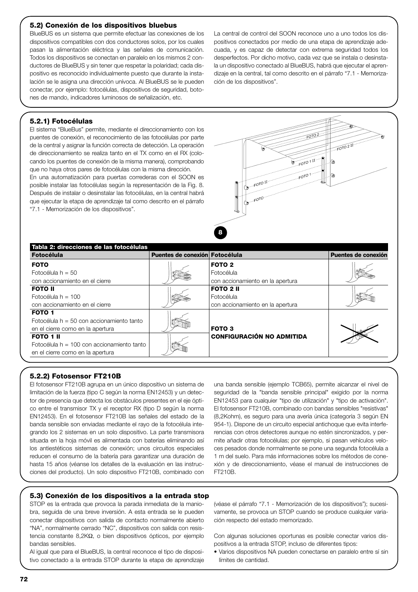#### **5.2) Conexión de los dispositivos bluebus**

BlueBUS es un sistema que permite efectuar las conexiones de los dispositivos compatibles con dos conductores solos, por los cuales pasan la alimentación eléctrica y las señales de comunicación. Todos los dispositivos se conectan en paralelo en los mismos 2 conductores de BlueBUS y sin tener que respetar la polaridad; cada dispositivo es reconocido individualmente puesto que durante la instalación se le asigna una dirección unívoca. Al BlueBUS se le pueden conectar, por ejemplo: fotocélulas, dispositivos de seguridad, botones de mando, indicadores luminosos de señalización, etc.

La central de control del SOON reconoce uno a uno todos los dispositivos conectados por medio de una etapa de aprendizaje adecuada, y es capaz de detectar con extrema seguridad todos los desperfectos. Por dicho motivo, cada vez que se instala o desinstala un dispositivo conectado al BlueBUS, habrá que ejecutar el aprendizaje en la central, tal como descrito en el párrafo "7.1 - Memorización de los dispositivos".

#### **5.2.1) Fotocélulas**

El sistema "BlueBus" permite, mediante el direccionamiento con los puentes de conexión, el reconocimiento de las fotocélulas por parte de la central y asignar la función correcta de detección. La operación de direccionamiento se realiza tanto en el TX como en el RX (colocando los puentes de conexión de la misma manera), comprobando que no haya otros pares de fotocélulas con la misma dirección.

En una automatización para puertas correderas con el SOON es posible instalar las fotocélulas según la representación de la Fig. 8. Después de instalar o desinstalar las fotocélulas, en la central habrá que ejecutar la etapa de aprendizaje tal como descrito en el párrafo "7.1 - Memorización de los dispositivos".



| <b>Fotocélula</b>                                                                                    | Puentes de conexión Fotocélula   |                                                                     | Puentes de conexión |
|------------------------------------------------------------------------------------------------------|----------------------------------|---------------------------------------------------------------------|---------------------|
| <b>FOTO</b><br>Fotocélula $h = 50$<br>con accionamiento en el cierre                                 |                                  | FOTO <sub>2</sub><br>Fotocélula<br>con accionamiento en la apertura |                     |
| <b>FOTO II</b><br>Fotocélula $h = 100$<br>con accionamiento en el cierre                             |                                  | <b>FOTO 2 II</b><br>Fotocélula<br>con accionamiento en la apertura  |                     |
| <b>FOTO 1</b><br>Fotocélula h = 50 con accionamiento tanto<br>en el cierre como en la apertura       |                                  | FOTO <sub>3</sub>                                                   |                     |
| <b>FOTO 1 II</b><br>Fotocélula $h = 100$ con accionamiento tanto<br>en el cierre como en la apertura | <b>CONFIGURACIÓN NO ADMITIDA</b> |                                                                     |                     |

#### **5.2.2) Fotosensor FT210B**

El fotosensor FT210B agrupa en un único dispositivo un sistema de limitación de la fuerza (tipo C según la norma EN12453) y un detector de presencia que detecta los obstáculos presentes en el eje óptico entre el transmisor TX y el receptor RX (tipo D según la norma EN12453). En el fotosensor FT210B las señales del estado de la banda sensible son enviadas mediante el rayo de la fotocélula integrando los 2 sistemas en un solo dispositivo. La parte transmisora situada en la hoja móvil es alimentada con baterías eliminando así los antiestéticos sistemas de conexión; unos circuitos especiales reducen el consumo de la batería para garantizar una duración de hasta 15 años (véanse los detalles de la evaluación en las instrucciones del producto). Un solo dispositivo FT210B, combinado con

una banda sensible (ejemplo TCB65), permite alcanzar el nivel de seguridad de la "banda sensible principal" exigido por la norma EN12453 para cualquier "tipo de utilización" y "tipo de activación". El fotosensor FT210B, combinado con bandas sensibles "resistivas" (8,2Kohm), es seguro para una avería única (categoría 3 según EN 954-1). Dispone de un circuito especial antichoque que evita interferencias con otros detectores aunque no estén sincronizados, y permite añadir otras fotocélulas; por ejemplo, si pasan vehículos veloces pesados donde normalmente se pone una segunda fotocélula a 1 m del suelo. Para más informaciones sobre los métodos de conexión y de direccionamiento, véase el manual de instrucciones de FT210B.

#### **5.3) Conexión de los dispositivos a la entrada stop**

STOP es la entrada que provoca la parada inmediata de la maniobra, seguida de una breve inversión. A esta entrada se le pueden conectar dispositivos con salida de contacto normalmente abierto "NA", normalmente cerrado "NC", dispositivos con salida con resistencia constante 8,2KΩ, o bien dispositivos ópticos, por ejemplo bandas sensibles.

Al igual que para el BlueBUS, la central reconoce el tipo de dispositivo conectado a la entrada STOP durante la etapa de aprendizaje (véase el párrafo "7.1 - Memorización de los dispositivos"); sucesivamente, se provoca un STOP cuando se produce cualquier variación respecto del estado memorizado.

Con algunas soluciones oportunas es posible conectar varios dispositivos a la entrada STOP, incluso de diferentes tipos:

• Varios dispositivos NA pueden conectarse en paralelo entre sí sin límites de cantidad.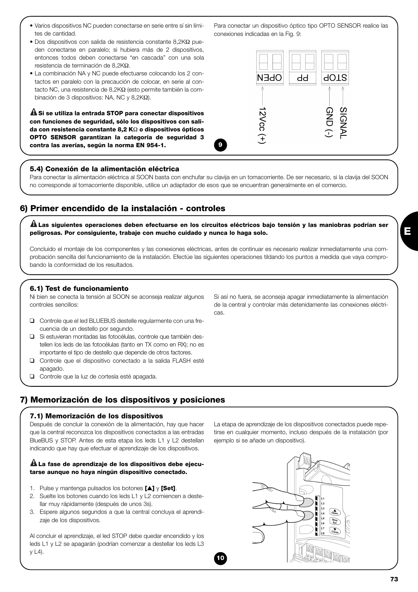- Varios dispositivos NC pueden conectarse en serie entre sí sin límites de cantidad.
- Dos dispositivos con salida de resistencia constante 8,2KΩ pueden conectarse en paralelo; si hubiera más de 2 dispositivos, entonces todos deben conectarse "en cascada" con una sola resistencia de terminación de 8,2KΩ.
- La combinación NA y NC puede efectuarse colocando los 2 contactos en paralelo con la precaución de colocar, en serie al contacto NC, una resistencia de 8,2KΩ (esto permite también la combinación de 3 dispositivos: NA, NC y 8,2KΩ).

**Si se utiliza la entrada STOP para conectar dispositivos ! con funciones de seguridad, sólo los dispositivos con salida con resistencia constante 8,2 K**Ω **o dispositivos ópticos OPTO SENSOR garantizan la categoría de seguridad 3 contra las averías, según la norma EN 954-1.**

## **5.4) Conexión de la alimentación eléctrica**

Para conectar la alimentación eléctrica al SOON basta con enchufar su clavija en un tomacorriente. De ser necesario, si la clavija del SOON no corresponde al tomacorriente disponible, utilice un adaptador de esos que se encuentran generalmente en el comercio.

**9**

# **6) Primer encendido de la instalación - controles**

**Las siguientes operaciones deben efectuarse en los circuitos eléctricos bajo tensión y las maniobras podrían ser ! peligrosas. Por consiguiente, trabaje con mucho cuidado y nunca lo haga solo.**

Concluido el montaje de los componentes y las conexiones eléctricas, antes de continuar es necesario realizar inmediatamente una comprobación sencilla del funcionamiento de la instalación. Efectúe las siguientes operaciones tildando los puntos a medida que vaya comprobando la conformidad de los resultados.

**10**

#### **6.1) Test de funcionamiento**

Ni bien se conecta la tensión al SOON se aconseja realizar algunos controles sencillos:

- ❑ Controle que el led BLUEBUS destelle regularmente con una frecuencia de un destello por segundo.
- ❑ Si estuvieran montadas las fotocélulas, controle que también destellen los leds de las fotocélulas (tanto en TX como en RX); no es importante el tipo de destello que depende de otros factores.
- ❑ Controle que el dispositivo conectado a la salida FLASH esté apagado.
- ❑ Controle que la luz de cortesía esté apagada.

Si así no fuera, se aconseja apagar inmediatamente la alimentación de la central y controlar más detenidamente las conexiones eléctricas.

# **7) Memorización de los dispositivos y posiciones**

#### **7.1) Memorización de los dispositivos**

Después de concluir la conexión de la alimentación, hay que hacer que la central reconozca los dispositivos conectados a las entradas BlueBUS y STOP. Antes de esta etapa los leds L1 y L2 destellan indicando que hay que efectuar el aprendizaje de los dispositivos.

#### **La fase de aprendizaje de los dispositivos debe ejecu-! tarse aunque no haya ningún dispositivo conectado.**

- 1. Pulse y mantenga pulsados los botones **[**▲**]** y **[Set]**.
- 2. Suelte los botones cuando los leds L1 y L2 comiencen a destellar muy rápidamente (después de unos 3s).
- 3. Espere algunos segundos a que la central concluya el aprendizaje de los dispositivos.

Al concluir el aprendizaje, el led STOP debe quedar encendido y los leds L1 y L2 se apagarán (podrían comenzar a destellar los leds L3 y L4).

La etapa de aprendizaje de los dispositivos conectados puede repetirse en cualquier momento, incluso después de la instalación (por ejemplo si se añade un dispositivo).



| Para conectar un dispositivo óptico tipo OPTO SENSOR realice las |  |
|------------------------------------------------------------------|--|
| conexiones indicadas en la Fig. 9:                               |  |

dd

N∃dC

12Vcc

**AOTS** 

GND **SIGNAI**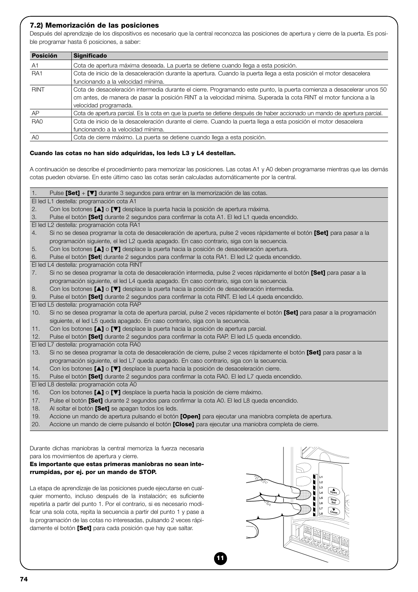#### **7.2) Memorización de las posiciones**

Después del aprendizaje de los dispositivos es necesario que la central reconozca las posiciones de apertura y cierre de la puerta. Es posible programar hasta 6 posiciones, a saber:

| <b>Posición</b> | <b>Significado</b>                                                                                                        |
|-----------------|---------------------------------------------------------------------------------------------------------------------------|
| A <sub>1</sub>  | Cota de apertura máxima deseada. La puerta se detiene cuando llega a esta posición.                                       |
| RA <sub>1</sub> | Cota de inicio de la desaceleración durante la apertura. Cuando la puerta llega a esta posición el motor desacelera       |
|                 | funcionando a la velocidad mínima.                                                                                        |
| <b>RINT</b>     | Cota de desaceleración intermedia durante el cierre. Programando este punto, la puerta comienza a desacelerar unos 50     |
|                 | cm antes, de manera de pasar la posición RINT a la velocidad mínima. Superada la cota RINT el motor funciona a la         |
|                 | velocidad programada.                                                                                                     |
| AP              | Cota de apertura parcial. Es la cota en que la puerta se detiene después de haber accionado un mando de apertura parcial. |
| RA <sub>0</sub> | Cota de inicio de la desaceleración durante el cierre. Cuando la puerta llega a esta posición el motor desacelera         |
|                 | funcionando a la velocidad mínima.                                                                                        |
| A0              | Cota de cierre máximo. La puerta se detiene cuando llega a esta posición.                                                 |

#### **Cuando las cotas no han sido adquiridas, los leds L3 y L4 destellan.**

A continuación se describe el procedimiento para memorizar las posiciones. Las cotas A1 y A0 deben programarse mientras que las demás

cotas pueden obviarse. En este último caso las cotas serán calculadas automáticamente por la central.

1. Pulse **[Set]** + **[**▼**]** durante 3 segundos para entrar en la memorización de las cotas. El led L1 destella: programación cota A1

- 2. Con los botones **[**▲**]** o **[**▼**]** desplace la puerta hacia la posición de apertura máxima.
- 3. Pulse el botón **[Set]** durante 2 segundos para confirmar la cota A1. El led L1 queda encendido.
- El led L2 destella: programación cota RA1
- 4. Si no se desea programar la cota de desaceleración de apertura, pulse 2 veces rápidamente el botón **[Set]** para pasar a la programación siguiente, el led L2 queda apagado. En caso contrario, siga con la secuencia.
- 5. Con los botones **[**▲**]** o **[**▼**]** desplace la puerta hacia la posición de desaceleración apertura.
- 6. Pulse el botón **[Set**] durante 2 segundos para confirmar la cota RA1. El led L2 queda encendido.

El led L4 destella: programación cota RINT

- 7. Si no se desea programar la cota de desaceleración intermedia, pulse 2 veces rápidamente el botón **[Set]** para pasar a la programación siguiente, el led L4 queda apagado. En caso contrario, siga con la secuencia.
- 8. Con los botones **[**▲**]** o **[**▼**]** desplace la puerta hacia la posición de desaceleración intermedia.

9. Pulse el botón **[Set]** durante 2 segundos para confirmar la cota RINT. El led L4 queda encendido.

El led L5 destella: programación cota RAP

- 10. Si no se desea programar la cota de apertura parcial, pulse 2 veces rápidamente el botón **[Set]** para pasar a la programación siguiente, el led L5 queda apagado. En caso contrario, siga con la secuencia.
- 11. Con los botones **[**▲**]** o **[**▼**]** desplace la puerta hacia la posición de apertura parcial.
- 12. Pulse el botón **[Set]** durante 2 segundos para confirmar la cota RAP. El led L5 queda encendido.
- El led L7 destella: programación cota RA0

| 13. Si no se desea programar la cota de desaceleración de cierre, pulse 2 veces rápidamente el botón <b>[Set]</b> para pasar a la |
|-----------------------------------------------------------------------------------------------------------------------------------|
| programación siguiente, el led L7 queda apagado. En caso contrario, siga con la secuencia.                                        |

**11**

- 14. Con los botones **[**▲**]** o **[**▼**]** desplace la puerta hacia la posición de desaceleración cierre.
- 15. Pulse el botón **[Set]** durante 2 segundos para confirmar la cota RA0. El led L7 queda encendido.
- El led L8 destella: programación cota A0
- 16. Con los botones **[**▲**]** o **[**▼**]** desplace la puerta hacia la posición de cierre máximo.
- 17. Pulse el botón **[Set]** durante 2 segundos para confirmar la cota A0. El led L8 queda encendido.
- 18. Al soltar el botón **[Set]** se apagan todos los leds.
- 19. Accione un mando de apertura pulsando el botón **[Open]** para ejecutar una maniobra completa de apertura.
- 20. Accione un mando de cierre pulsando el botón **[Close]** para ejecutar una maniobra completa de cierre.

Durante dichas maniobras la central memoriza la fuerza necesaria para los movimientos de apertura y cierre.

#### **Es importante que estas primeras maniobras no sean interrumpidas, por ej. por un mando de STOP.**

La etapa de aprendizaje de las posiciones puede ejecutarse en cualquier momento, incluso después de la instalación; es suficiente repetirla a partir del punto 1. Por el contrario, si es necesario modificar una sola cota, repita la secuencia a partir del punto 1 y pase a la programación de las cotas no interesadas, pulsando 2 veces rápidamente el botón **[Set]** para cada posición que hay que saltar.

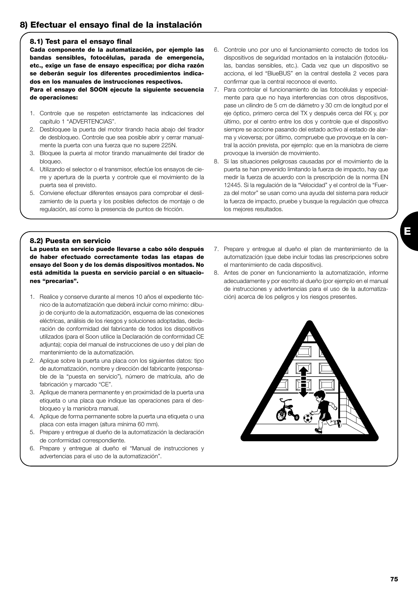# **8) Efectuar el ensayo final de la instalación**

#### **8.1) Test para el ensayo final**

**Cada componente de la automatización, por ejemplo las bandas sensibles, fotocélulas, parada de emergencia, etc., exige un fase de ensayo específica; por dicha razón se deberán seguir los diferentes procedimientos indicados en los manuales de instrucciones respectivos. Para el ensayo del SOON ejecute la siguiente secuencia de operaciones:** 

- 1. Controle que se respeten estrictamente las indicaciones del capítulo 1 "ADVERTENCIAS".
- 2. Desbloquee la puerta del motor tirando hacia abajo del tirador de desbloqueo. Controle que sea posible abrir y cerrar manualmente la puerta con una fuerza que no supere 225N.
- 3. Bloquee la puerta al motor tirando manualmente del tirador de bloqueo.
- 4. Utilizando el selector o el transmisor, efectúe los ensayos de cierre y apertura de la puerta y controle que el movimiento de la puerta sea el previsto.
- 5. Conviene efectuar diferentes ensayos para comprobar el deslizamiento de la puerta y los posibles defectos de montaje o de regulación, así como la presencia de puntos de fricción.
- 6. Controle uno por uno el funcionamiento correcto de todos los dispositivos de seguridad montados en la instalación (fotocélulas, bandas sensibles, etc.). Cada vez que un dispositivo se acciona, el led "BlueBUS" en la central destella 2 veces para confirmar que la central reconoce el evento.
- 7. Para controlar el funcionamiento de las fotocélulas y especialmente para que no haya interferencias con otros dispositivos, pase un cilindro de 5 cm de diámetro y 30 cm de longitud por el eje óptico, primero cerca del TX y después cerca del RX y, por último, por el centro entre los dos y controle que el dispositivo siempre se accione pasando del estado activo al estado de alarma y viceversa; por último, compruebe que provoque en la central la acción prevista, por ejemplo: que en la maniobra de cierre provoque la inversión de movimiento.
- 8. Si las situaciones peligrosas causadas por el movimiento de la puerta se han prevenido limitando la fuerza de impacto, hay que medir la fuerza de acuerdo con la prescripción de la norma EN 12445. Si la regulación de la "Velocidad" y el control de la "Fuerza del motor" se usan como una ayuda del sistema para reducir la fuerza de impacto, pruebe y busque la regulación que ofrezca los mejores resultados.

#### **8.2) Puesta en servicio**

**La puesta en servicio puede llevarse a cabo sólo después de haber efectuado correctamente todas las etapas de ensayo del Soon y de los demás dispositivos montados. No está admitida la puesta en servicio parcial o en situaciones "precarias".**

- 1. Realice y conserve durante al menos 10 años el expediente técnico de la automatización que deberá incluir como mínimo: dibujo de conjunto de la automatización, esquema de las conexiones eléctricas, análisis de los riesgos y soluciones adoptadas, declaración de conformidad del fabricante de todos los dispositivos utilizados (para el Soon utilice la Declaración de conformidad CE adjunta); copia del manual de instrucciones de uso y del plan de mantenimiento de la automatización.
- 2. Aplique sobre la puerta una placa con los siguientes datos: tipo de automatización, nombre y dirección del fabricante (responsable de la "puesta en servicio"), número de matrícula, año de fabricación y marcado "CE".
- 3. Aplique de manera permanente y en proximidad de la puerta una etiqueta o una placa que indique las operaciones para el desbloqueo y la maniobra manual.
- 4. Aplique de forma permanente sobre la puerta una etiqueta o una placa con esta imagen (altura mínima 60 mm).
- 5. Prepare y entregue al dueño de la automatización la declaración de conformidad correspondiente.
- 6. Prepare y entregue al dueño el "Manual de instrucciones y advertencias para el uso de la automatización".
- 7. Prepare y entregue al dueño el plan de mantenimiento de la automatización (que debe incluir todas las prescripciones sobre el mantenimiento de cada dispositivo).
- 8. Antes de poner en funcionamiento la automatización, informe adecuadamente y por escrito al dueño (por ejemplo en el manual de instrucciones y advertencias para el uso de la automatización) acerca de los peligros y los riesgos presentes.

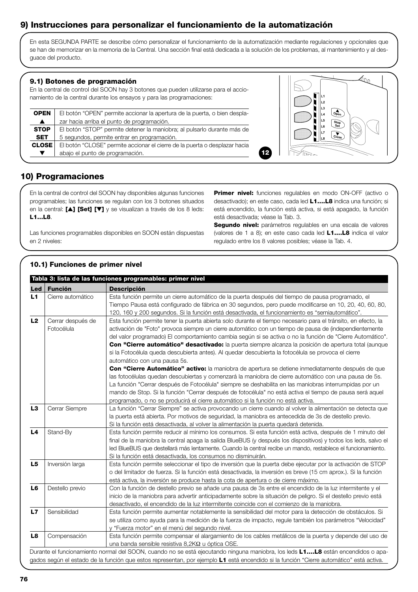# **9) Instrucciones para personalizar el funcionamiento de la automatización**

En esta SEGUNDA PARTE se describe cómo personalizar el funcionamiento de la automatización mediante regulaciones y opcionales que se han de memorizar en la memoria de la Central. Una sección final está dedicada a la solución de los problemas, al mantenimiento y al desguace del producto.

#### **9.1) Botones de programación**

En la central de control del SOON hay 3 botones que pueden utilizarse para el accionamiento de la central durante los ensayos y para las programaciones:

| <b>OPEN</b>      | El botón "OPEN" permite accionar la apertura de la puerta, o bien despla-  |  |  |  |
|------------------|----------------------------------------------------------------------------|--|--|--|
| $\blacktriangle$ | zar hacia arriba el punto de programación.                                 |  |  |  |
| <b>STOP</b>      | El botón "STOP" permite detener la maniobra; al pulsarlo durante más de    |  |  |  |
| <b>SET</b>       | 5 segundos, permite entrar en programación.                                |  |  |  |
| <b>CLOSE</b>     | El botón "CLOSE" permite accionar el cierre de la puerta o desplazar hacia |  |  |  |
|                  | abajo el punto de programación.                                            |  |  |  |



# **10) Programaciones**

En la central de control del SOON hay disponibles algunas funciones programables; las funciones se regulan con los 3 botones situados en la central: **[**▲**] [Set] [**▼**]** y se visualizan a través de los 8 leds: **L1…L8**.

Las funciones programables disponibles en SOON están dispuestas en 2 niveles:

**Primer nivel:** funciones regulables en modo ON-OFF (activo o desactivado); en este caso, cada led **L1….L8** indica una función; si está encendido, la función está activa, si está apagado, la función está desactivada; véase la Tab. 3.

**12**

**Segundo nivel:** parámetros regulables en una escala de valores (valores de 1 a 8); en este caso cada led **L1….L8** indica el valor regulado entre los 8 valores posibles; véase la Tab. 4.

#### **Led Función Descripción** L1 Cierre automático | Esta función permite un cierre automático de la puerta después del tiempo de pausa programado, el Tiempo Pausa está configurado de fábrica en 30 segundos, pero puede modificarse en 10, 20, 40, 60, 80, 120, 160 y 200 segundos. Si la función está desactivada, el funcionamiento es "semiautomático". L2 Cerrar después de Esta función permite tener la puerta abierta solo durante el tiempo necesario para el tránsito, en efecto, la Fotocélula activación de "Foto" provoca siempre un cierre automático con un tiempo de pausa de (independientemente del valor programado) El comportamiento cambia según si se activa o no la función de "Cierre Automático". **Con "Cierre automático" desactivado:** la puerta siempre alcanza la posición de apertura total (aunque si la Fotocélula queda descubierta antes). Al quedar descubierta la fotocélula se provoca el cierre automático con una pausa 5s. **Con "Cierre Automático" activo:** la maniobra de apertura se detiene inmediatamente después de que las fotocélulas quedan descubiertas y comenzará la maniobra de cierre automático con una pausa de 5s. La función "Cerrar después de Fotocélula" siempre se deshabilita en las maniobras interrumpidas por un mando de Stop. Si la función "Cerrar después de fotocélula" no está activa el tiempo de pausa será aquel programado, o no se producirá el cierre automático si la función no está activa. L3 Cerrar Siempre La función "Cerrar Siempre" se activa provocando un cierre cuando al volver la alimentación se detecta que la puerta está abierta. Por motivos de seguridad, la maniobra es antecedida de 3s de destello previo. Si la función está desactivada, al volver la alimentación la puerta quedará detenida. **L4** Stand-By Esta función permite reducir al mínimo los consumos. Si esta función está activa, después de 1 minuto del final de la maniobra la central apaga la salida BlueBUS (y después los dispositivos) y todos los leds, salvo el led BlueBUS que destellará más lentamente. Cuando la central recibe un mando, restablece el funcionamiento. Si la función está desactivada, los consumos no disminuirán. L5 | Inversión larga | Esta función permite seleccionar el tipo de inversión que la puerta debe ejecutar por la activación de STOP o del limitador de fuerza. Si la función está desactivada, la inversión es breve (15 cm aprox.). Si la función está activa, la inversión se produce hasta la cota de apertura o de cierre máximo. L6 | Destello previo | Con la función de destello previo se añade una pausa de 3s entre el encendido de la luz intermitente y el inicio de la maniobra para advertir anticipadamente sobre la situación de peligro. Si el destello previo está desactivado, el encendido de la luz intermitente coincide con el comienzo de la maniobra. **L7** Sensibilidad Esta función permite aumentar notablemente la sensibilidad del motor para la detección de obstáculos. Si se utiliza como ayuda para la medición de la fuerza de impacto, regule también los parámetros "Velocidad" y "Fuerza motor" en el menú del segundo nivel. **L8** Compensación Esta función permite compensar el alargamiento de los cables metálicos de la puerta y depende del uso de una banda sensible resistiva 8,2KΩ u óptica OSE. Durante el funcionamiento normal del SOON, cuando no se está ejecutando ninguna maniobra, los leds **L1….L8** están encendidos o apagados según el estado de la función que estos representan, por ejemplo **L1** está encendido si la función "Cierre automático" está activa. **Tabla 3: lista de las funciones programables: primer nivel 10.1) Funciones de primer nivel**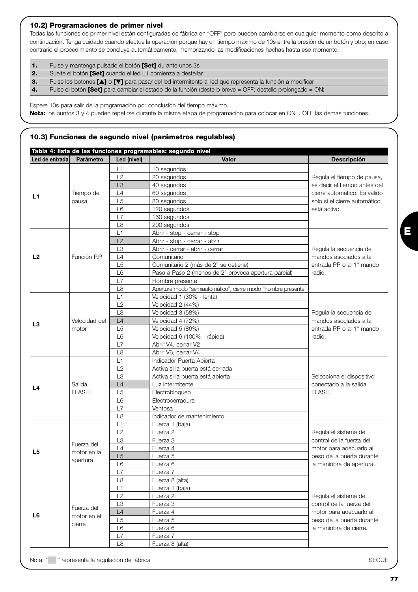#### **10.2) Programaciones de primer nivel**

Todas las funciones de primer nivel están configuradas de fábrica en "OFF" pero pueden cambiarse en cualquier momento como descrito a continuación. Tenga cuidado cuando efectúe la operación porque hay un tiempo máximo de 10s entre la presión de un botón y otro; en caso contrario el procedimiento se concluye automáticamente, memorizando las modificaciones hechas hasta ese momento.

|    | Pulse y mantenga pulsado el botón <b>[Set]</b> durante unos 3s                                                                 |
|----|--------------------------------------------------------------------------------------------------------------------------------|
| 2. | Suelte el botón <b>[Set]</b> cuando el led L1 comienza a destellar                                                             |
| З. | Pulse los botones $\blacksquare$ o $\blacksquare$ para pasar del led intermitente al led que representa la función a modificar |

**4.** Pulse el botón **[Set]** para cambiar el estado de la función (destello breve = OFF; destello prolongado = ON)

Espere 10s para salir de la programación por conclusión del tiempo máximo.

**Nota:** los puntos 3 y 4 pueden repetirse durante la misma etapa de programación para colocar en ON u OFF las demás funciones.

#### **10.3) Funciones de segundo nivel (parámetros regulables)**

|                |               |                | Tabla 4: lista de las funciones programables: segundo nivel   |                                                  |                         |
|----------------|---------------|----------------|---------------------------------------------------------------|--------------------------------------------------|-------------------------|
| Led de entrada | Parámetro     | Led (nivel)    | Valor                                                         | <b>Descripción</b>                               |                         |
|                |               | L1             | 10 segundos                                                   |                                                  |                         |
|                |               | L2             | 20 segundos                                                   | Regula el tiempo de pausa,                       |                         |
|                |               | L <sub>3</sub> | 40 segundos                                                   | es decir el tiempo antes del                     |                         |
| L1             | Tiempo de     | L4             | 60 segundos                                                   | cierre automático. Es válido                     |                         |
|                | pausa         | L <sub>5</sub> | 80 segundos                                                   | sólo si el cierre automático                     |                         |
|                |               | L <sub>6</sub> | 120 segundos                                                  | está activo.                                     |                         |
|                |               | L7             | 160 segundos                                                  |                                                  |                         |
|                |               | L <sub>8</sub> | 200 segundos                                                  |                                                  |                         |
|                |               | L1             | Abrir - stop - cerrar - stop                                  |                                                  |                         |
|                |               | L2             | Abrir - stop - cerrar - abrir                                 |                                                  |                         |
|                |               | L <sub>3</sub> | Abrir - cerrar - abrir - cerrar                               | Regula la secuencia de                           |                         |
| L2             | Función P.P.  | L4             | Comunitario                                                   | mandos asociados a la                            |                         |
|                |               | L5             | Comunitario 2 (más de 2" se detiene)                          | entrada PP o al 1º mando                         |                         |
|                |               | L <sub>6</sub> | Paso a Paso 2 (menos de 2" provoca apertura parcial)          | radio.                                           |                         |
|                |               | L7             | Hombre presente                                               |                                                  |                         |
|                |               | L <sub>8</sub> | Apertura modo "semiautomático", cierre modo "hombre presente" |                                                  |                         |
|                |               | L1             | Velocidad 1 (30% - lenta)                                     |                                                  |                         |
|                |               | L2             | Velocidad 2 (44%)                                             |                                                  |                         |
|                |               | L3             | Velocidad 3 (58%)                                             | Regula la secuencia de                           |                         |
|                | Velocidad del | L4             | Velocidad 4 (72%)                                             | mandos asociados a la                            |                         |
| L3             | motor         | L <sub>5</sub> | Velocidad 5 (86%)                                             | entrada PP o al 1º mando                         |                         |
|                |               | L <sub>6</sub> | Velocidad 6 (100% - rápida)                                   | radio.                                           |                         |
|                |               | L7             | Abrir V4, cerrar V2                                           |                                                  |                         |
|                |               | L8             | Abrir V6, cerrar V4                                           |                                                  |                         |
|                |               | L1             | Indicador Puerta Abierta                                      |                                                  |                         |
|                |               | L2             | Activa si la puerta está cerrada                              |                                                  |                         |
|                |               | L3             | Activa si la puerta está abierta                              | Selecciona el dispositivo                        |                         |
| L4             | Salida        | L4             | Luz intermitente                                              | conectado a la salida                            |                         |
|                | <b>FLASH</b>  | L <sub>5</sub> | Electrobloqueo                                                | FLASH.                                           |                         |
|                |               | L <sub>6</sub> | Electrocerradura                                              |                                                  |                         |
|                |               | L7             | Ventosa                                                       |                                                  |                         |
|                |               | L <sub>8</sub> | Indicador de mantenimiento                                    |                                                  |                         |
|                |               | L1             | Fuerza 1 (baja)                                               |                                                  |                         |
|                |               | L2             | Fuerza 2                                                      | Regula el sistema de                             |                         |
|                | Fuerza del    | L3             | Fuerza 3                                                      | control de la fuerza del                         |                         |
| L <sub>5</sub> |               | L4             | Fuerza 4                                                      | motor para adecuarlo al                          |                         |
|                | motor en la   | L5             | Fuerza 5                                                      | peso de la puerta durante                        |                         |
|                | apertura      | L <sub>6</sub> | Fuerza 6                                                      | la maniobra de apertura.                         |                         |
|                |               | L7             | Fuerza 7                                                      |                                                  |                         |
|                |               | L8             | Fuerza 8 (alta)                                               |                                                  |                         |
|                |               | L1             | Fuerza 1 (baja)                                               |                                                  |                         |
|                |               | L2             | Fuerza 2                                                      | Regula el sistema de<br>control de la fuerza del |                         |
|                |               | L <sub>3</sub> | Fuerza 3                                                      |                                                  |                         |
| L <sub>6</sub> | motor en el   | Fuerza del     | L4                                                            | Fuerza 4                                         | motor para adecuarlo al |
|                |               | L <sub>5</sub> | Fuerza 5                                                      | peso de la puerta durante                        |                         |
|                | cierre        | L <sub>6</sub> | Fuerza 6                                                      | la maniobra de cierre.                           |                         |
|                |               | L7             | Fuerza 7                                                      |                                                  |                         |
|                |               | L8             | Fuerza 8 (alta)                                               |                                                  |                         |
|                |               |                |                                                               |                                                  |                         |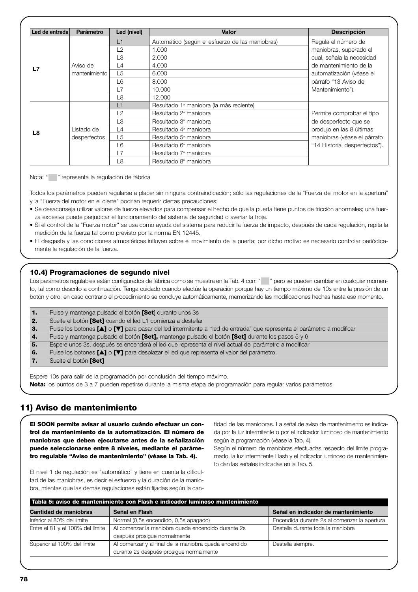| Led de entrada | Parámetro     | Led (nivel)    | <b>Valor</b>                                    | <b>Descripción</b>            |
|----------------|---------------|----------------|-------------------------------------------------|-------------------------------|
|                |               | L1             | Automático (según el esfuerzo de las maniobras) | Regula el número de           |
|                |               | L2             | 1.000                                           | maniobras, superado el        |
|                |               | L3             | 2.000                                           | cual, señala la necesidad     |
| L7             | Aviso de      | L4             | 4.000                                           | de mantenimiento de la        |
|                | mantenimiento | L5             | 6.000                                           | automatización (véase el      |
|                |               | L6             | 8.000                                           | párrafo "13 Aviso de          |
|                |               | L7             | 10,000                                          | Mantenimiento").              |
|                |               | L <sub>8</sub> | 12,000                                          |                               |
|                |               | L1             | Resultado 1ª maniobra (la más reciente)         |                               |
|                |               | L2             | Resultado 2 <sup>ª</sup> maniobra               | Permite comprobar el tipo     |
|                |               | L3             | Resultado 3ª maniobra                           | de desperfecto que se         |
| L8             | Listado de    | L4             | Resultado 4 <sup>ª</sup> maniobra               | produjo en las 8 últimas      |
|                | desperfectos  | L5             | Resultado 5 <sup>ª</sup> maniobra               | maniobras (véase el párrafo   |
|                |               | L6             | Resultado 6 <sup>ª</sup> maniobra               | "14 Historial desperfectos"). |
|                |               | L7             | Resultado 7 <sup>ª</sup> maniobra               |                               |
|                |               | L8             | Resultado 8 <sup>ª</sup> maniobra               |                               |

Nota: " " representa la regulación de fábrica

Todos los parámetros pueden regularse a placer sin ninguna contraindicación; sólo las regulaciones de la "Fuerza del motor en la apertura" y la "Fuerza del motor en el cierre" podrían requerir ciertas precauciones:

- Se desaconseja utilizar valores de fuerza elevados para compensar el hecho de que la puerta tiene puntos de fricción anormales; una fuerza excesiva puede perjudicar el funcionamiento del sistema de seguridad o averiar la hoja.
- Si el control de la "Fuerza motor" se usa como ayuda del sistema para reducir la fuerza de impacto, después de cada regulación, repita la medición de la fuerza tal como previsto por la norma EN 12445.
- El desgaste y las condiciones atmosféricas influyen sobre el movimiento de la puerta; por dicho motivo es necesario controlar periódicamente la regulación de la fuerza.

#### **10.4) Programaciones de segundo nivel**

Los parámetros regulables están configurados de fábrica como se muestra en la Tab. 4 con: "" pero se pueden cambiar en cualquier momento, tal como descrito a continuación. Tenga cuidado cuando efectúe la operación porque hay un tiempo máximo de 10s entre la presión de un botón y otro; en caso contrario el procedimiento se concluye automáticamente, memorizando las modificaciones hechas hasta ese momento.

| п.  | Pulse y mantenga pulsado el botón <b>[Set</b> ] durante unos 3s                                                         |
|-----|-------------------------------------------------------------------------------------------------------------------------|
| -2. | Suelte el botón [Set] cuando el led L1 comienza a destellar                                                             |
| з.  | Pulse los botones [A] o [V] para pasar del led intermitente al "led de entrada" que representa el parámetro a modificar |
| 4.  | Pulse y mantenga pulsado el botón [Set], mantenga pulsado el botón [Set] durante los pasos 5 y 6                        |
| 5.  | Espere unos 3s, después se encenderá el led que representa el nivel actual del parámetro a modificar                    |
| 6.  | Pulse los botones [4] o [V] para desplazar el led que representa el valor del parámetro.                                |
|     | Suelte el botón [Set]                                                                                                   |

Espere 10s para salir de la programación por conclusión del tiempo máximo.

**Nota:** los puntos de 3 a 7 pueden repetirse durante la misma etapa de programación para regular varios parámetros

# **11) Aviso de mantenimiento**

**El SOON permite avisar al usuario cuándo efectuar un control de mantenimiento de la automatización. El número de maniobras que deben ejecutarse antes de la señalización puede seleccionarse entre 8 niveles, mediante el parámetro regulable "Aviso de mantenimiento" (véase la Tab. 4).**

tidad de las maniobras. La señal de aviso de mantenimiento es indicada por la luz intermitente o por el Indicador luminoso de mantenimiento según la programación (véase la Tab. 4).

Según el número de maniobras efectuadas respecto del límite programado, la luz intermitente Flash y el indicador luminoso de mantenimiento dan las señales indicadas en la Tab. 5.

El nivel 1 de regulación es "automático" y tiene en cuenta la dificultad de las maniobras, es decir el esfuerzo y la duración de la maniobra, mientas que las demás regulaciones están fijadas según la can-

| Tabla 5: aviso de mantenimiento con Flash e indicador luminoso mantenimiento   |                                                       |                                              |  |
|--------------------------------------------------------------------------------|-------------------------------------------------------|----------------------------------------------|--|
| Cantidad de maniobras<br>Señal en indicador de mantenimiento<br>Señal en Flash |                                                       |                                              |  |
| Inferior al 80% del límite                                                     | Normal (0,5s encendido, 0,5s apagado)                 | Encendida durante 2s al comenzar la apertura |  |
| Entre el 81 y el 100% del límite                                               | Al comenzar la maniobra queda encendido durante 2s    | Destella durante toda la maniobra            |  |
|                                                                                | después prosigue normalmente                          |                                              |  |
| Superior al 100% del límite                                                    | Al comenzar y al final de la maniobra queda encendido | Destella siempre.                            |  |
|                                                                                | durante 2s después prosique normalmente               |                                              |  |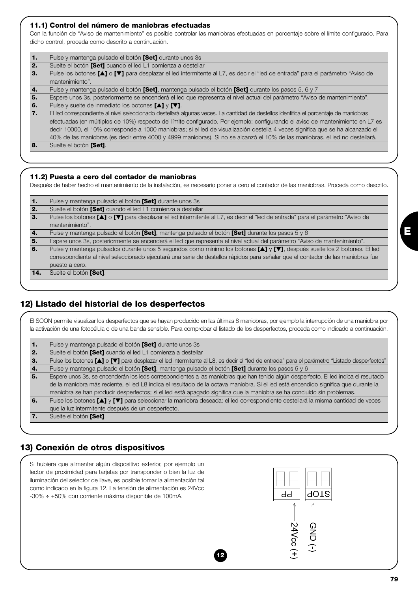#### **11.1) Control del número de maniobras efectuadas**

Con la función de "Aviso de mantenimiento" es posible controlar las maniobras efectuadas en porcentaje sobre el límite configurado. Para dicho control, proceda como descrito a continuación.

| $\mathbf{1}$ | Pulse y mantenga pulsado el botón <b>[Set]</b> durante unos 3s                                                                        |
|--------------|---------------------------------------------------------------------------------------------------------------------------------------|
| 2.           | Suelte el botón [Set] cuando el led L1 comienza a destellar                                                                           |
| 3.           | Pulse los botones [▲] o [▼] para desplazar el led intermitente al L7, es decir el "led de entrada" para el parámetro "Aviso de        |
|              | mantenimiento".                                                                                                                       |
| 4.           | Pulse y mantenga pulsado el botón [Set], mantenga pulsado el botón [Set] durante los pasos 5, 6 y 7                                   |
| 5.           | Espere unos 3s, posteriormente se encenderá el led que representa el nivel actual del parámetro "Aviso de mantenimiento".             |
| 6.           | Pulse y suelte de inmediato los botones $[\triangle]$ y $[\triangledown]$ .                                                           |
| 7.           | El led correspondiente al nivel seleccionado destellará algunas veces. La cantidad de destellos identifica el porcentaje de maniobras |
|              | efectuadas (en múltiplos de 10%) respecto del límite configurado. Por ejemplo: configurando el aviso de mantenimiento en L7 es        |
|              | decir 10000, el 10% corresponde a 1000 maniobras; si el led de visualización destella 4 veces significa que se ha alcanzado el        |
|              | 40% de las maniobras (es decir entre 4000 y 4999 maniobras). Si no se alcanzó el 10% de las maniobras, el led no destellará.          |
| 8.           | Suelte el botón [Set].                                                                                                                |
|              |                                                                                                                                       |

#### **11.2) Puesta a cero del contador de maniobras**

Después de haber hecho el mantenimiento de la instalación, es necesario poner a cero el contador de las maniobras. Proceda como descrito.

| 1.  | Pulse y mantenga pulsado el botón [Set] durante unos 3s                                                                          |
|-----|----------------------------------------------------------------------------------------------------------------------------------|
| 2.  | Suelte el botón [Set] cuando el led L1 comienza a destellar                                                                      |
| З.  | Pulse los botones [▲] o [▼] para desplazar el led intermitente al L7, es decir el "led de entrada" para el parámetro "Aviso de   |
|     | mantenimiento".                                                                                                                  |
| 4.  | Pulse y mantenga pulsado el botón [Set], mantenga pulsado el botón [Set] durante los pasos 5 y 6                                 |
| 5.  | Espere unos 3s, posteriormente se encenderá el led que representa el nivel actual del parámetro "Aviso de mantenimiento".        |
| 6.  | Pulse y mantenga pulsados durante unos 5 segundos como mínimo los botones [A] y [V], después suelte los 2 botones. El led        |
|     | correspondiente al nivel seleccionado ejecutará una serie de destellos rápidos para señalar que el contador de las maniobras fue |
|     | puesto a cero.                                                                                                                   |
| 14. | Suelte el botón [Set].                                                                                                           |

# **12) Listado del historial de los desperfectos**

El SOON permite visualizar los desperfectos que se hayan producido en las últimas 8 maniobras, por ejemplo la interrupción de una maniobra por la activación de una fotocélula o de una banda sensible. Para comprobar el listado de los desperfectos, proceda como indicado a continuación.

| 1. | Pulse y mantenga pulsado el botón [Set] durante unos 3s                                                                                     |
|----|---------------------------------------------------------------------------------------------------------------------------------------------|
| 2. | Suelte el botón [Set] cuando el led L1 comienza a destellar                                                                                 |
| З. | Pulse los botones [A] o [V] para desplazar el led intermitente al L8, es decir el "led de entrada" para el parámetro "Listado desperfectos" |
| 4. | Pulse y mantenga pulsado el botón [Set], mantenga pulsado el botón [Set] durante los pasos 5 y 6                                            |
| 5. | Espere unos 3s, se encenderán los leds correspondientes a las maniobras que han tenido algún desperfecto. El led indica el resultado        |
|    | de la maniobra más reciente, el led L8 indica el resultado de la octava maniobra. Si el led está encendido significa que durante la         |
|    | maniobra se han producir desperfectos; si el led está apagado significa que la maniobra se ha concluido sin problemas.                      |
| 6. | Pulse los botones [A] y [V] para seleccionar la maniobra deseada: el led correspondiente destellará la misma cantidad de veces              |
|    | que la luz intermitente después de un desperfecto.                                                                                          |
| 7. | Suelte el botón [Set].                                                                                                                      |
|    |                                                                                                                                             |

## **13) Conexión de otros dispositivos**

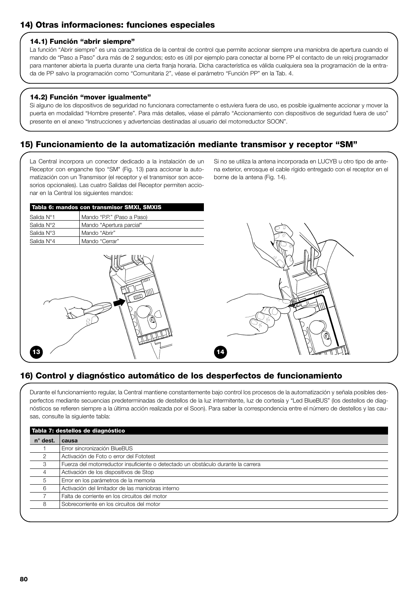# **14) Otras informaciones: funciones especiales**

#### **14.1) Función "abrir siempre"**

La función "Abrir siempre" es una característica de la central de control que permite accionar siempre una maniobra de apertura cuando el mando de "Paso a Paso" dura más de 2 segundos; esto es útil por ejemplo para conectar al borne PP el contacto de un reloj programador para mantener abierta la puerta durante una cierta franja horaria. Dicha característica es válida cualquiera sea la programación de la entrada de PP salvo la programación como "Comunitaria 2", véase el parámetro "Función PP" en la Tab. 4.

#### **14.2) Función "mover igualmente"**

Si alguno de los dispositivos de seguridad no funcionara correctamente o estuviera fuera de uso, es posible igualmente accionar y mover la puerta en modalidad "Hombre presente". Para más detalles, véase el párrafo "Accionamiento con dispositivos de seguridad fuera de uso" presente en el anexo "Instrucciones y advertencias destinadas al usuario del motorreductor SOON".

# **15) Funcionamiento de la automatización mediante transmisor y receptor "SM"**

La Central incorpora un conector dedicado a la instalación de un Receptor con enganche tipo "SM" (Fig. 13) para accionar la automatización con un Transmisor (el receptor y el transmisor son accesorios opcionales). Las cuatro Salidas del Receptor permiten accionar en la Central los siguientes mandos:

Si no se utiliza la antena incorporada en LUCYB u otro tipo de antena exterior, enrosque el cable rígido entregado con el receptor en el borne de la antena (Fig. 14).

|            | Tabla 6: mandos con transmisor SMXI, SMXIS |
|------------|--------------------------------------------|
| Salida N°1 | Mando "P.P." (Paso a Paso)                 |
| Salida N°2 | Mando "Apertura parcial"                   |
| Salida N°3 | Mando "Abrir"                              |
| Salida N°4 | Mando "Cerrar"                             |
|            |                                            |





# **16) Control y diagnóstico automático de los desperfectos de funcionamiento**

Durante el funcionamiento regular, la Central mantiene constantemente bajo control los procesos de la automatización y señala posibles desperfectos mediante secuencias predeterminadas de destellos de la luz intermitente, luz de cortesía y "Led BlueBUS" (los destellos de diagnósticos se refieren siempre a la última acción realizada por el Soon). Para saber la correspondencia entre el número de destellos y las causas, consulte la siguiente tabla:

| $n^{\circ}$ dest. | Tabla 7: destellos de diagnóstico                                                 |  |  |  |  |
|-------------------|-----------------------------------------------------------------------------------|--|--|--|--|
|                   | causa                                                                             |  |  |  |  |
|                   | Error sincronización BlueBUS                                                      |  |  |  |  |
| $\overline{2}$    | Activación de Foto o error del Fototest                                           |  |  |  |  |
| 3                 | Fuerza del motorreductor insuficiente o detectado un obstáculo durante la carrera |  |  |  |  |
| 4                 | Activación de los dispositivos de Stop                                            |  |  |  |  |
| 5                 | Error en los parámetros de la memoria                                             |  |  |  |  |
| 6                 | Activación del limitador de las maniobras interno                                 |  |  |  |  |
|                   | Falta de corriente en los circuitos del motor                                     |  |  |  |  |
| 8                 | Sobrecorriente en los circuitos del motor                                         |  |  |  |  |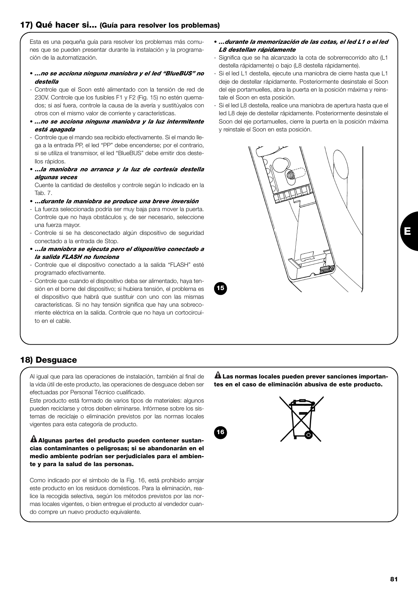# **17) Qué hacer si... (Guía para resolver los problemas)**

Esta es una pequeña guía para resolver los problemas más comunes que se pueden presentar durante la instalación y la programación de la automatización.

- *…no se acciona ninguna maniobra y el led "BlueBUS" no destella*
- Controle que el Soon esté alimentado con la tensión de red de 230V. Controle que los fusibles F1 y F2 (Fig. 15) no estén quemados; si así fuera, controle la causa de la avería y sustitúyalos con otros con el mismo valor de corriente y características.
- *…no se acciona ninguna maniobra y la luz intermitente está apagada*
- Controle que el mando sea recibido efectivamente. Si el mando llega a la entrada PP, el led "PP" debe encenderse; por el contrario, si se utiliza el transmisor, el led "BlueBUS" debe emitir dos destellos rápidos.
- **…***la maniobra no arranca y la luz de cortesía destella algunas veces*

Cuente la cantidad de destellos y controle según lo indicado en la Tab. 7.

- **…***durante la maniobra se produce una breve inversión*
- La fuerza seleccionada podría ser muy baja para mover la puerta. Controle que no haya obstáculos y, de ser necesario, seleccione una fuerza mayor.
- Controle si se ha desconectado algún dispositivo de seguridad conectado a la entrada de Stop.
- **…***la maniobra se ejecuta pero el dispositivo conectado a la salida FLASH no funciona*
- Controle que el dispositivo conectado a la salida "FLASH" esté programado efectivamente.
- Controle que cuando el dispositivo deba ser alimentado, haya tensión en el borne del dispositivo; si hubiera tensión, el problema es el dispositivo que habrá que sustituir con uno con las mismas características. Si no hay tensión significa que hay una sobrecorriente eléctrica en la salida. Controle que no haya un cortocircuito en el cable.
- *…durante la memorización de las cotas, el led L1 o el led L8 destellan rápidamente*
- Significa que se ha alcanzado la cota de sobrerrecorrido alto (L1 destella rápidamente) o bajo (L8 destella rápidamente).
- Si el led L1 destella, ejecute una maniobra de cierre hasta que L1 deje de destellar rápidamente. Posteriormente desinstale el Soon del eje portamuelles, abra la puerta en la posición máxima y reinstale el Soon en esta posición.
- Si el led L8 destella, realice una maniobra de apertura hasta que el led L8 deje de destellar rápidamente. Posteriormente desinstale el Soon del eje portamuelles, cierre la puerta en la posición máxima y reinstale el Soon en esta posición.



**15**

# **18) Desguace**

Al igual que para las operaciones de instalación, también al final de la vida útil de este producto, las operaciones de desguace deben ser efectuadas por Personal Técnico cualificado.

Este producto está formado de varios tipos de materiales: algunos pueden reciclarse y otros deben eliminarse. Infórmese sobre los sistemas de reciclaje o eliminación previstos por las normas locales vigentes para esta categoría de producto.

#### **Algunas partes del producto pueden contener sustan-! cias contaminantes o peligrosas; si se abandonarán en el medio ambiente podrían ser perjudiciales para el ambiente y para la salud de las personas.**

Como indicado por el símbolo de la Fig. 16, está prohibido arrojar este producto en los residuos domésticos. Para la eliminación, realice la recogida selectiva, según los métodos previstos por las normas locales vigentes, o bien entregue el producto al vendedor cuando compre un nuevo producto equivalente.

**Las normas locales pueden prever sanciones importan-! tes en el caso de eliminación abusiva de este producto.**

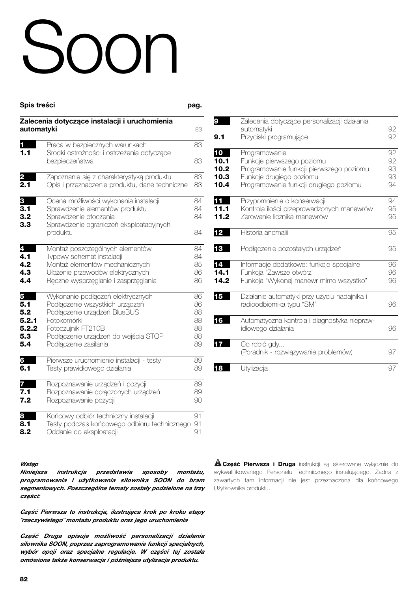# Soon

| <b>Spis treści</b>     |                                                                                                                                                         | pag.                 |
|------------------------|---------------------------------------------------------------------------------------------------------------------------------------------------------|----------------------|
| automatyki             | Zalecenia dotyczące instalacji i uruchomienia                                                                                                           | 83                   |
| <b>11 List</b><br>1.1  | Praca w bezpiecznych warunkach<br>Środki ostrożności i ostrzeżenia dotyczące<br>bezpieczeństwa                                                          | 83<br>83             |
| $\mathbf 2$            | Zapoznanie się z charakterystyką produktu                                                                                                               | 83                   |
| 2.1                    | Opis i przeznaczenie produktu, dane techniczne                                                                                                          | 83                   |
| 3<br>3.1<br>3.2<br>3.3 | Ocena możliwości wykonania instalacji<br>Sprawdzenie elementów produktu<br>Sprawdzenie otoczenia<br>Sprawdzenie ograniczeń eksploatacyjnych<br>produktu | 84<br>84<br>84<br>84 |
| 4                      | Montaż poszczególnych elementów                                                                                                                         | 84                   |
| 4.1                    | Typowy schemat instalacji                                                                                                                               | 84                   |
| 4.2                    | Montaż elementów mechanicznych                                                                                                                          | 85                   |
| 4.3                    | Ułożenie przewodów elektrycznych                                                                                                                        | 86                   |
| 4.4                    | Ręczne wysprzęglanie i zasprzęglanie                                                                                                                    | 86                   |
| 5                      | Wykonanie podłączeń elektrycznych                                                                                                                       | 86                   |
| 5.1                    | Podłączenie wszystkich urządzeń                                                                                                                         | 86                   |
| 5.2                    | Podłączenie urządzeń BlueBUS                                                                                                                            | 88                   |
| 5.2.1                  | Fotokomórki                                                                                                                                             | 88                   |
| 5.2.2                  | Fotoczujnik FT210B                                                                                                                                      | 88                   |
| 5.3                    | Podłączenie urządzeń do wejścia STOP                                                                                                                    | 88                   |
| 5.4                    | Podłączenie zasilania                                                                                                                                   | 89                   |
| 6                      | Pierwsze uruchomienie instalacji - testy                                                                                                                | 89                   |
| 6.1                    | Testy prawidłowego działania                                                                                                                            | 89                   |
| 7                      | Rozpoznawanie urządzeń i pozycji                                                                                                                        | 89                   |
| 7.1                    | Rozpoznawanie dołączonych urządzeń                                                                                                                      | 89                   |
| 7.2                    | Rozpoznawanie pozycji                                                                                                                                   | 90                   |
| 8                      | Końcowy odbiór techniczny instalacji                                                                                                                    | 91                   |
| 8.1                    | Testy podczas końcowego odbioru technicznego                                                                                                            | 91                   |
| 8.2                    | Oddanie do eksploatacji                                                                                                                                 | 91                   |

#### *Wstęp*

*Niniejsza instrukcja przedstawia sposoby montażu, programowania i użytkowania siłownika SOON do bram segmentowych. Poszczególne tematy zostały podzielone na trzy części:*

*Część Pierwsza to instrukcja, ilustrująca krok po kroku etapy ˝rzeczywistego˝ montażu produktu oraz jego uruchomienia*

*Część Druga opisuje możliwość personalizacji działania siłownika SOON, poprzez zaprogramowanie funkcji specjalnych, wybór opcji oraz specjalne regulacje. W części tej została omówiona także konserwacja i późniejsza utylizacja produktu.*

| 9<br>9.1                           | Zalecenia dotyczące personalizacji działania<br>automatyki<br>Przyciski programujące                                                                          | 92.<br>92                   |
|------------------------------------|---------------------------------------------------------------------------------------------------------------------------------------------------------------|-----------------------------|
| 10<br>10.1<br>10.2<br>10.3<br>10.4 | Programowanie<br>Funkcje pierwszego poziomu<br>Programowanie funkcji pierwszego poziomu<br>Funkcje drugiego poziomu<br>Programowanie funkcji drugiego poziomu | 92.<br>92<br>93<br>93<br>94 |
| 11<br>11.1<br>11.2                 | Przypomnienie o konserwacji<br>Kontrola ilości przeprowadzonych manewrów<br>Zerowanie licznika manewrów                                                       | 94<br>95<br>95              |
| 12                                 | Historia anomalii                                                                                                                                             | 95                          |
| 13                                 | Podłączenie pozostałych urządzeń                                                                                                                              | 95                          |
| 14<br>14.1<br>14.2                 | Informacje dodatkowe: funkcje specjalne<br>Funkcja "Zawsze otwórz"<br>Funkcja "Wykonaj manewr mimo wszystko"                                                  | 96<br>96<br>96              |
| 15                                 | Działanie automatyki przy użyciu nadajnika i<br>radioodbiornika typu "SM"                                                                                     | 96                          |
| 16                                 | Automatyczna kontrola i diagnostyka niepraw-<br>idłowego działania                                                                                            | 96                          |
| 17                                 | Co robić gdy<br>(Poradnik - rozwiązywanie problemów)                                                                                                          | 97                          |
| 18                                 | Utylizacja                                                                                                                                                    | 97                          |

*Część Pierwsza i Druga* instrukcji są skierowane wyłącznie do **!** wykwalifikowanego Personelu Technicznego instalującego. Żadna z zawartych tam informacji nie jest przeznaczona dla końcowego Użytkownika produktu.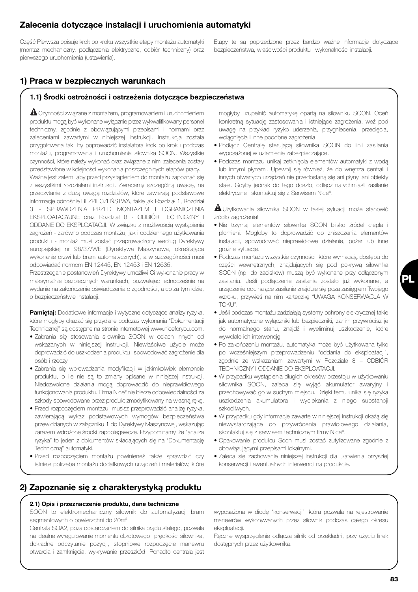# *Zalecenia dotyczące instalacji i uruchomienia automatyki*

Część Pierwsza opisuje krok po kroku wszystkie etapy montażu automatyki (montaż mechaniczny, podłączenia elektryczne, odbiór techniczny) oraz pierwszego uruchomienia (ustawienia).

Etapy te są poprzedzone przez bardzo ważne informacje dotyczące bezpieczeństwa, właściwości produktu i wykonalności instalacji.

# *1) Praca w bezpiecznych warunkach*

# *1.1) Środki ostrożności i ostrzeżenia dotyczące bezpieczeństwa*

Czynności związane z montażem, programowaniem i uruchomieniem **!** produktu mogą być wykonane wyłącznie przez wykwalifikowany personel techniczny, zgodnie z obowiązującymi przepisami i normami oraz zaleceniami zawartymi w niniejszej instrukcji. Instrukcja została przygotowana tak, by poprowadzić instalatora krok po kroku podczas montażu, programowania i uruchomienia siłownika SOON. Wszystkie czynności, które należy wykonać oraz związane z nimi zalecenia zostały przedstawione w kolejności wykonania poszczególnych etapów pracy. Ważne jest zatem, aby przed przystąpieniem do montażu zapoznać się z wszystkimi rozdziałami instrukcji. Zwracamy szczególną uwagę, na przeczytanie z dużą uwagą rozdziałów, które zawierają podstawowe informacje odnośnie BEZPIECZEŃSTWA, takie jak Rozdział 1, Rozdział 3 - SPRAWDZENIA PRZED MONTAŻEM I OGRANICZENIA EKSPLOATACYJNE oraz Rozdział 8 - ODBIÓR TECHNICZNY I ODDANIE DO EKSPLOATACJI. W związku z możliwością wystąpienia zagrożeń - zarówno podczas montażu, jak i codziennego użytkowania produktu - montaż musi zostać przeprowadzony według Dyrektywy europejskiej nr 98/37/WE (Dyrektywa Maszynowa, określająca wykonanie drzwi lub bram automatycznych), a w szczególności musi odpowiadać normom EN 12445, EN 12453 i EN 12635.

Przestrzeganie postanowień Dyrektywy umożliwi Ci wykonanie pracy w maksymalnie bezpiecznych warunkach, pozwalając jednocześnie na wydanie na zakończenie oświadczenia o zgodności, a co za tym idzie, o bezpieczeństwie instalacji.

*Pamiętaj:* Dodatkowe informacje i wytyczne dotyczące analizy ryzyka, które mogłyby okazać się przydane podczas wykonania "Dokumentacji Technicznej" są dostępne na stronie internetowej www.niceforyou.com.

- Zabrania się stosowania siłownika SOON w celach innych od wskazanych w niniejszej instrukcji. Niewłaściwe użycie może doprowadzić do uszkodzenia produktu i spowodować zagrożenie dla osób i rzeczy.
- Zabrania się wprowadzania modyfikacji w jakimkolwiek elemencie produktu, o ile nie są to zmiany opisane w niniejszej instrukcji. Niedozwolone działania mogą doprowadzić do nieprawidłowego funkcjonowania produktu. Firma Nice® nie bierze odpowiedzialności za szkody spowodowane przez produkt zmodyfikowany na własną rękę.
- Przed rozpoczęciem montażu, musisz przeprowadzić analizę ryzyka, zawierającą wykaz podstawowych wymogów bezpieczeństwa przewidzianych w załączniku 1 do Dyrektywy Maszynowej, wskazując zarazem wdrożone środki zapobiegawcze. Przypominamy, że "analiza ryzyka" to jeden z dokumentów składających się na "Dokumentację Techniczną" automatyki.
- Przed rozpoczęciem montażu powinieneś także sprawdzić czy istnieje potrzeba montażu dodatkowych urządzeń i materiałów, które

mogłyby uzupełnić automatykę opartą na siłowniku SOON. Oceń konkretną sytuację zastosowania i istniejące zagrożenia, weź pod uwagę na przykład ryzyko uderzenia, przygniecenia, przecięcia, wciągnięcia i inne podobne zagrożenia.

- Podłącz Centralę sterującą siłownika SOON do linii zasilania wyposażonej w uziemienie zabezpieczające.
- Podczas montażu unikaj zetknięcia elementów automatyki z wodą lub innymi płynami. Upewnij się również, że do wnętrza centrali i innych otwartych urządzeń nie przedostaną się ani płyny, ani obiekty stałe. Gdyby jednak do tego doszło, odłącz natychmiast zasilanie elektryczne i skontaktuj się z Serwisem Nice®.

Użytkowanie siłownika SOON w takiej sytuacji może stanowić **!** źródło zagrożenia!

- Nie trzymaj elementów siłownika SOON blisko źródeł ciepła i płomieni. Mogłoby to doprowadzić do zniszczenia elementów instalacji, spowodować nieprawidłowe działanie, pożar lub inne groźne sytuacje.
- Podczas montażu wszystkie czynności, które wymagają dostępu do części wewnętrznych, znajdujących się pod pokrywą siłownika SOON (np. do zacisków) muszą być wykonane przy odłączonym zasilaniu. Jeśli podłączenie zasilania zostało już wykonane, a urządzenie odcinające zasilanie znajduje się poza zasięgiem Twojego wzroku, przywieś na nim karteczkę "UWAGA KONSERWACJA W TOKU".
- Jeśli podczas montażu zadziałają systemy ochrony elektrycznej takie jak automatyczne wyłączniki lub bezpieczniki, zanim przywrócisz je do normalnego stanu, znajdź i wyeliminuj uszkodzenie, które wywołało ich interwencję.
- Po zakończeniu montażu, automatyka może być użytkowana tylko po wcześniejszym przeprowadzeniu "oddania do eksploatacji", zgodnie ze wskazaniami zawartymi w Rozdziale 8 – ODBIÓR TECHNICZNY I ODDANIE DO EKSPLOATACJI.
- W przypadku wystąpienia długich okresów przestoju w użytkowaniu siłownika SOON, zaleca się wyjąć akumulator awaryjny i przechowywać go w suchym miejscu. Dzięki temu unika się ryzyka uszkodzenia akumulatora i wyciekania z niego substancji szkodliwych.
- W przypadku gdy informacje zawarte w niniejszej instrukcji okażą się niewystarczające do przywrócenia prawidłowego działania, skontaktuj się z serwisem technicznym firmy Nice®.
- Opakowanie produktu Soon musi zostać zutylizowane zgodnie z obowiązującymi przepisami lokalnymi.
- Zaleca się zachowanie niniejszej instrukcji dla ułatwienia przyszłej konserwacji i ewentualnych interwencji na produkcie.

# *2) Zapoznanie się z charakterystyką produktu*

#### *2.1) Opis i przeznaczenie produktu, dane techniczne*

SOON to elektromechaniczny siłownik do automatyzacji bram segmentowych o powierzchni do 20m<sup>2</sup>.

Centrala SOA2, poza dostarczaniem do silnika prądu stałego, pozwala na idealne wyregulowanie momentu obrotowego i prędkości siłownika, dokładne odczytanie pozycji, stopniowe rozpoczęcie manewru otwarcia i zamknięcia, wykrywanie przeszkód. Ponadto centrala jest

wyposażona w diodę "konserwacji", która pozwala na rejestrowanie manewrów wykonywanych przez siłownik podczas całego okresu eksploatacji.

Ręczne wysprzęglenie odłącza silnik od przekładni, przy użyciu linek dostępnych przez użytkownika.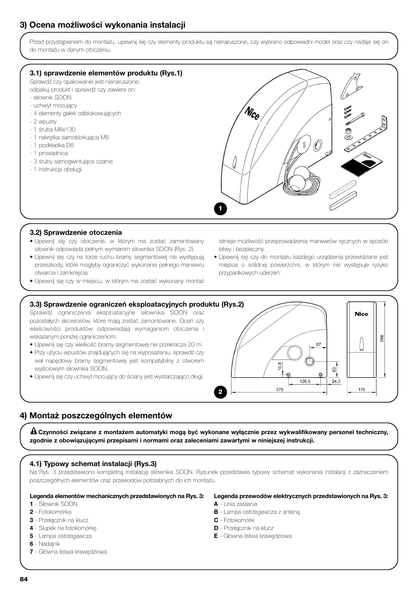# *3) Ocena możliwości wykonania instalacji*

Przed przystąpieniem do montażu, upewnij się czy elementy produktu są nienaruszone, czy wybrano odpowiedni model oraz czy nadaje się on do montażu w danym otoczeniu.

#### *3.1) sprawdzenie elementów produktu (Rys.1)*

Sprawdź czy opakowanie jest nienaruszone;

- odpakuj produkt i sprawdź czy zawiera on: - siłownik SOON
- uchwyt mocujący
- 4 elementy gałek odblokowujących
- 2 wpusty
- 1 śruba M8x130
- 1 nakrętka samoblokująca M8
- 1 podkładka D8
- 1 prowadnica
- 3 śruby samogwintujące czarne
- 1 instrukcja obsługi



#### *3.2) Sprawdzenie otoczenia*

- Upewnij się czy otoczenie, w którym ma zostać zamontowany siłownik odpowiada pełnym wymiarom siłownika SOON (Rys. 2).
- Upewnij się czy na torze ruchu bramy segmentowej nie występują przeszkody, które mogłyby ograniczyć wykonanie pełnego manewru otwarcia i zamknięcia.

• Upewnij się czy w miejscu, w którym ma zostać wykonany montaż

istnieje możliwość przeprowadzenia manewrów recznych w sposób łatwy i bezpieczny.

- Upewnij się czy do montażu każdego urządzenia przewidziane jest miejsce o solidnej powierzchni, w którym nie występuje ryzyko przypadkowych uderzeń.
- *3.3) Sprawdzenie ograniczeń eksploatacyjnych produktu (Rys.2)* Sprawdź ograniczenia eksploatacyjne siłownika SOON oraz **Nice** pozostałych akcesoriów, które mają zostać zamontowane. Oceń czy właściwości produktów odpowiadają wymaganiom otoczenia i wskazanym poniżej ograniczeniom: 298 • Upewnij się czy wielkość bramy segmentowej nie przekracza 20 m. 67 • Przy użyciu wpustów znajdujących się na wyposażeniu, sprawdź czy wał napędowy bramy segmentowej jest kompatybilny z otworem  $10.8$ wyjściowym siłownika SOON.  $\frac{3}{2}$ • Upewnij się czy uchwyt mocujący do ściany jest wystarczająco długi.  $\overline{24,3}$ 126.5 375 115 **2**

# *4) Montaż poszczególnych elementów*

*Czynności związane z montażem automatyki mogą być wykonane wyłącznie przez wykwalifikowany personel techniczny,* **!** *zgodnie z obowiązującymi przepisami i normami oraz zaleceniami zawartymi w niniejszej instrukcji.*

#### *4.1) Typowy schemat instalacji (Rys.3)*

Na Rys. 3 przedstawiono kompletną instalację siłownika SOON. Rysunek przedstawia typowy schemat wykonania instalacji z zaznaczeniem poszczególnych elementów oraz przewodów potrzebnych do ich montażu.

#### *Legenda elementów mechanicznych przedstawionych na Rys. 3:*

#### *1* - Siłownik SOON

- *2* Fotokomórka
- *3* Przełącznik na klucz
- *4* Słupek na fotokomórkę
- *5* Lampa ostrzegawcza
- *6* Nadajnik
- *7* Główna listwa krawędziowa
- *Legenda przewodów elektrycznych przedstawionych na Rys. 3: A* - Linia zasilania
- *B* Lampa ostrzegawcza z anteną
- *C* Fotokomórki
- *D* Przełącznik na klucz
- *E* Główna listwa krawędziowa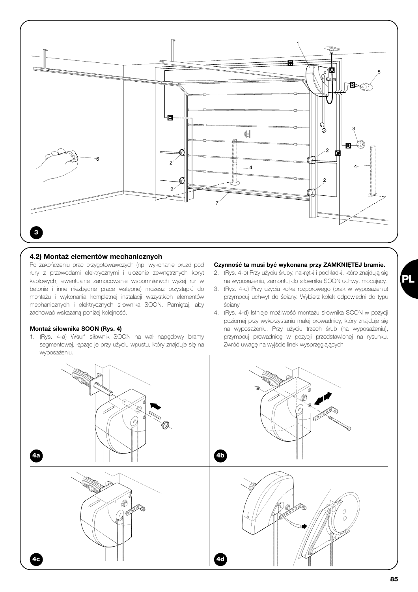

#### *4.2) Montaż elementów mechanicznych*

Po zakończeniu prac przygotowawczych (np. wykonanie bruzd pod rury z przewodami elektrycznymi i ułożenie zewnętrznych koryt kablowych, ewentualne zamocowanie wspomnianych wyżej rur w betonie i inne niezbędne prace wstępne) możesz przystąpić do montażu i wykonania kompletnej instalacji wszystkich elementów mechanicznych i elektrycznych siłownika SOON. Pamiętaj, aby zachować wskazaną poniżej kolejność.

#### *Montaż siłownika SOON (Rys. 4)*

1. (Rys. 4-a) Wsuń siłownik SOON na wał napędowy bramy segmentowej, łącząc je przy użyciu wpustu, który znajduje się na wyposażeniu.

#### *Czynność ta musi być wykonana przy ZAMKNIĘTEJ bramie.*

- 2. (Rys. 4-b) Przy użyciu śruby, nakrętki i podkładki, które znajdują się na wyposażeniu, zamontuj do siłownika SOON uchwyt mocujący.
- 3. (Rys. 4-c) Przy użyciu kołka rozporowego (brak w wyposażeniu) przymocuj uchwyt do ściany. Wybierz kołek odpowiedni do typu ściany.
- 4. (Rys. 4-d) Istnieje możliwość montażu siłownika SOON w pozycji poziomej przy wykorzystaniu małej prowadnicy, który znajduje się na wyposażeniu. Przy użyciu trzech śrub (na wyposażeniu), przymocuj prowadnicę w pozycji przedstawionej na rysunku. Zwróć uwagę na wyjście linek wysprzęglających

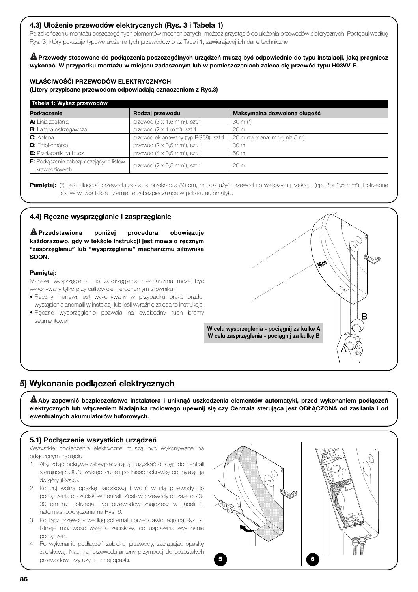## *4.3) Ułożenie przewodów elektrycznych (Rys. 3 i Tabela 1)*

Po zakończeniu montażu poszczególnych elementów mechanicznych, możesz przystąpić do ułożenia przewodów elektrycznych. Postępuj według Rys. 3, który pokazuje typowe ułożenie tych przewodów oraz Tabeli 1, zawierającej ich dane techniczne.

*Przewody stosowane do podłączenia poszczególnych urządzeń muszą być odpowiednie do typu instalacji, jaką pragniesz* **!** *wykonać. W przypadku montażu w miejscu zadaszonym lub w pomieszczeniach zaleca się przewód typu H03VV-F.*

#### *WŁAŚCIWOŚĆI PRZEWODÓW ELEKTRYCZNYCH*

*(Litery przypisane przewodom odpowiadają oznaczeniom z Rys.3)*

| Tabela 1: Wykaz przewodów               |                                                   |                                |  |  |
|-----------------------------------------|---------------------------------------------------|--------------------------------|--|--|
| Podłączenie                             | Rodzaj przewodu                                   | Maksymalna dozwolona długość   |  |  |
| A: Linia zasilania                      | przewód ( $3 \times 1.5$ mm <sup>2</sup> ), szt.1 | $30 \text{ m}$ (*)             |  |  |
| <b>B</b> : Lampa ostrzegawcza           | przewód (2 x 1 mm <sup>2</sup> ), szt.1           | 20 <sub>m</sub>                |  |  |
| <b>C:</b> Antena                        | przewód ekranowany (typ RG58), szt.1              | 20 m (zalecana: mniej niż 5 m) |  |  |
| <b>D:</b> Fotokomórka                   | przewód ( $2 \times 0.5$ mm <sup>2</sup> ), szt.1 | 30 <sub>m</sub>                |  |  |
| E: Przełącznik na klucz                 | przewód (4 x 0,5 mm <sup>2</sup> ), szt.1         | 50 m                           |  |  |
| F: Podłączenie zabezpieczających listew | przewód (2 x 0,5 mm <sup>2</sup> ), szt.1         | 20 <sub>m</sub>                |  |  |
| krawedziowych                           |                                                   |                                |  |  |

**Pamiętaj:** (\*) Jeśli długość przewodu zasilania przekracza 30 cm, musisz użyć przewodu o większym przekroju (np. 3 x 2,5 mm²). Potrzebne jest wówczas także uziemienie zabezpieczające w pobliżu automatyki.

#### *4.4) Ręczne wysprzęglanie i zasprzęglanie*

*Przedstawiona poniżej procedura obowiązuje* **!** *każdorazowo, gdy w tekście instrukcji jest mowa o ręcznym "zasprzęglaniu" lub "wysprzęglaniu" mechanizmu siłownika SOON.*

#### *Pamiętaj:*

Manewr wysprzęglenia lub zasprzęglenia mechanizmu może być wykonywany tylko przy całkowicie nieruchomym siłowniku.

- Ręczny manewr jest wykonywany w przypadku braku prądu, wystąpienia anomalii w instalacji lub jeśli wyraźnie zaleca to instrukcja.
- Ręczne wysprzęglenie pozwala na swobodny ruch bramy segmentowej.



# *5) Wykonanie podłączeń elektrycznych*

*Aby zapewnić bezpieczeństwo instalatora i uniknąć uszkodzenia elementów automatyki, przed wykonaniem podłączeń* **!** *elektrycznych lub włączeniem Nadajnika radiowego upewnij się czy Centrala sterująca jest ODŁĄCZONA od zasilania i od ewentualnych akumulatorów buforowych.*

#### *5.1) Podłączenie wszystkich urządzeń*

Wszystkie podłączenia elektryczne muszą być wykonywane na odłączonym napięciu.

- 1. Aby zdjąć pokrywę zabezpieczającą i uzyskać dostęp do centrali sterującej SOON, wykręć śrubę i podnieść pokrywkę odchylając ją do góry (Rys.5).
- 2. Poluzuj wolną opaskę zaciskową i wsuń w nią przewody do podłączenia do zacisków centrali. Zostaw przewody dłuższe o 20- 30 cm niż potrzeba. Typ przewodów znajdziesz w Tabeli 1, natomiast podłączenia na Rys. 6.
- 3. Podłącz przewody według schematu przedstawionego na Rys. 7. Istnieje możliwość wyjęcia zacisków, co usprawnia wykonanie podłączeń.
- 4. Po wykonaniu podłączeń zablokuj przewody, zaciągając opaskę zaciskową. Nadmiar przewodu anteny przymocuj do pozostałych przewodów przy użyciu innej opaski. **5 6**

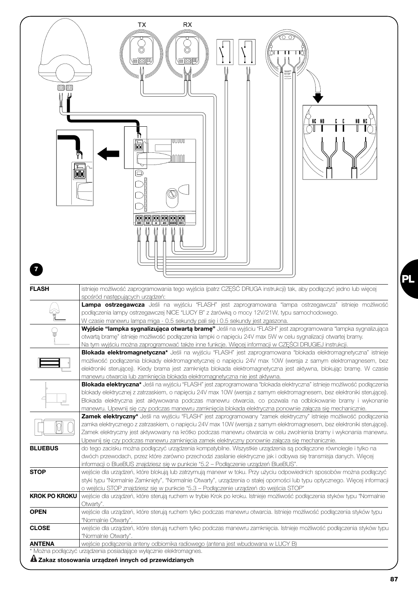

**PL**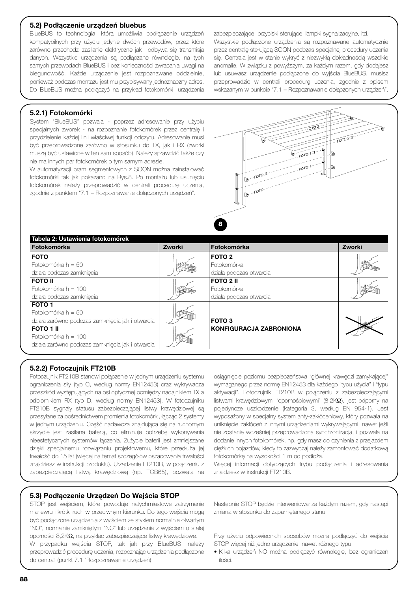#### *5.2) Podłączenie urządzeń bluebus*

BlueBUS to technologia, która umożliwia podłączenie urządzeń kompatybilnych przy użyciu jedynie dwóch przewodów, przez które zarówno przechodzi zasilanie elektryczne jak i odbywa się transmisja danych. Wszystkie urządzenia są podłączane równolegle, na tych samych przewodach BlueBUS i bez konieczności zwracania uwagi na biegunowość. Każde urządzenie jest rozpoznawane oddzielnie, ponieważ podczas montażu jest mu przypisywany jednoznaczny adres. Do BlueBUS można podłączyć na przykład fotokomórki, urządzenia zabezpieczające, przyciski sterujące, lampki sygnalizacyjne, itd. Wszystkie podłączone urządzenia są rozpoznawane automatycznie przez centralę sterującą SOON podczas specjalnej procedury uczenia się. Centrala jest w stanie wykryć z niezwykłą dokładnością wszelkie anomalie. W związku z powyższym, za każdym razem, gdy dodajesz lub usuwasz urządzenie podłączone do wyjścia BlueBUS, musisz przeprowadzić w centrali procedurę uczenia, zgodnie z opisem wskazanym w punkcie "7.1 – Rozpoznawanie dołączonych urządzeń".

## *5.2.1) Fotokomórki*

System "BlueBUS" pozwala - poprzez adresowanie przy użyciu specjalnych zworek - na rozpoznanie fotokomórek przez centralę i przydzielenie każdej linii właściwej funkcji odczytu. Adresowanie musi być przeprowadzone zarówno w stosunku do TX, jak i RX (zworki muszą być ustawione w ten sam sposób). Należy sprawdzić także czy nie ma innych par fotokomórek o tym samym adresie.

W automatyzacji bram segmentowych z SOON można zainstalować fotokomórki tak jak pokazano na Rys.8. Po montażu lub usunięciu fotokomórek należy przeprowadzić w centrali procedurę uczenia, zgodnie z punktem "7.1 – Rozpoznawanie dołączonych urządzeń".



| Tabela 2: Ustawienia fotokomórek<br>Fotokomórka  | Zworki | Fotokomórka                    | Zworki |
|--------------------------------------------------|--------|--------------------------------|--------|
| <b>FOTO</b>                                      |        | FOTO 2                         |        |
| Fotokomórka h = 50                               |        | Fotokomórka                    |        |
| działa podczas zamkniecia                        |        | działa podczas otwarcia        |        |
| <b>FOTO II</b>                                   |        | <b>FOTO 2 II</b>               |        |
| Fotokomórka $h = 100$                            |        | Fotokomórka                    |        |
| działa podczas zamkniecia                        |        | działa podczas otwarcia        |        |
| FOTO <sub>1</sub>                                |        |                                |        |
| Fotokomórka $h = 50$                             |        |                                |        |
| działa zarówno podczas zamkniecia jak i otwarcia |        | FOTO <sub>3</sub>              |        |
| <b>FOTO 1 II</b>                                 |        | <b>KONFIGURACJA ZABRONIONA</b> |        |
| Fotokomórka $h = 100$                            |        |                                |        |
| działa zarówno podczas zamkniecia jak i otwarcia |        |                                |        |

#### *5.2.2) Fotoczujnik FT210B*

Fotoczujnik FT210B stanowi połączenie w jednym urządzeniu systemu ograniczenia siły (typ C, według normy EN12453) oraz wykrywacza przeszkód występujących na osi optycznej pomiędzy nadajnikiem TX a odbiornikiem RX (typ D, według normy EN12453). W fotoczujniku FT210B sygnały statusu zabezpieczającej listwy krawędziowej są przesyłane za pośrednictwem promienia fotokomórki, łącząc 2 systemy w jednym urządzeniu. Część nadawcza znajdująca się na ruchomym skrzydle jest zasilana baterią, co eliminuje potrzebę wykonywania nieestetycznych systemów łączenia. Zużycie baterii jest zmniejszane dzięki specjalnemu rozwiązaniu projektowemu, które przedłuża jej trwałość do 15 lat (więcej na temat szczegółów oszacowania trwałości znajdziesz w instrukcji produktu). Urządzenie FT210B, w połączeniu z zabezpieczającą listwą krawędziową (np. TCB65), pozwala na

wymaganego przez normę EN12453 dla każdego "typu użycia" i "typu aktywacji". Fotoczujnik FT210B w połączeniu z zabezpieczającymi listwami krawędziowymi "opornościowymi" (8,2KΩ), jest odporny na pojedyncze uszkodzenie (kategoria 3, według EN 954-1). Jest wyposażony w specjalny system anty-zakłóceniowy, który pozwala na uniknięcie zakłóceń z innymi urządzeniami wykrywającymi, nawet jeśli nie zostanie wcześniej przeprowadzona synchronizacja, i pozwala na dodanie innych fotokomórek, np. gdy masz do czynienia z przejazdem ciężkich pojazdów, kiedy to zazwyczaj należy zamontować dodatkową fotokomórkę na wysokości 1 m od podłoża.

osiągnięcie poziomu bezpieczeństwa "głównej krawędzi zamykającej"

Więcej informacji dotyczących trybu podłączenia i adresowania znajdziesz w instrukcji FT210B.

#### *5.3) Podłączenie Urządzeń Do Wejścia STOP*

STOP jest wejściem, które powoduje natychmiastowe zatrzymanie manewru i krótki ruch w przeciwnym kierunku. Do tego wejścia mogą być podłączone urządzenia z wyjściem ze stykiem normalnie otwartym "NO", normalnie zamkniętym "NC" lub urządzania z wyjściem o stałej oporności 8,2KΩ, na przykład zabezpieczające listwy krawędziowe.

W przypadku wejścia STOP, tak jak przy BlueBUS, należy przeprowadzić procedurę uczenia, rozpoznając urządzenia podłączone do centrali (punkt 7.1 "Rozpoznawanie urządzeń).

Następnie STOP będzie interweniował za każdym razem, gdy nastąpi zmiana w stosunku do zapamiętanego stanu.

Przy użyciu odpowiednich sposobów można podłączyć do wejścia STOP więcej niż jedno urządzenie, nawet różnego typu:

• Kilka urządzeń NO można podłączyć równoległe, bez ograniczeń ilości.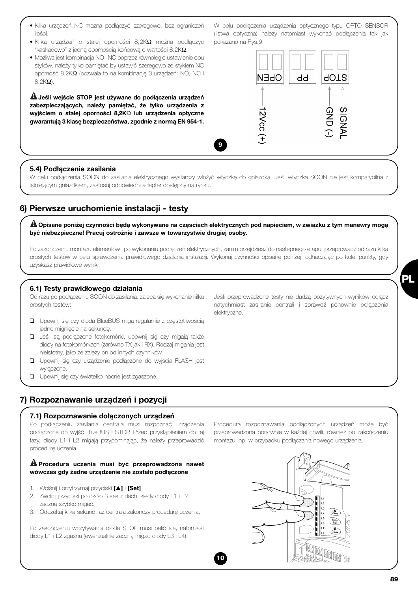- Kilka urządzeń NC można podłączyć szeregowo, bez ograniczeń ilości.
- Kilka urządzeń o stałej oporności 8,2KΩ można podłączyć "kaskadowo" z jedną opornością końcową o wartości 8,2KΩ.
- Możliwa jest kombinacja NO i NC poprzez równoległe ustawienie obu styków, należy tylko pamiętać by ustawić szeregowo ze stykiem NC oporność 8,2KΩ (pozwala to na kombinację 3 urządzeń: NO, NC i 8,2KΩ).

*Jeśli wejście STOP jest używane do podłączenia urządzeń* **!** *zabezpieczających, należy pamiętać, że tylko urządzenia z wyjściem o stałej oporności 8,2K*Ω *lub urządzenia optyczne gwarantują 3 klasę bezpieczeństwa, zgodnie z normą EN 954-1.*

W celu podłączenia urządzenia optycznego typu OPTO SENSOR (listwa optyczna) należy natomiast wykonać podłączenia tak jak pokazano na Rys.9



## *5.4) Podłączenie zasilania*

W celu podłączenia SOON do zasilania elektrycznego wystarczy włożyć wtyczkę do gniazdka. Jeśli wtyczka SOON nie jest kompatybilna z istniejącym gniazdkiem, zastosuj odpowiedni adapter dostępny na rynku.

**9**

# *6) Pierwsze uruchomienie instalacji - testy*

*Opisane poniżej czynności będą wykonywane na częsciach elektrycznych pod napięciem, w związku z tym manewry mogą* **!** *być niebezpieczne! Pracuj ostrożnie i zawsze w towarzystwie drugiej osoby.*

Po zakończeniu montażu elementów i po wykonaniu podłączeń elektrycznych, zanim przejdziesz do następnego etapu, przeprowadź od razu kilka prostych testów w celu sprawdzenia prawidłowego działania instalacji. Wykonaj czynności opisane poniżej, odhaczając po kolei punkty, gdy uzyskasz prawidłowe wyniki.

elektryczne.

**10**

#### *6.1) Testy prawidłowego działania*

Od razu po podłączeniu SOON do zasilania, zaleca się wykonanie kilku prostych testów:

- ❑ Upewnij się czy dioda BlueBUS miga regularnie z częstotliwością jedno mignięcie na sekundę.
- ❑ Jeśli są podłączone fotokomórki, upewnij się czy migają także diody na fotokomórkach (zarówno TX jak i RX). Rodzaj migania jest nieistotny, jako że zależy on od innych czynników.
- ❑ Upewnij się czy urządzenie podłączone do wyjścia FLASH jest wyłączone.
- ❑ Upewnij się czy światełko nocne jest zgaszone.

# *7) Rozpoznawanie urządzeń i pozycji*

#### *7.1) Rozpoznawanie dołączonych urządzeń*

Po podłączeniu zasilania centrala musi rozpoznać urządzenia podłączone do wyjść BlueBUS i STOP. Przed przystąpieniem do tej fazy, diody L1 i L2 migają przypominając, że należy przeprowadzić procedurę uczenia.

#### *Procedura uczenia musi być przeprowadzona nawet* **!** *wówczas gdy żadne urządzenie nie zostało podłączone*

- 1. Wciśnij i przytrzymaj przyciski *[*▲*]* i *[Set]*
- 2. Zwolnij przyciski po około 3 sekundach, kiedy diody L1 i L2 zaczną szybko migać.
- 3. Odczekaj kilka sekund, aż centrala zakończy procedurę uczenia.

Po zakończeniu wczytywania dioda STOP musi palić się, natomiast diody L1 i L2 zgasną (ewentualnie zaczną migać diody L3 i L4).

Jeśli przeprowadzone testy nie dadzą pozytywnych wyników odłącz natychmiast zasilanie centrali i sprawdź ponownie połączenia

Procedura rozpoznawania podłączonych urządzeń może być przeprowadzona ponownie w każdej chwili, również po zakończeniu montażu, np. w przypadku podłączania nowego urządzenia.

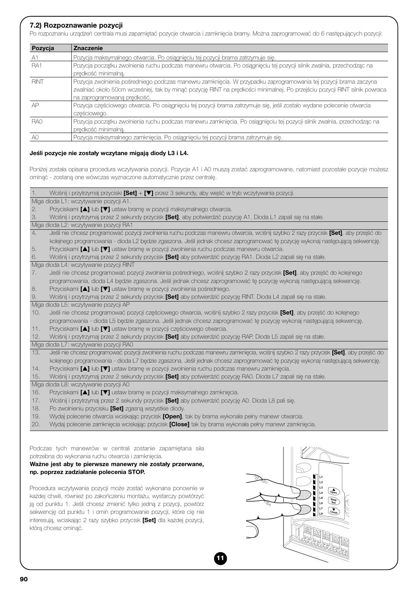#### *7.2) Rozpoznawanie pozycji*

Po rozpoznaniu urządzeń centrala musi zapamiętać pozycje otwarcia i zamknięcia bramy. Można zaprogramować do 6 następujących pozycji:

| Pozycja         | <b>Znaczenie</b>                                                                                                           |
|-----------------|----------------------------------------------------------------------------------------------------------------------------|
| A1              | Pozycja maksymalnego otwarcia. Po osiągnięciu tej pozycji brama zatrzymuje się.                                            |
| RA1             | Pozycja początku zwolnienia ruchu podczas manewru otwarcia. Po osiągnięciu tej pozycji silnik zwalnia, przechodząc na      |
|                 | prędkość minimalną.                                                                                                        |
| <b>RINT</b>     | Pozycja zwolnienia pośredniego podczas manewru zamknięcia. W przypadku zaprogramowania tej pozycji brama zaczyna           |
|                 | zwalniać około 50cm wcześniej, tak by minąć pozycję RINT na prędkości minimalnej. Po przejściu pozycji RINT silnik powraca |
|                 | na zaprogramowaną prędkość.                                                                                                |
| AP              | Pozycja częściowego otwarcia. Po osiągnięciu tej pozycji brama zatrzymuje się, jeśli zostało wydane polecenie otwarcia     |
|                 | cześciowego.                                                                                                               |
| RA <sub>0</sub> | Pozycja początku zwolnienia ruchu podczas manewru zamknięcia. Po osiągnięciu tej pozycji silnik zwalnia, przechodząc na    |
|                 | prędkość minimalną.                                                                                                        |
| AC              | Pozycja maksymalnego zamknięcia. Po osiągnięciu tej pozycji brama zatrzymuje się.                                          |

#### *Jeśli pozycje nie zostały wczytane migają diody L3 i L4.*

Poniżej została opisana procedura wczytywania pozycji. Pozycje A1 i A0 muszą zostać zaprogramowane, natomiast pozostałe pozycje możesz ominąć - zostaną one wówczas wyznaczone automatycznie przez centralę.

| 1.  | Wciśnij i przytrzymaj przyciski [Set] + [▼] przez 3 sekundy, aby wejść w tryb wczytywania pozycji.                                     |
|-----|----------------------------------------------------------------------------------------------------------------------------------------|
|     | Miga dioda L1: wczytywanie pozycji A1.                                                                                                 |
| 2.  | Przyciskami [A] lub [V] ustaw bramę w pozycji maksymalnego otwarcia.                                                                   |
| 3.  | Wciśnij i przytrzymaj przez 2 sekundy przycisk [Set], aby potwierdzić pozycję A1. Dioda L1 zapali się na stałe.                        |
|     | Miga dioda L2: wczytywanie pozycji RA1                                                                                                 |
| 4.  | Jeśli nie chcesz programować pozycji zwolnienia ruchu podczas manewru otwarcia, wciśnij szybko 2 razy przycisk [Set], aby przejść do   |
|     | kolejnego programowania - dioda L2 będzie zgaszona. Jeśli jednak chcesz zaprogramować tę pozycję wykonaj następującą sekwencję.        |
| 5.  | Przyciskami [A] lub [V] ustaw bramę w pozycji zwolnienia ruchu podczas manewru otwarcia.                                               |
| 6.  | Wciśnij i przytrzymaj przez 2 sekundy przycisk <b>[Set]</b> aby potwierdzić pozycję RA1. Dioda L2 zapali się na stałe.                 |
|     | Miga dioda L4: wczytywanie pozycji RINT                                                                                                |
| 7.  | Jeśli nie chcesz programować pozycji zwolnienia pośredniego, wciśnij szybko 2 razy przycisk [Set], aby przejść do kolejnego            |
|     | programowania, dioda L4 będzie zgaszona. Jeśli jednak chcesz zaprogramować tę pozycję wykonaj następującą sekwencję.                   |
| 8.  | Przyciskami [A] lub [V] ustaw bramę w pozycji zwolnienia pośredniego.                                                                  |
| 9.  | Wciśnij i przytrzymaj przez 2 sekundy przycisk [Set] aby potwierdzić pozycję RINT. Dioda L4 zapali się na stałe.                       |
|     | Miga dioda L5: wczytywanie pozycji AP                                                                                                  |
| 10. | Jeśli nie chcesz programować pozycji częściowego otwarcia, wciśnij szybko 2 razy przycisk [Set], aby przejść do kolejnego              |
|     | programowania - dioda L5 będzie zgaszona. Jeśli jednak chcesz zaprogramować tę pozycję wykonaj następującą sekwencję.                  |
| 11. | Przyciskami [A] lub [V] ustaw bramę w pozycji częściowego otwarcia.                                                                    |
| 12. | Wciśnij i przytrzymaj przez 2 sekundy przycisk [Set] aby potwierdzić pozycję RAP. Dioda L5 zapali się na stałe.                        |
|     | Miga dioda L7: wczytywanie pozycji RA0                                                                                                 |
| 13. | Jeśli nie chcesz programować pozycji zwolnienia ruchu podczas manewru zamknięcia, wciśnij szybko 2 razy przycisk [Set], aby przejść do |
|     | kolejnego programowania - dioda L7 będzie zgaszona. Jeśli jednak chcesz zaprogramować tę pozycję wykonaj następującą sekwencję.        |
| 14. | Przyciskami [A] lub [V] ustaw bramę w pozycji zwolnienia ruchu podczas manewru zamknięcia.                                             |
| 15. | Wciśnij i przytrzymaj przez 2 sekundy przycisk <b>[Set]</b> aby potwierdzić pozycję RA0. Dioda L7 zapali się na stałe.                 |
|     | Miga dioda L8: wczytywanie pozycji A0                                                                                                  |
| 16. | Przyciskami [A] lub [V] ustaw bramę w pozycji maksymalnego zamknięcia.                                                                 |
| 17. | Wciśnij i przytrzymaj przez 2 sekundy przycisk [Set] aby potwierdzić pozycję A0. Dioda L8 pali się.                                    |
| 18. | Po zwolnieniu przycisku [Set] zgasną wszystkie diody.                                                                                  |
| 19. | Wydaj polecenie otwarcia wciskając przycisk [Open], tak by brama wykonała pełny manewr otwarcia.                                       |
| 20. | Wydaj polecenie zamknięcia wciskając przycisk [Close] tak by brama wykonała pełny manewr zamknięcia.                                   |
|     |                                                                                                                                        |
|     |                                                                                                                                        |
|     | Podczas tych manewrów w centrali zostanie zapamiętana siła                                                                             |
|     |                                                                                                                                        |

**11**

potrzebna do wykonania ruchu otwarcia i zamknięcia.

*Ważne jest aby te pierwsze manewry nie zostały przerwane, np. poprzez zadziałanie polecenia STOP.*

Procedura wczytywania pozycji może zostać wykonana ponownie w każdej chwili, również po zakończeniu montażu, wystarczy powtórzyć ją od punktu 1. Jeśli chcesz zmienić tylko jedną z pozycji, powtórz sekwencję od punktu 1 i omiń programowanie pozycji, które cię nie interesują, wciskając 2 razy szybko przycisk *[Set]* dla każdej pozycji, którą chcesz ominąć.

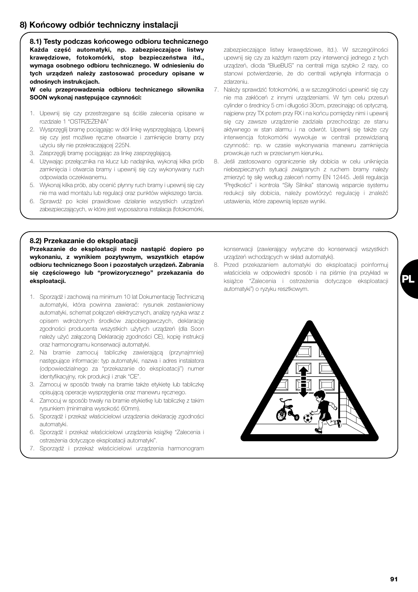# *8) Końcowy odbiór techniczny instalacji*

*8.1) Testy podczas końcowego odbioru technicznego Każda część automatyki, np. zabezpieczające listwy krawędziowe, fotokomórki, stop bezpieczeństwa itd., wymaga osobnego odbioru technicznego. W odniesieniu do tych urządzeń należy zastosować procedury opisane w odnośnych instrukcjach.*

*W celu przeprowadzenia odbioru technicznego siłownika SOON wykonaj następujące czynności:*

- 1. Upewnij się czy przestrzegane są ściśle zalecenia opisane w rozdziale 1 "OSTRZEŻENIA"
- 2. Wysprzęglij bramę pociągając w dół linkę wysprzęglającą. Upewnij się czy jest możliwe ręczne otwarcie i zamknięcie bramy przy użyciu siły nie przekraczającej 225N.
- 3. Zasprzęglij bramę pociągając za linkę zasprzęglającą.
- 4. Używając przełącznika na klucz lub nadajnika, wykonaj kilka prób zamknięcia i otwarcia bramy i upewnij się czy wykonywany ruch odpowiada oczekiwanemu.
- 5. Wykonaj kilka prób, aby ocenić płynny ruch bramy i upewnij się czy nie ma wad montażu lub regulacji oraz punktów większego tarcia.
- 6. Sprawdź po kolei prawidłowe działanie wszystkich urządzeń zabezpieczających, w które jest wyposażona instalacja (fotokomórki,

zabezpieczające listwy krawędziowe, itd.). W szczególności upewnij się czy za każdym razem przy interwencji jednego z tych urządzeń, dioda "BlueBUS" na centrali miga szybko 2 razy, co stanowi potwierdzenie, że do centrali wpłynęła informacja o zdarzeniu.

- 7. Należy sprawdzić fotokomórki, a w szczególności upewnić się czy nie ma zakłóceń z innymi urządzeniami. W tym celu przesuń cylinder o średnicy 5 cm i długości 30cm, przecinając oś optyczną, najpierw przy TX potem przy RX i na końcu pomiędzy nimi i upewnij się czy zawsze urządzenie zadziała przechodząc ze stanu aktywnego w stan alarmu i na odwrót. Upewnij się także czy interwencja fotokomórki wywołuje w centrali przewidzianą czynność: np. w czasie wykonywania manewru zamknięcia prowokuje ruch w przeciwnym kierunku.
- 8. Jeśli zastosowano ograniczenie siły dobicia w celu uniknięcia niebezpiecznych sytuacji związanych z ruchem bramy należy zmierzyć tę siłę według zaleceń normy EN 12445. Jeśli regulacja "Prędkości" i kontrola "Siły Silnika" stanowią wsparcie systemu redukcji siły dobicia, należy powtórzyć regulację i znaleźć ustawienia, które zapewnią lepsze wyniki.

#### *8.2) Przekazanie do eksploatacji*

*Przekazanie do eksploatacji może nastąpić dopiero po wykonaniu, z wynikiem pozytywnym, wszystkich etapów odbioru technicznego Soon i pozostałych urządzeń. Zabrania się częściowego lub "prowizorycznego" przekazania do eksploatacji.*

- 1. Sporządź i zachowaj na minimum 10 lat Dokumentację Techniczną automatyki, która powinna zawierać: rysunek zestawieniowy automatyki, schemat połączeń elektrycznych, analizę ryzyka wraz z opisem wdrożonych środków zapobiegawczych, deklarację zgodności producenta wszystkich użytych urządzeń (dla Soon należy użyć załączoną Deklarację zgodności CE), kopię instrukcji oraz harmonogramu konserwacji automatyki.
- 2. Na bramie zamocuj tabliczkę zawierającą (przynajmniej) następujące informacje: typ automatyki, nazwa i adres instalatora (odpowiedzialnego za "przekazanie do eksploatacji") numer identyfikacyjny, rok produkcji i znak "CE".
- 3. Zamocuj w sposób trwały na bramie także etykietę lub tabliczkę opisującą operacje wysprzęglenia oraz manewru ręcznego.
- 4. Zamocuj w sposób trwały na bramie etykietkę lub tabliczkę z takim rysunkiem (minimalna wysokość 60mm).
- 5. Sporządź i przekaż właścicielowi urządzenia deklarację zgodności automatyki.
- 6. Sporządź i przekaż właścicielowi urządzenia książkę "Zalecenia i ostrzeżenia dotyczące eksploatacji automatyki".
- 7. Sporządź i przekaż właścicielowi urządzenia harmonogram

konserwacji (zawierający wytyczne do konserwacji wszystkich urządzeń wchodzących w skład automatyki).

8. Przed przekazaniem automatyki do eksploatacji poinformuj właściciela w odpowiedni sposób i na piśmie (na przykład w książce "Zalecenia i ostrzeżenia dotyczące eksploatacji automatyki") o ryzyku resztkowym.



**PL**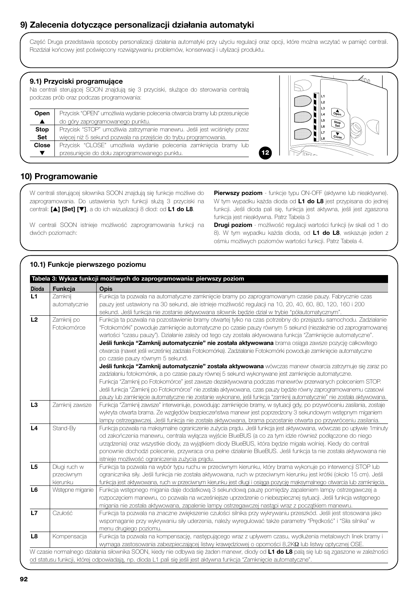# *9) Zalecenia dotyczące personalizacji działania automatyki*

Część Druga przedstawia sposoby personalizacji działania automatyki przy użyciu regulacji oraz opcji, które można wczytać w pamięć centrali. Rozdział końcowy jest poświęcony rozwiązywaniu problemów, konserwacji i utylizacji produktu.

#### *9.1) Przyciski programujące*

Na centrali sterującej SOON znajdują się 3 przyciski, służące do sterowania centralą podczas prób oraz podczas programowania:

| <b>Open</b>      | Przycisk "OPEN" umożliwia wydanie polecenia otwarcia bramy lub przesuniecie |  |  |
|------------------|-----------------------------------------------------------------------------|--|--|
| $\blacktriangle$ | do góry zaprogramowanego punktu.                                            |  |  |
| <b>Stop</b>      | Przycisk "STOP" umożliwia zatrzymanie manewru. Jeśli jest wciśnięty przez   |  |  |
| <b>Set</b>       | więcej niż 5 sekund pozwala na przejście do trybu programowania.            |  |  |
| <b>Close</b>     | Przycisk "CLOSE" umożliwia wydanie polecenia zamknięcia bramy lub           |  |  |
|                  | przesuniecie do dołu zaprogramowanego punktu.                               |  |  |



# *10) Programowanie*

W centrali sterującej siłownika SOON znajdują się funkcje możliwe do zaprogramowania. Do ustawienia tych funkcji służą 3 przyciski na centrali: *[*▲*] [Set] [*▼*]*, a do ich wizualizacji 8 diod: od *L1 do L8*.

W centrali SOON istnieje możliwość zaprogramowania funkcji na dwóch poziomach:

**Pierwszy poziom** - funkcje typu ON-OFF (aktywne lub nieaktywne). W tym wypadku każda dioda od *L1 do L8* jest przypisana do jednej funkcji. Jeśli dioda pali się, funkcja jest aktywna, jeśli jest zgaszona funkcja jest nieaktywna. Patrz Tabela 3

*Drugi poziom* - możliwość regulacji wartości funkcji (w skali od 1 do 8). W tym wypadku każda dioda, od *L1 do L8*, wskazuje jeden z ośmiu możliwych poziomów wartości funkcji. Patrz Tabela 4.

# *10.1) Funkcje pierwszego poziomu*

| <b>Dioda</b>   | Funkcja         | <b>Opis</b>                                                                                                                                                                                                                                                     |
|----------------|-----------------|-----------------------------------------------------------------------------------------------------------------------------------------------------------------------------------------------------------------------------------------------------------------|
| L1             | Zamknij         | Funkcja ta pozwala na automatyczne zamknięcie bramy po zaprogramowanym czasie pauzy. Fabrycznie czas                                                                                                                                                            |
|                | automatycznie   | pauzy jest ustawiony na 30 sekund, ale istnieje możliwość regulacji na 10, 20, 40, 60, 80, 120, 160 i 200                                                                                                                                                       |
|                |                 | sekund. Jeśli funkcja nie zostanie aktywowana siłownik będzie dział w trybie "półautomatycznym".                                                                                                                                                                |
| L2             | Zamknij po      | Funkcja ta pozwala na pozostawienie bramy otwartej tylko na czas potrzebny do przejazdu samochodu. Zadziałanie                                                                                                                                                  |
|                |                 |                                                                                                                                                                                                                                                                 |
|                | Fotokomórce     | "Fotokomórki" powoduje zamknięcie automatyczne po czasie pauzy równym 5 sekund (niezależnie od zaprogramowanej                                                                                                                                                  |
|                |                 | wartości "czasu pauzy"). Działanie zależy od tego czy została aktywowana funkcja "Zamknięcie automatyczne".                                                                                                                                                     |
|                |                 | Jeśli funkcja "Zamknij automatycznie" nie została aktywowana brama osiąga zawsze pozycję całkowitego                                                                                                                                                            |
|                |                 | otwarcia (nawet jeśli wcześniej zadziała Fotokomórka). Zadziałanie Fotokomórki powoduje zamknięcie automatyczne                                                                                                                                                 |
|                |                 | po czasie pauzy równym 5 sekund.                                                                                                                                                                                                                                |
|                |                 | Jeśli funkcja "Zamknij automatycznie" została aktywowana wówczas manewr otwarcia zatrzymuje się zaraz po                                                                                                                                                        |
|                |                 | zadziałaniu fotokomórek, a po czasie pauzy równej 5 sekund wykonywane jest zamknięcie automatyczne.                                                                                                                                                             |
|                |                 | Funkcja "Zamknij po Fotokomórce" jest zawsze dezaktywowana podczas manewrów przerwanych poleceniem STOP.                                                                                                                                                        |
|                |                 | Jeśli funkcja "Zamknij po Fotokomórce" nie została aktywowana, czas pauzy będzie równy zaprogramowanemu czasowi                                                                                                                                                 |
|                |                 | pauzy lub zamknięcie automatyczne nie zostanie wykonane, jeśli funkcja "zamknij automatycznie" nie została aktywowana.                                                                                                                                          |
| L <sub>3</sub> | Zamknij zawsze  | Funkcja "Zamknij zawsze" interweniuje, powodując zamknięcie bramy, w sytuacji gdy, po przywróceniu zasilania, zostaje                                                                                                                                           |
|                |                 | wykryta otwarta brama. Ze względów bezpieczeństwa manewr jest poprzedzony 3 sekundowym wstępnym miganiem                                                                                                                                                        |
|                |                 | lampy ostrzegawczej. Jeśli funkcja nie została aktywowana, brama pozostanie otwarta po przywróceniu zasilania.                                                                                                                                                  |
| L4             | Stand-By        | Funkcja pozwala na maksymalne ograniczenie zużycia prądu. Jeśli funkcja jest aktywowana, wówczas po upływie 1minuty                                                                                                                                             |
|                |                 | od zakończenia manewru, centrala wyłącza wyjście BlueBUS (a co za tym idzie również podłączone do niego                                                                                                                                                         |
|                |                 | urządzenia) oraz wszystkie diody, za wyjątkiem diody BlueBUS, która będzie migała wolniej. Kiedy do centrali                                                                                                                                                    |
|                |                 | ponownie dochodzi polecenie, przywraca ona pełne działanie BlueBUS. Jeśli funkcja ta nie została aktywowana nie                                                                                                                                                 |
|                |                 | istnieje możliwość ograniczenia zużycia prądu.                                                                                                                                                                                                                  |
| L5             | Długi ruch w    | Funkcja ta pozwala na wybór typu ruchu w przeciwnym kierunku, który brama wykonuje po interwencji STOP lub                                                                                                                                                      |
|                | przeciwnym      | ogranicznika siły. Jeśli funkcja nie została aktywowana, ruch w przeciwnym kierunku jest krótki (około 15 cm). Jeśli                                                                                                                                            |
|                | kierunku        | funkcja jest aktywowana, ruch w przeciwnym kierunku jest długi i osiąga pozycję maksymalnego otwarcia lub zamknięcia.                                                                                                                                           |
| L <sub>6</sub> | Wstępne miganie | Funkcja wstępnego migania daje dodatkową 3 sekundową pauzę pomiędzy zapaleniem lampy ostrzegawczej a                                                                                                                                                            |
|                |                 | rozpoczęciem manewru, co pozwala na wcześniejsze uprzedzenie o niebezpiecznej sytuacji. Jeśli funkcja wstępnego                                                                                                                                                 |
|                |                 | migania nie została aktywowana, zapalenie lampy ostrzegawczej nastąpi wraz z początkiem manewru.                                                                                                                                                                |
| L7             | Czułość         | Funkcja ta pozwala na znaczne zwiększenie czułości silnika przy wykrywaniu przeszkód. Jeśli jest stosowana jako                                                                                                                                                 |
|                |                 | wspomaganie przy wykrywaniu siły uderzenia, należy wyregulować także parametry "Prędkość" i "Siła silnika" w                                                                                                                                                    |
|                |                 | menu drugiego poziomu.                                                                                                                                                                                                                                          |
| L8             | Kompensacja     | Funkcja ta pozwala na kompensację, następującego wraz z upływem czasu, wydłużenia metalowych linek bramy i                                                                                                                                                      |
|                |                 | wymaga zastosowania zabezpieczającej listwy krawędziowej o oporności 8,2KΩ lub listwy optycznej OSE.                                                                                                                                                            |
|                |                 |                                                                                                                                                                                                                                                                 |
|                |                 | W czasie normalnego działania siłownika SOON, kiedy nie odbywa się żaden manewr, diody od L1 do L8 palą się lub są zgaszone w zależności<br>od statusu funkcji, której odpowiadają, np. dioda L1 pali się jeśli jest aktywna funkcja "Zamknięcie automatyczne". |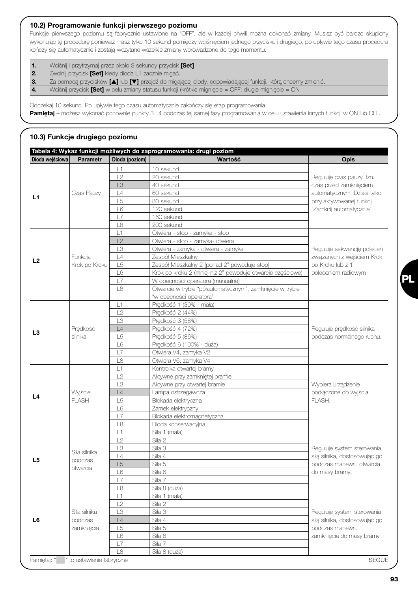#### *10.2) Programowanie funkcji pierwszego poziomu*

Funkcje pierwszego poziomu są fabrycznie ustawione na "OFF", ale w każdej chwili można dokonać zmiany. Musisz być bardzo skupiony wykonując tę procedurę ponieważ masz tylko 10 sekund pomiędzy wciśnięciem jednego przycisku i drugiego, po upływie tego czasu procedura kończy się automatycznie i zostają wczytane wszelkie zmiany wprowadzone do tego momentu.

| $\mathbf{1}$ | Wciśnij i przytrzymaj przez około 3 sekundy przycisk [Set] |  |
|--------------|------------------------------------------------------------|--|
|              |                                                            |  |

**2.** Zwolnij przycisk **[Set]** kiedy dioda L1 zacznie migać.<br>2. Za pomocą przycisków **[▲]** lub **[▼]** przejdź do miga

*3.* Za pomocą przycisków *[*▲*]* lub *[*▼*]* przejdź do migającej diody, odpowiadającej funkcji, którą chcemy zmienić.

*4.* Wciśnij przycisk *[Set]* w celu zmiany statusu funkcji (krótkie mignięcie = OFF; długie mignięcie = ON

Odczekaj 10 sekund. Po upływie tego czasu automatycznie zakończy się etap programowania. *Pamiętaj* – możesz wykonać ponownie punkty 3 i 4 podczas tej samej fazy programowania w celu ustawienia innych funkcji w ON lub OFF.

# *10.3) Funkcje drugiego poziomu*

|                 |                           |                | Tabela 4: Wykaz funkcji możliwych do zaprogramowania: drugi poziom |                               |
|-----------------|---------------------------|----------------|--------------------------------------------------------------------|-------------------------------|
| Dioda wejściowa | <b>Parametr</b>           | Dioda (poziom) | Wartość                                                            | <b>Opis</b>                   |
|                 |                           | L1             | 10 sekund                                                          |                               |
|                 |                           | L2             | 20 sekund                                                          | Reguluje czas pauzy, tzn.     |
|                 |                           | L3             | 40 sekund                                                          | czas przed zamknięciem        |
|                 | Czas Pauzy                | L4             | 60 sekund                                                          | automatycznym. Działa tylko   |
| L1              |                           | L <sub>5</sub> | 80 sekund                                                          | przy aktywowanej funkcji      |
|                 |                           | L6             | 120 sekund                                                         | "Zamknij automatycznie"       |
|                 |                           | L7             | 160 sekund                                                         |                               |
|                 |                           | L8             | 200 sekund                                                         |                               |
|                 |                           | L1             | Otwiera - stop - zamyka - stop                                     |                               |
|                 |                           | L2             | Otwiera - stop - zamyka- otwiera                                   |                               |
|                 |                           | L3             | Otwiera - zamyka - otwiera - zamyka                                | Reguluje sekwencję poleceń    |
|                 | Funkcja                   | L4             | Zespół Mieszkalny                                                  | związanych z wejściem Krok    |
| L2              | Krok po Kroku             | L <sub>5</sub> | Zespół Mieszkalny 2 (ponad 2" powoduje stop)                       | po Kroku lub z 1.             |
|                 |                           | L6             | Krok po kroku 2 (mniej niż 2" powoduje otwarcie częściowe)         | poleceniem radiowym           |
|                 |                           | L7             | W obecności operatora (manualne)                                   |                               |
|                 |                           | L8             | Otwarcie w trybie "półautomatycznym", zamknięcie w trybie          |                               |
|                 |                           |                | "w obecności operatora"                                            |                               |
|                 |                           | L1             | Predkość 1 (30% - mała)                                            |                               |
|                 |                           | L2             | Prędkość 2 (44%)                                                   |                               |
|                 |                           | L3             | Prędkość 3 (58%)                                                   |                               |
|                 | Predkość                  | L4             | Prędkość 4 (72%)                                                   | Reguluje prędkość silnika     |
| L3              | silnika                   | L <sub>5</sub> | Prędkość 5 (86%)                                                   | podczas normalnego ruchu.     |
|                 |                           | L6             | Predkość 6 (100% - duża)                                           |                               |
|                 |                           | L7             | Otwiera V4, zamyka V2                                              |                               |
|                 |                           | L8             | Otwiera V6, zamyka V4                                              |                               |
|                 |                           | L1             | Kontrolka otwartej bramy                                           |                               |
|                 |                           | L2             | Aktywne przy zamkniętej bramie                                     |                               |
|                 |                           | L3             | Aktywne przy otwartej bramie                                       | Wybiera urządzenie            |
|                 | Wyjście                   | L4             | Lampa ostrzegawcza                                                 | podłączone do wyjścia         |
| L4              | <b>FLASH</b>              | L <sub>5</sub> | Blokada elektryczna                                                | FLASH.                        |
|                 |                           | L6             | Zamek elektryczny                                                  |                               |
|                 |                           | L7             | Blokada elektromagnetyczna                                         |                               |
|                 |                           | L8             | Dioda konserwacyjna                                                |                               |
|                 |                           | L1             | Siła 1 (mała)                                                      |                               |
|                 |                           | L2             | Siła 2                                                             |                               |
|                 | Siła silnika              | LЗ             | Siła 3                                                             | Reguluje system sterowania    |
| L5              | podczas                   | L4             | Siła 4                                                             | siłą silnika, dostosowując go |
|                 | otwarcia                  | L5             | Siła 5                                                             | podczas manewru otwarcia      |
|                 |                           | L6             | Siła 6                                                             | do masy bramy.                |
|                 |                           | L7             | Siła 7                                                             |                               |
|                 |                           | L8             | Siła 8 (duża)                                                      |                               |
|                 |                           | L1             | Siła 1 (mała)                                                      |                               |
|                 |                           | L2             | Siła 2                                                             |                               |
|                 | Siła silnika              | L3             | Siła 3                                                             | Reguluje system sterowania    |
| L6              | podczas                   | L4             | Siła 4                                                             | siłą silnika, dostosowując go |
|                 | zamknięcia                | L5             | Siła 5                                                             | podczas manewru               |
|                 |                           | L6             | Siła 6                                                             | zamknięcia do masy bramy.     |
|                 |                           | L7             | Siła 7                                                             |                               |
|                 |                           | L8             | Siła 8 (duża)                                                      |                               |
| Pamiętaj: "     | " to ustawienie fabryczne |                |                                                                    | <b>SEGUE</b>                  |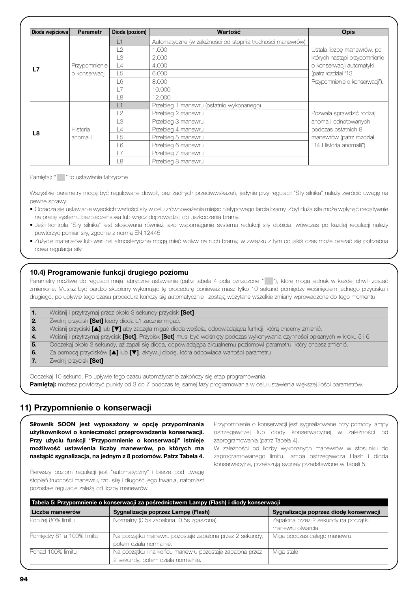| Dioda wejściowa | <b>Parametr</b> | Dioda (poziom)  | Wartość                                                   | <b>Opis</b>                    |
|-----------------|-----------------|-----------------|-----------------------------------------------------------|--------------------------------|
|                 |                 | $\vert$ 1       | Automatyczne (w zależności od stopnia trudności manewrów) |                                |
|                 |                 | L2              | .000                                                      | Ustala liczbę manewrów, po     |
|                 |                 | TЗ              | 2.000                                                     | których nastąpi przypomnienie  |
|                 | Przypomnienie   | L4              | 4.000                                                     | o konserwacji automatyki       |
| L7              | o konserwacji   | L5              | 6.000                                                     | (patrz rozdział "13            |
|                 |                 | 16              | 8.000                                                     | Przypomnienie o konserwacji"). |
|                 |                 | 17              | 10,000                                                    |                                |
|                 |                 | L8              | 12,000                                                    |                                |
|                 |                 | L1              | Przebieg 1 manewru (ostatnio wykonanego)                  |                                |
|                 |                 | L2              | Przebieg 2 manewru                                        | Pozwala sprawdzić rodzaj       |
|                 |                 | Т3              | Przebieg 3 manewru                                        | anomalii odnotowanych          |
|                 | Historia        | $\vert$ 4       | Przebieg 4 manewru                                        | podczas ostatnich 8            |
| L8              | anomalii        | 15              | Przebieg 5 manewru                                        | manewrów (patrz rozdział       |
|                 |                 | 16              | Przebieg 6 manewru                                        | "14 Historia anomalii")        |
|                 |                 | $\overline{17}$ | Przebieg 7 manewru                                        |                                |
|                 |                 | 18              | Przebieg 8 manewru                                        |                                |

Pamiętaj: " " to ustawienie fabryczne

Wszystkie parametry mogą być regulowane dowoli, bez żadnych przeciwwskazań, jedynie przy regulacji "Siły silnika" należy zwrócić uwagę na pewne sprawy:

- Odradza się ustawianie wysokich wartości siły w celu zrównoważenia miejsc nietypowego tarcia bramy. Zbyt duża siła może wpłynąć negatywnie na pracę systemu bezpieczeństwa lub wręcz doprowadzić do uszkodzenia bramy.
- Jeśli kontrola "Siły silnika" jest stosowana również jako wspomaganie systemu redukcji siły dobicia, wówczas po każdej regulacji należy powtórzyć pomiar siły, zgodnie z normą EN 12445.
- Zużycie materiałów lub warunki atmosferyczne mogą mieć wpływ na ruch bramy, w związku z tym co jakiś czas może okazać się potrzebna nowa regulacja siły.

#### *10.4) Programowanie funkcji drugiego poziomu*

Parametry możliwe do regulacji mają fabryczne ustawienia (patrz tabela 4 pola oznaczone " "), które mogą jednak w każdej chwili zostać zmienione. Musisz być bardzo skupiony wykonując tę procedurę ponieważ masz tylko 10 sekund pomiędzy wciśnięciem jednego przycisku i drugiego, po upływie tego czasu procedura kończy się automatycznie i zostają wczytane wszelkie zmiany wprowadzone do tego momentu.

|     | Wciśnij i przytrzymaj przez około 3 sekundy przycisk <b>[Set]</b>                                                                            |
|-----|----------------------------------------------------------------------------------------------------------------------------------------------|
|     | Zwolnij przycisk [Set] kiedy dioda L1 zacznie migać.                                                                                         |
| -3. | Wciśnij przyciski [4] lub [V] aby zaczęła migać dioda wejścia, odpowiadająca funkcji, którą chcemy zmienić.                                  |
|     | Wciśnij i przytrzymaj przycisk <b>[Set]</b> . Przycisk <b>[Set]</b> musi być wciśnięty podczas wykonywania czynności opisanych w kroku 5 i 6 |
| 5.  | Odczekaj około 3 sekundy, aż zapali się dioda, odpowiadająca aktualnemu poziomowi parametru, który chcesz zmienić.                           |
| 6.  | Za pomocą przycisków [A] lub [V], aktywuj diodę, która odpowiada wartości parametru                                                          |
|     | Zwolnij przycisk <b>[Set]</b>                                                                                                                |
|     |                                                                                                                                              |

Odczekaj 10 sekund. Po upływie tego czasu automatycznie zakończy się etap programowania. *Pamiętaj:* możesz powtórzyć punkty od 3 do 7 podczas tej samej fazy programowania w celu ustawienia większej ilości parametrów.

# *11) Przypomnienie o konserwacji*

*Siłownik SOON jest wyposażony w opcję przypominania użytkownikowi o konieczności przeprowadzenia konserwacji. Przy użyciu funkcji "Przypomnienie o konserwacji" istnieje możliwość ustawienia liczby manewrów, po których ma nastąpić sygnalizacja, na jednym z 8 poziomów. Patrz Tabela 4.* Przypomnienie o konserwacji jest sygnalizowane przy pomocy lampy ostrzegawczej lub diody konserwacyjnej w zależności od zaprogramowania (patrz Tabela 4).

W zależności od liczby wykonanych manewrów w stosunku do zaprogramowanego limitu, lampa ostrzegawcza Flash i dioda konserwacyjna, przekazują sygnały przedstawione w Tabeli 5.

Pierwszy poziom regulacji jest "automatyczny" i bierze pod uwagę stopień trudności manewru, tzn. siłę i długość jego trwania, natomiast pozostałe regulacje zależą od liczby manewrów.

|                           | Tabela 5: Przypomnienie o konserwacji za pośrednictwem Lampy (Flash) i diody konserwacji |                                        |
|---------------------------|------------------------------------------------------------------------------------------|----------------------------------------|
| Liczba manewrów           | Sygnalizacja poprzez Lampę (Flash)                                                       | Sygnalizacja poprzez diodę konserwacji |
| Poniżej 80% limitu        | Normalny (0.5s zapalona, 0.5s zgaszona)                                                  | Zapalona przez 2 sekundy na początku   |
|                           |                                                                                          | manewru otwarcia                       |
| Pomiędzy 81 a 100% limitu | Na początku manewru pozostaje zapalona przez 2 sekundy,                                  | Miga podczas całego manewru            |
|                           | potem działa normalnie.                                                                  |                                        |
| Ponad 100% limitu         | Na początku i na końcu manewru pozostaje zapalona przez                                  | Miga stale                             |
|                           | 2 sekundy, potem działa normalnie.                                                       |                                        |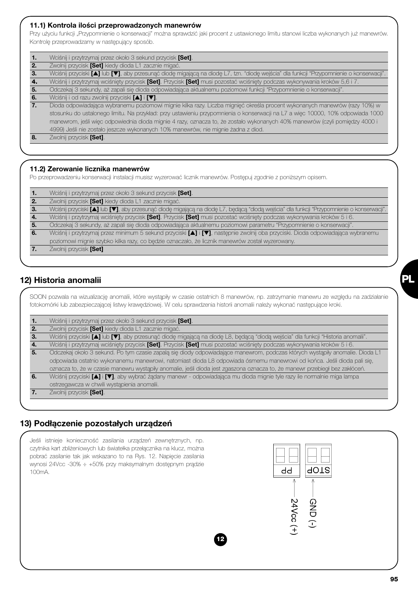### *11.1) Kontrola ilości przeprowadzonych manewrów*

Przy użyciu funkcji "Przypomnienie o konserwacji" można sprawdzić jaki procent z ustawionego limitu stanowi liczba wykonanych już manewrów. Kontrolę przeprowadzamy w następujący sposób.

| -1. | Wciśnij i przytrzymaj przez około 3 sekund przycisk [Set].                                                                               |
|-----|------------------------------------------------------------------------------------------------------------------------------------------|
| 2.  | Zwolnij przycisk [Set] kiedy dioda L1 zacznie migać.                                                                                     |
| 3.  | Wciśnij przyciski [4] lub [V], aby przesunąć diodę migającą na diodę L7, tzn. "diodę wejścia" dla funkcji "Przypomnienie o konserwacji". |
|     | Wciśnij i przytrzymaj wciśnięty przycisk [Set]. Przycisk [Set] musi pozostać wciśnięty podczas wykonywania kroków 5,6 i 7.               |
| -5. | Odczekaj 3 sekundy, aż zapali się dioda odpowiadająca aktualnemu poziomowi funkcji "Przypomnienie o konserwacji".                        |
| 6.  | Wciśnij i od razu zwolnij przyciski [4] i [V].                                                                                           |
| 7.  | Dioda odpowiadająca wybranemu poziomowi mignie kilka razy. Liczba mignięć określa procent wykonanych manewrów (razy 10%) w               |
|     | stosunku do ustalonego limitu. Na przykład: przy ustawieniu przypomnienia o konserwacji na L7 a więc 10000, 10% odpowiada 1000           |
|     | manewrom, jeśli więc odpowiednia dioda mignie 4 razy, oznacza to, że zostało wykonanych 40% manewrów (czyli pomiędzy 4000 i              |
|     | 4999) Jeśli nie zostało jeszcze wykonanych 10% manewrów, nie mignie żadna z diod.                                                        |
|     | Zwolnij przycisk [Set].                                                                                                                  |
|     |                                                                                                                                          |

## *11.2) Zerowanie licznika manewrów*

Po przeprowadzeniu konserwacji instalacji musisz wyzerować licznik manewrów. Postępuj zgodnie z poniższym opisem.

| 1.  | Wciśnij i przytrzymaj przez około 3 sekund przycisk [Set].                                                                                 |
|-----|--------------------------------------------------------------------------------------------------------------------------------------------|
|     | Zwolnij przycisk [Set] kiedy dioda L1 zacznie migać.                                                                                       |
| З.  | Wciśnij przyciski [4] lub [V], aby przesunąć diodę migającą na diodę L7, będącą "diodą wejścia" dla funkcji "Przypomnienie o konserwacji". |
| 4.  | Wciśnij i przytrzymaj wciśnięty przycisk [Set]. Przycisk [Set] musi pozostać wciśnięty podczas wykonywania kroków 5 i 6.                   |
| -5. | Odczekaj 3 sekundy, aż zapali się dioda odpowiadająca aktualnemu poziomowi parametru "Przypomnienie o konserwacji".                        |
| 6.  | Wciśnij i przytrzymaj przez minimum 5 sekund przyciski [▲] i [▼], następnie zwolnij oba przyciski. Dioda odpowiadająca wybranemu           |
|     | poziomowi mignie szybko kilka razy, co będzie oznaczało, że licznik manewrów został wyzerowany.                                            |
|     | Zwolnij przycisk <b>[Set]</b>                                                                                                              |

# *12) Historia anomalii*

SOON pozwala na wizualizację anomalii, które wystąpiły w czasie ostatnich 8 manewrów, np. zatrzymanie manewru ze względu na zadziałanie fotokomórki lub zabezpieczającej listwy krawędziowej. W celu sprawdzenia historii anomalii należy wykonać następujące kroki.

|  | $\mathbf 1$ |  | Wciśnij i przytrzymaj przez około 3 sekund przycisk [Set]. |  |  |  |
|--|-------------|--|------------------------------------------------------------|--|--|--|
|--|-------------|--|------------------------------------------------------------|--|--|--|

*2.* Zwolnij przycisk *[Set]* kiedy dioda L1 zacznie migać.

*3.* Wciśnij przyciski *[*▲*]* lub *[*▼*]*, aby przesunąć diodę migającą na diodę L8, będącą "diodą wejścia" dla funkcji "Historia anomalii".

*4.* Wciśnij i przytrzymaj wciśnięty przycisk *[Set]*. Przycisk *[Set]* musi pozostać wciśnięty podczas wykonywania kroków 5 i 6. *5.* Odczekaj około 3 sekund. Po tym czasie zapalą się diody odpowiadające manewrom, podczas których wystąpiły anomalie. Dioda L1

odpowiada ostatnio wykonanemu manewrowi, natomiast dioda L8 odpowiada ósmemu manewrowi od końca. Jeśli dioda pali się, oznacza to, że w czasie manewru wystąpiły anomalie, jeśli dioda jest zgaszona oznacza to, że manewr przebiegł bez zakłóceń.

*6.* Wciśnij przyciski *[*▲*]* i *[*▼*]*, aby wybrać żądany manewr - odpowiadająca mu dioda mignie tyle razy ile normalnie miga lampa

ostrzegawcza w chwili wystąpienia anomalii.

*7.* Zwolnij przycisk *[Set]*.

# *13) Podłączenie pozostałych urządzeń*



**PL**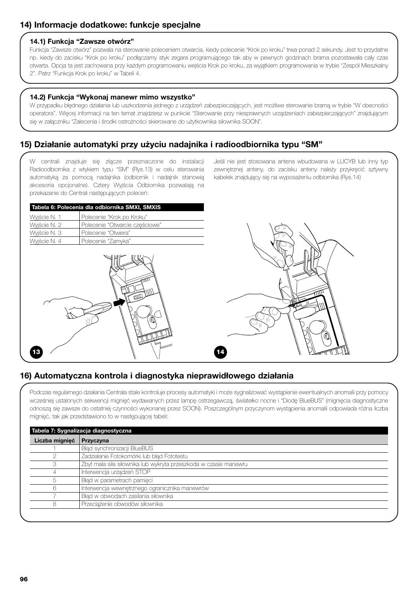# *14) Informacje dodatkowe: funkcje specjalne*

#### *14.1) Funkcja "Zawsze otwórz"*

Funkcja "Zawsze otwórz" pozwala na sterowanie poleceniem otwarcia, kiedy polecenie "Krok po kroku" trwa ponad 2 sekundy. Jest to przydatne np. kiedy do zacisku "Krok po kroku" podłączamy styk zegara programującego tak aby w pewnych godzinach brama pozostawała cały czas otwarta. Opcja ta jest zachowana przy każdym programowaniu wejścia Krok po kroku, za wyjątkiem programowania w trybie "Zespół Mieszkalny 2". Patrz "Funkcja Krok po kroku" w Tabeli 4.

#### *14.2) Funkcja "Wykonaj manewr mimo wszystko"*

W przypadku błędnego działania lub uszkodzenia jednego z urządzeń zabezpieczających, jest możliwe sterowanie bramą w trybie "W obecności operatora". Więcej informacji na ten temat znajdziesz w punkcie "Sterowanie przy niesprawnych urządzeniach zabezpieczających" znajdującym się w załączniku "Zalecenia i środki ostrożności skierowane do użytkownika siłownika SOON".

# *15) Działanie automatyki przy użyciu nadajnika i radioodbiornika typu "SM"*

W centrali znajduje się złącze przeznaczone do instalacji Radioodbiornika z wtykiem typu "SM" (Rys.13) w celu sterowania automatyką za pomocą nadajnika (odbiornik i nadajnik stanowią akcesoria opcjonalne). Cztery Wyjścia Odbiornika pozwalają na przekazanie do Centrali następujących poleceń:

Jeśli nie jest stosowana antena wbudowana w LUCYB lub inny typ zewnętrznej anteny, do zacisku anteny należy przykręcić sztywny kabelek znajdujący się na wyposażeniu odbiornika (Rys.14)

|              | Tabela 6: Polecenia dla odbiornika SMXI, SMXIS |
|--------------|------------------------------------------------|
| Wyjście N. 1 | Polecenie "Krok po Kroku"                      |
| Wyiście N. 2 | Polecenie "Otwarcie częściowe"                 |
| Wyiście N. 3 | Polecenie "Otwiera"                            |
| Wyiście N. 4 | Polecenie "Zamyka"                             |
|              |                                                |





# *16) Automatyczna kontrola i diagnostyka nieprawidłowego działania*

Podczas regularnego działania Centrala stale kontroluje procesy automatyki i może sygnalizować wystąpienie ewentualnych anomalii przy pomocy wcześniej ustalonych sekwencji mignięć wydawanych przez lampę ostrzegawczą, światełko nocne i "Diodę BlueBUS" (mignięcia diagnostyczne odnoszą się zawsze do ostatniej czynności wykonanej przez SOON). Poszczególnym przyczynom wystąpienia anomalii odpowiada różna liczba mignięć, tak jak przedstawiono to w następującej tabeli:

| Liczba mignięć | <b>Przyczyna</b>                                                 |
|----------------|------------------------------------------------------------------|
|                | Błąd synchronizacji BlueBUS                                      |
|                | Zadziałanie Fotokomórki lub błąd Fototestu                       |
|                | Zbyt mała siła siłownika lub wykryta przeszkoda w czasie manewru |
|                | Interwencja urządzeń STOP                                        |
|                | Błąd w parametrach pamięci                                       |
|                | Interwencja wewnętrznego ogranicznika manewrów                   |
|                | Błąd w obwodach zasilania siłownika                              |
|                | Przeciążenie obwodów siłownika                                   |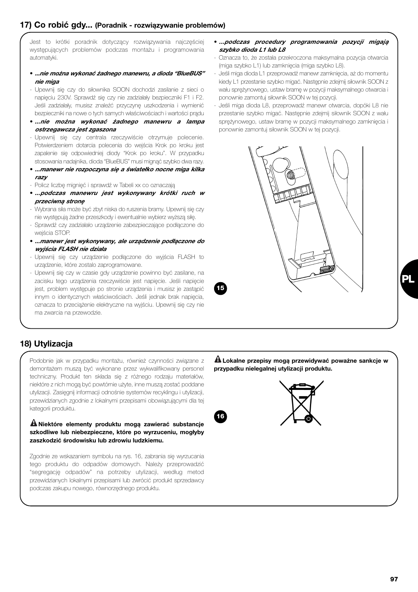# *17) Co robić gdy... (Poradnik - rozwiązywanie problemów)*

Jest to krótki poradnik dotyczący rozwiązywania najczęściej występujących problemów podczas montażu i programowania automatyki.

- *...nie można wykonać żadnego manewru, a dioda "BlueBUS" nie miga*
- Upewnij się czy do siłownika SOON dochodzi zasilanie z sieci o napięciu 230V. Sprawdź się czy nie zadziałały bezpieczniki F1 i F2. Jeśli zadziałały, musisz znaleźć przyczynę uszkodzenia i wymienić bezpieczniki na nowe o tych samych właściwościach i wartości prądu
- *...nie można wykonać żadnego manewru a lampa ostrzegawcza jest zgaszona*
- Upewnij się czy centrala rzeczywiście otrzymuje polecenie. Potwierdzeniem dotarcia polecenia do wejścia Krok po kroku jest zapalenie się odpowiedniej diody "Krok po kroku". W przypadku stosowania nadajnika, dioda "BlueBUS" musi mignąć szybko dwa razy.
- *...manewr nie rozpoczyna się a światełko nocne miga kilka razy*
- Policz liczbę mignięć i sprawdź w Tabeli xx co oznaczają
- *...podczas manewru jest wykonywany krótki ruch w przeciwną stronę*
- Wybrana siła może być zbyt niska do ruszenia bramy. Upewnij się czy nie występują żadne przeszkody i ewentualnie wybierz wyższą siłę.
- Sprawdź czy zadziałało urządzenie zabezpieczające podłączone do wejścia STOP.
- *...manewr jest wykonywany, ale urządzenie podłączone do wyjścia FLASH nie działa*
- Upewnij się czy urządzenie podłączone do wyjścia FLASH to urządzenie, które zostalo zaprogramowane.
- Upewnij się czy w czasie gdy urządzenie powinno być zasilane, na zacisku tego urządzenia rzeczywiście jest napięcie. Jeśli napięcie jest, problem występuje po stronie urządzenia i musisz je zastąpić innym o identycznych właściwościach. Jeśli jednak brak napięcia, oznacza to przeciążenie elektryczne na wyjściu. Upewnij się czy nie ma zwarcia na przewodzie.
- *...podczas procedury programowania pozycji migają szybko dioda L1 lub L8*
- Oznacza to, że została przekroczona maksymalna pozycja otwarcia (miga szybko L1) lub zamknięcia (miga szybko L8).
- Jeśli miga dioda L1 przeprowadź manewr zamknięcia, aż do momentu kiedy L1 przestanie szybko migać. Następnie zdejmij siłownik SOON z wału sprężynowego, ustaw bramę w pozycji maksymalnego otwarcia i ponownie zamontuj siłownik SOON w tej pozycji.
- Jeśli miga dioda L8, przeprowadź manewr otwarcia, dopóki L8 nie przestanie szybko migać. Następnie zdejmij siłownik SOON z wału sprężynowego, ustaw bramę w pozycji maksymalnego zamknięcia i ponownie zamontuj siłownik SOON w tej pozycji.



**15**

**16**

# *18) Utylizacja*

Podobnie jak w przypadku montażu, również czynności związane z demontażem muszą być wykonane przez wykwalifikowany personel techniczny. Produkt ten składa się z różnego rodzaju materiałów, niektóre z nich mogą być powtórnie użyte, inne muszą zostać poddane utylizacji. Zasięgnij informacji odnośnie systemów recyklingu i utylizacji, przewidzianych zgodnie z lokalnymi przepisami obowiązującymi dla tej kategorii produktu.

*Niektóre elementy produktu mogą zawierać substancje* **!** *szkodliwe lub niebezpieczne, które po wyrzuceniu, mogłyby zaszkodzić środowisku lub zdrowiu ludzkiemu.*

Zgodnie ze wskazaniem symbolu na rys. 16, zabrania się wyrzucania tego produktu do odpadów domowych. Należy przeprowadzić "segregację odpadów" na potrzeby utylizacji, według metod przewidzianych lokalnymi przepisami lub zwrócić produkt sprzedawcy podczas zakupu nowego, równorzędnego produktu.

*Lokalne przepisy mogą przewidywać poważne sankcje w* **!** *przypadku nielegalnej utylizacji produktu.*

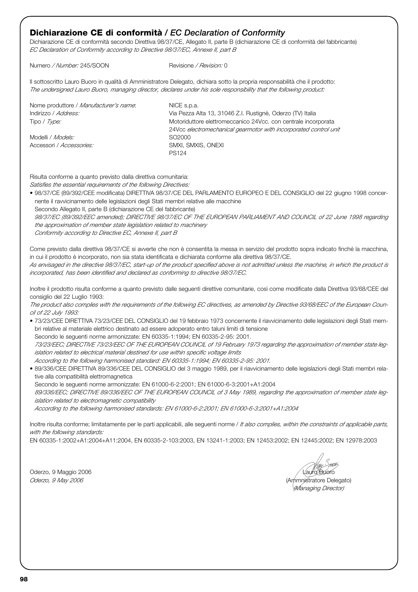# **Dichiarazione CE di conformità** */ EC Declaration of Conformity*

Dichiarazione CE di conformità secondo Direttiva 98/37/CE, Allegato II, parte B (dichiarazione CE di conformità del fabbricante) *EC Declaration of Conformity according to Directive 98/37/EC, Annexe II, part B*

Numero */ Number:* 245/SOON Revisione */ Revision:* 0

Il sottoscritto Lauro Buoro in qualità di Amministratore Delegato, dichiara sotto la propria responsabilità che il prodotto: *The undersigned Lauro Buoro, managing director, declares under his sole responsibility that the following product:*

| Nome produttore / Manufacturer's name: | NICE s.p.a.                                                      |
|----------------------------------------|------------------------------------------------------------------|
| Indirizzo / Address:                   | Via Pezza Alta 13, 31046 Z.I. Rustignè, Oderzo (TV) Italia       |
| Tipo / Type:                           | Motoriduttore elettromeccanico 24Vcc. con centrale incorporata   |
|                                        | 24Vcc electromechanical gearmotor with incorporated control unit |
| Modelli / <i>Models:</i>               | SO2000                                                           |
| Accessori / Accessories:               | SMXI, SMXIS, ONEXI                                               |
|                                        | <b>PS124</b>                                                     |

Risulta conforme a quanto previsto dalla direttiva comunitaria:

*Satisfies the essential requirements of the following Directives:* 

• 98/37/CE (89/392/CEE modificata) DIRETTIVA 98/37/CE DEL PARLAMENTO EUROPEO E DEL CONSIGLIO del 22 giugno 1998 concernente il ravvicinamento delle legislazioni degli Stati membri relative alle macchine Secondo Allegato II, parte B (dichiarazione CE del fabbricante)

*98/37/EC (89/392/EEC amended); DIRECTIVE 98/37/EC OF THE EUROPEAN PARLIAMENT AND COUNCIL of 22 June 1998 regarding the approximation of member state legislation related to machinery Conformity according to Directive EC, Annexe II, part B*

Come previsto dalla direttiva 98/37/CE si avverte che non è consentita la messa in servizio del prodotto sopra indicato finché la macchina, in cui il prodotto è incorporato, non sia stata identificata e dichiarata conforme alla direttiva 98/37/CE.

*As envisaged in the directive 98/37/EC, start-up of the product specified above is not admitted unless the machine, in which the product is incorporated, has been identified and declared as conforming to directive 98/37/EC.*

Inoltre il prodotto risulta conforme a quanto previsto dalle seguenti direttive comunitarie, così come modificate dalla Direttiva 93/68/CEE del consiglio del 22 Luglio 1993:

*The product also complies with the requirements of the following EC directives, as amended by Directive 93/68/EEC of the European Council of 22 July 1993:* 

• 73/23/CEE DIRETTIVA 73/23/CEE DEL CONSIGLIO del 19 febbraio 1973 concernente il riavvicinamento delle legislazioni degli Stati membri relative al materiale elettrico destinato ad essere adoperato entro taluni limiti di tensione

Secondo le seguenti norme armonizzate: EN 60335-1:1994; EN 60335-2-95: 2001. *73/23/EEC; DIRECTIVE 73/23/EEC OF THE EUROPEAN COUNCIL of 19 February 1973 regarding the approximation of member state legislation related to electrical material destined for use within specific voltage limits According to the following harmonised standard: EN 60335-1:1994; EN 60335-2-95: 2001.*

• 89/336/CEE DIRETTIVA 89/336/CEE DEL CONSIGLIO del 3 maggio 1989, per il riavvicinamento delle legislazioni degli Stati membri relative alla compatibilità elettromagnetica

Secondo le seguenti norme armonizzate: EN 61000-6-2:2001; EN 61000-6-3:2001+A1:2004 *89/336/EEC; DIRECTIVE 89/336/EEC OF THE EUROPEAN COUNCIL of 3 May 1989, regarding the approximation of member state legislation related to electromagnetic compatibility*

*According to the following harmonised standards: EN 61000-6-2:2001; EN 61000-6-3:2001+A1:2004*

Inoltre risulta conforme; limitatamente per le parti applicabili, alle seguenti norme / *It also complies, within the constraints of applicable parts, with the following standards:*

EN 60335-1:2002+A1:2004+A11:2004, EN 60335-2-103:2003, EN 13241-1:2003; EN 12453:2002; EN 12445:2002; EN 12978:2003

*(Managing Director)*

Oderzo, 9 Maggio 2006 **Lauro Buoro Buoro Buoro Buoro Buoro Buoro Buoro Buoro Buoro Buoro Buoro Buoro Buoro Buoro Buoro Buoro Buoro Buoro Buoro Buoro Buoro Buoro Buoro Buoro Buoro Buoro Buoro Buoro Buoro Buoro Buoro Buoro B** *Oderzo, 9 May 2006* (Ammnistratore Delegato)